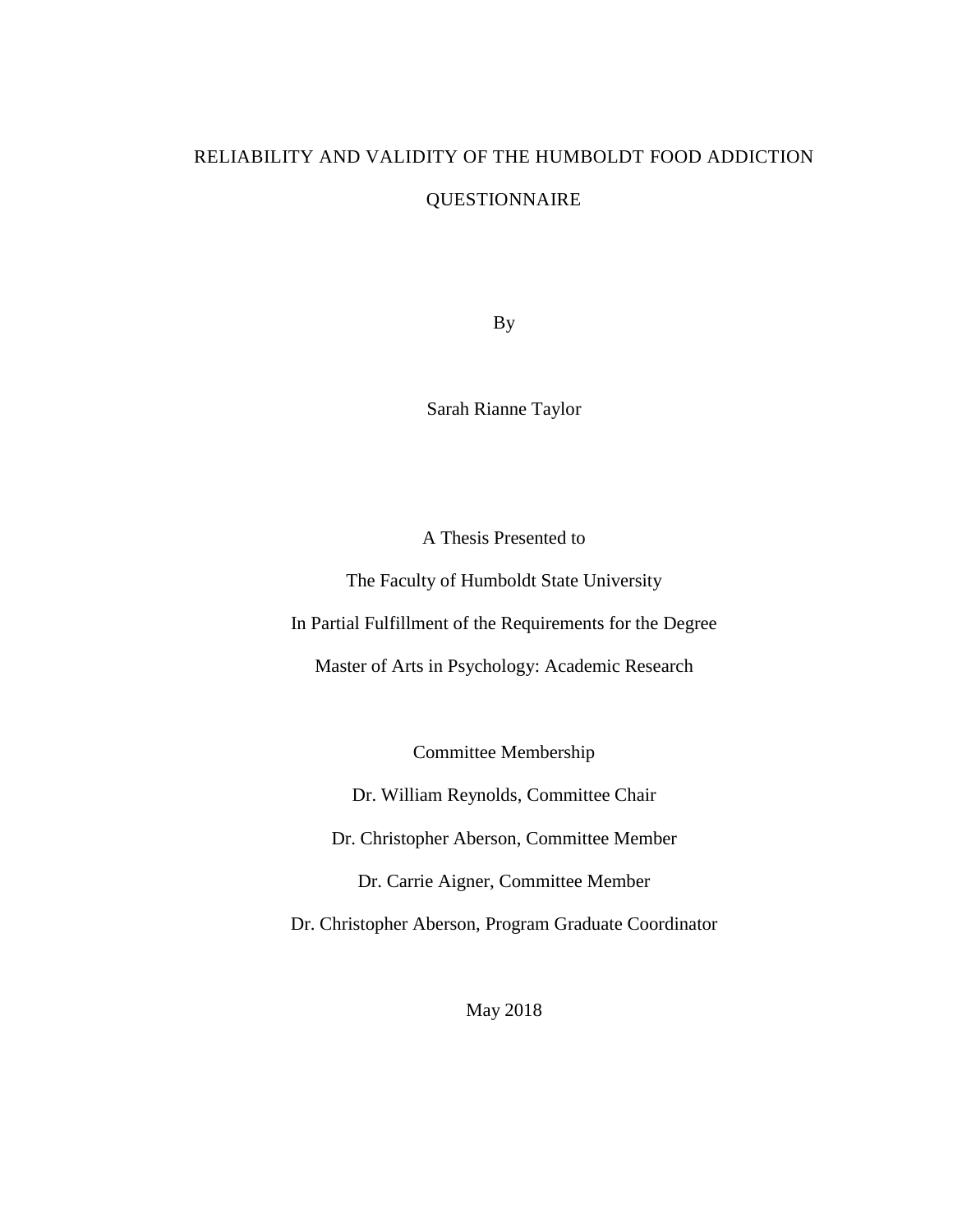# RELIABILITY AND VALIDITY OF THE HUMBOLDT FOOD ADDICTION QUESTIONNAIRE

By

Sarah Rianne Taylor

A Thesis Presented to

The Faculty of Humboldt State University

In Partial Fulfillment of the Requirements for the Degree

Master of Arts in Psychology: Academic Research

Committee Membership

Dr. William Reynolds, Committee Chair

Dr. Christopher Aberson, Committee Member

Dr. Carrie Aigner, Committee Member

Dr. Christopher Aberson, Program Graduate Coordinator

May 2018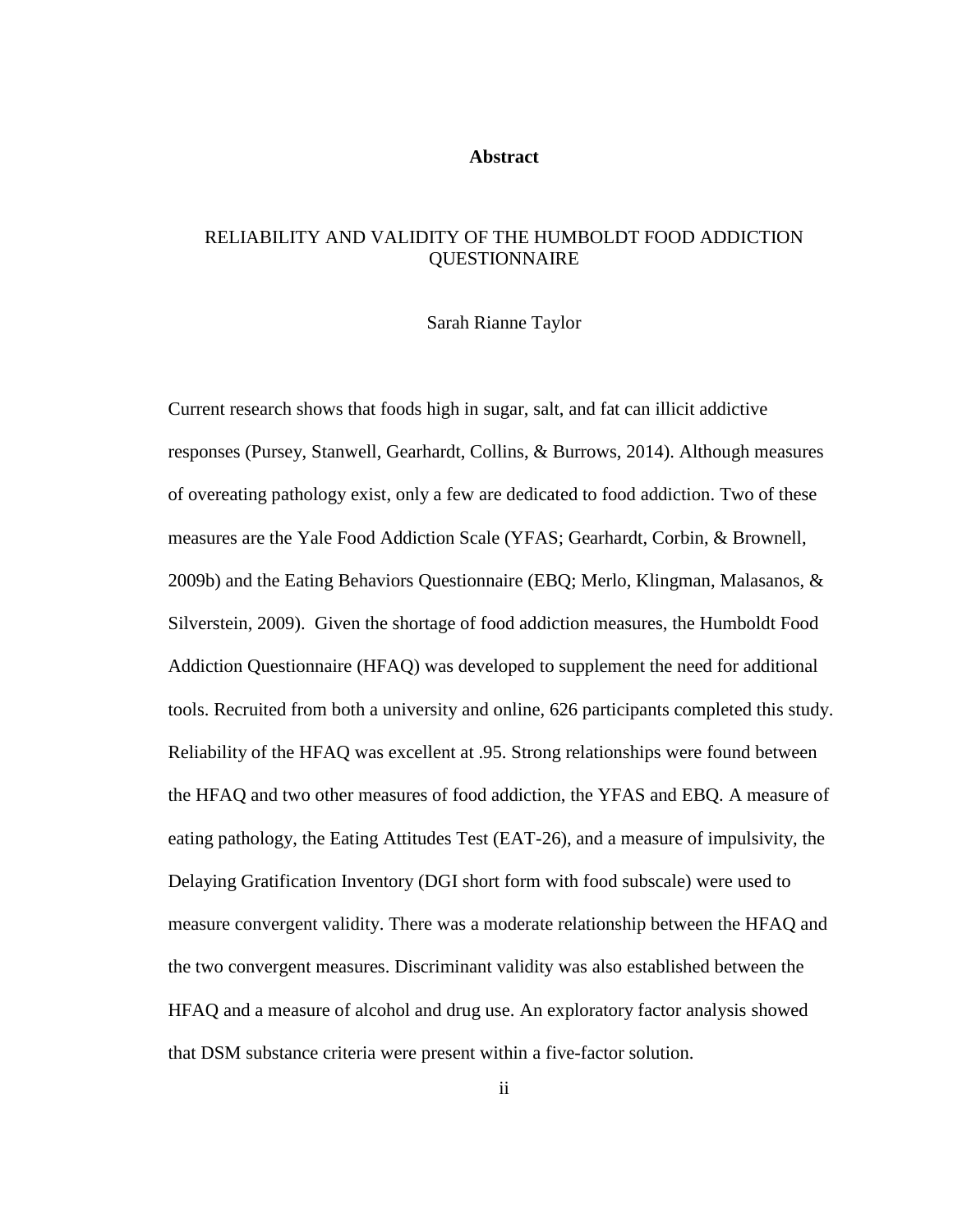#### **Abstract**

# <span id="page-1-0"></span>RELIABILITY AND VALIDITY OF THE HUMBOLDT FOOD ADDICTION **OUESTIONNAIRE**

#### Sarah Rianne Taylor

Current research shows that foods high in sugar, salt, and fat can illicit addictive responses (Pursey, Stanwell, Gearhardt, Collins, & Burrows, 2014). Although measures of overeating pathology exist, only a few are dedicated to food addiction. Two of these measures are the Yale Food Addiction Scale (YFAS; Gearhardt, Corbin, & Brownell, 2009b) and the Eating Behaviors Questionnaire (EBQ; Merlo, Klingman, Malasanos, & Silverstein, 2009). Given the shortage of food addiction measures, the Humboldt Food Addiction Questionnaire (HFAQ) was developed to supplement the need for additional tools. Recruited from both a university and online, 626 participants completed this study. Reliability of the HFAQ was excellent at .95. Strong relationships were found between the HFAQ and two other measures of food addiction, the YFAS and EBQ. A measure of eating pathology, the Eating Attitudes Test (EAT-26), and a measure of impulsivity, the Delaying Gratification Inventory (DGI short form with food subscale) were used to measure convergent validity. There was a moderate relationship between the HFAQ and the two convergent measures. Discriminant validity was also established between the HFAQ and a measure of alcohol and drug use. An exploratory factor analysis showed that DSM substance criteria were present within a five-factor solution.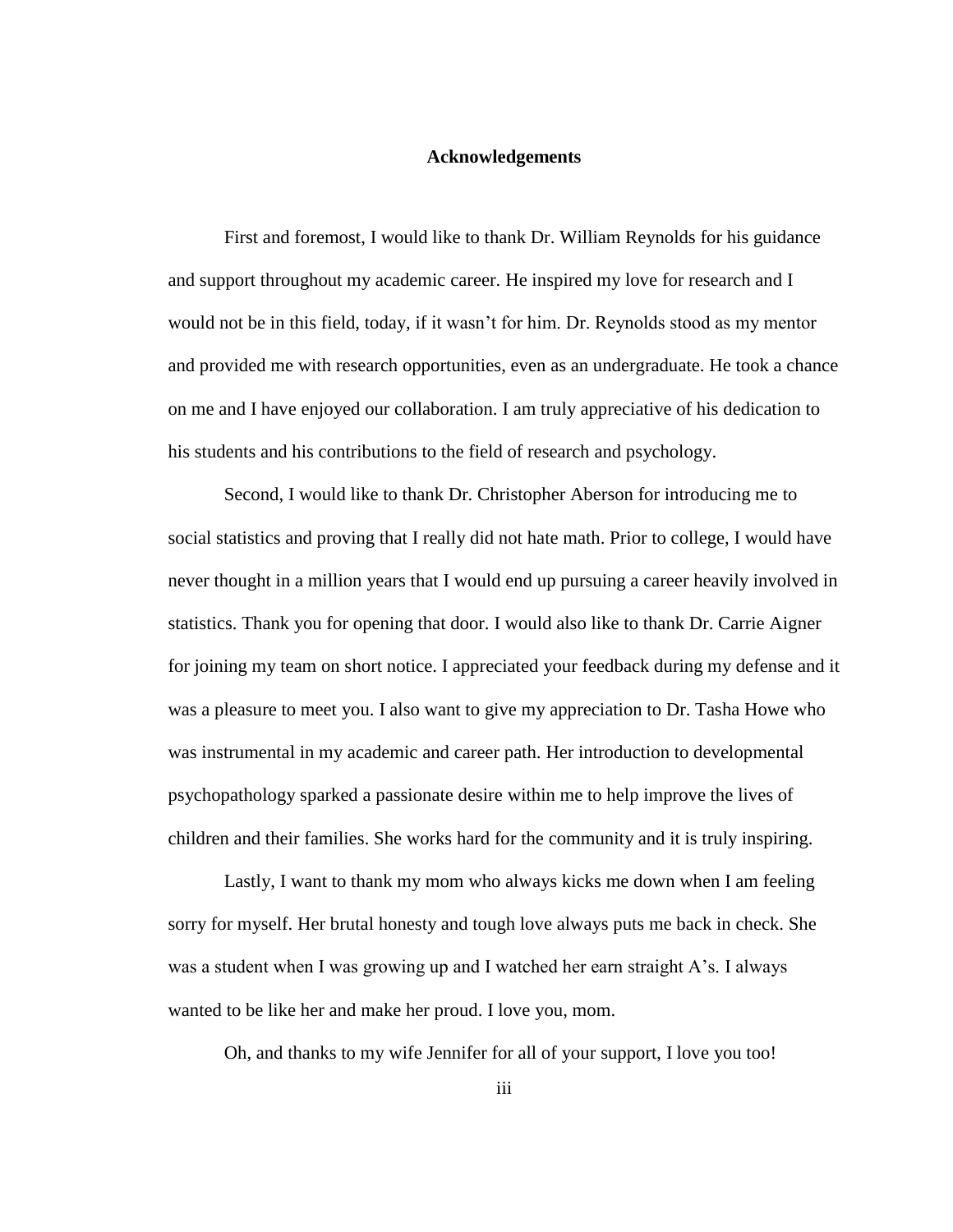# **Acknowledgements**

<span id="page-2-0"></span>First and foremost, I would like to thank Dr. William Reynolds for his guidance and support throughout my academic career. He inspired my love for research and I would not be in this field, today, if it wasn't for him. Dr. Reynolds stood as my mentor and provided me with research opportunities, even as an undergraduate. He took a chance on me and I have enjoyed our collaboration. I am truly appreciative of his dedication to his students and his contributions to the field of research and psychology.

Second, I would like to thank Dr. Christopher Aberson for introducing me to social statistics and proving that I really did not hate math. Prior to college, I would have never thought in a million years that I would end up pursuing a career heavily involved in statistics. Thank you for opening that door. I would also like to thank Dr. Carrie Aigner for joining my team on short notice. I appreciated your feedback during my defense and it was a pleasure to meet you. I also want to give my appreciation to Dr. Tasha Howe who was instrumental in my academic and career path. Her introduction to developmental psychopathology sparked a passionate desire within me to help improve the lives of children and their families. She works hard for the community and it is truly inspiring.

Lastly, I want to thank my mom who always kicks me down when I am feeling sorry for myself. Her brutal honesty and tough love always puts me back in check. She was a student when I was growing up and I watched her earn straight A's. I always wanted to be like her and make her proud. I love you, mom.

Oh, and thanks to my wife Jennifer for all of your support, I love you too!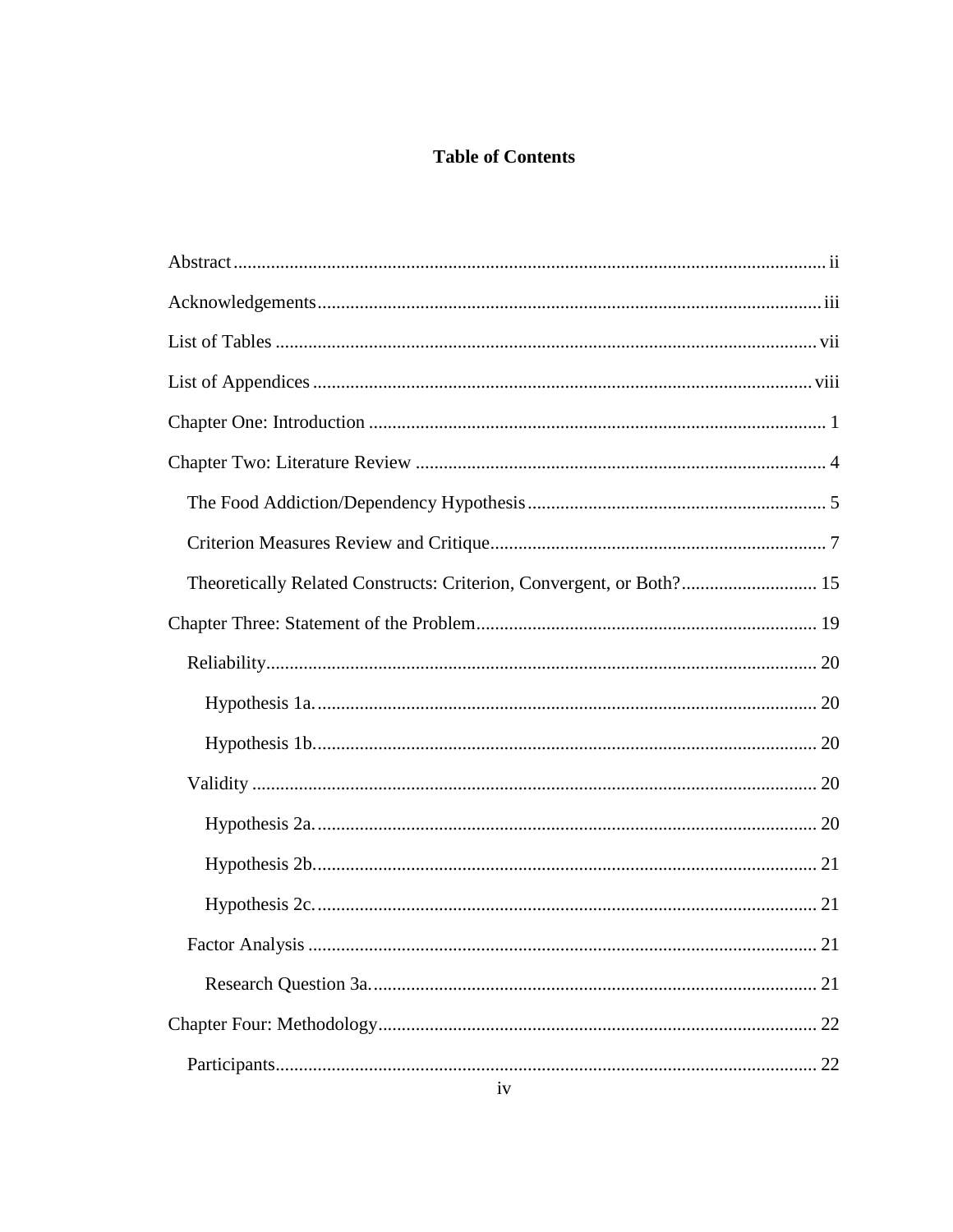# **Table of Contents**

| Theoretically Related Constructs: Criterion, Convergent, or Both? 15 |
|----------------------------------------------------------------------|
|                                                                      |
|                                                                      |
|                                                                      |
|                                                                      |
|                                                                      |
|                                                                      |
|                                                                      |
|                                                                      |
|                                                                      |
| 21                                                                   |
| 22                                                                   |
| 22                                                                   |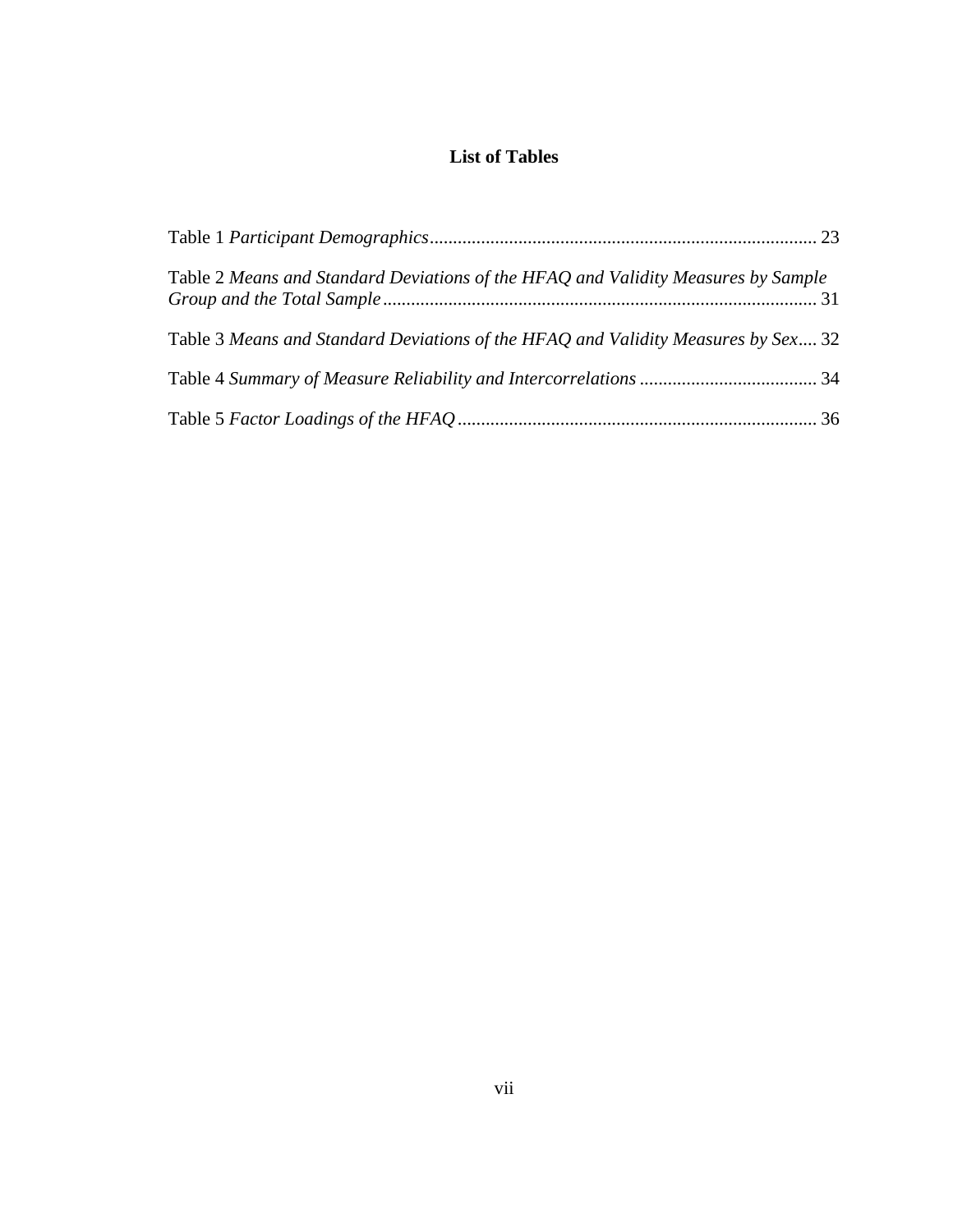# **List of Tables**

<span id="page-6-0"></span>

| Table 2 Means and Standard Deviations of the HFAQ and Validity Measures by Sample |  |
|-----------------------------------------------------------------------------------|--|
| Table 3 Means and Standard Deviations of the HFAQ and Validity Measures by Sex 32 |  |
|                                                                                   |  |
|                                                                                   |  |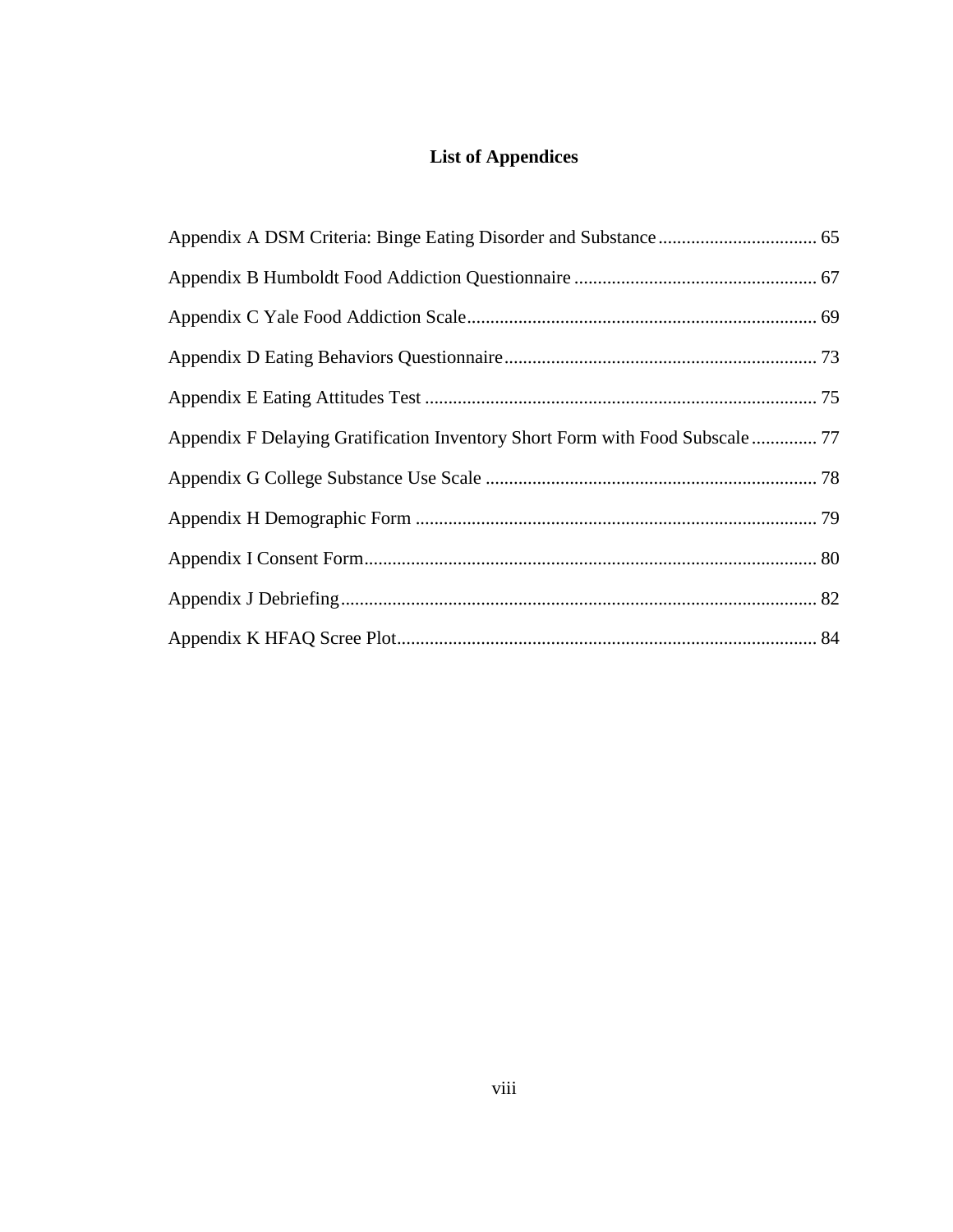# **List of Appendices**

<span id="page-7-0"></span>

| Appendix F Delaying Gratification Inventory Short Form with Food Subscale  77 |  |
|-------------------------------------------------------------------------------|--|
|                                                                               |  |
|                                                                               |  |
|                                                                               |  |
|                                                                               |  |
|                                                                               |  |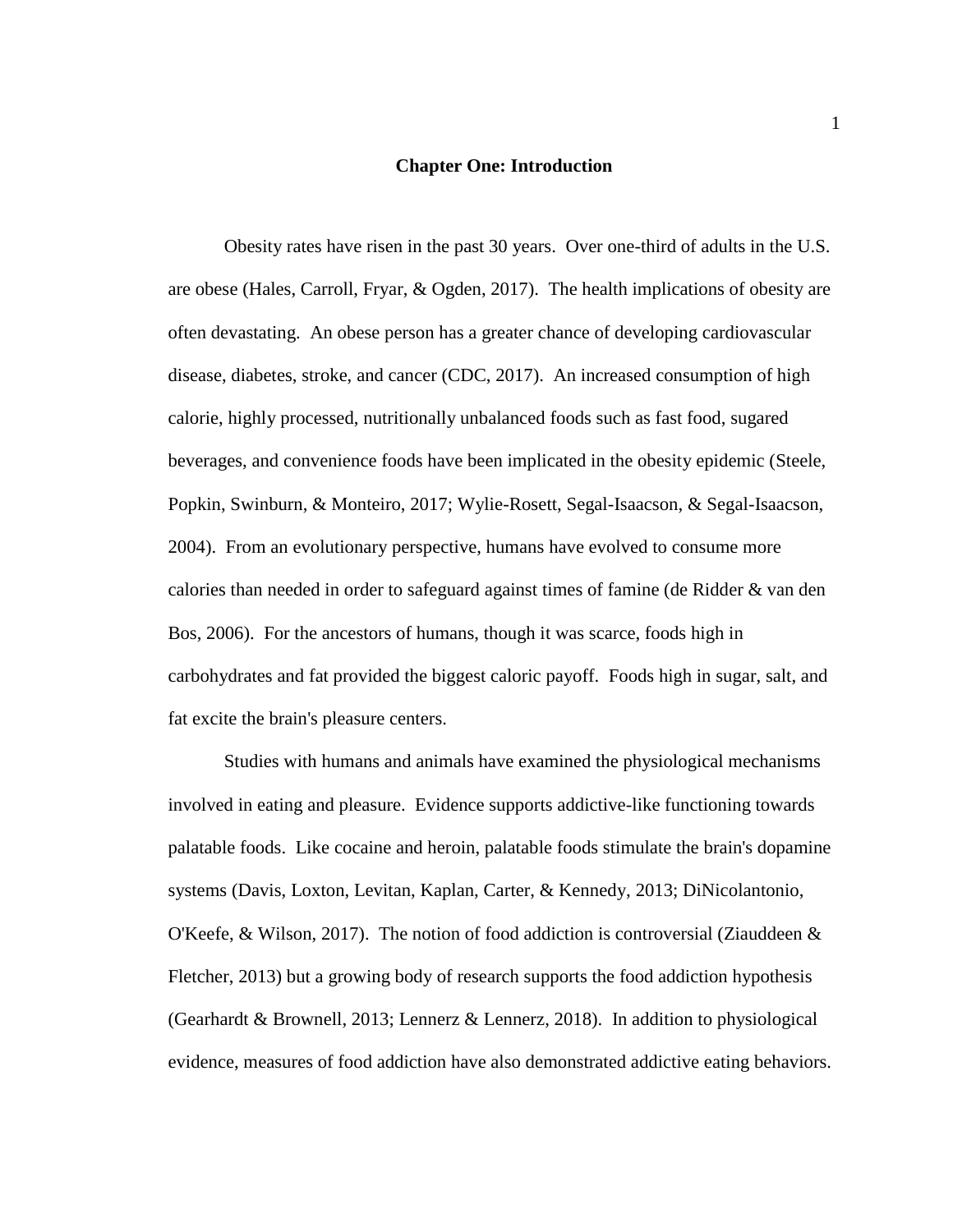#### **Chapter One: Introduction**

<span id="page-8-0"></span>Obesity rates have risen in the past 30 years. Over one-third of adults in the U.S. are obese (Hales, Carroll, Fryar, & Ogden, 2017). The health implications of obesity are often devastating. An obese person has a greater chance of developing cardiovascular disease, diabetes, stroke, and cancer (CDC, 2017). An increased consumption of high calorie, highly processed, nutritionally unbalanced foods such as fast food, sugared beverages, and convenience foods have been implicated in the obesity epidemic (Steele, Popkin, Swinburn, & Monteiro, 2017; Wylie-Rosett, Segal-Isaacson, & Segal-Isaacson, 2004). From an evolutionary perspective, humans have evolved to consume more calories than needed in order to safeguard against times of famine (de Ridder & van den Bos, 2006). For the ancestors of humans, though it was scarce, foods high in carbohydrates and fat provided the biggest caloric payoff. Foods high in sugar, salt, and fat excite the brain's pleasure centers.

Studies with humans and animals have examined the physiological mechanisms involved in eating and pleasure. Evidence supports addictive-like functioning towards palatable foods. Like cocaine and heroin, palatable foods stimulate the brain's dopamine systems (Davis, Loxton, Levitan, Kaplan, Carter, & Kennedy, 2013; DiNicolantonio, O'Keefe, & Wilson, 2017). The notion of food addiction is controversial (Ziauddeen & Fletcher, 2013) but a growing body of research supports the food addiction hypothesis (Gearhardt & Brownell, 2013; Lennerz & Lennerz, 2018). In addition to physiological evidence, measures of food addiction have also demonstrated addictive eating behaviors.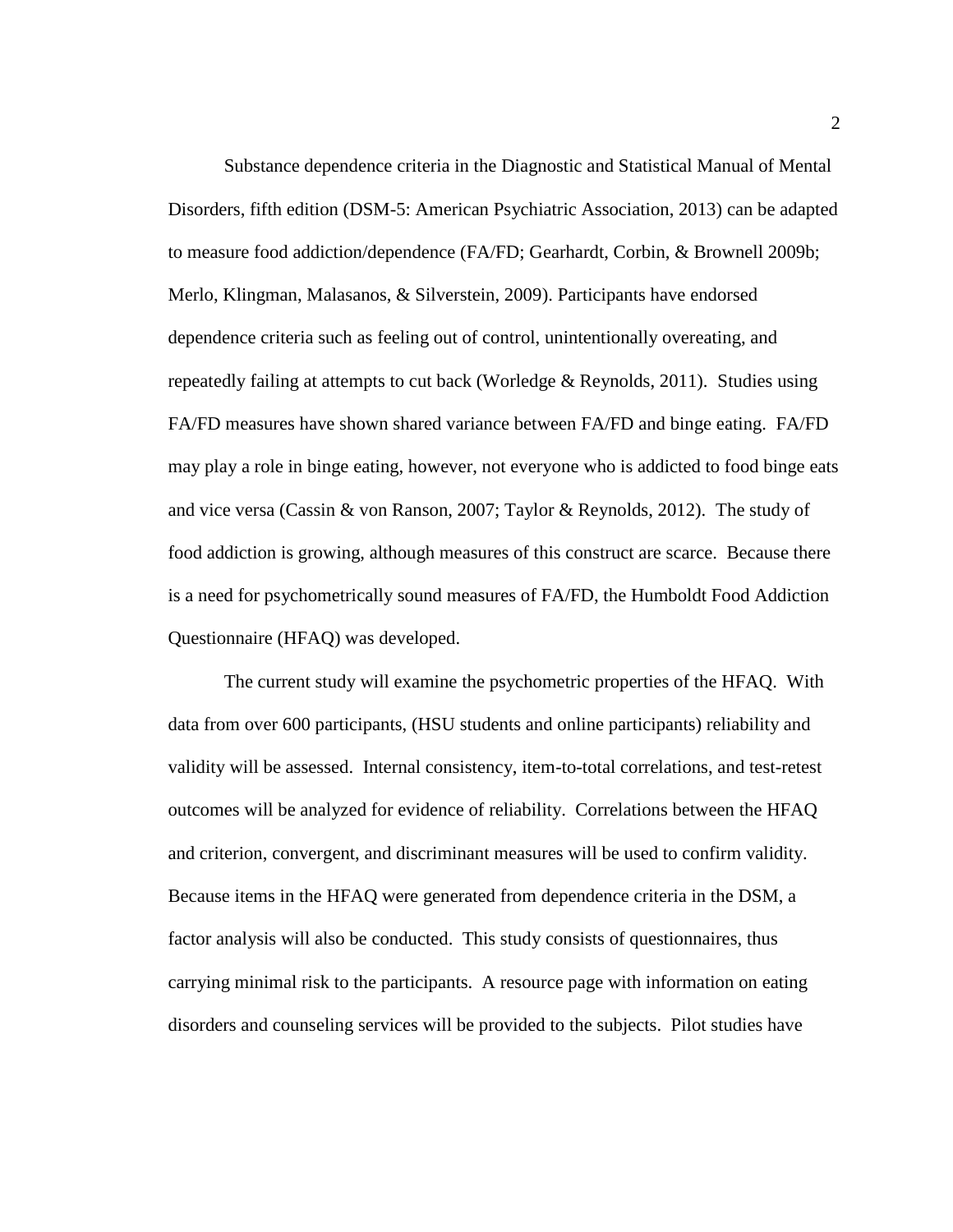Substance dependence criteria in the Diagnostic and Statistical Manual of Mental Disorders, fifth edition (DSM-5: American Psychiatric Association, 2013) can be adapted to measure food addiction/dependence (FA/FD; Gearhardt, Corbin, & Brownell 2009b; Merlo, Klingman, Malasanos, & Silverstein, 2009). Participants have endorsed dependence criteria such as feeling out of control, unintentionally overeating, and repeatedly failing at attempts to cut back (Worledge & Reynolds, 2011). Studies using FA/FD measures have shown shared variance between FA/FD and binge eating. FA/FD may play a role in binge eating, however, not everyone who is addicted to food binge eats and vice versa (Cassin & von Ranson, 2007; Taylor & Reynolds, 2012). The study of food addiction is growing, although measures of this construct are scarce. Because there is a need for psychometrically sound measures of FA/FD, the Humboldt Food Addiction Questionnaire (HFAQ) was developed.

The current study will examine the psychometric properties of the HFAQ. With data from over 600 participants, (HSU students and online participants) reliability and validity will be assessed. Internal consistency, item-to-total correlations, and test-retest outcomes will be analyzed for evidence of reliability. Correlations between the HFAQ and criterion, convergent, and discriminant measures will be used to confirm validity. Because items in the HFAQ were generated from dependence criteria in the DSM, a factor analysis will also be conducted. This study consists of questionnaires, thus carrying minimal risk to the participants. A resource page with information on eating disorders and counseling services will be provided to the subjects. Pilot studies have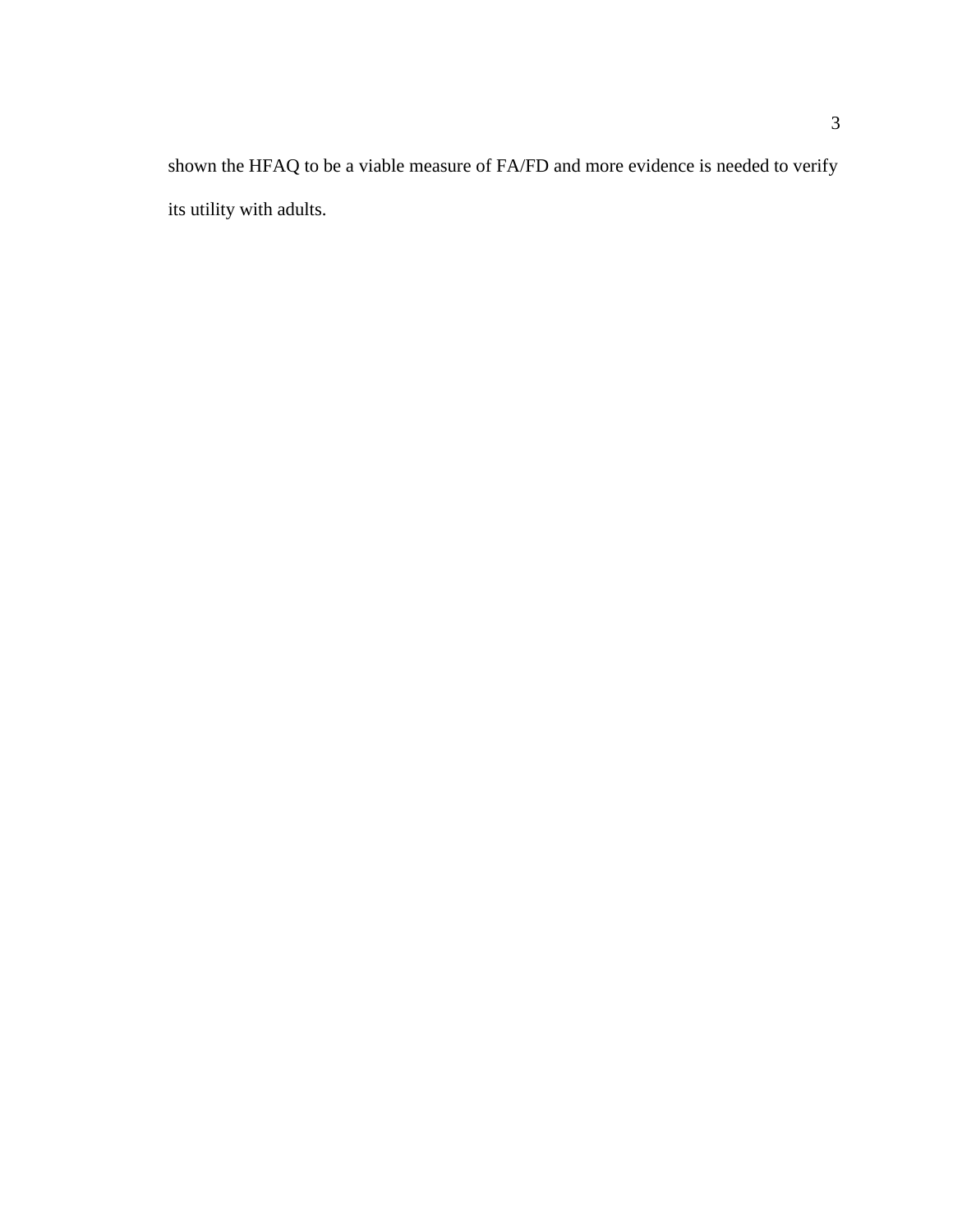shown the HFAQ to be a viable measure of FA/FD and more evidence is needed to verify its utility with adults.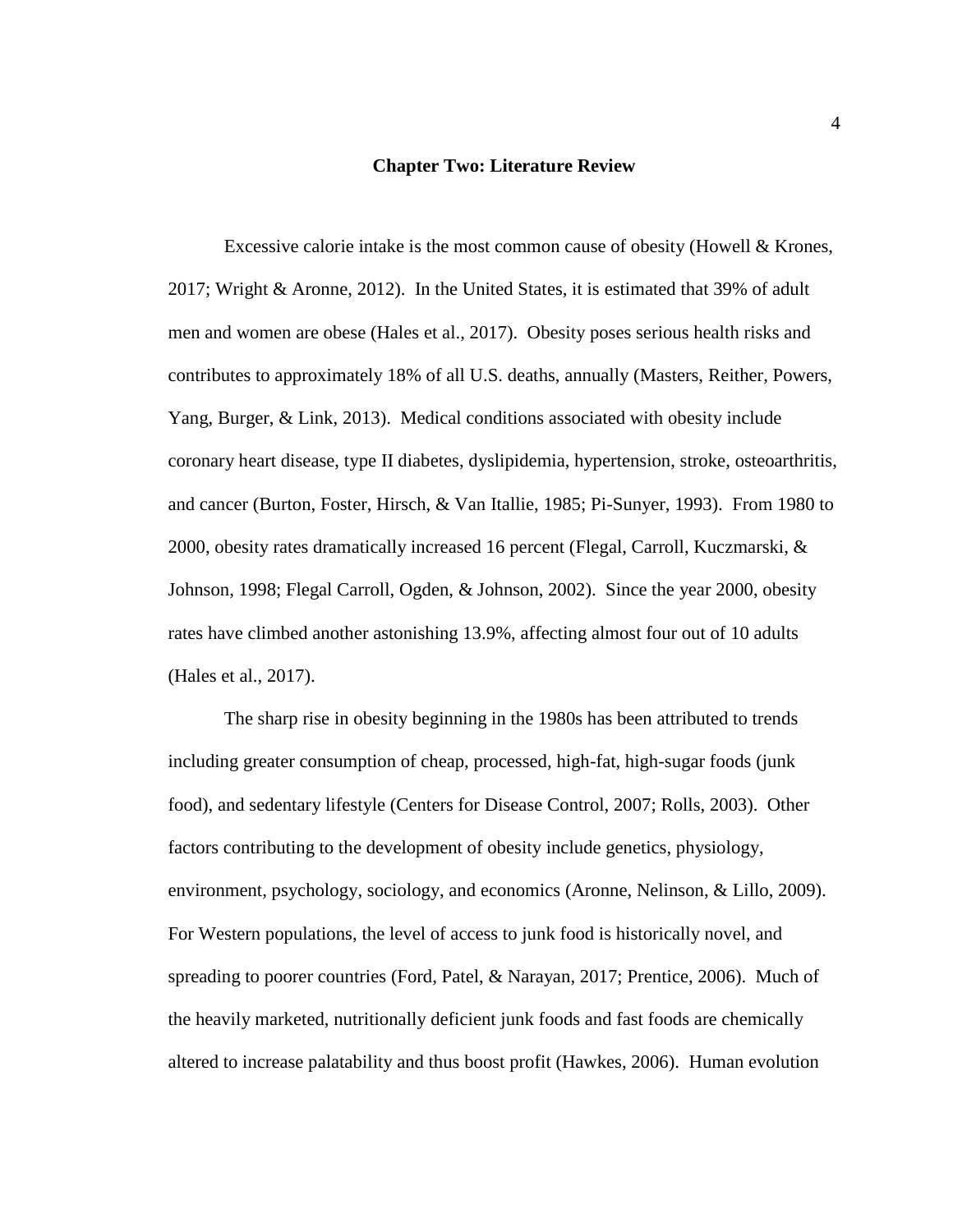#### **Chapter Two: Literature Review**

<span id="page-11-0"></span>Excessive calorie intake is the most common cause of obesity (Howell & Krones, 2017; Wright & Aronne, 2012). In the United States, it is estimated that 39% of adult men and women are obese (Hales et al., 2017). Obesity poses serious health risks and contributes to approximately 18% of all U.S. deaths, annually (Masters, Reither, Powers, Yang, Burger, & Link, 2013). Medical conditions associated with obesity include coronary heart disease, type II diabetes, dyslipidemia, hypertension, stroke, osteoarthritis, and cancer (Burton, Foster, Hirsch, & Van Itallie, 1985; Pi-Sunyer, 1993). From 1980 to 2000, obesity rates dramatically increased 16 percent (Flegal, Carroll, Kuczmarski, & Johnson, 1998; Flegal Carroll, Ogden, & Johnson, 2002). Since the year 2000, obesity rates have climbed another astonishing 13.9%, affecting almost four out of 10 adults (Hales et al., 2017).

The sharp rise in obesity beginning in the 1980s has been attributed to trends including greater consumption of cheap, processed, high-fat, high-sugar foods (junk food), and sedentary lifestyle (Centers for Disease Control, 2007; Rolls, 2003). Other factors contributing to the development of obesity include genetics, physiology, environment, psychology, sociology, and economics (Aronne, Nelinson, & Lillo, 2009). For Western populations, the level of access to junk food is historically novel, and spreading to poorer countries (Ford, Patel, & Narayan, 2017; Prentice, 2006). Much of the heavily marketed, nutritionally deficient junk foods and fast foods are chemically altered to increase palatability and thus boost profit (Hawkes, 2006). Human evolution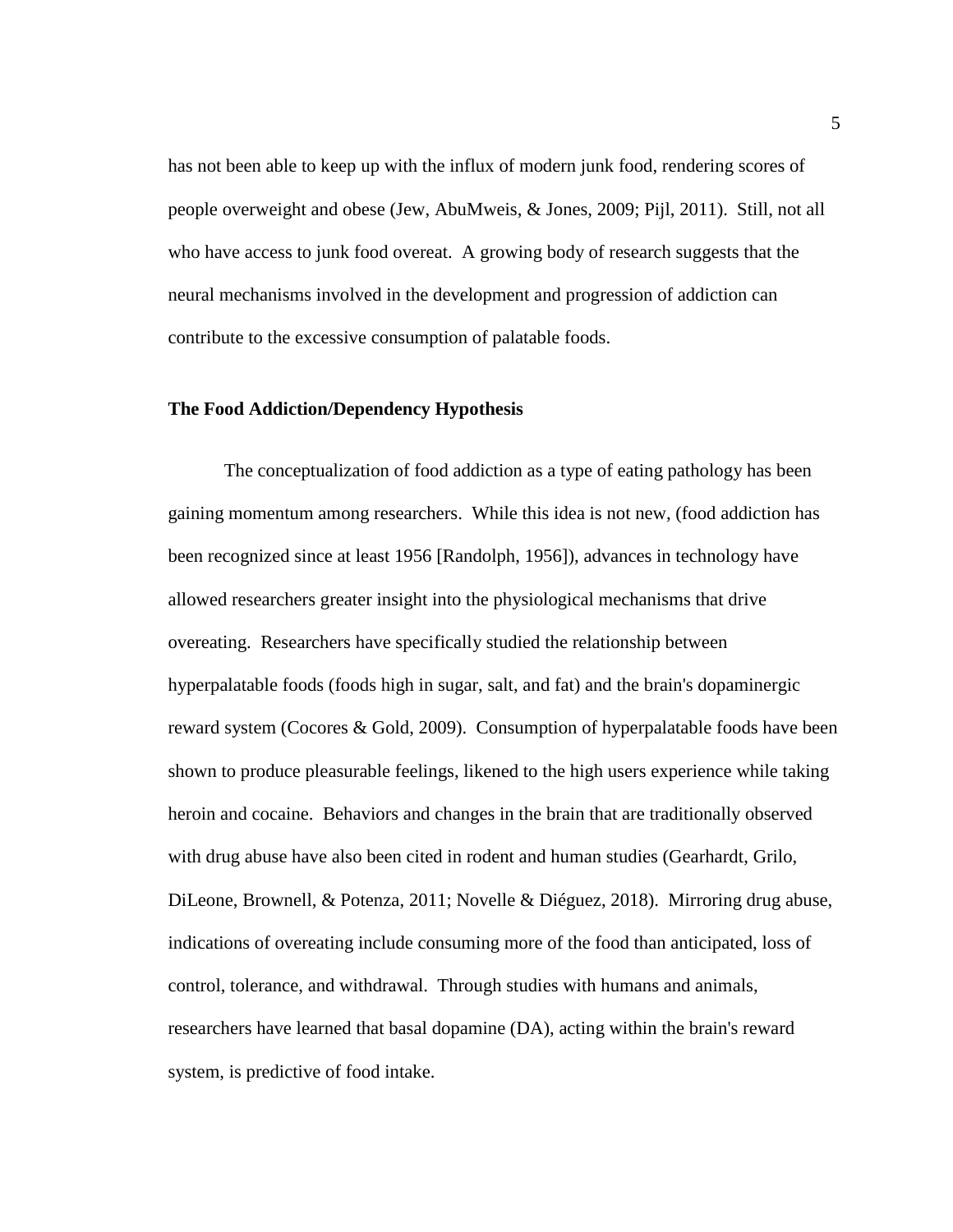has not been able to keep up with the influx of modern junk food, rendering scores of people overweight and obese (Jew, AbuMweis, & Jones, 2009; Pijl, 2011). Still, not all who have access to junk food overeat. A growing body of research suggests that the neural mechanisms involved in the development and progression of addiction can contribute to the excessive consumption of palatable foods.

# <span id="page-12-0"></span>**The Food Addiction/Dependency Hypothesis**

The conceptualization of food addiction as a type of eating pathology has been gaining momentum among researchers. While this idea is not new, (food addiction has been recognized since at least 1956 [Randolph, 1956]), advances in technology have allowed researchers greater insight into the physiological mechanisms that drive overeating. Researchers have specifically studied the relationship between hyperpalatable foods (foods high in sugar, salt, and fat) and the brain's dopaminergic reward system (Cocores & Gold, 2009). Consumption of hyperpalatable foods have been shown to produce pleasurable feelings, likened to the high users experience while taking heroin and cocaine. Behaviors and changes in the brain that are traditionally observed with drug abuse have also been cited in rodent and human studies (Gearhardt, Grilo, DiLeone, Brownell, & Potenza, 2011; Novelle & Diéguez, 2018). Mirroring drug abuse, indications of overeating include consuming more of the food than anticipated, loss of control, tolerance, and withdrawal. Through studies with humans and animals, researchers have learned that basal dopamine (DA), acting within the brain's reward system, is predictive of food intake.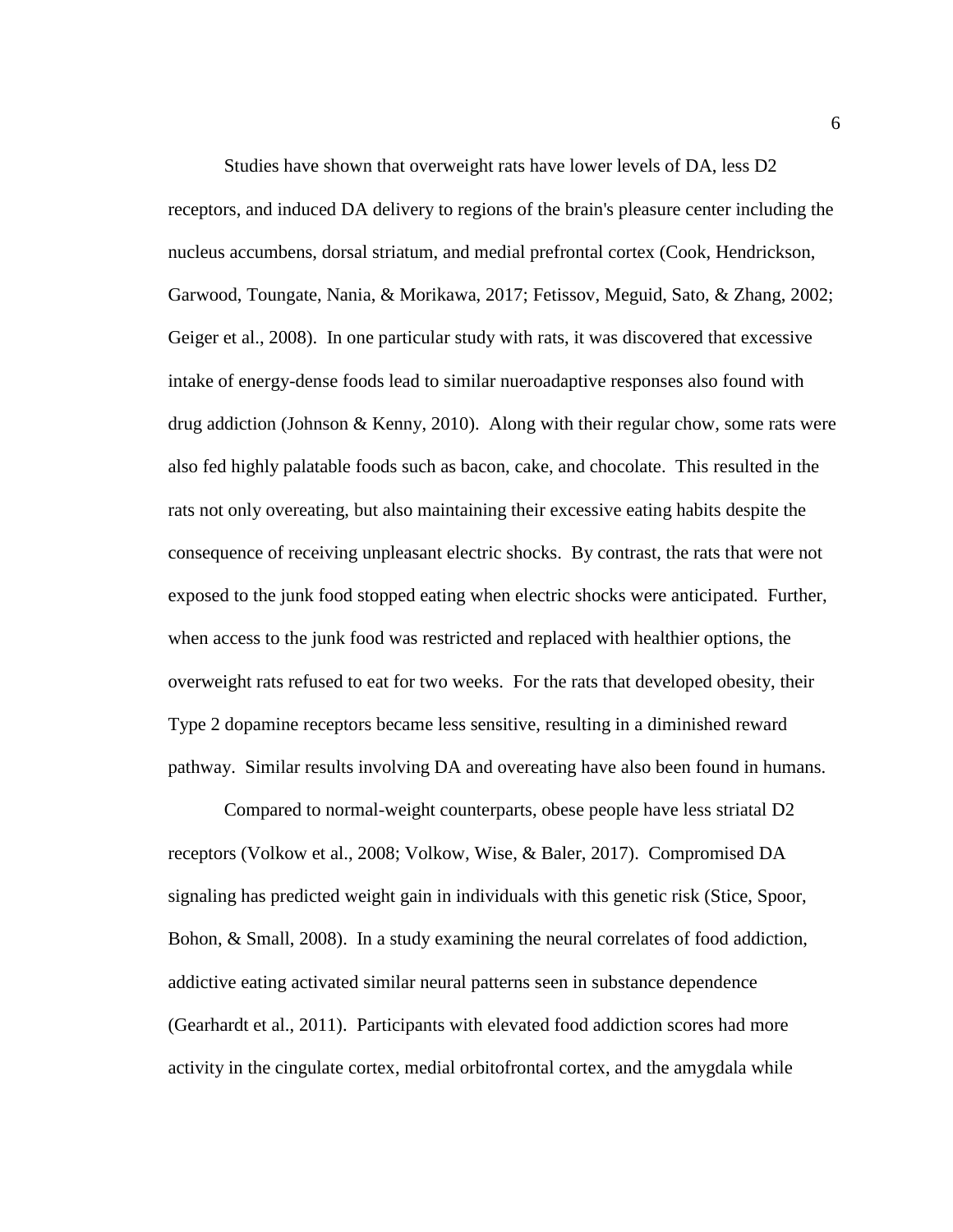Studies have shown that overweight rats have lower levels of DA, less D2 receptors, and induced DA delivery to regions of the brain's pleasure center including the nucleus accumbens, dorsal striatum, and medial prefrontal cortex (Cook, Hendrickson, Garwood, Toungate, Nania, & Morikawa, 2017; Fetissov, Meguid, Sato, & Zhang, 2002; Geiger et al., 2008). In one particular study with rats, it was discovered that excessive intake of energy-dense foods lead to similar nueroadaptive responses also found with drug addiction (Johnson & Kenny, 2010). Along with their regular chow, some rats were also fed highly palatable foods such as bacon, cake, and chocolate. This resulted in the rats not only overeating, but also maintaining their excessive eating habits despite the consequence of receiving unpleasant electric shocks. By contrast, the rats that were not exposed to the junk food stopped eating when electric shocks were anticipated. Further, when access to the junk food was restricted and replaced with healthier options, the overweight rats refused to eat for two weeks. For the rats that developed obesity, their Type 2 dopamine receptors became less sensitive, resulting in a diminished reward pathway. Similar results involving DA and overeating have also been found in humans.

Compared to normal-weight counterparts, obese people have less striatal D2 receptors (Volkow et al., 2008; Volkow, Wise, & Baler, 2017). Compromised DA signaling has predicted weight gain in individuals with this genetic risk (Stice, Spoor, Bohon, & Small, 2008). In a study examining the neural correlates of food addiction, addictive eating activated similar neural patterns seen in substance dependence (Gearhardt et al., 2011). Participants with elevated food addiction scores had more activity in the cingulate cortex, medial orbitofrontal cortex, and the amygdala while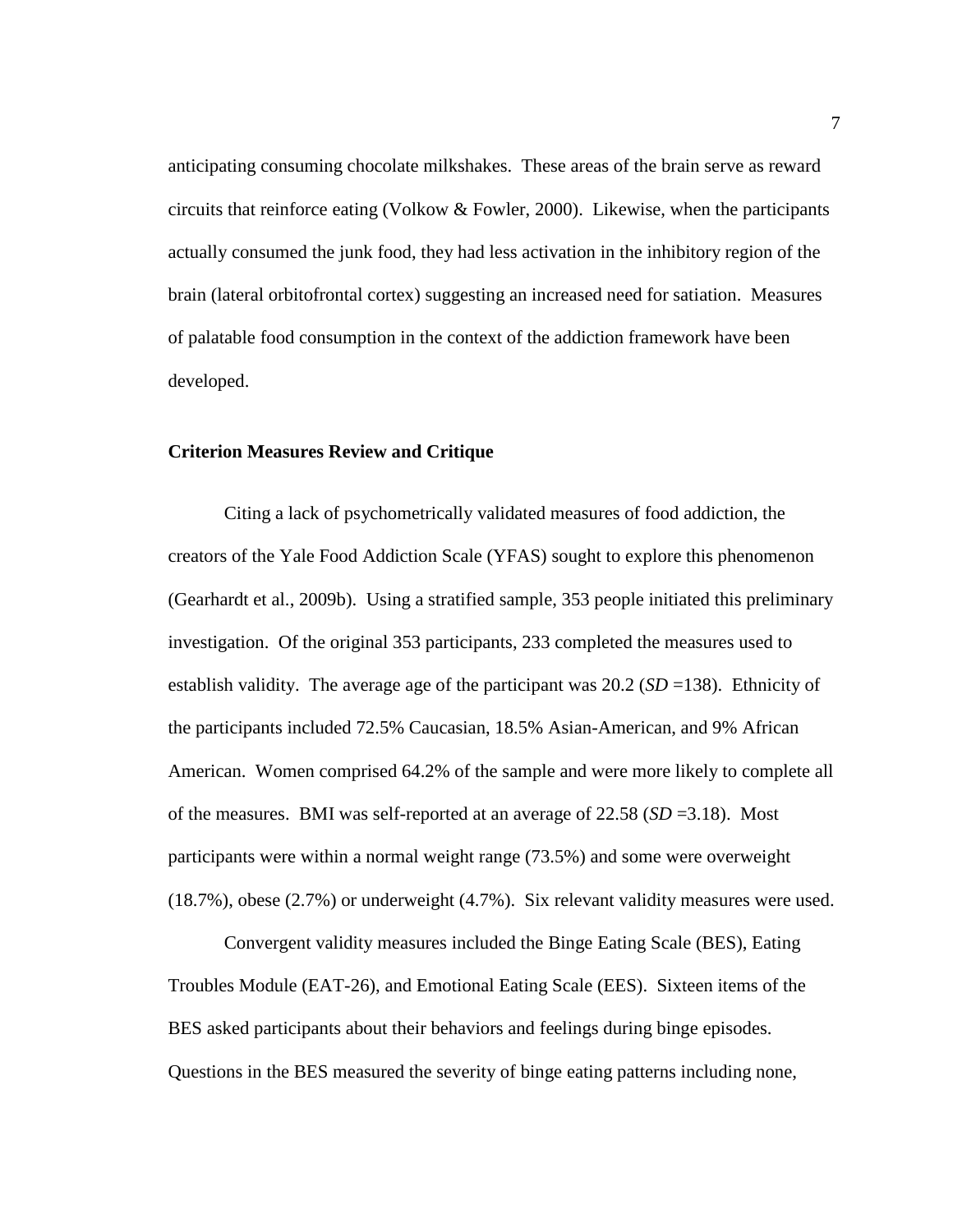anticipating consuming chocolate milkshakes. These areas of the brain serve as reward circuits that reinforce eating (Volkow  $&$  Fowler, 2000). Likewise, when the participants actually consumed the junk food, they had less activation in the inhibitory region of the brain (lateral orbitofrontal cortex) suggesting an increased need for satiation. Measures of palatable food consumption in the context of the addiction framework have been developed.

# <span id="page-14-0"></span>**Criterion Measures Review and Critique**

Citing a lack of psychometrically validated measures of food addiction, the creators of the Yale Food Addiction Scale (YFAS) sought to explore this phenomenon (Gearhardt et al., 2009b). Using a stratified sample, 353 people initiated this preliminary investigation. Of the original 353 participants, 233 completed the measures used to establish validity. The average age of the participant was 20.2 (*SD* =138). Ethnicity of the participants included 72.5% Caucasian, 18.5% Asian-American, and 9% African American. Women comprised 64.2% of the sample and were more likely to complete all of the measures. BMI was self-reported at an average of  $22.58$  ( $SD = 3.18$ ). Most participants were within a normal weight range (73.5%) and some were overweight (18.7%), obese (2.7%) or underweight (4.7%). Six relevant validity measures were used.

Convergent validity measures included the Binge Eating Scale (BES), Eating Troubles Module (EAT-26), and Emotional Eating Scale (EES). Sixteen items of the BES asked participants about their behaviors and feelings during binge episodes. Questions in the BES measured the severity of binge eating patterns including none,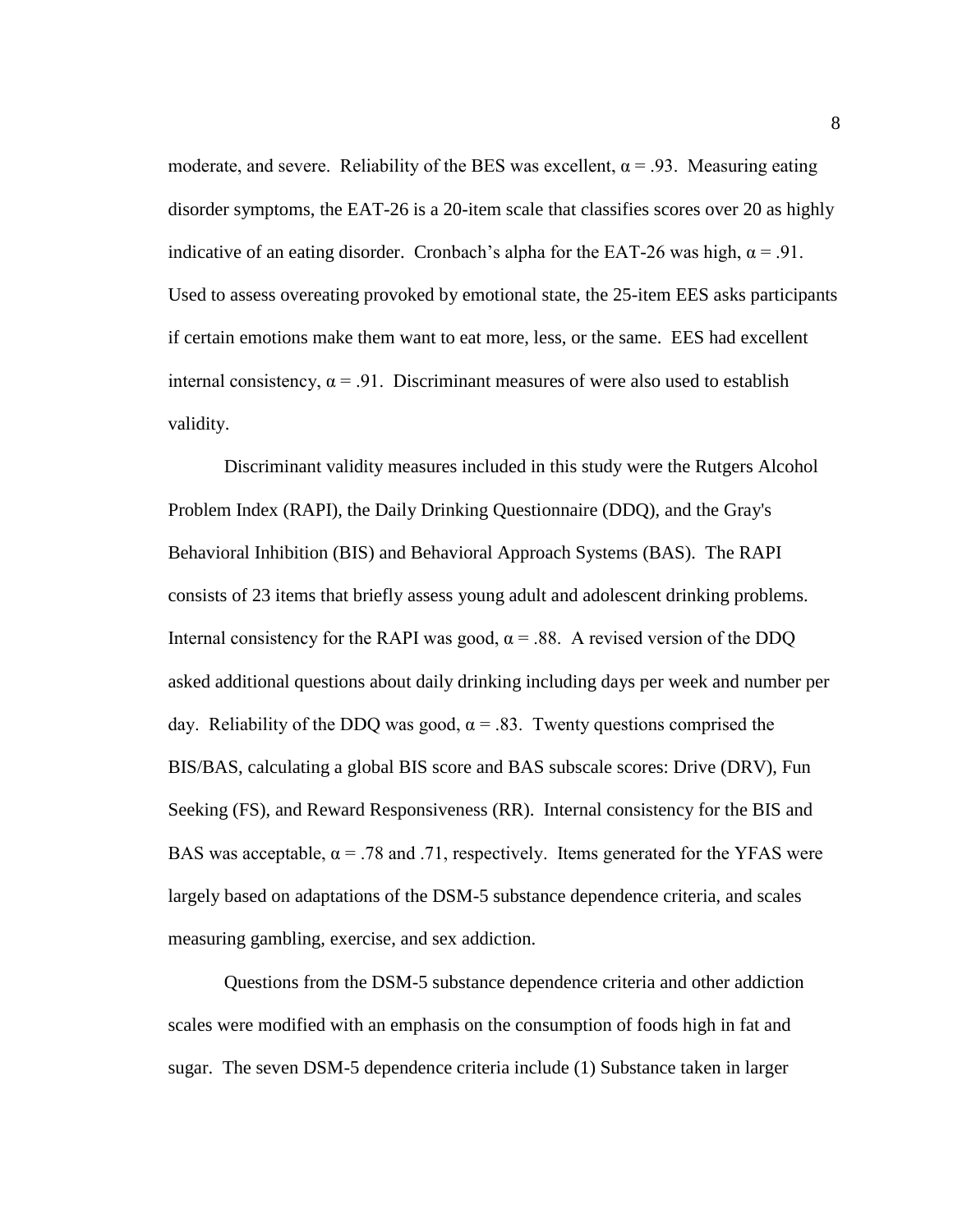moderate, and severe. Reliability of the BES was excellent,  $\alpha = .93$ . Measuring eating disorder symptoms, the EAT-26 is a 20-item scale that classifies scores over 20 as highly indicative of an eating disorder. Cronbach's alpha for the EAT-26 was high,  $\alpha = .91$ . Used to assess overeating provoked by emotional state, the 25-item EES asks participants if certain emotions make them want to eat more, less, or the same. EES had excellent internal consistency,  $\alpha = .91$ . Discriminant measures of were also used to establish validity.

Discriminant validity measures included in this study were the Rutgers Alcohol Problem Index (RAPI), the Daily Drinking Questionnaire (DDQ), and the Gray's Behavioral Inhibition (BIS) and Behavioral Approach Systems (BAS). The RAPI consists of 23 items that briefly assess young adult and adolescent drinking problems. Internal consistency for the RAPI was good,  $\alpha = .88$ . A revised version of the DDQ asked additional questions about daily drinking including days per week and number per day. Reliability of the DDQ was good,  $\alpha = .83$ . Twenty questions comprised the BIS/BAS, calculating a global BIS score and BAS subscale scores: Drive (DRV), Fun Seeking (FS), and Reward Responsiveness (RR). Internal consistency for the BIS and BAS was acceptable,  $\alpha = .78$  and .71, respectively. Items generated for the YFAS were largely based on adaptations of the DSM-5 substance dependence criteria, and scales measuring gambling, exercise, and sex addiction.

Questions from the DSM-5 substance dependence criteria and other addiction scales were modified with an emphasis on the consumption of foods high in fat and sugar. The seven DSM-5 dependence criteria include (1) Substance taken in larger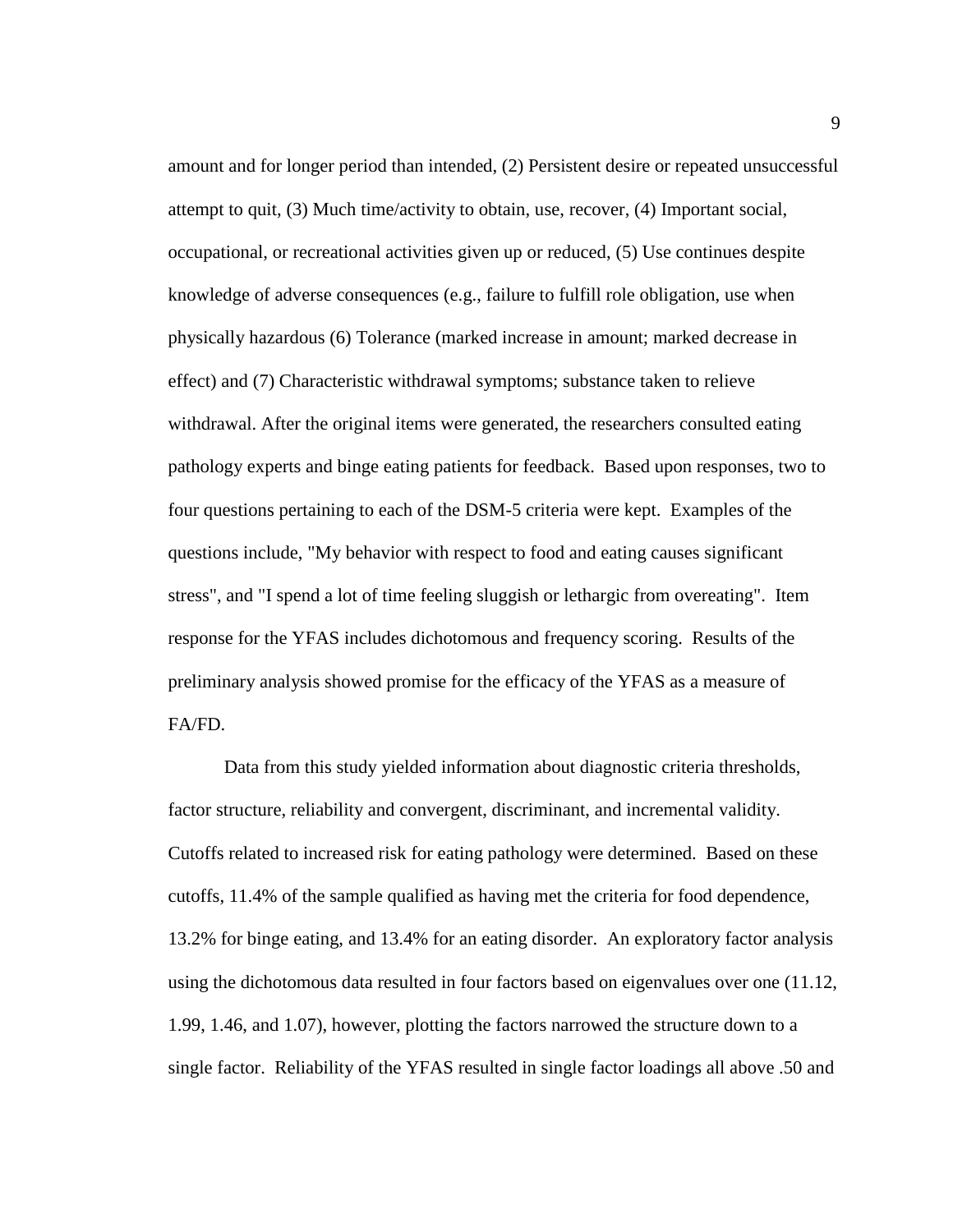amount and for longer period than intended, (2) Persistent desire or repeated unsuccessful attempt to quit, (3) Much time/activity to obtain, use, recover, (4) Important social, occupational, or recreational activities given up or reduced, (5) Use continues despite knowledge of adverse consequences (e.g., failure to fulfill role obligation, use when physically hazardous (6) Tolerance (marked increase in amount; marked decrease in effect) and (7) Characteristic withdrawal symptoms; substance taken to relieve withdrawal. After the original items were generated, the researchers consulted eating pathology experts and binge eating patients for feedback. Based upon responses, two to four questions pertaining to each of the DSM-5 criteria were kept. Examples of the questions include, "My behavior with respect to food and eating causes significant stress", and "I spend a lot of time feeling sluggish or lethargic from overeating". Item response for the YFAS includes dichotomous and frequency scoring. Results of the preliminary analysis showed promise for the efficacy of the YFAS as a measure of FA/FD.

Data from this study yielded information about diagnostic criteria thresholds, factor structure, reliability and convergent, discriminant, and incremental validity. Cutoffs related to increased risk for eating pathology were determined. Based on these cutoffs, 11.4% of the sample qualified as having met the criteria for food dependence, 13.2% for binge eating, and 13.4% for an eating disorder. An exploratory factor analysis using the dichotomous data resulted in four factors based on eigenvalues over one (11.12, 1.99, 1.46, and 1.07), however, plotting the factors narrowed the structure down to a single factor. Reliability of the YFAS resulted in single factor loadings all above .50 and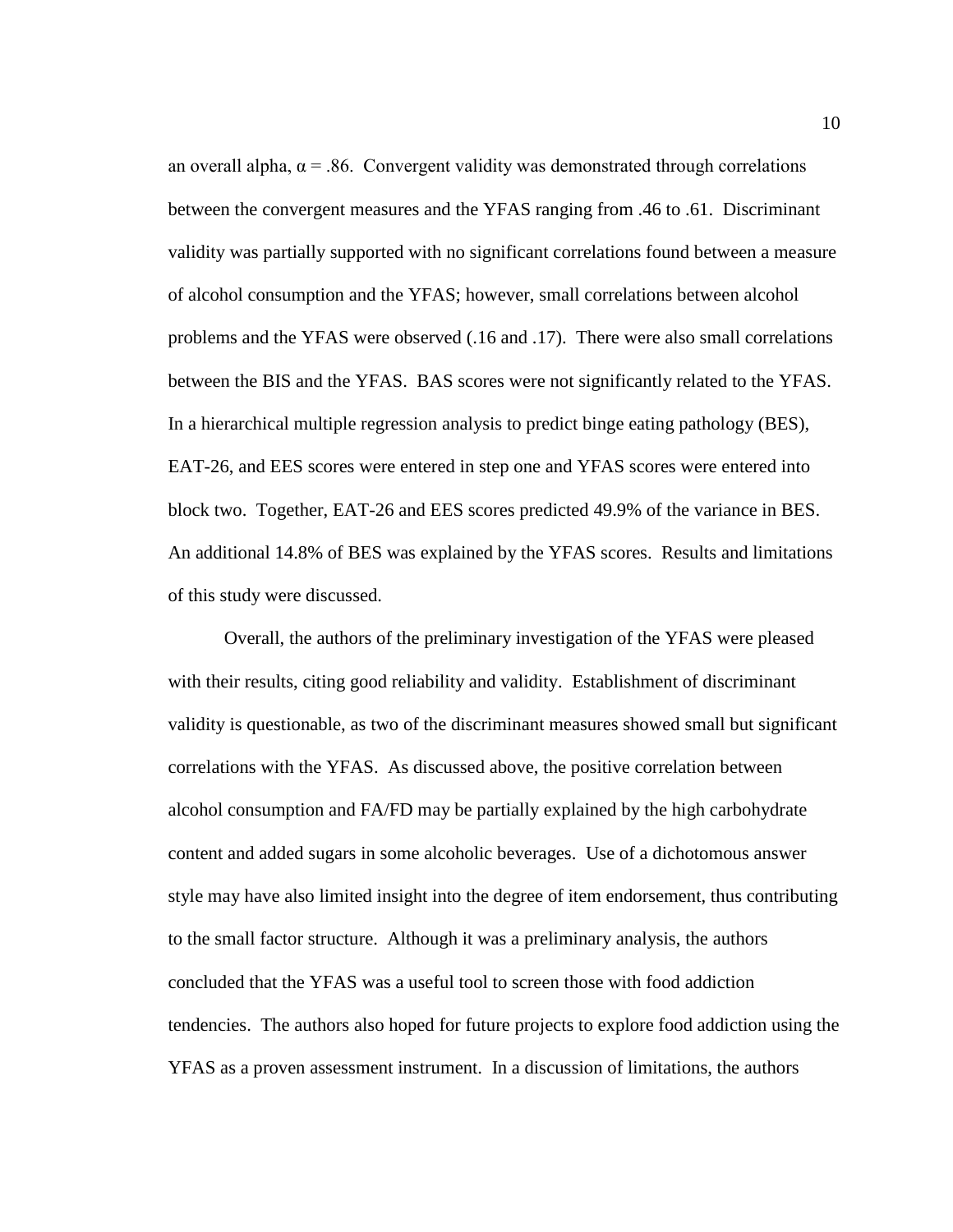an overall alpha,  $\alpha = 0.86$ . Convergent validity was demonstrated through correlations between the convergent measures and the YFAS ranging from .46 to .61. Discriminant validity was partially supported with no significant correlations found between a measure of alcohol consumption and the YFAS; however, small correlations between alcohol problems and the YFAS were observed (.16 and .17). There were also small correlations between the BIS and the YFAS. BAS scores were not significantly related to the YFAS. In a hierarchical multiple regression analysis to predict binge eating pathology (BES), EAT-26, and EES scores were entered in step one and YFAS scores were entered into block two. Together, EAT-26 and EES scores predicted 49.9% of the variance in BES. An additional 14.8% of BES was explained by the YFAS scores. Results and limitations of this study were discussed.

Overall, the authors of the preliminary investigation of the YFAS were pleased with their results, citing good reliability and validity. Establishment of discriminant validity is questionable, as two of the discriminant measures showed small but significant correlations with the YFAS. As discussed above, the positive correlation between alcohol consumption and FA/FD may be partially explained by the high carbohydrate content and added sugars in some alcoholic beverages. Use of a dichotomous answer style may have also limited insight into the degree of item endorsement, thus contributing to the small factor structure. Although it was a preliminary analysis, the authors concluded that the YFAS was a useful tool to screen those with food addiction tendencies. The authors also hoped for future projects to explore food addiction using the YFAS as a proven assessment instrument. In a discussion of limitations, the authors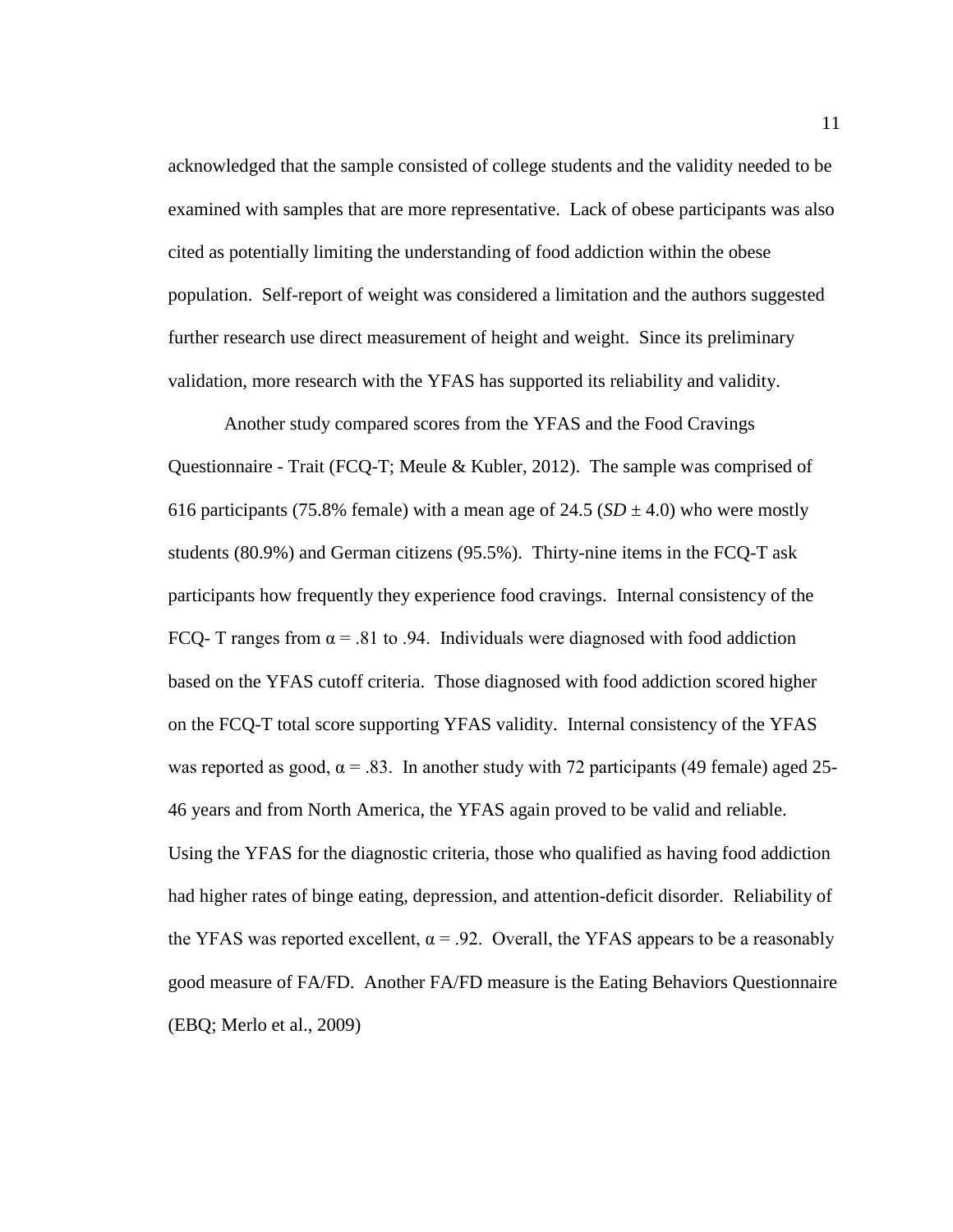acknowledged that the sample consisted of college students and the validity needed to be examined with samples that are more representative. Lack of obese participants was also cited as potentially limiting the understanding of food addiction within the obese population. Self-report of weight was considered a limitation and the authors suggested further research use direct measurement of height and weight. Since its preliminary validation, more research with the YFAS has supported its reliability and validity.

Another study compared scores from the YFAS and the Food Cravings Questionnaire - Trait (FCQ-T; Meule & Kubler, 2012). The sample was comprised of 616 participants (75.8% female) with a mean age of 24.5 ( $SD \pm 4.0$ ) who were mostly students (80.9%) and German citizens (95.5%). Thirty-nine items in the FCQ-T ask participants how frequently they experience food cravings. Internal consistency of the FCQ- T ranges from  $\alpha$  = .81 to .94. Individuals were diagnosed with food addiction based on the YFAS cutoff criteria. Those diagnosed with food addiction scored higher on the FCQ-T total score supporting YFAS validity. Internal consistency of the YFAS was reported as good,  $\alpha = .83$ . In another study with 72 participants (49 female) aged 25-46 years and from North America, the YFAS again proved to be valid and reliable. Using the YFAS for the diagnostic criteria, those who qualified as having food addiction had higher rates of binge eating, depression, and attention-deficit disorder. Reliability of the YFAS was reported excellent,  $\alpha = .92$ . Overall, the YFAS appears to be a reasonably good measure of FA/FD. Another FA/FD measure is the Eating Behaviors Questionnaire (EBQ; Merlo et al., 2009)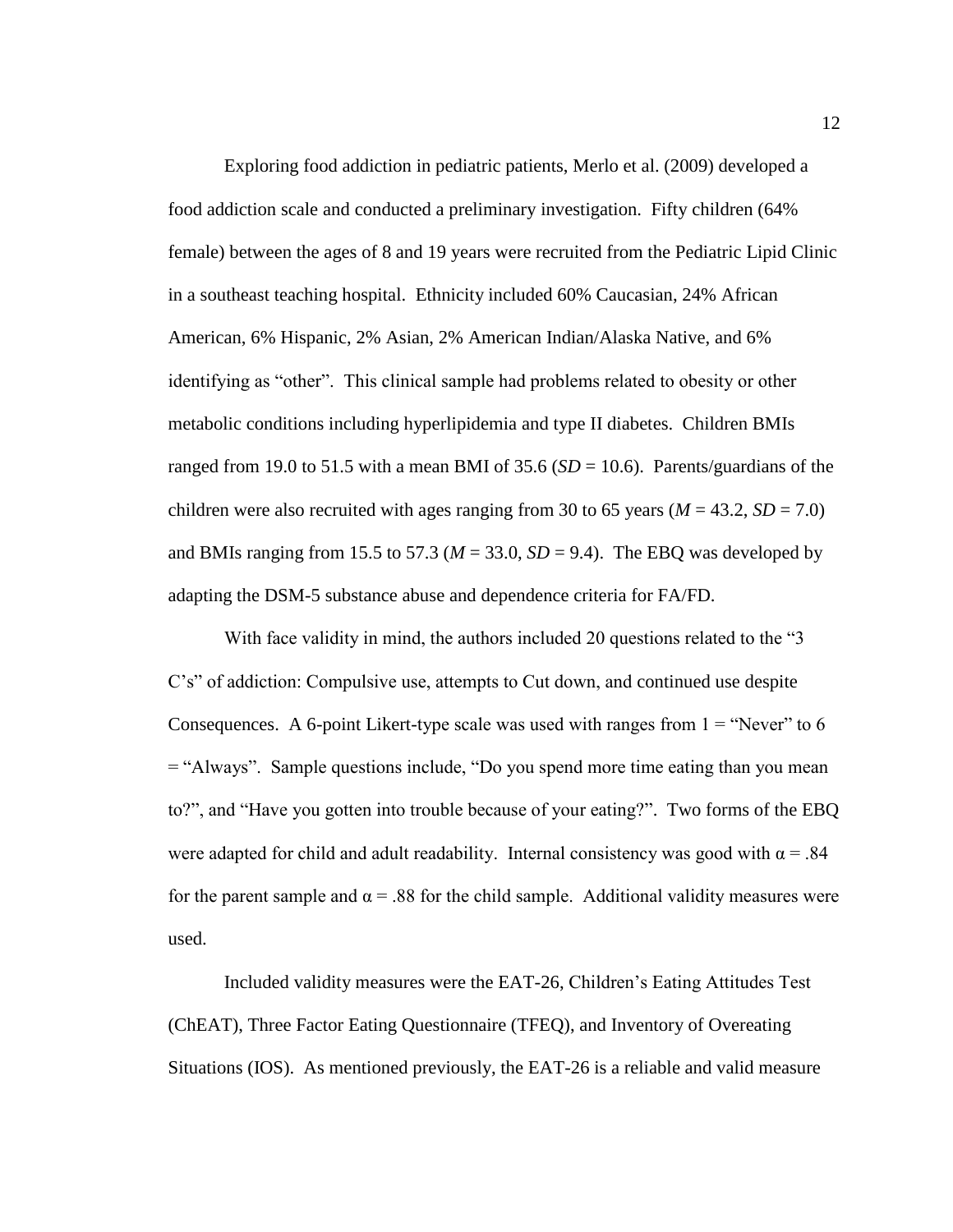Exploring food addiction in pediatric patients, Merlo et al. (2009) developed a food addiction scale and conducted a preliminary investigation. Fifty children (64% female) between the ages of 8 and 19 years were recruited from the Pediatric Lipid Clinic in a southeast teaching hospital. Ethnicity included 60% Caucasian, 24% African American, 6% Hispanic, 2% Asian, 2% American Indian/Alaska Native, and 6% identifying as "other". This clinical sample had problems related to obesity or other metabolic conditions including hyperlipidemia and type II diabetes. Children BMIs ranged from 19.0 to 51.5 with a mean BMI of 35.6 ( $SD = 10.6$ ). Parents/guardians of the children were also recruited with ages ranging from 30 to 65 years ( $M = 43.2$ ,  $SD = 7.0$ ) and BMIs ranging from 15.5 to 57.3 ( $M = 33.0$ ,  $SD = 9.4$ ). The EBQ was developed by adapting the DSM-5 substance abuse and dependence criteria for FA/FD.

With face validity in mind, the authors included 20 questions related to the "3 C's" of addiction: Compulsive use, attempts to Cut down, and continued use despite Consequences. A 6-point Likert-type scale was used with ranges from  $1 = "Never"$  to 6 = "Always". Sample questions include, "Do you spend more time eating than you mean to?", and "Have you gotten into trouble because of your eating?". Two forms of the EBQ were adapted for child and adult readability. Internal consistency was good with  $\alpha = .84$ for the parent sample and  $\alpha$  = .88 for the child sample. Additional validity measures were used.

Included validity measures were the EAT-26, Children's Eating Attitudes Test (ChEAT), Three Factor Eating Questionnaire (TFEQ), and Inventory of Overeating Situations (IOS). As mentioned previously, the EAT-26 is a reliable and valid measure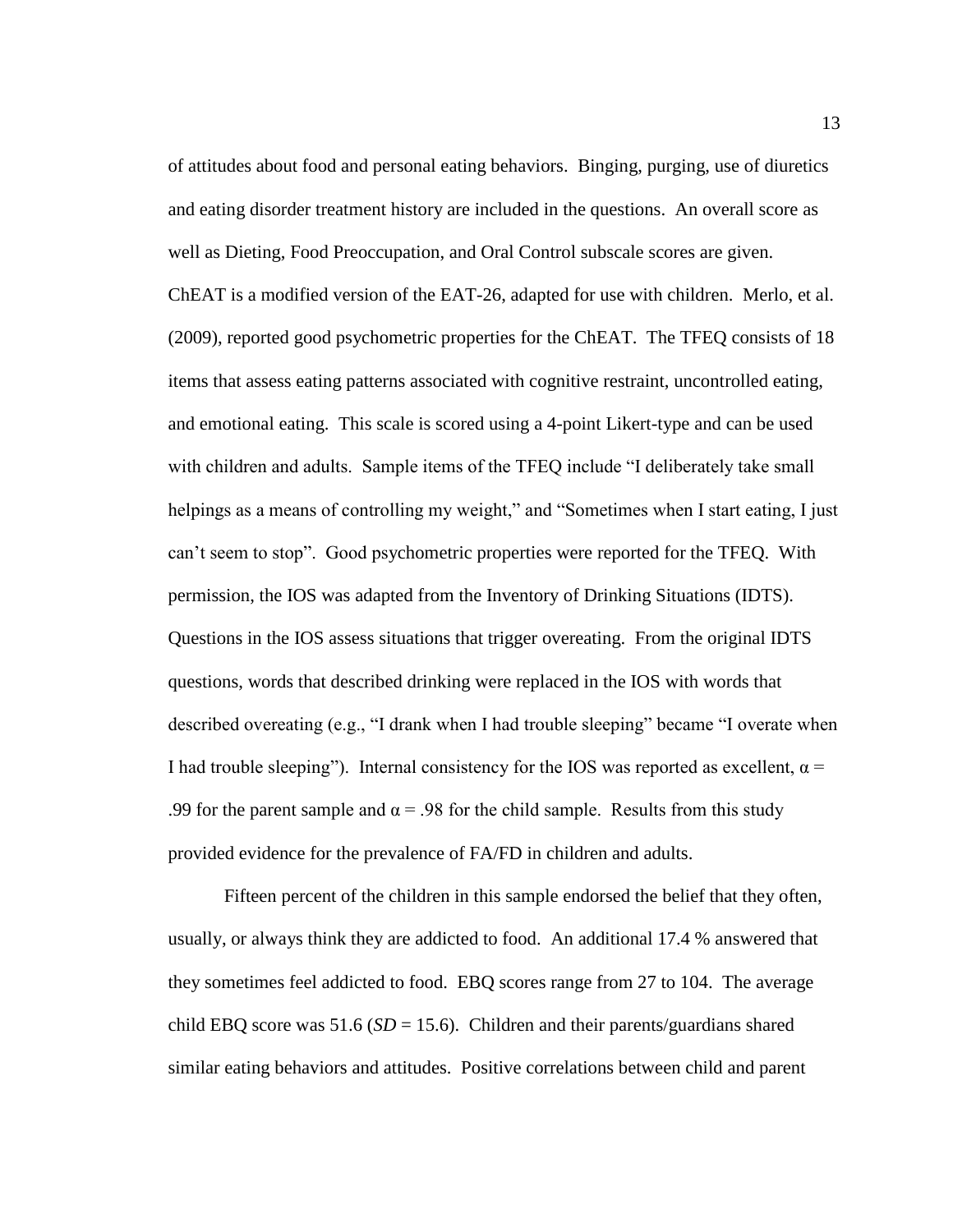of attitudes about food and personal eating behaviors. Binging, purging, use of diuretics and eating disorder treatment history are included in the questions. An overall score as well as Dieting, Food Preoccupation, and Oral Control subscale scores are given. ChEAT is a modified version of the EAT-26, adapted for use with children. Merlo, et al. (2009), reported good psychometric properties for the ChEAT. The TFEQ consists of 18 items that assess eating patterns associated with cognitive restraint, uncontrolled eating, and emotional eating. This scale is scored using a 4-point Likert-type and can be used with children and adults. Sample items of the TFEQ include "I deliberately take small helpings as a means of controlling my weight," and "Sometimes when I start eating, I just can't seem to stop". Good psychometric properties were reported for the TFEQ. With permission, the IOS was adapted from the Inventory of Drinking Situations (IDTS). Questions in the IOS assess situations that trigger overeating. From the original IDTS questions, words that described drinking were replaced in the IOS with words that described overeating (e.g., "I drank when I had trouble sleeping" became "I overate when I had trouble sleeping"). Internal consistency for the IOS was reported as excellent,  $\alpha$  = .99 for the parent sample and  $\alpha$  = .98 for the child sample. Results from this study provided evidence for the prevalence of FA/FD in children and adults.

Fifteen percent of the children in this sample endorsed the belief that they often, usually, or always think they are addicted to food. An additional 17.4 % answered that they sometimes feel addicted to food. EBQ scores range from 27 to 104. The average child EBQ score was  $51.6$  ( $SD = 15.6$ ). Children and their parents/guardians shared similar eating behaviors and attitudes. Positive correlations between child and parent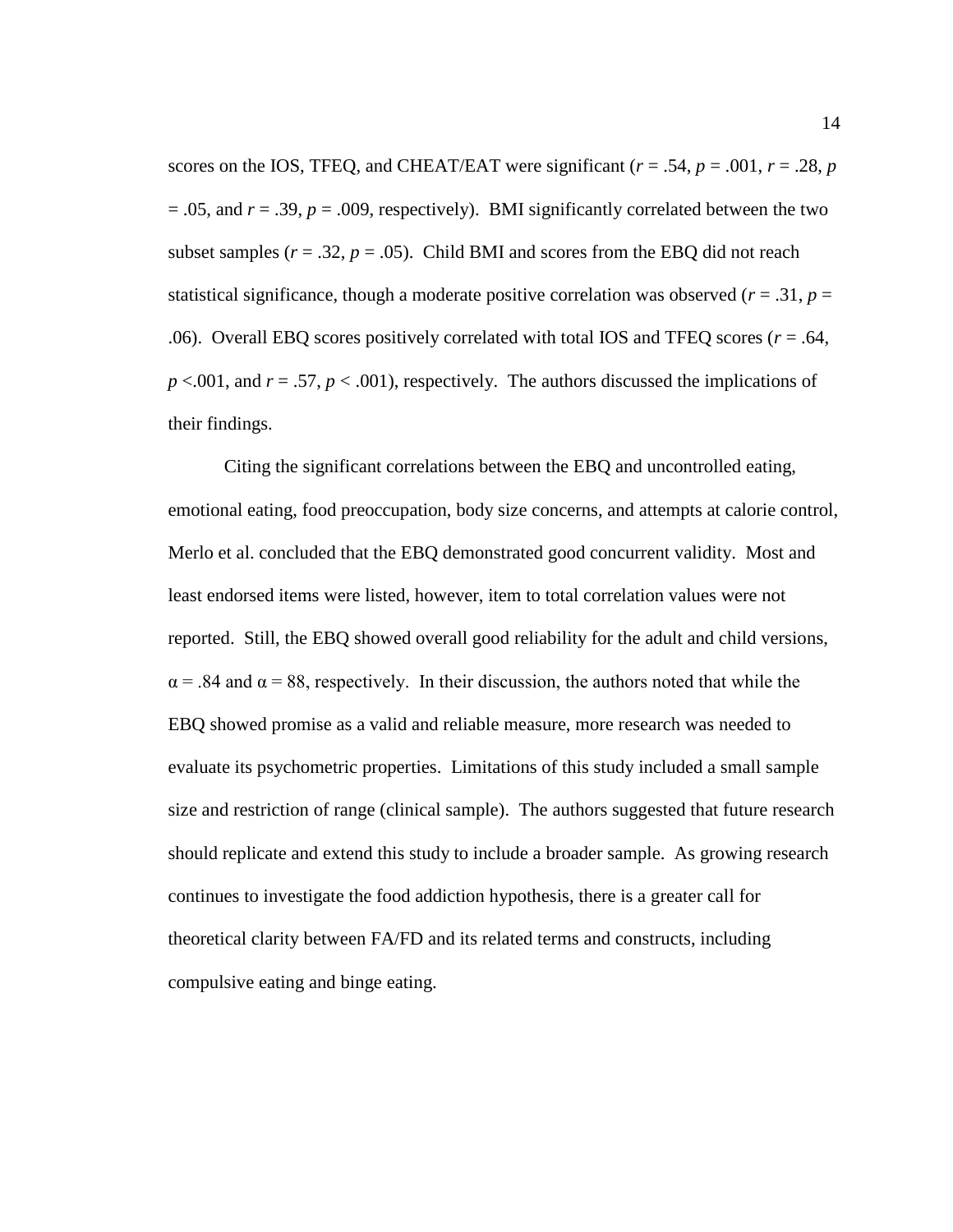scores on the IOS, TFEQ, and CHEAT/EAT were significant ( $r = .54$ ,  $p = .001$ ,  $r = .28$ ,  $p = .001$  $= .05$ , and  $r = .39$ ,  $p = .009$ , respectively). BMI significantly correlated between the two subset samples  $(r = .32, p = .05)$ . Child BMI and scores from the EBQ did not reach statistical significance, though a moderate positive correlation was observed ( $r = .31$ ,  $p =$ .06). Overall EBQ scores positively correlated with total IOS and TFEQ scores (*r* = .64, *p* <.001, and *r* = .57, *p* < .001), respectively. The authors discussed the implications of their findings.

Citing the significant correlations between the EBQ and uncontrolled eating, emotional eating, food preoccupation, body size concerns, and attempts at calorie control, Merlo et al. concluded that the EBQ demonstrated good concurrent validity. Most and least endorsed items were listed, however, item to total correlation values were not reported. Still, the EBQ showed overall good reliability for the adult and child versions,  $\alpha$  = .84 and  $\alpha$  = 88, respectively. In their discussion, the authors noted that while the EBQ showed promise as a valid and reliable measure, more research was needed to evaluate its psychometric properties. Limitations of this study included a small sample size and restriction of range (clinical sample). The authors suggested that future research should replicate and extend this study to include a broader sample. As growing research continues to investigate the food addiction hypothesis, there is a greater call for theoretical clarity between FA/FD and its related terms and constructs, including compulsive eating and binge eating.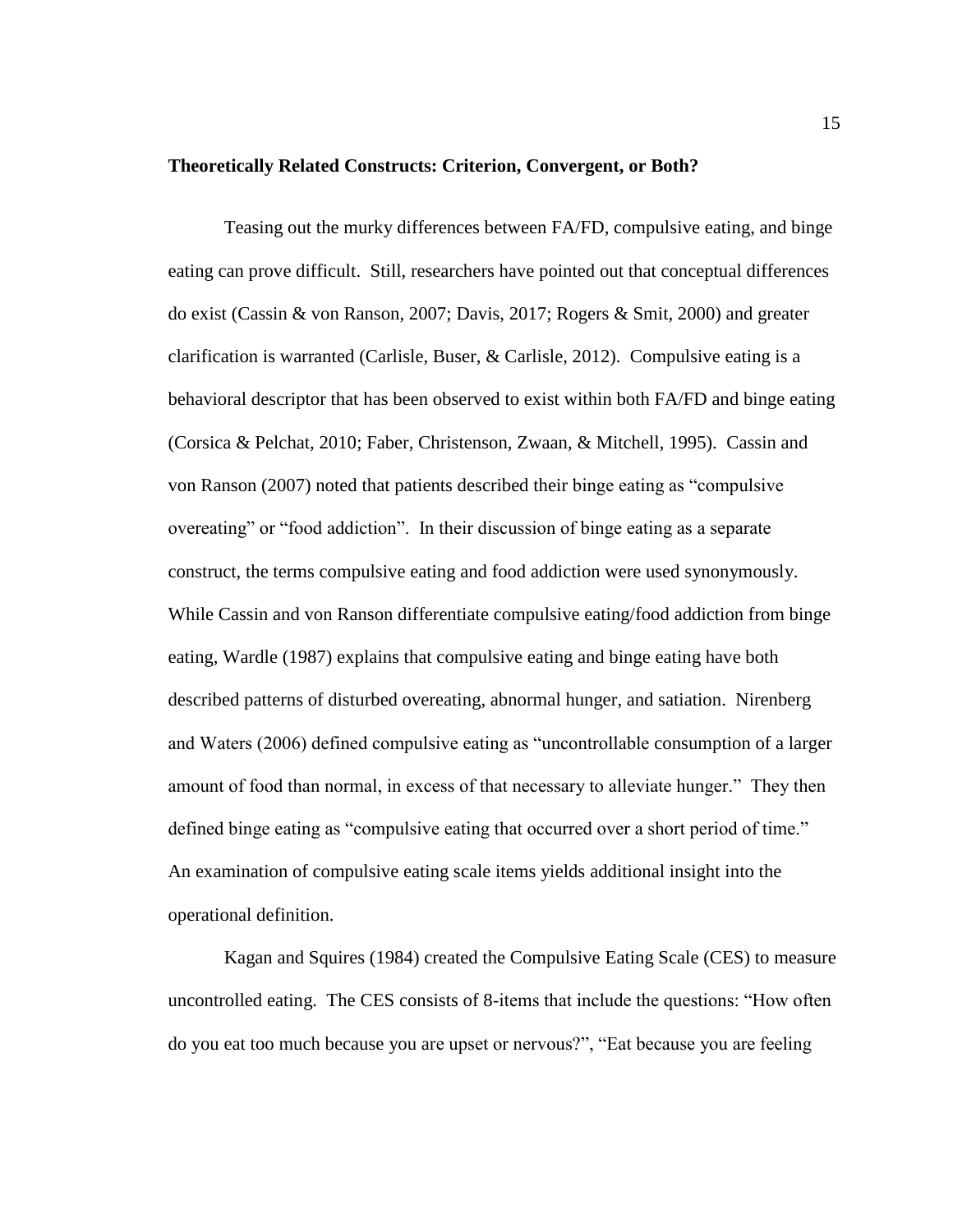#### <span id="page-22-0"></span>**Theoretically Related Constructs: Criterion, Convergent, or Both?**

Teasing out the murky differences between FA/FD, compulsive eating, and binge eating can prove difficult. Still, researchers have pointed out that conceptual differences do exist (Cassin & von Ranson, 2007; Davis, 2017; Rogers & Smit, 2000) and greater clarification is warranted (Carlisle, Buser, & Carlisle, 2012). Compulsive eating is a behavioral descriptor that has been observed to exist within both FA/FD and binge eating (Corsica & Pelchat, 2010; Faber, Christenson, Zwaan, & Mitchell, 1995). Cassin and von Ranson (2007) noted that patients described their binge eating as "compulsive overeating" or "food addiction". In their discussion of binge eating as a separate construct, the terms compulsive eating and food addiction were used synonymously. While Cassin and von Ranson differentiate compulsive eating/food addiction from binge eating, Wardle (1987) explains that compulsive eating and binge eating have both described patterns of disturbed overeating, abnormal hunger, and satiation. Nirenberg and Waters (2006) defined compulsive eating as "uncontrollable consumption of a larger amount of food than normal, in excess of that necessary to alleviate hunger." They then defined binge eating as "compulsive eating that occurred over a short period of time." An examination of compulsive eating scale items yields additional insight into the operational definition.

Kagan and Squires (1984) created the Compulsive Eating Scale (CES) to measure uncontrolled eating. The CES consists of 8-items that include the questions: "How often do you eat too much because you are upset or nervous?", "Eat because you are feeling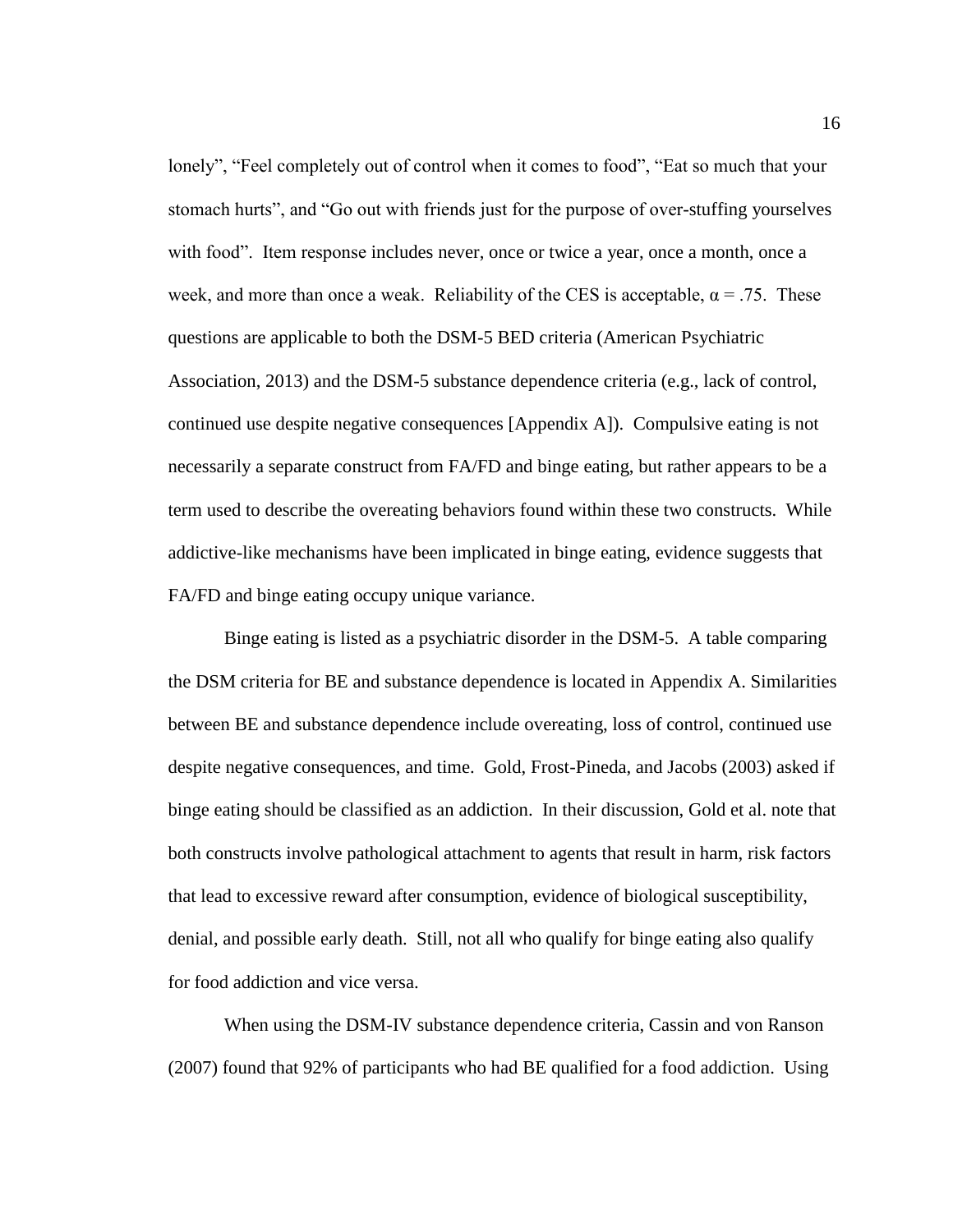lonely", "Feel completely out of control when it comes to food", "Eat so much that your stomach hurts", and "Go out with friends just for the purpose of over-stuffing yourselves with food". Item response includes never, once or twice a year, once a month, once a week, and more than once a weak. Reliability of the CES is acceptable,  $\alpha = .75$ . These questions are applicable to both the DSM-5 BED criteria (American Psychiatric Association, 2013) and the DSM-5 substance dependence criteria (e.g., lack of control, continued use despite negative consequences [Appendix A]). Compulsive eating is not necessarily a separate construct from FA/FD and binge eating, but rather appears to be a term used to describe the overeating behaviors found within these two constructs. While addictive-like mechanisms have been implicated in binge eating, evidence suggests that FA/FD and binge eating occupy unique variance.

Binge eating is listed as a psychiatric disorder in the DSM-5. A table comparing the DSM criteria for BE and substance dependence is located in Appendix A. Similarities between BE and substance dependence include overeating, loss of control, continued use despite negative consequences, and time. Gold, Frost-Pineda, and Jacobs (2003) asked if binge eating should be classified as an addiction. In their discussion, Gold et al. note that both constructs involve pathological attachment to agents that result in harm, risk factors that lead to excessive reward after consumption, evidence of biological susceptibility, denial, and possible early death. Still, not all who qualify for binge eating also qualify for food addiction and vice versa.

When using the DSM-IV substance dependence criteria, Cassin and von Ranson (2007) found that 92% of participants who had BE qualified for a food addiction. Using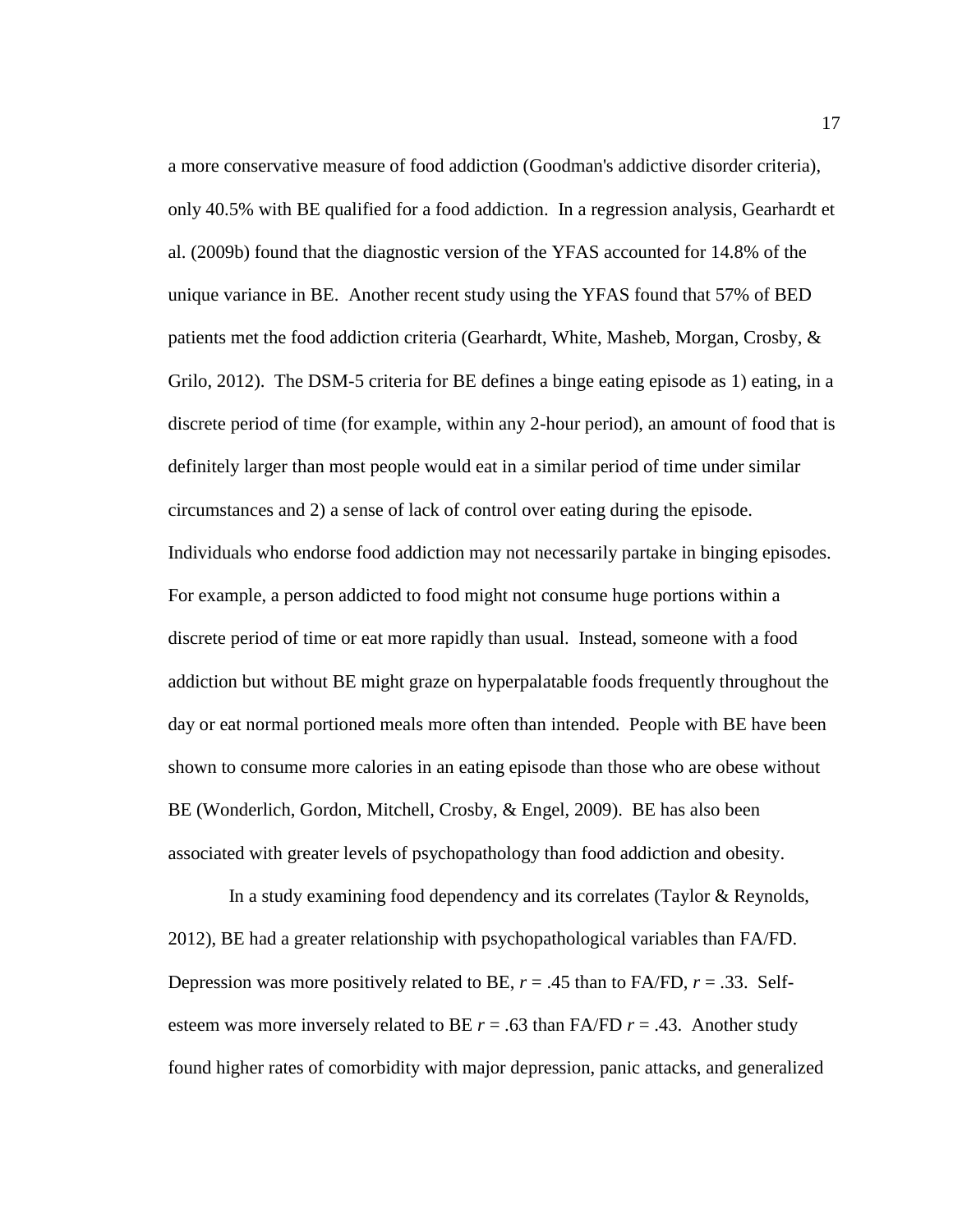a more conservative measure of food addiction (Goodman's addictive disorder criteria), only 40.5% with BE qualified for a food addiction. In a regression analysis, Gearhardt et al. (2009b) found that the diagnostic version of the YFAS accounted for 14.8% of the unique variance in BE. Another recent study using the YFAS found that 57% of BED patients met the food addiction criteria (Gearhardt, White, Masheb, Morgan, Crosby, & Grilo, 2012). The DSM-5 criteria for BE defines a binge eating episode as 1) eating, in a discrete period of time (for example, within any 2-hour period), an amount of food that is definitely larger than most people would eat in a similar period of time under similar circumstances and 2) a sense of lack of control over eating during the episode. Individuals who endorse food addiction may not necessarily partake in binging episodes. For example, a person addicted to food might not consume huge portions within a discrete period of time or eat more rapidly than usual. Instead, someone with a food addiction but without BE might graze on hyperpalatable foods frequently throughout the day or eat normal portioned meals more often than intended. People with BE have been shown to consume more calories in an eating episode than those who are obese without BE (Wonderlich, Gordon, Mitchell, Crosby, & Engel, 2009). BE has also been associated with greater levels of psychopathology than food addiction and obesity.

In a study examining food dependency and its correlates (Taylor & Reynolds, 2012), BE had a greater relationship with psychopathological variables than FA/FD. Depression was more positively related to BE,  $r = .45$  than to FA/FD,  $r = .33$ . Selfesteem was more inversely related to BE  $r = .63$  than FA/FD  $r = .43$ . Another study found higher rates of comorbidity with major depression, panic attacks, and generalized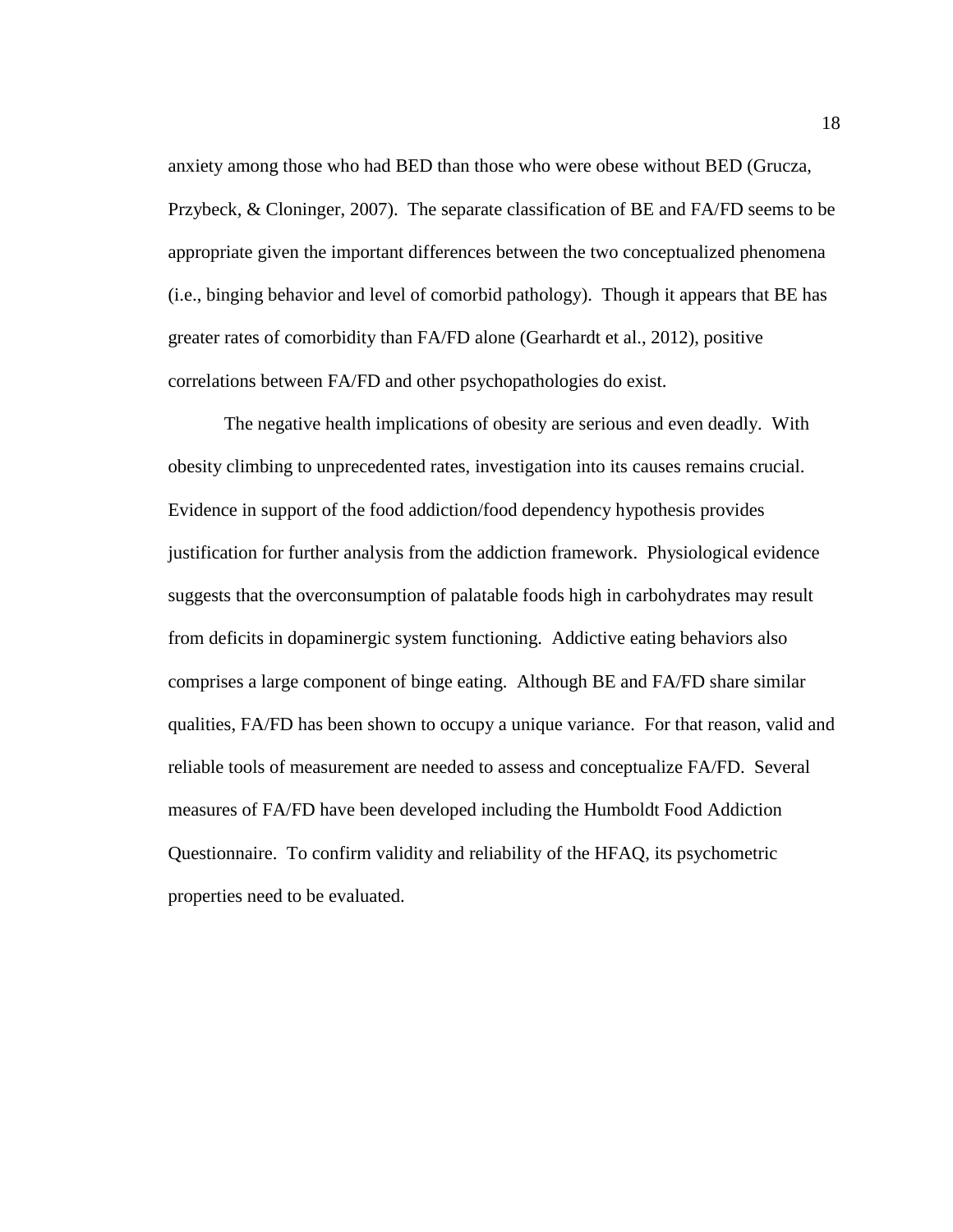anxiety among those who had BED than those who were obese without BED (Grucza, Przybeck, & Cloninger, 2007). The separate classification of BE and FA/FD seems to be appropriate given the important differences between the two conceptualized phenomena (i.e., binging behavior and level of comorbid pathology). Though it appears that BE has greater rates of comorbidity than FA/FD alone (Gearhardt et al., 2012), positive correlations between FA/FD and other psychopathologies do exist.

The negative health implications of obesity are serious and even deadly. With obesity climbing to unprecedented rates, investigation into its causes remains crucial. Evidence in support of the food addiction/food dependency hypothesis provides justification for further analysis from the addiction framework. Physiological evidence suggests that the overconsumption of palatable foods high in carbohydrates may result from deficits in dopaminergic system functioning. Addictive eating behaviors also comprises a large component of binge eating. Although BE and FA/FD share similar qualities, FA/FD has been shown to occupy a unique variance. For that reason, valid and reliable tools of measurement are needed to assess and conceptualize FA/FD. Several measures of FA/FD have been developed including the Humboldt Food Addiction Questionnaire. To confirm validity and reliability of the HFAQ, its psychometric properties need to be evaluated.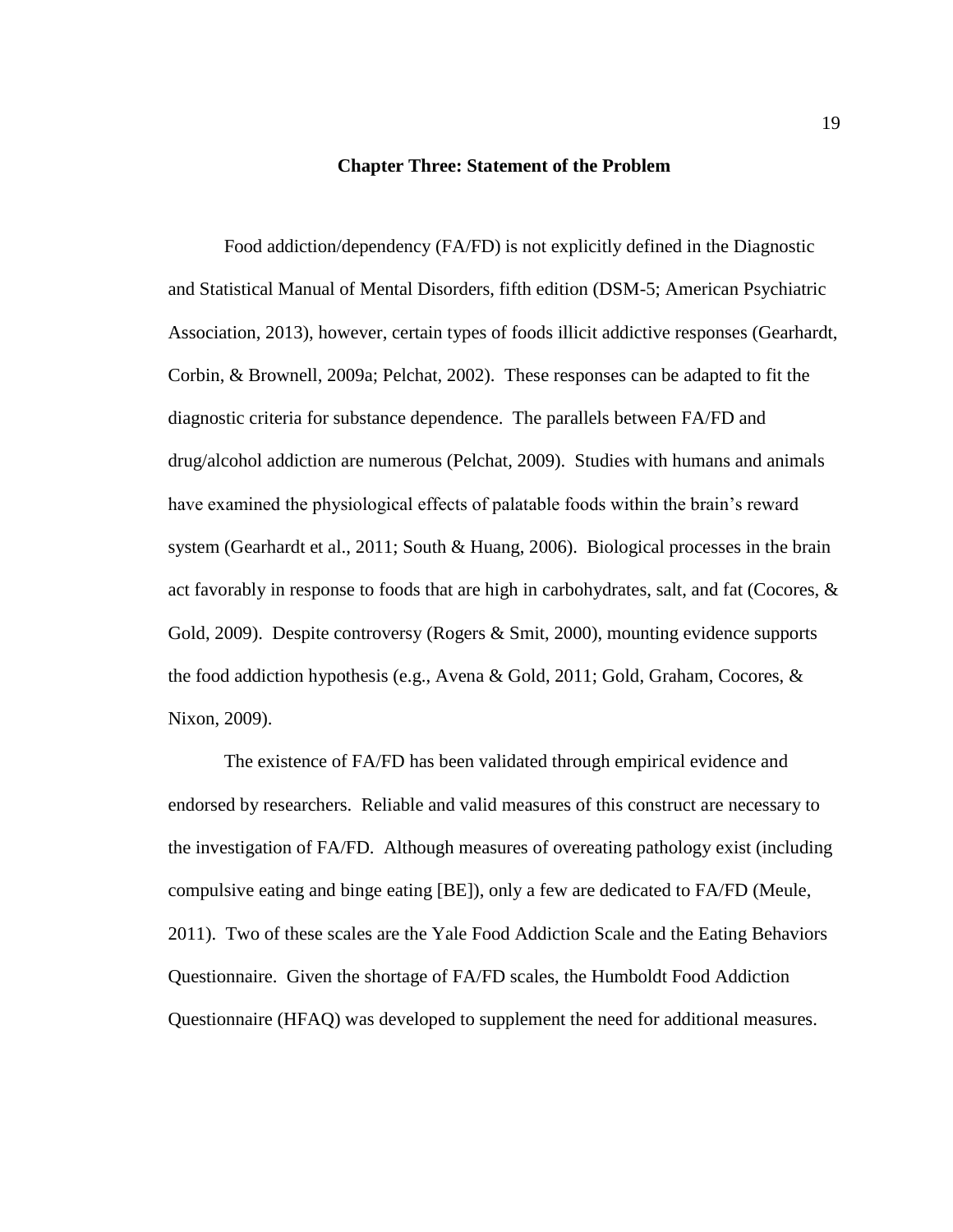#### **Chapter Three: Statement of the Problem**

<span id="page-26-0"></span>Food addiction/dependency (FA/FD) is not explicitly defined in the Diagnostic and Statistical Manual of Mental Disorders, fifth edition (DSM-5; American Psychiatric Association, 2013), however, certain types of foods illicit addictive responses (Gearhardt, Corbin, & Brownell, 2009a; Pelchat, 2002). These responses can be adapted to fit the diagnostic criteria for substance dependence. The parallels between FA/FD and drug/alcohol addiction are numerous (Pelchat, 2009). Studies with humans and animals have examined the physiological effects of palatable foods within the brain's reward system (Gearhardt et al., 2011; South & Huang, 2006). Biological processes in the brain act favorably in response to foods that are high in carbohydrates, salt, and fat (Cocores, & Gold, 2009). Despite controversy (Rogers & Smit, 2000), mounting evidence supports the food addiction hypothesis (e.g., Avena & Gold, 2011; Gold, Graham, Cocores, & Nixon, 2009).

The existence of FA/FD has been validated through empirical evidence and endorsed by researchers. Reliable and valid measures of this construct are necessary to the investigation of FA/FD. Although measures of overeating pathology exist (including compulsive eating and binge eating [BE]), only a few are dedicated to FA/FD (Meule, 2011). Two of these scales are the Yale Food Addiction Scale and the Eating Behaviors Questionnaire. Given the shortage of FA/FD scales, the Humboldt Food Addiction Questionnaire (HFAQ) was developed to supplement the need for additional measures.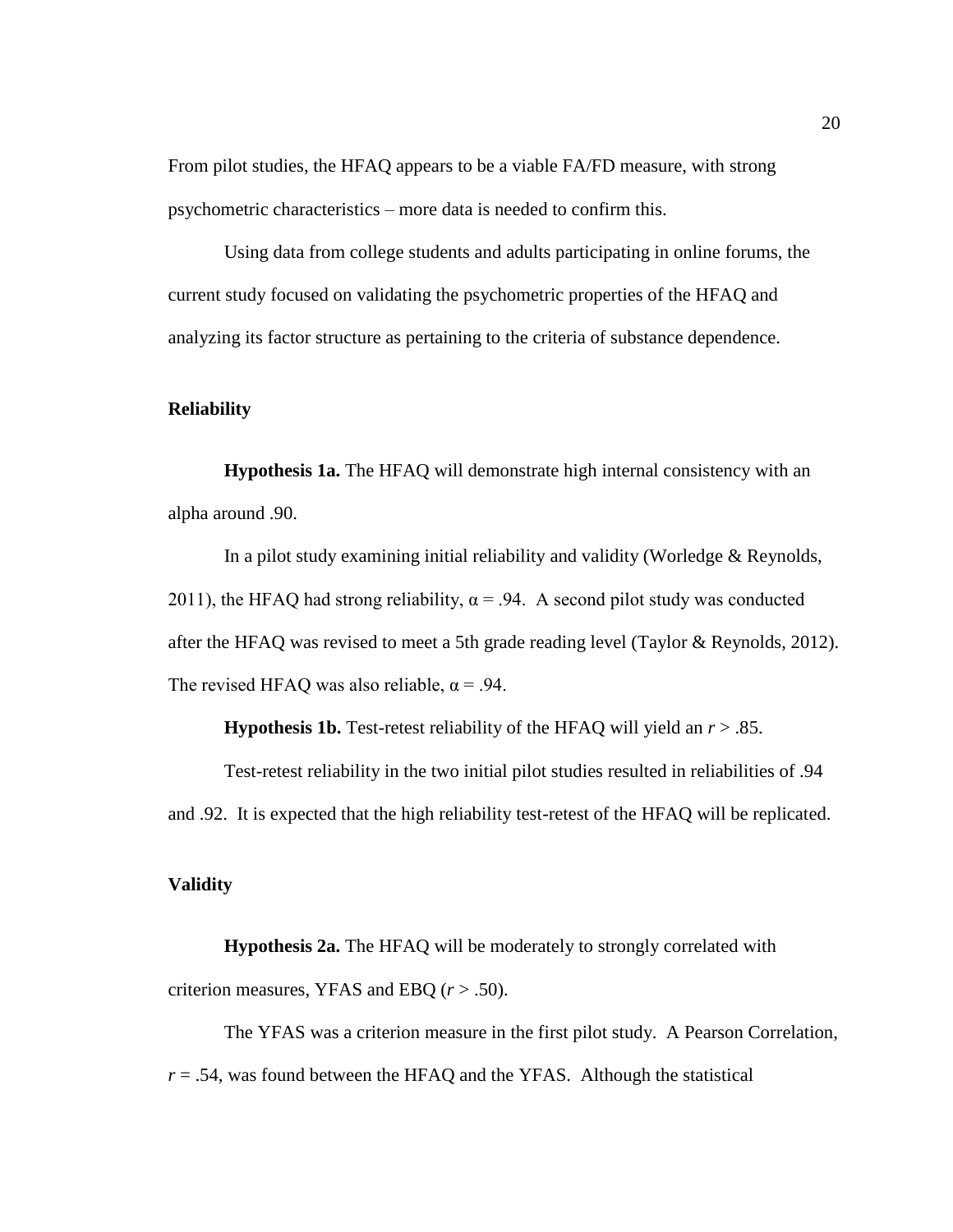From pilot studies, the HFAQ appears to be a viable FA/FD measure, with strong psychometric characteristics – more data is needed to confirm this.

Using data from college students and adults participating in online forums, the current study focused on validating the psychometric properties of the HFAQ and analyzing its factor structure as pertaining to the criteria of substance dependence.

# <span id="page-27-0"></span>**Reliability**

<span id="page-27-1"></span>**Hypothesis 1a.** The HFAQ will demonstrate high internal consistency with an alpha around .90.

In a pilot study examining initial reliability and validity (Worledge & Reynolds, 2011), the HFAQ had strong reliability,  $\alpha$  = .94. A second pilot study was conducted after the HFAQ was revised to meet a 5th grade reading level (Taylor & Reynolds, 2012). The revised HFAQ was also reliable,  $\alpha = .94$ .

**Hypothesis 1b.** Test-retest reliability of the HFAQ will yield an *r* > .85.

<span id="page-27-2"></span>Test-retest reliability in the two initial pilot studies resulted in reliabilities of .94 and .92. It is expected that the high reliability test-retest of the HFAQ will be replicated.

# <span id="page-27-3"></span>**Validity**

<span id="page-27-4"></span>**Hypothesis 2a.** The HFAQ will be moderately to strongly correlated with criterion measures, YFAS and EBQ (*r* > .50).

The YFAS was a criterion measure in the first pilot study. A Pearson Correlation,  $r = .54$ , was found between the HFAQ and the YFAS. Although the statistical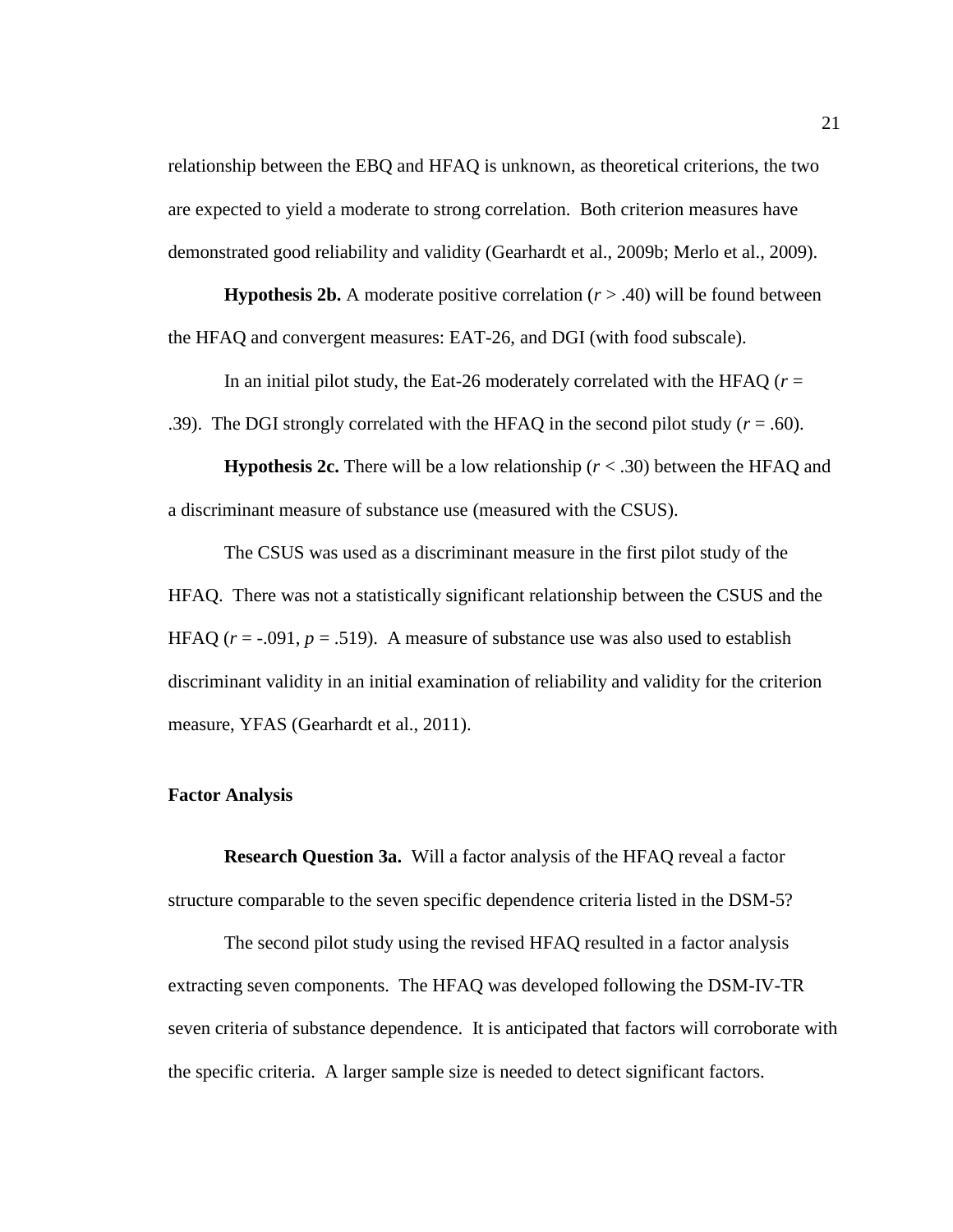relationship between the EBQ and HFAQ is unknown, as theoretical criterions, the two are expected to yield a moderate to strong correlation. Both criterion measures have demonstrated good reliability and validity (Gearhardt et al., 2009b; Merlo et al., 2009).

<span id="page-28-0"></span>**Hypothesis 2b.** A moderate positive correlation  $(r > .40)$  will be found between the HFAQ and convergent measures: EAT-26, and DGI (with food subscale).

In an initial pilot study, the Eat-26 moderately correlated with the HFAQ  $(r =$ 

.39). The DGI strongly correlated with the HFAQ in the second pilot study  $(r = .60)$ .

<span id="page-28-1"></span>**Hypothesis 2c.** There will be a low relationship  $(r < .30)$  between the HFAQ and a discriminant measure of substance use (measured with the CSUS).

The CSUS was used as a discriminant measure in the first pilot study of the HFAQ. There was not a statistically significant relationship between the CSUS and the HFAQ  $(r = -.091, p = .519)$ . A measure of substance use was also used to establish discriminant validity in an initial examination of reliability and validity for the criterion measure, YFAS (Gearhardt et al., 2011).

### <span id="page-28-2"></span>**Factor Analysis**

<span id="page-28-3"></span>**Research Question 3a.** Will a factor analysis of the HFAQ reveal a factor structure comparable to the seven specific dependence criteria listed in the DSM-5?

The second pilot study using the revised HFAQ resulted in a factor analysis extracting seven components. The HFAQ was developed following the DSM-IV-TR seven criteria of substance dependence. It is anticipated that factors will corroborate with the specific criteria. A larger sample size is needed to detect significant factors.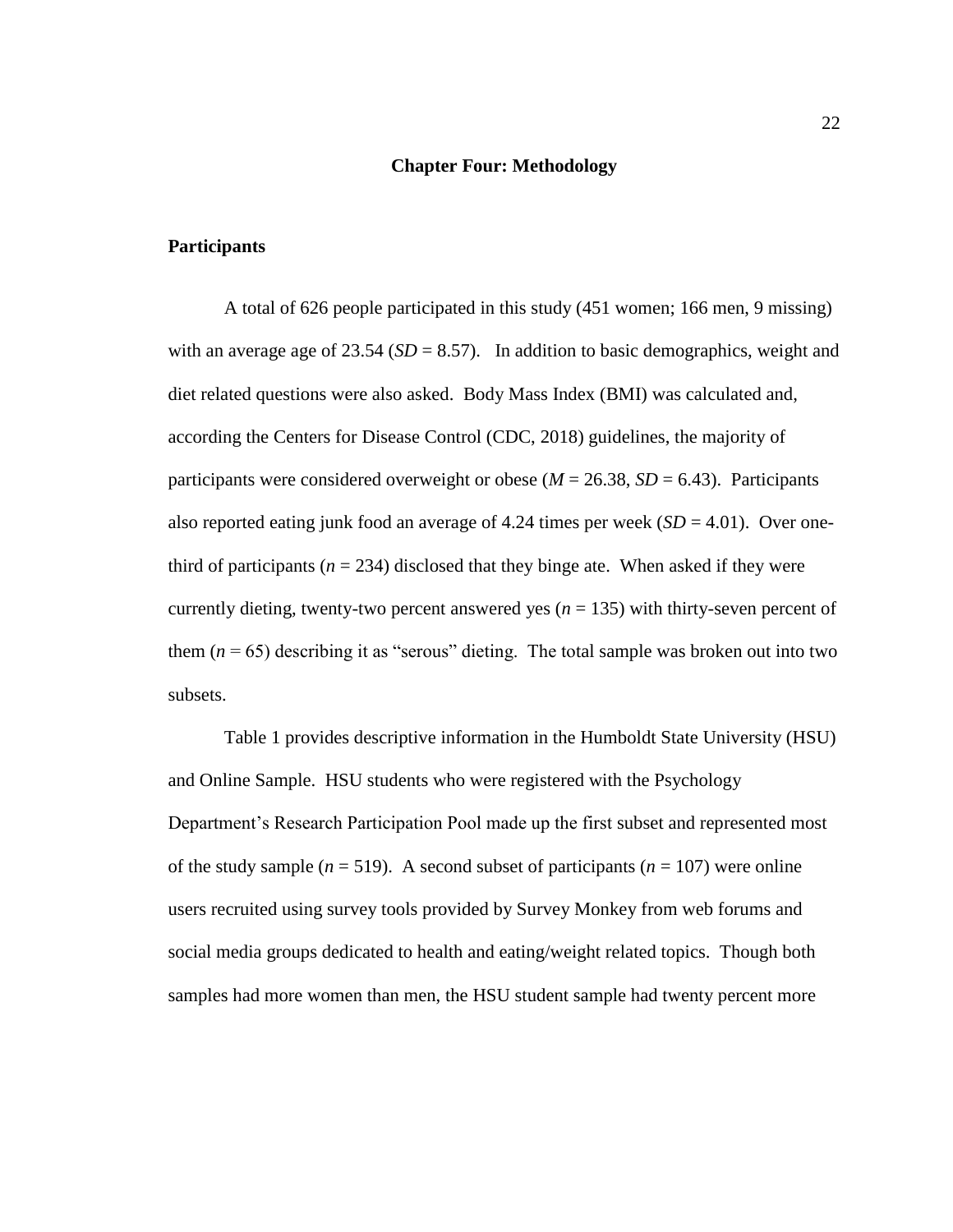#### **Chapter Four: Methodology**

# <span id="page-29-1"></span><span id="page-29-0"></span>**Participants**

A total of 626 people participated in this study (451 women; 166 men, 9 missing) with an average age of  $23.54$  ( $SD = 8.57$ ). In addition to basic demographics, weight and diet related questions were also asked. Body Mass Index (BMI) was calculated and, according the Centers for Disease Control (CDC, 2018) guidelines, the majority of participants were considered overweight or obese ( $M = 26.38$ ,  $SD = 6.43$ ). Participants also reported eating junk food an average of 4.24 times per week  $(SD = 4.01)$ . Over onethird of participants ( $n = 234$ ) disclosed that they binge ate. When asked if they were currently dieting, twenty-two percent answered yes  $(n = 135)$  with thirty-seven percent of them  $(n = 65)$  describing it as "serous" dieting. The total sample was broken out into two subsets.

Table 1 provides descriptive information in the Humboldt State University (HSU) and Online Sample. HSU students who were registered with the Psychology Department's Research Participation Pool made up the first subset and represented most of the study sample  $(n = 519)$ . A second subset of participants  $(n = 107)$  were online users recruited using survey tools provided by Survey Monkey from web forums and social media groups dedicated to health and eating/weight related topics. Though both samples had more women than men, the HSU student sample had twenty percent more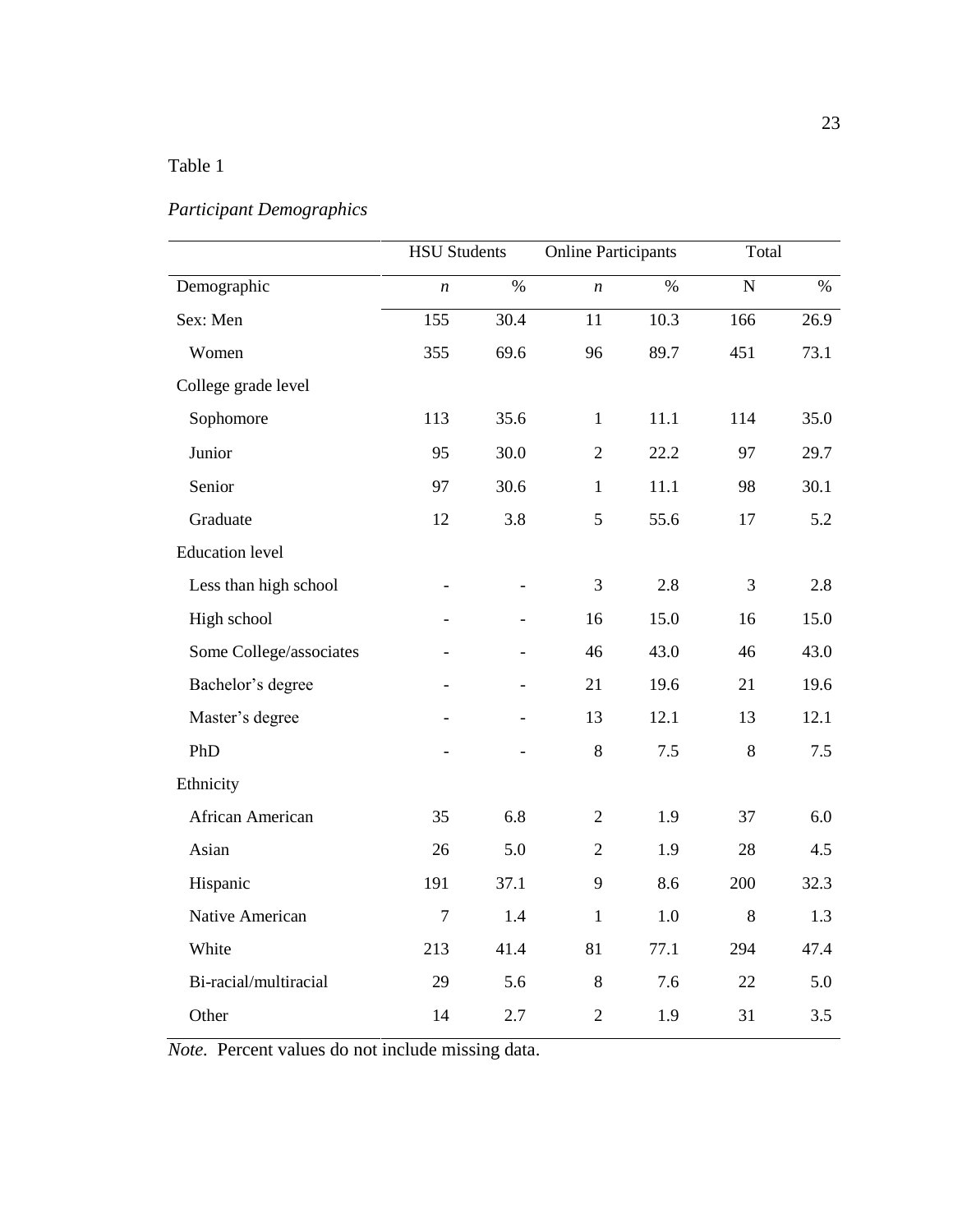# <span id="page-30-0"></span>Table 1

# *Participant Demographics*

|                         | <b>HSU Students</b> |                          | <b>Online Participants</b> |      |           | Total |  |
|-------------------------|---------------------|--------------------------|----------------------------|------|-----------|-------|--|
| Demographic             | $\boldsymbol{n}$    | $\%$                     | $\boldsymbol{n}$           | $\%$ | ${\bf N}$ | $\%$  |  |
| Sex: Men                | 155                 | 30.4                     | 11                         | 10.3 | 166       | 26.9  |  |
| Women                   | 355                 | 69.6                     | 96                         | 89.7 | 451       | 73.1  |  |
| College grade level     |                     |                          |                            |      |           |       |  |
| Sophomore               | 113                 | 35.6                     | $\mathbf{1}$               | 11.1 | 114       | 35.0  |  |
| Junior                  | 95                  | 30.0                     | $\overline{2}$             | 22.2 | 97        | 29.7  |  |
| Senior                  | 97                  | 30.6                     | $\mathbf{1}$               | 11.1 | 98        | 30.1  |  |
| Graduate                | 12                  | 3.8                      | 5                          | 55.6 | 17        | 5.2   |  |
| <b>Education</b> level  |                     |                          |                            |      |           |       |  |
| Less than high school   |                     |                          | 3                          | 2.8  | 3         | 2.8   |  |
| High school             |                     |                          | 16                         | 15.0 | 16        | 15.0  |  |
| Some College/associates |                     | $\overline{\phantom{0}}$ | 46                         | 43.0 | 46        | 43.0  |  |
| Bachelor's degree       |                     | $\overline{a}$           | 21                         | 19.6 | 21        | 19.6  |  |
| Master's degree         |                     | $\overline{a}$           | 13                         | 12.1 | 13        | 12.1  |  |
| PhD                     |                     |                          | $8\,$                      | 7.5  | $8\,$     | 7.5   |  |
| Ethnicity               |                     |                          |                            |      |           |       |  |
| African American        | 35                  | 6.8                      | $\overline{2}$             | 1.9  | 37        | 6.0   |  |
| Asian                   | 26                  | 5.0                      | $\overline{2}$             | 1.9  | 28        | 4.5   |  |
| Hispanic                | 191                 | 37.1                     | 9                          | 8.6  | 200       | 32.3  |  |
| Native American         | $\overline{7}$      | 1.4                      | $\mathbf{1}$               | 1.0  | 8         | 1.3   |  |
| White                   | 213                 | 41.4                     | 81                         | 77.1 | 294       | 47.4  |  |
| Bi-racial/multiracial   | 29                  | 5.6                      | $8\,$                      | 7.6  | 22        | 5.0   |  |
| Other                   | 14                  | 2.7                      | $\overline{2}$             | 1.9  | 31        | 3.5   |  |

*Note.* Percent values do not include missing data.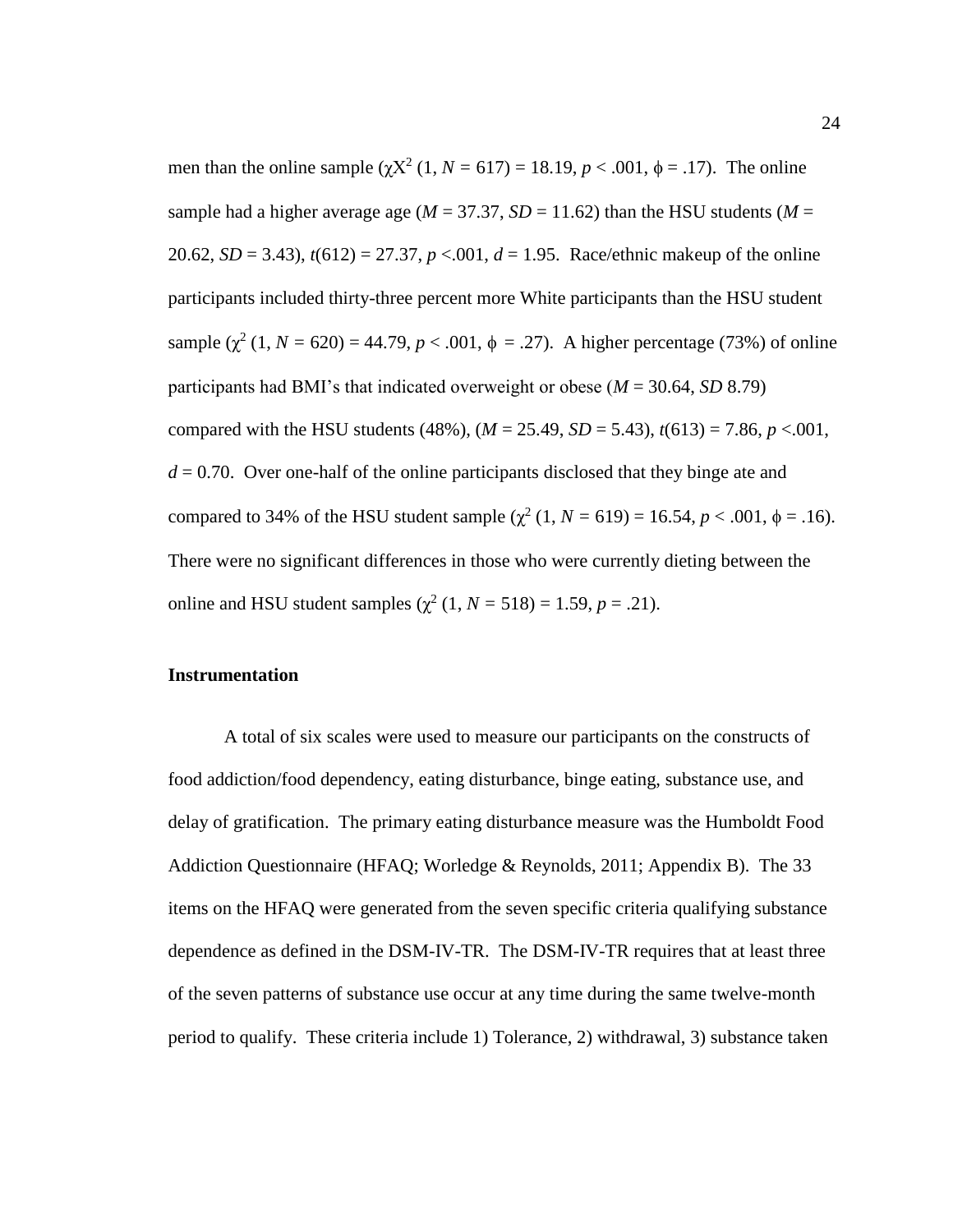men than the online sample  $(\chi X^2 (1, N = 617) = 18.19, p < .001, \phi = .17)$ . The online sample had a higher average age ( $M = 37.37$ ,  $SD = 11.62$ ) than the HSU students ( $M =$ 20.62, *SD* = 3.43), *t*(612) = 27.37, *p* <.001, *d* = 1.95. Race/ethnic makeup of the online participants included thirty-three percent more White participants than the HSU student sample  $(\chi^2 (1, N = 620) = 44.79, p < .001, \phi = .27)$ . A higher percentage (73%) of online participants had BMI's that indicated overweight or obese (*M* = 30.64, *SD* 8.79) compared with the HSU students (48%),  $(M = 25.49, SD = 5.43)$ ,  $t(613) = 7.86$ ,  $p < .001$ ,  $d = 0.70$ . Over one-half of the online participants disclosed that they binge ate and compared to 34% of the HSU student sample  $(\chi^2 (1, N = 619) = 16.54, p < .001, \phi = .16)$ . There were no significant differences in those who were currently dieting between the online and HSU student samples  $(χ²(1, N = 518) = 1.59, p = .21)$ .

# <span id="page-31-0"></span>**Instrumentation**

A total of six scales were used to measure our participants on the constructs of food addiction/food dependency, eating disturbance, binge eating, substance use, and delay of gratification. The primary eating disturbance measure was the Humboldt Food Addiction Questionnaire (HFAQ; Worledge & Reynolds, 2011; Appendix B). The 33 items on the HFAQ were generated from the seven specific criteria qualifying substance dependence as defined in the DSM-IV-TR. The DSM-IV-TR requires that at least three of the seven patterns of substance use occur at any time during the same twelve-month period to qualify. These criteria include 1) Tolerance, 2) withdrawal, 3) substance taken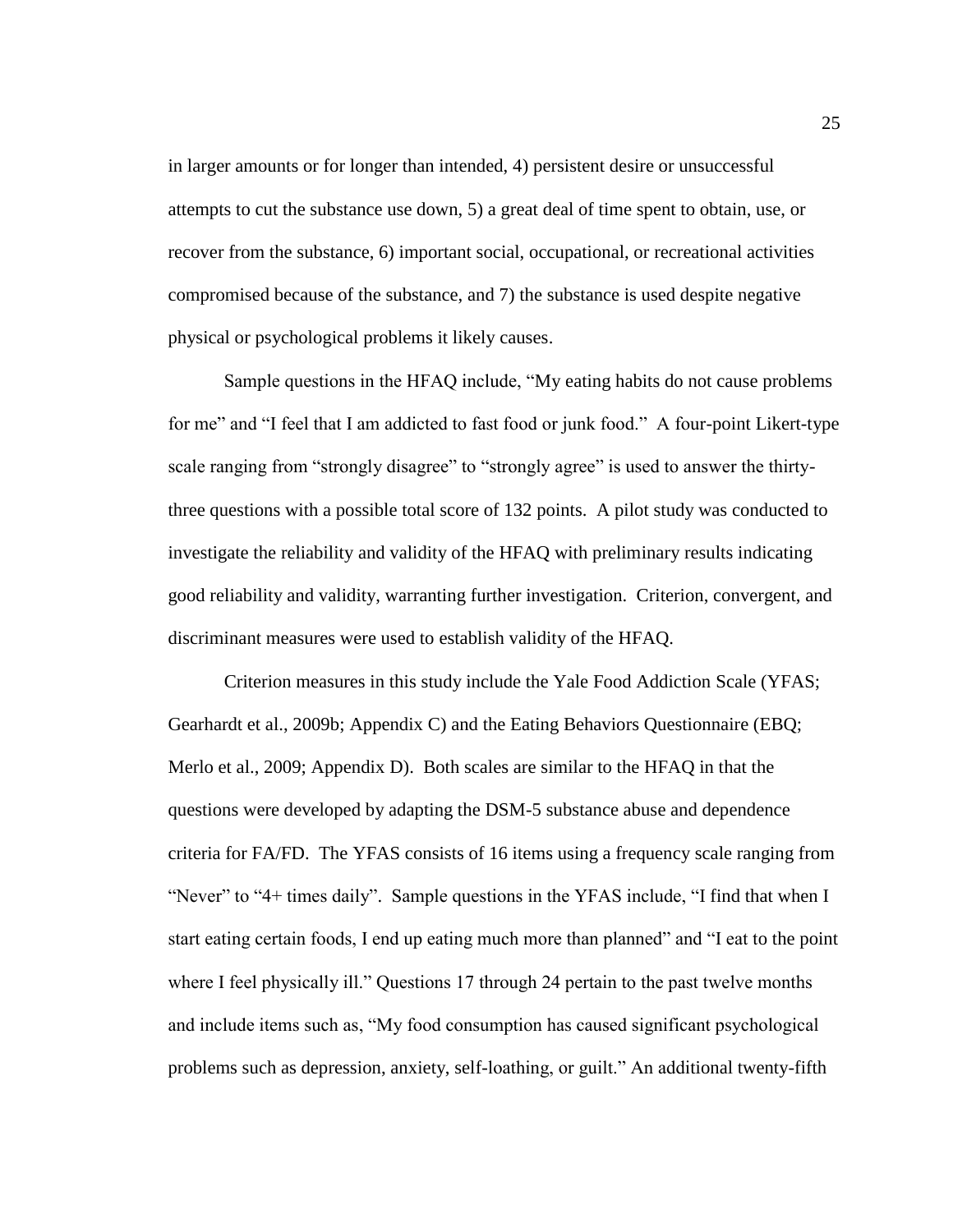in larger amounts or for longer than intended, 4) persistent desire or unsuccessful attempts to cut the substance use down, 5) a great deal of time spent to obtain, use, or recover from the substance, 6) important social, occupational, or recreational activities compromised because of the substance, and 7) the substance is used despite negative physical or psychological problems it likely causes.

Sample questions in the HFAQ include, "My eating habits do not cause problems for me" and "I feel that I am addicted to fast food or junk food." A four-point Likert-type scale ranging from "strongly disagree" to "strongly agree" is used to answer the thirtythree questions with a possible total score of 132 points. A pilot study was conducted to investigate the reliability and validity of the HFAQ with preliminary results indicating good reliability and validity, warranting further investigation. Criterion, convergent, and discriminant measures were used to establish validity of the HFAQ.

Criterion measures in this study include the Yale Food Addiction Scale (YFAS; Gearhardt et al., 2009b; Appendix C) and the Eating Behaviors Questionnaire (EBQ; Merlo et al., 2009; Appendix D). Both scales are similar to the HFAQ in that the questions were developed by adapting the DSM-5 substance abuse and dependence criteria for FA/FD. The YFAS consists of 16 items using a frequency scale ranging from "Never" to "4+ times daily". Sample questions in the YFAS include, "I find that when I start eating certain foods, I end up eating much more than planned" and "I eat to the point where I feel physically ill." Questions 17 through 24 pertain to the past twelve months and include items such as, "My food consumption has caused significant psychological problems such as depression, anxiety, self-loathing, or guilt." An additional twenty-fifth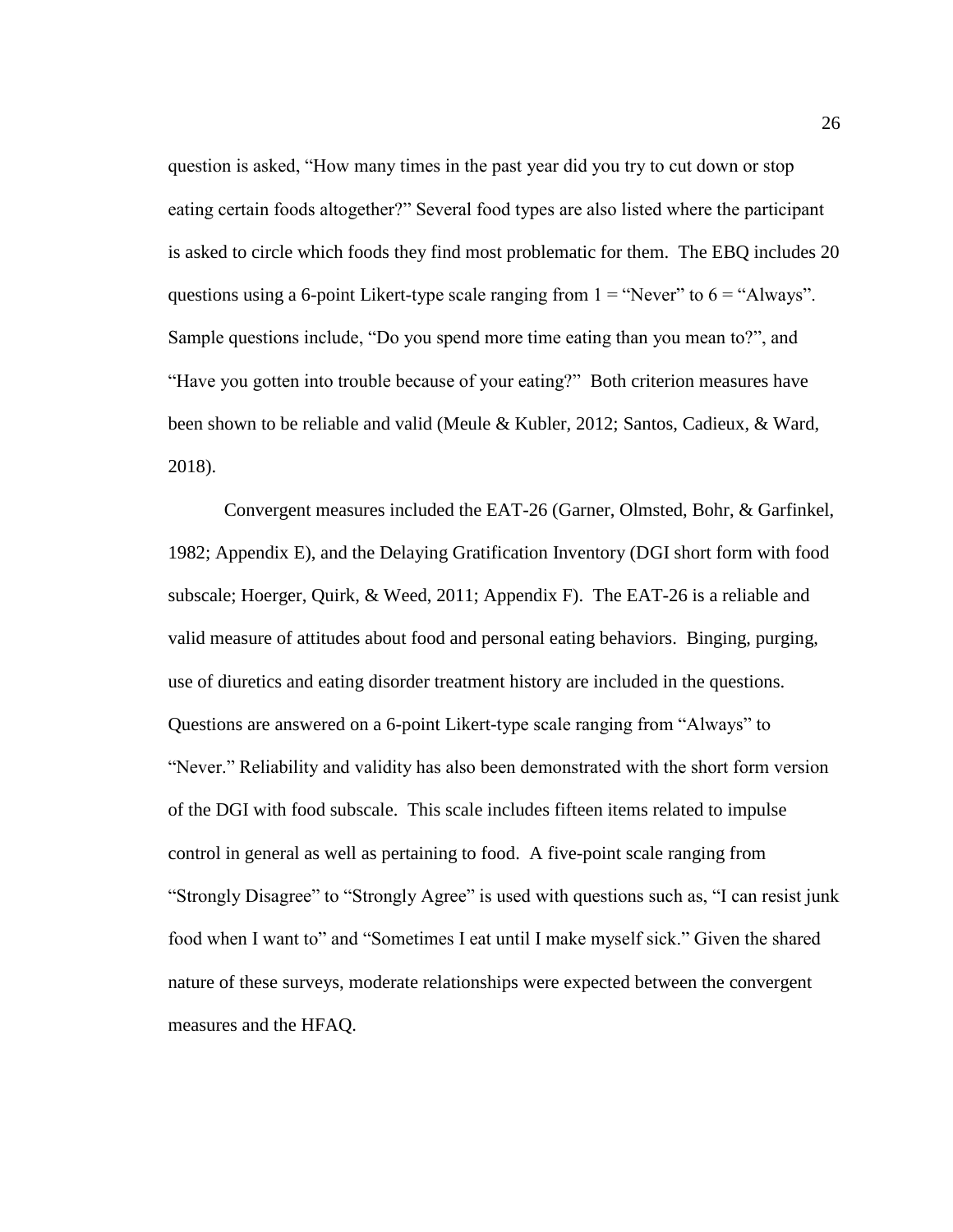question is asked, "How many times in the past year did you try to cut down or stop eating certain foods altogether?" Several food types are also listed where the participant is asked to circle which foods they find most problematic for them. The EBQ includes 20 questions using a 6-point Likert-type scale ranging from  $1 =$  "Never" to  $6 =$  "Always". Sample questions include, "Do you spend more time eating than you mean to?", and "Have you gotten into trouble because of your eating?" Both criterion measures have been shown to be reliable and valid (Meule & Kubler, 2012; Santos, Cadieux, & Ward, 2018).

Convergent measures included the EAT-26 (Garner, Olmsted, Bohr, & Garfinkel, 1982; Appendix E), and the Delaying Gratification Inventory (DGI short form with food subscale; Hoerger, Quirk, & Weed, 2011; Appendix F). The EAT-26 is a reliable and valid measure of attitudes about food and personal eating behaviors. Binging, purging, use of diuretics and eating disorder treatment history are included in the questions. Questions are answered on a 6-point Likert-type scale ranging from "Always" to "Never." Reliability and validity has also been demonstrated with the short form version of the DGI with food subscale. This scale includes fifteen items related to impulse control in general as well as pertaining to food. A five-point scale ranging from "Strongly Disagree" to "Strongly Agree" is used with questions such as, "I can resist junk food when I want to" and "Sometimes I eat until I make myself sick." Given the shared nature of these surveys, moderate relationships were expected between the convergent measures and the HFAQ.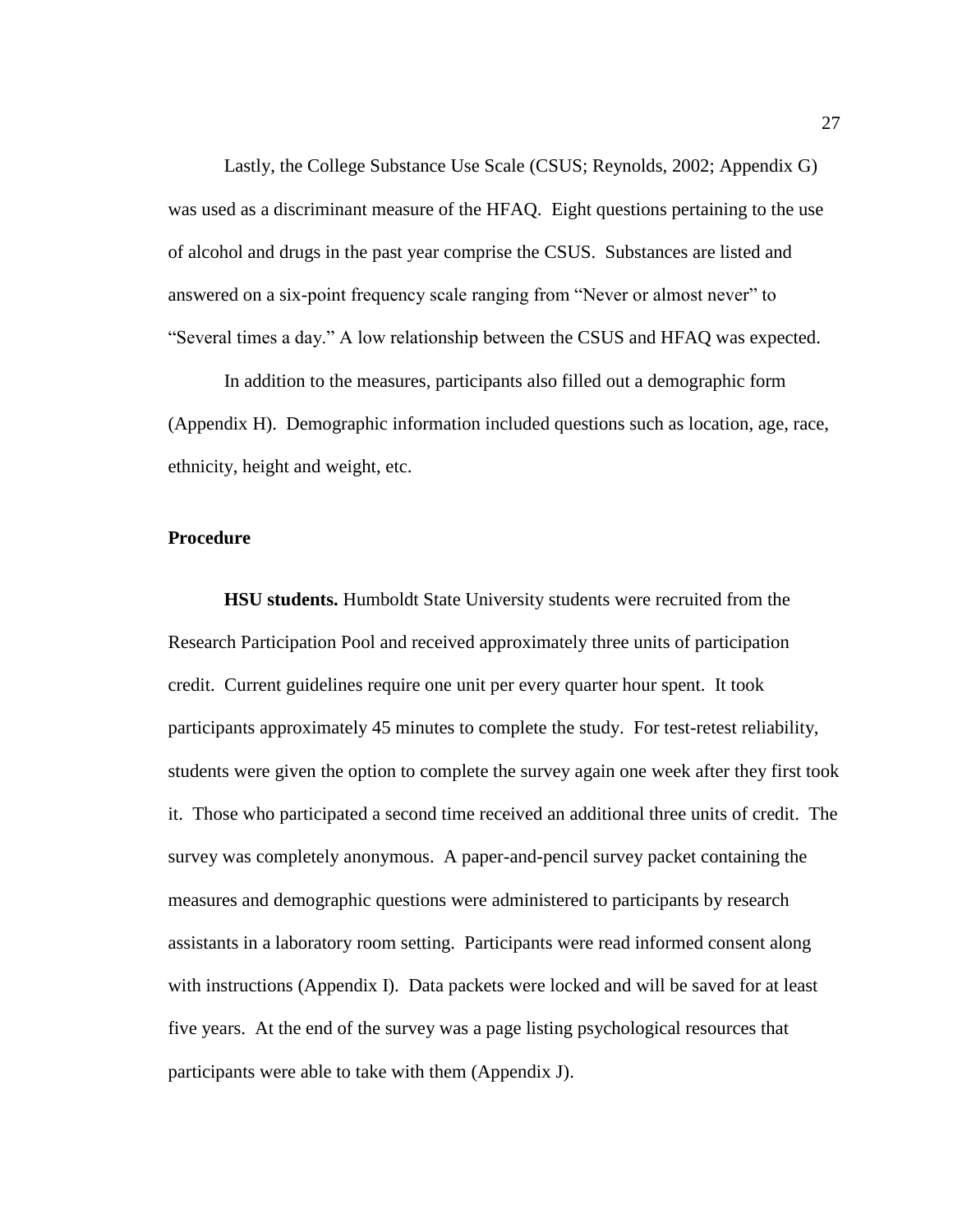Lastly, the College Substance Use Scale (CSUS; Reynolds, 2002; Appendix G) was used as a discriminant measure of the HFAQ. Eight questions pertaining to the use of alcohol and drugs in the past year comprise the CSUS. Substances are listed and answered on a six-point frequency scale ranging from "Never or almost never" to "Several times a day." A low relationship between the CSUS and HFAQ was expected.

In addition to the measures, participants also filled out a demographic form (Appendix H). Demographic information included questions such as location, age, race, ethnicity, height and weight, etc.

# <span id="page-34-0"></span>**Procedure**

<span id="page-34-1"></span>**HSU students.** Humboldt State University students were recruited from the Research Participation Pool and received approximately three units of participation credit. Current guidelines require one unit per every quarter hour spent. It took participants approximately 45 minutes to complete the study. For test-retest reliability, students were given the option to complete the survey again one week after they first took it. Those who participated a second time received an additional three units of credit. The survey was completely anonymous. A paper-and-pencil survey packet containing the measures and demographic questions were administered to participants by research assistants in a laboratory room setting. Participants were read informed consent along with instructions (Appendix I). Data packets were locked and will be saved for at least five years. At the end of the survey was a page listing psychological resources that participants were able to take with them (Appendix J).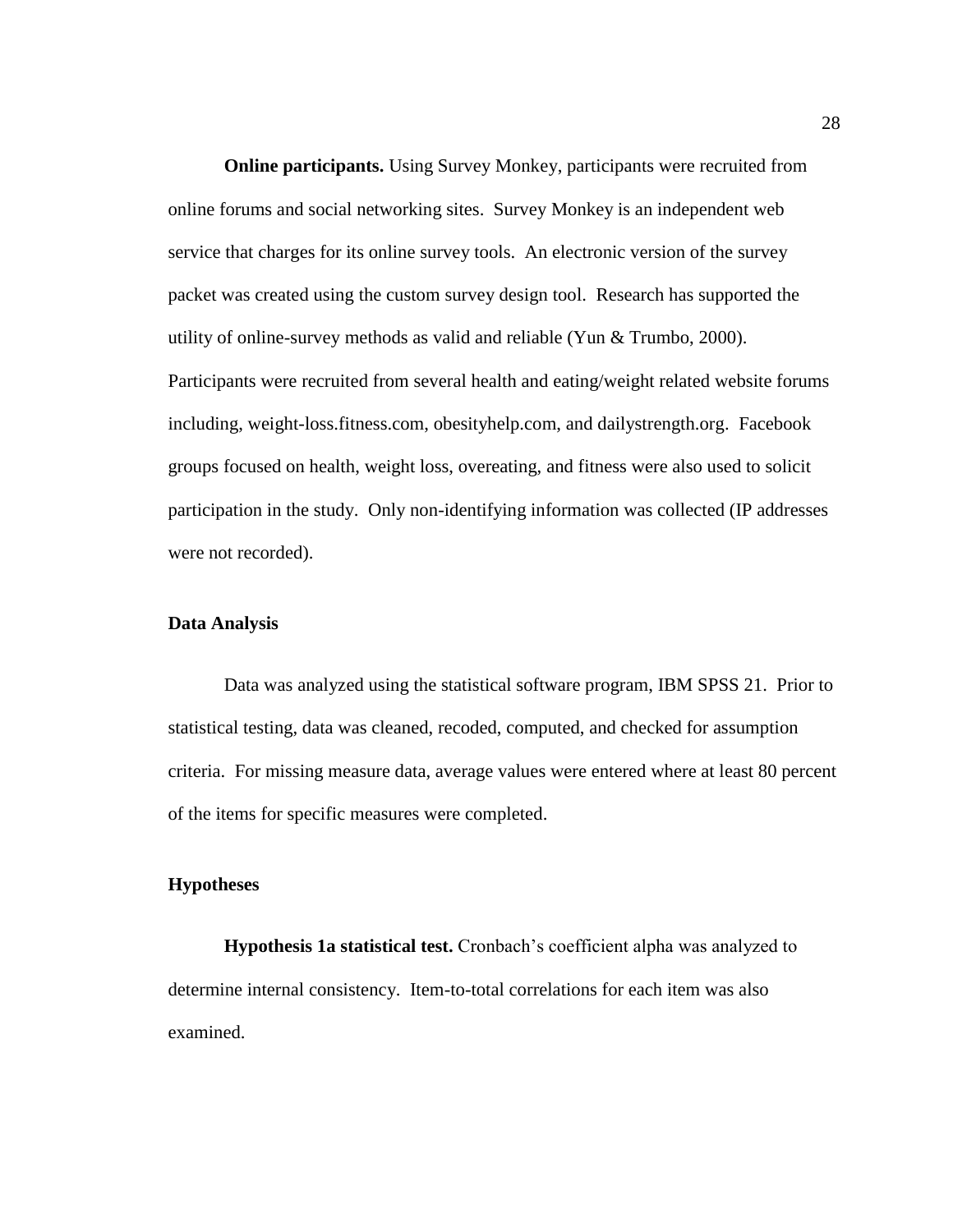<span id="page-35-0"></span>**Online participants.** Using Survey Monkey, participants were recruited from online forums and social networking sites. Survey Monkey is an independent web service that charges for its online survey tools. An electronic version of the survey packet was created using the custom survey design tool. Research has supported the utility of online-survey methods as valid and reliable (Yun & Trumbo, 2000). Participants were recruited from several health and eating/weight related website forums including, weight-loss.fitness.com, obesityhelp.com, and dailystrength.org. Facebook groups focused on health, weight loss, overeating, and fitness were also used to solicit participation in the study. Only non-identifying information was collected (IP addresses were not recorded).

# <span id="page-35-1"></span>**Data Analysis**

Data was analyzed using the statistical software program, IBM SPSS 21. Prior to statistical testing, data was cleaned, recoded, computed, and checked for assumption criteria. For missing measure data, average values were entered where at least 80 percent of the items for specific measures were completed.

# <span id="page-35-2"></span>**Hypotheses**

<span id="page-35-3"></span>**Hypothesis 1a statistical test.** Cronbach's coefficient alpha was analyzed to determine internal consistency. Item-to-total correlations for each item was also examined.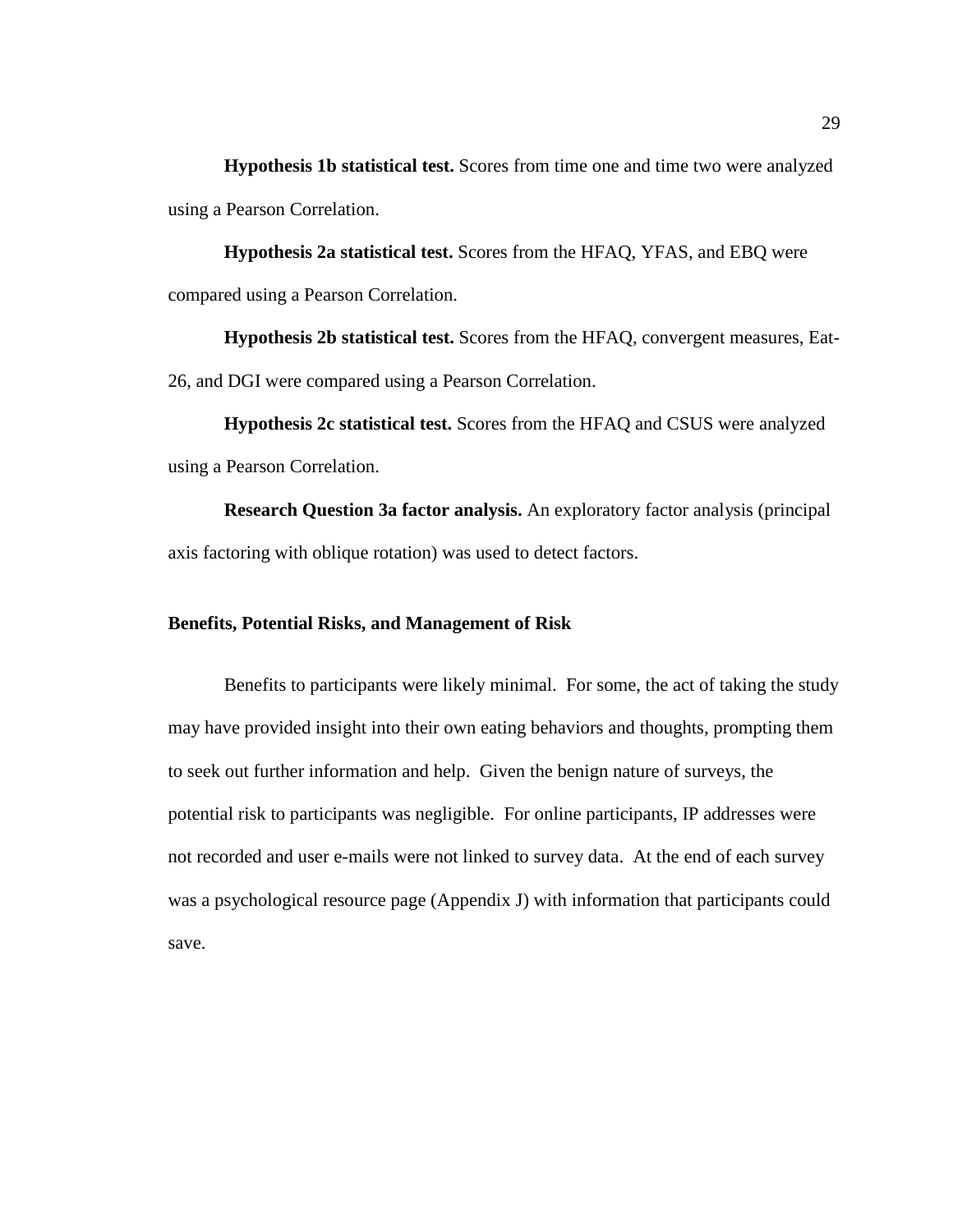**Hypothesis 1b statistical test.** Scores from time one and time two were analyzed using a Pearson Correlation.

**Hypothesis 2a statistical test.** Scores from the HFAQ, YFAS, and EBQ were compared using a Pearson Correlation.

**Hypothesis 2b statistical test.** Scores from the HFAQ, convergent measures, Eat-26, and DGI were compared using a Pearson Correlation.

**Hypothesis 2c statistical test.** Scores from the HFAQ and CSUS were analyzed using a Pearson Correlation.

**Research Question 3a factor analysis.** An exploratory factor analysis (principal axis factoring with oblique rotation) was used to detect factors.

# **Benefits, Potential Risks, and Management of Risk**

Benefits to participants were likely minimal. For some, the act of taking the study may have provided insight into their own eating behaviors and thoughts, prompting them to seek out further information and help. Given the benign nature of surveys, the potential risk to participants was negligible. For online participants, IP addresses were not recorded and user e-mails were not linked to survey data. At the end of each survey was a psychological resource page (Appendix J) with information that participants could save.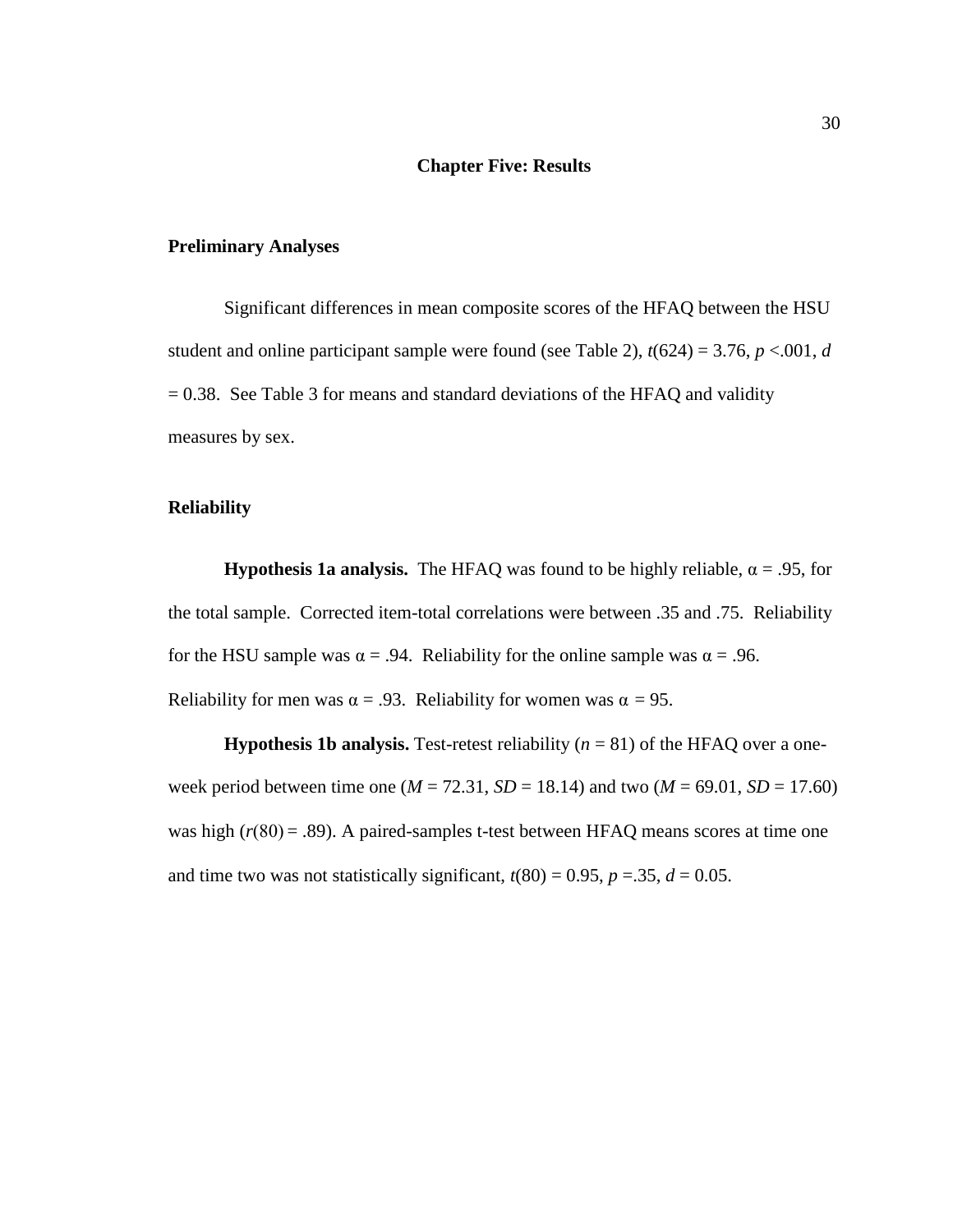#### **Chapter Five: Results**

### **Preliminary Analyses**

Significant differences in mean composite scores of the HFAQ between the HSU student and online participant sample were found (see Table 2),  $t(624) = 3.76$ ,  $p < .001$ , *d*  $= 0.38$ . See Table 3 for means and standard deviations of the HFAQ and validity measures by sex.

### **Reliability**

**Hypothesis 1a analysis.** The HFAQ was found to be highly reliable,  $\alpha = .95$ , for the total sample. Corrected item-total correlations were between .35 and .75. Reliability for the HSU sample was  $\alpha = .94$ . Reliability for the online sample was  $\alpha = .96$ . Reliability for men was  $\alpha = .93$ . Reliability for women was  $\alpha = 95$ .

**Hypothesis 1b analysis.** Test-retest reliability  $(n = 81)$  of the HFAQ over a oneweek period between time one ( $M = 72.31$ ,  $SD = 18.14$ ) and two ( $M = 69.01$ ,  $SD = 17.60$ ) was high  $(r(80) = .89)$ . A paired-samples t-test between HFAQ means scores at time one and time two was not statistically significant,  $t(80) = 0.95$ ,  $p = 0.35$ ,  $d = 0.05$ .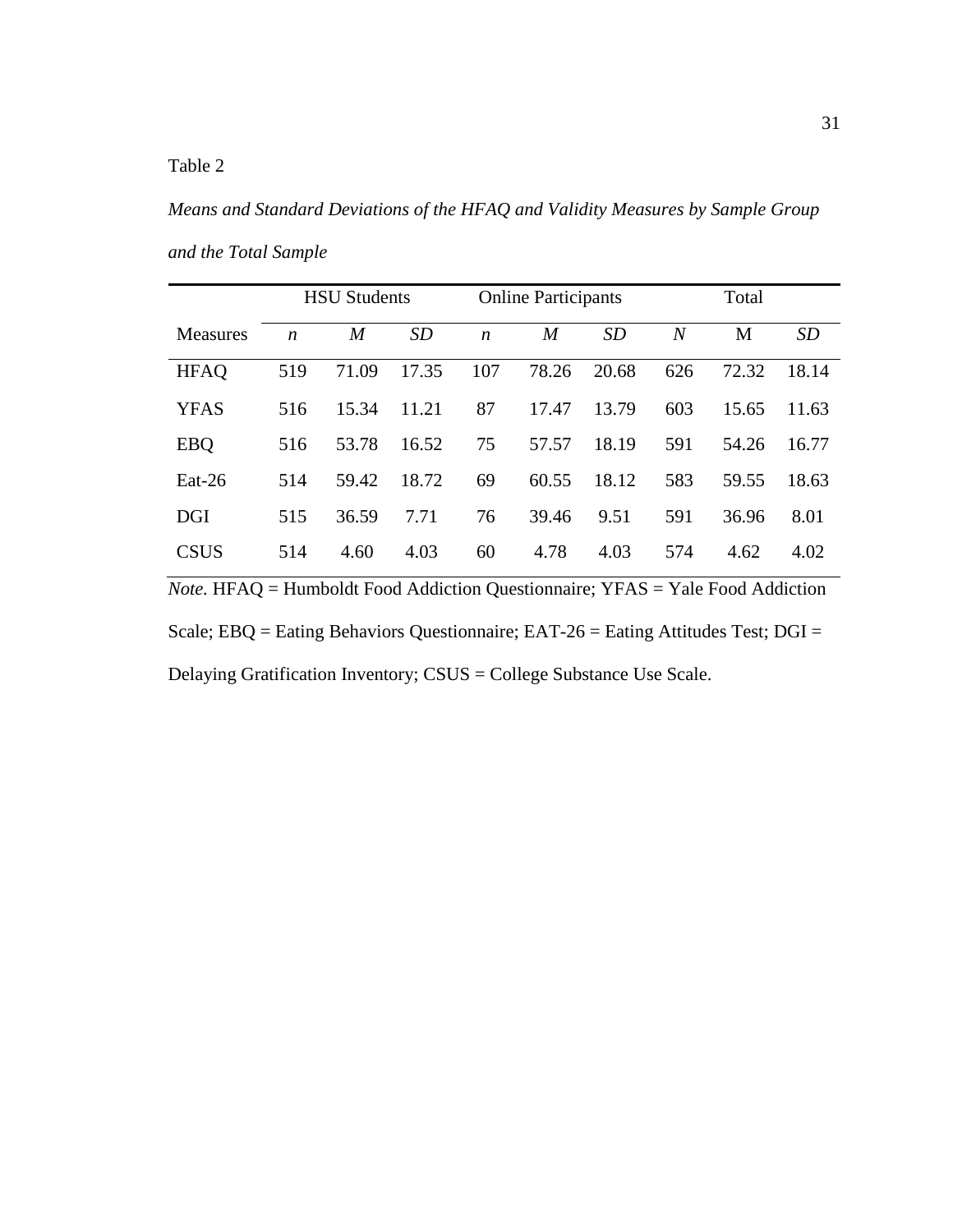*Means and Standard Deviations of the HFAQ and Validity Measures by Sample Group and the Total Sample*

|                 |                  | <b>HSU Students</b> |       | <b>Online Participants</b> |                | Total |                  |       |       |
|-----------------|------------------|---------------------|-------|----------------------------|----------------|-------|------------------|-------|-------|
| <b>Measures</b> | $\boldsymbol{n}$ | $\boldsymbol{M}$    | SD    | $\boldsymbol{n}$           | $\overline{M}$ | SD    | $\boldsymbol{N}$ | М     | SD    |
| <b>HFAQ</b>     | 519              | 71.09               | 17.35 | 107                        | 78.26          | 20.68 | 626              | 72.32 | 18.14 |
| <b>YFAS</b>     | 516              | 15.34               | 11.21 | 87                         | 17.47          | 13.79 | 603              | 15.65 | 11.63 |
| <b>EBQ</b>      | 516              | 53.78               | 16.52 | 75                         | 57.57          | 18.19 | 591              | 54.26 | 16.77 |
| $Eat-26$        | 514              | 59.42               | 18.72 | 69                         | 60.55          | 18.12 | 583              | 59.55 | 18.63 |
| <b>DGI</b>      | 515              | 36.59               | 7.71  | 76                         | 39.46          | 9.51  | 591              | 36.96 | 8.01  |
| <b>CSUS</b>     | 514              | 4.60                | 4.03  | 60                         | 4.78           | 4.03  | 574              | 4.62  | 4.02  |

*Note.* HFAQ = Humboldt Food Addiction Questionnaire; YFAS = Yale Food Addiction Scale; EBQ = Eating Behaviors Questionnaire; EAT-26 = Eating Attitudes Test; DGI = Delaying Gratification Inventory; CSUS = College Substance Use Scale.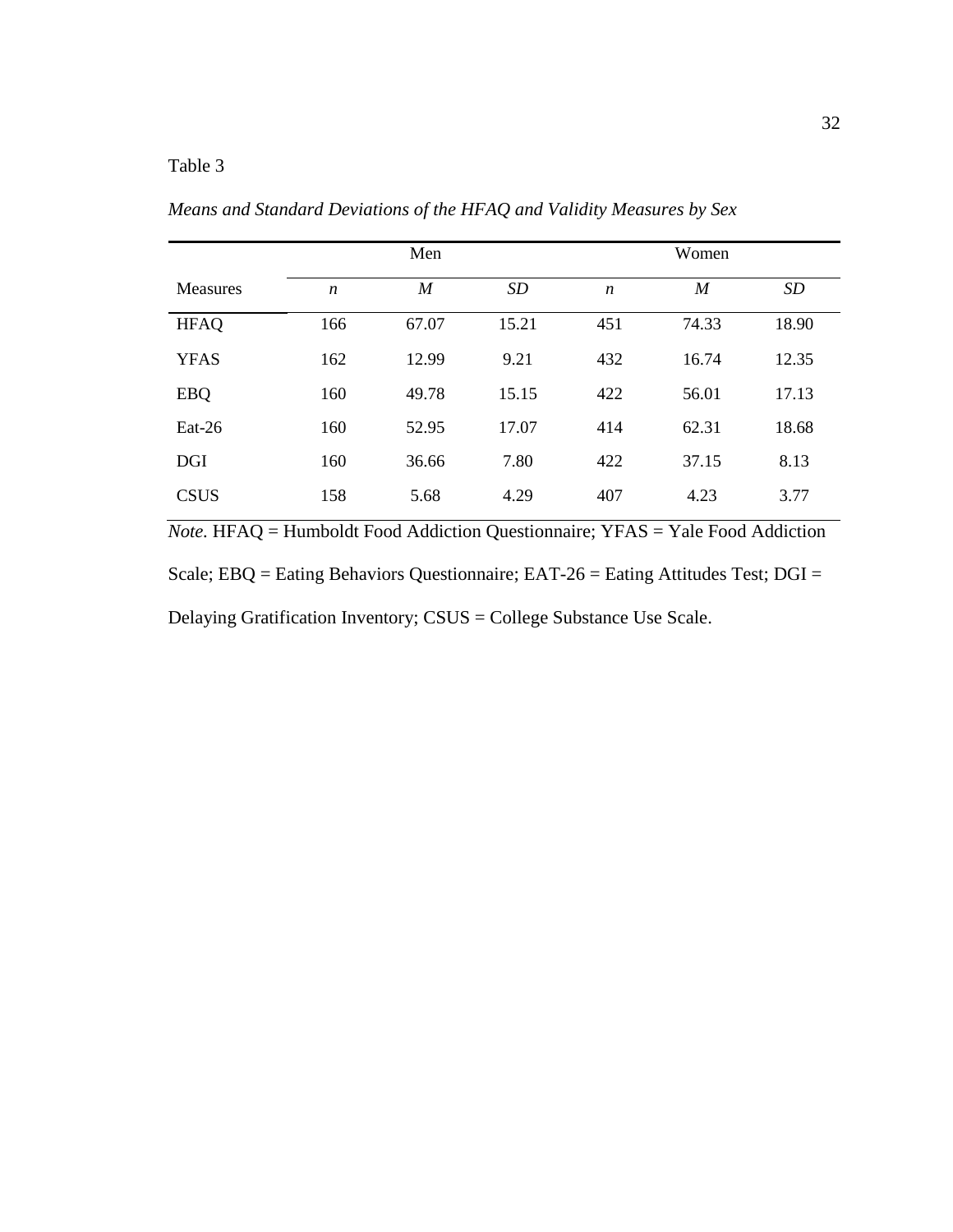# Table 3

*Means and Standard Deviations of the HFAQ and Validity Measures by Sex*

|                    |                  | Men              |       |                  | Women            |       |
|--------------------|------------------|------------------|-------|------------------|------------------|-------|
| <b>Measures</b>    | $\boldsymbol{n}$ | $\boldsymbol{M}$ | SD    | $\boldsymbol{n}$ | $\boldsymbol{M}$ | SD    |
| <b>HFAQ</b>        | 166              | 67.07            | 15.21 | 451              | 74.33            | 18.90 |
| <b>YFAS</b>        | 162              | 12.99            | 9.21  | 432              | 16.74            | 12.35 |
| <b>EBQ</b>         | 160              | 49.78            | 15.15 | 422              | 56.01            | 17.13 |
| $_{\text{Eat-26}}$ | 160              | 52.95            | 17.07 | 414              | 62.31            | 18.68 |
| <b>DGI</b>         | 160              | 36.66            | 7.80  | 422              | 37.15            | 8.13  |
| <b>CSUS</b>        | 158              | 5.68             | 4.29  | 407              | 4.23             | 3.77  |

*Note.* HFAQ = Humboldt Food Addiction Questionnaire; YFAS = Yale Food Addiction Scale; EBQ = Eating Behaviors Questionnaire; EAT-26 = Eating Attitudes Test; DGI = Delaying Gratification Inventory; CSUS = College Substance Use Scale.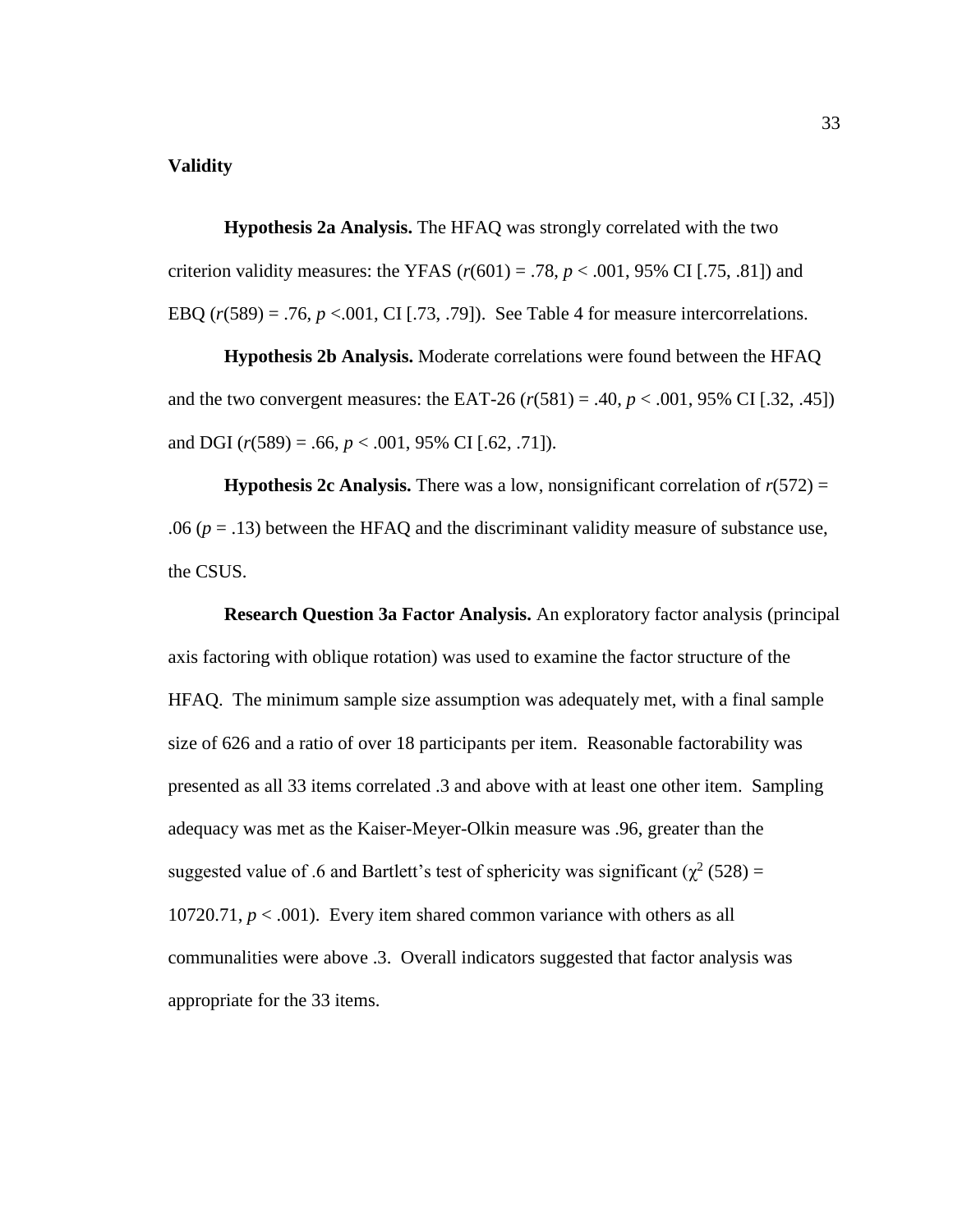#### **Validity**

**Hypothesis 2a Analysis.** The HFAQ was strongly correlated with the two criterion validity measures: the YFAS  $(r(601) = .78, p < .001, 95\% \text{ CI}$  [.75, .81]) and EBQ  $(r(589) = .76, p < .001, CI$  [.73, .79]). See Table 4 for measure intercorrelations.

**Hypothesis 2b Analysis.** Moderate correlations were found between the HFAQ and the two convergent measures: the EAT-26  $(r(581) = .40, p < .001, 95\% \text{ CI}$  [.32, .45]) and DGI (*r*(589) = .66, *p* < .001, 95% CI [.62, .71]).

**Hypothesis 2c Analysis.** There was a low, nonsignificant correlation of  $r(572)$  = .06  $(p = .13)$  between the HFAQ and the discriminant validity measure of substance use, the CSUS.

**Research Question 3a Factor Analysis.** An exploratory factor analysis (principal axis factoring with oblique rotation) was used to examine the factor structure of the HFAQ. The minimum sample size assumption was adequately met, with a final sample size of 626 and a ratio of over 18 participants per item.Reasonable factorability was presented as all 33 items correlated .3 and above with at least one other item. Sampling adequacy was met as the Kaiser-Meyer-Olkin measure was .96, greater than the suggested value of .6 and Bartlett's test of sphericity was significant ( $\chi^2$  (528) = 10720.71,  $p < .001$ ). Every item shared common variance with others as all communalities were above .3. Overall indicators suggested that factor analysis was appropriate for the 33 items.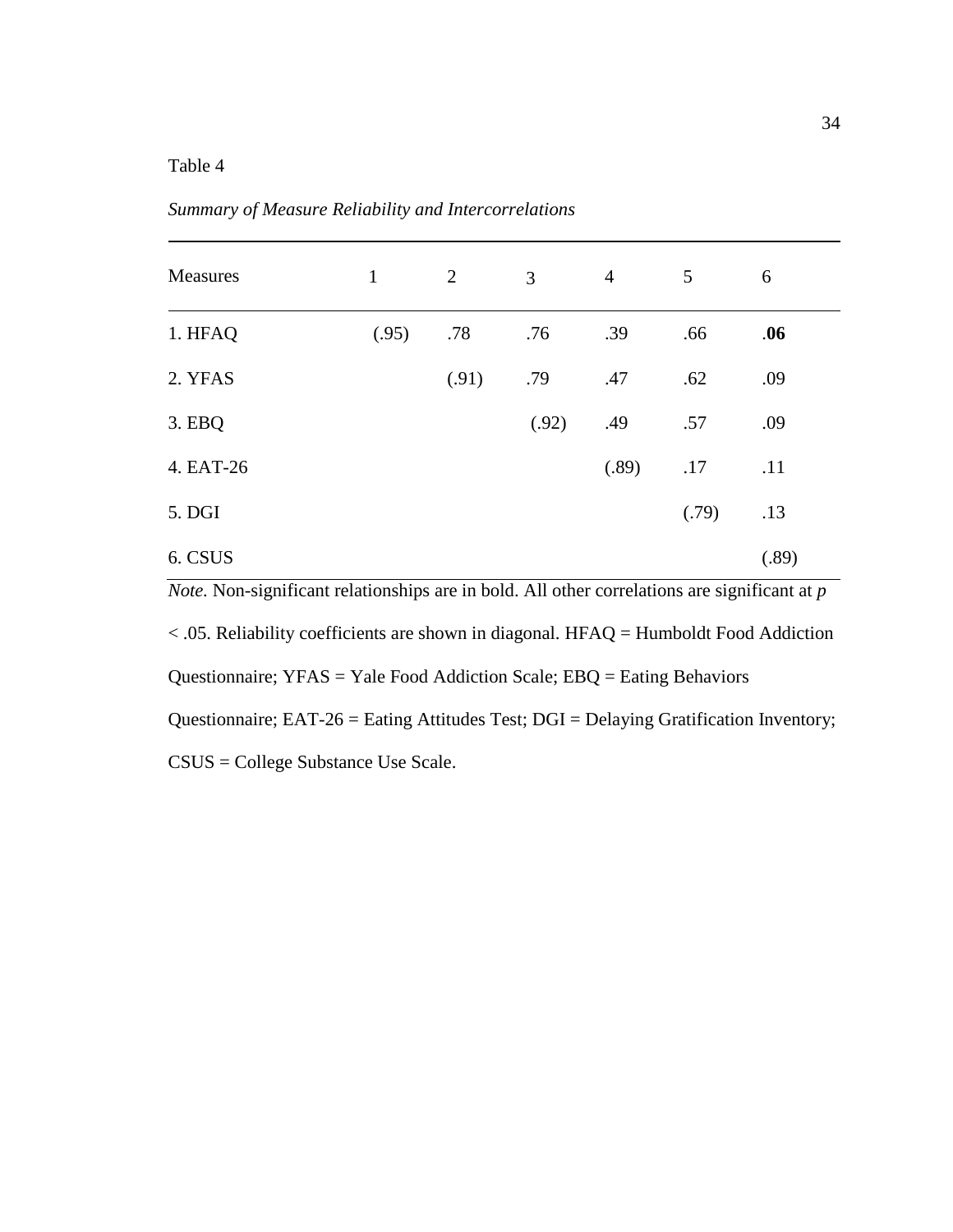# Table 4

| Measures  | $\mathbf{1}$ | $\overline{2}$ | 3     | $\overline{4}$ | 5     | 6     |
|-----------|--------------|----------------|-------|----------------|-------|-------|
| 1. HFAQ   | (.95)        | .78            | .76   | .39            | .66   | .06   |
| 2. YFAS   |              | (.91)          | .79   | .47            | .62   | .09   |
| 3. EBQ    |              |                | (.92) | .49            | .57   | .09   |
| 4. EAT-26 |              |                |       | (.89)          | .17   | .11   |
| 5. DGI    |              |                |       |                | (.79) | .13   |
| 6. CSUS   |              |                |       |                |       | (.89) |

*Summary of Measure Reliability and Intercorrelations*

*Note.* Non-significant relationships are in bold. All other correlations are significant at *p* < .05. Reliability coefficients are shown in diagonal. HFAQ = Humboldt Food Addiction Questionnaire; YFAS = Yale Food Addiction Scale; EBQ = Eating Behaviors Questionnaire; EAT-26 = Eating Attitudes Test; DGI = Delaying Gratification Inventory; CSUS = College Substance Use Scale.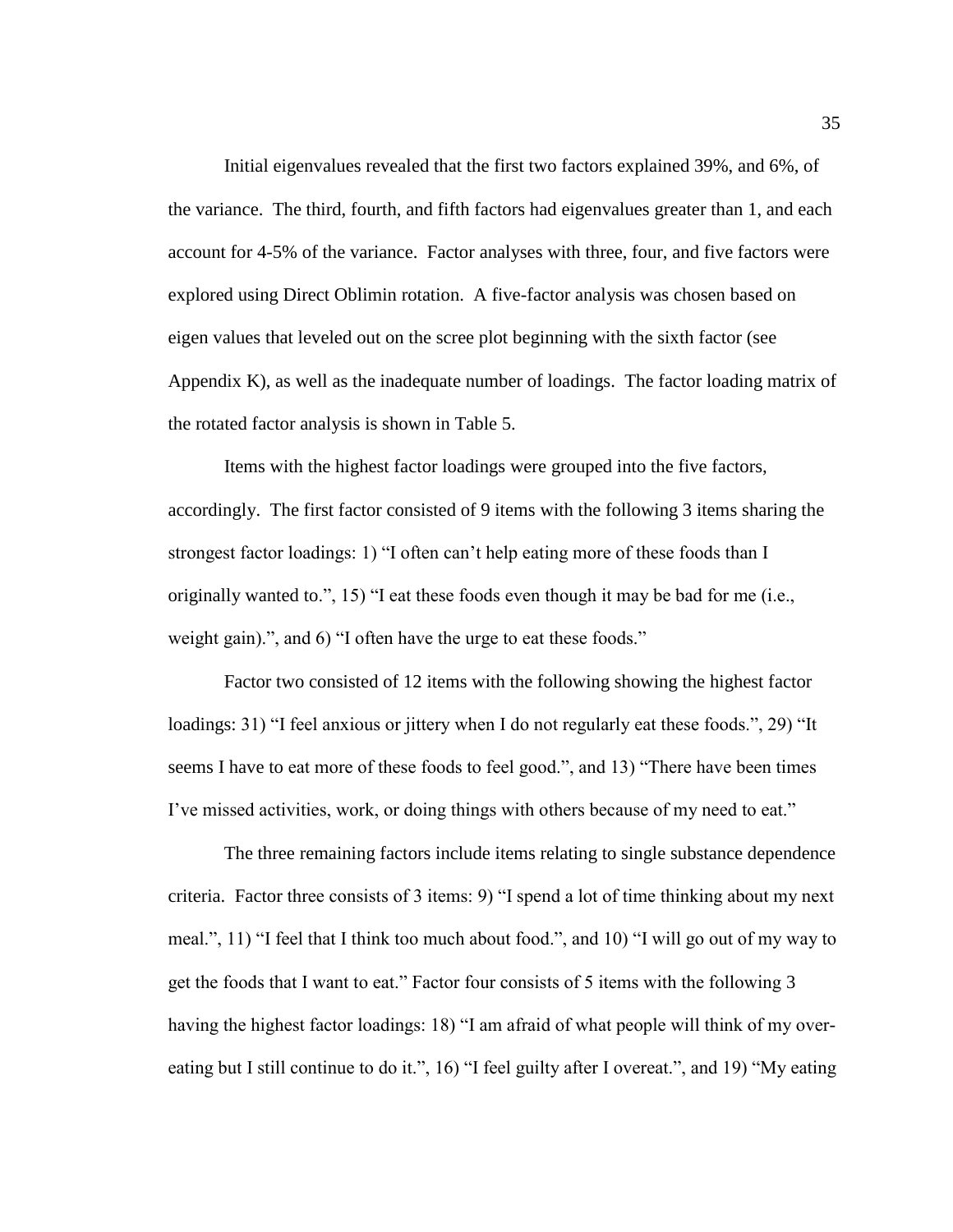Initial eigenvalues revealed that the first two factors explained 39%, and 6%, of the variance. The third, fourth, and fifth factors had eigenvalues greater than 1, and each account for 4-5% of the variance. Factor analyses with three, four, and five factors were explored using Direct Oblimin rotation. A five-factor analysis was chosen based on eigen values that leveled out on the scree plot beginning with the sixth factor (see Appendix K), as well as the inadequate number of loadings. The factor loading matrix of the rotated factor analysis is shown in Table 5.

Items with the highest factor loadings were grouped into the five factors, accordingly. The first factor consisted of 9 items with the following 3 items sharing the strongest factor loadings: 1) "I often can't help eating more of these foods than I originally wanted to.", 15) "I eat these foods even though it may be bad for me (i.e., weight gain).", and 6) "I often have the urge to eat these foods."

Factor two consisted of 12 items with the following showing the highest factor loadings: 31) "I feel anxious or jittery when I do not regularly eat these foods.", 29) "It seems I have to eat more of these foods to feel good.", and 13) "There have been times I've missed activities, work, or doing things with others because of my need to eat."

The three remaining factors include items relating to single substance dependence criteria. Factor three consists of 3 items: 9) "I spend a lot of time thinking about my next meal.", 11) "I feel that I think too much about food.", and 10) "I will go out of my way to get the foods that I want to eat." Factor four consists of 5 items with the following 3 having the highest factor loadings: 18) "I am afraid of what people will think of my overeating but I still continue to do it.", 16) "I feel guilty after I overeat.", and 19) "My eating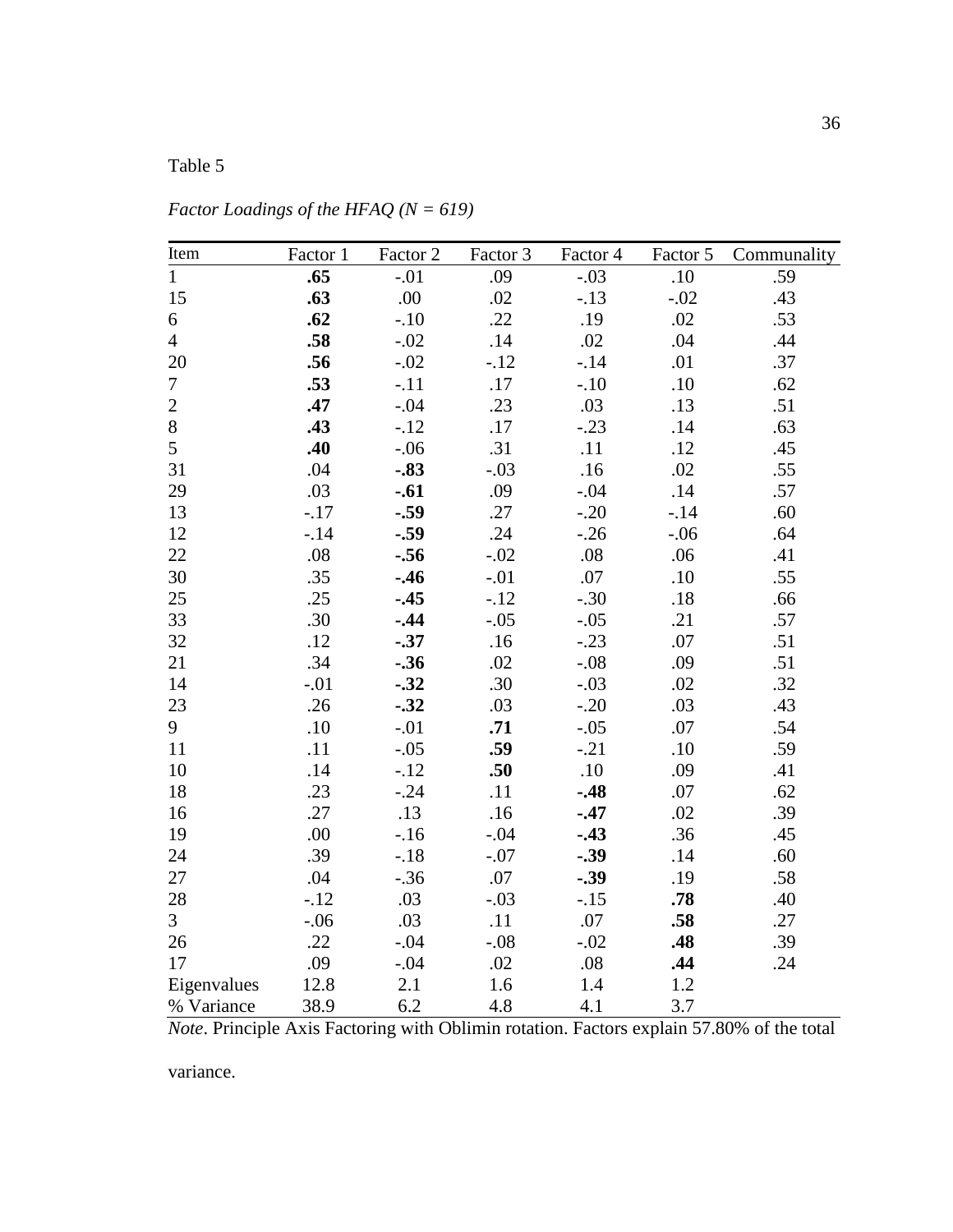# Table 5

| Item           | Factor 1 | Factor 2 | Factor 3 | Factor 4 | Factor 5 | Communality |
|----------------|----------|----------|----------|----------|----------|-------------|
| $\mathbf{1}$   | .65      | $-.01$   | .09      | $-.03$   | $.10\,$  | .59         |
| 15             | .63      | .00      | .02      | $-.13$   | $-.02$   | .43         |
| 6              | .62      | $-.10$   | .22      | .19      | .02      | .53         |
| $\overline{4}$ | .58      | $-.02$   | .14      | .02      | .04      | .44         |
| 20             | .56      | $-.02$   | $-.12$   | $-.14$   | .01      | .37         |
| $\tau$         | .53      | $-.11$   | .17      | $-.10$   | $.10\,$  | .62         |
| $\overline{2}$ | .47      | $-.04$   | .23      | .03      | .13      | .51         |
| $8\,$          | .43      | $-.12$   | .17      | $-.23$   | .14      | .63         |
| 5              | .40      | $-.06$   | .31      | .11      | .12      | .45         |
| 31             | .04      | $-.83$   | $-.03$   | .16      | .02      | .55         |
| 29             | .03      | $-.61$   | .09      | $-.04$   | .14      | .57         |
| 13             | $-.17$   | $-.59$   | .27      | $-.20$   | $-.14$   | .60         |
| 12             | $-.14$   | $-.59$   | .24      | $-.26$   | $-.06$   | .64         |
| 22             | .08      | $-.56$   | $-.02$   | .08      | .06      | .41         |
| 30             | .35      | $-.46$   | $-.01$   | .07      | .10      | .55         |
| 25             | .25      | $-.45$   | $-.12$   | $-.30$   | .18      | .66         |
| 33             | .30      | $-.44$   | $-.05$   | $-.05$   | .21      | .57         |
| 32             | .12      | $-.37$   | .16      | $-.23$   | .07      | .51         |
| 21             | .34      | $-.36$   | .02      | $-.08$   | .09      | .51         |
| 14             | $-.01$   | $-.32$   | .30      | $-.03$   | .02      | .32         |
| 23             | .26      | $-.32$   | .03      | $-.20$   | .03      | .43         |
| 9              | .10      | $-.01$   | .71      | $-.05$   | .07      | .54         |
| 11             | .11      | $-.05$   | .59      | $-.21$   | .10      | .59         |
| 10             | .14      | $-.12$   | .50      | .10      | .09      | .41         |
| 18             | .23      | $-.24$   | .11      | $-.48$   | .07      | .62         |
| 16             | .27      | .13      | .16      | $-.47$   | .02      | .39         |
| 19             | .00      | $-.16$   | $-.04$   | $-.43$   | .36      | .45         |
| 24             | .39      | $-.18$   | $-.07$   | $-.39$   | .14      | .60         |
| 27             | .04      | $-.36$   | .07      | $-.39$   | .19      | .58         |
| 28             | $-.12$   | .03      | $-.03$   | $-.15$   | .78      | .40         |
| $\overline{3}$ | $-.06$   | .03      | .11      | .07      | .58      | .27         |
| 26             | .22      | $-.04$   | $-.08$   | $-.02$   | .48      | .39         |
| 17             | .09      | $-.04$   | .02      | .08      | .44      | .24         |
| Eigenvalues    | 12.8     | 2.1      | 1.6      | 1.4      | 1.2      |             |
| % Variance     | 38.9     | 6.2      | 4.8      | 4.1      | 3.7      |             |

*Factor Loadings of the HFAQ (N = 619)*

*Note*. Principle Axis Factoring with Oblimin rotation. Factors explain 57.80% of the total

variance.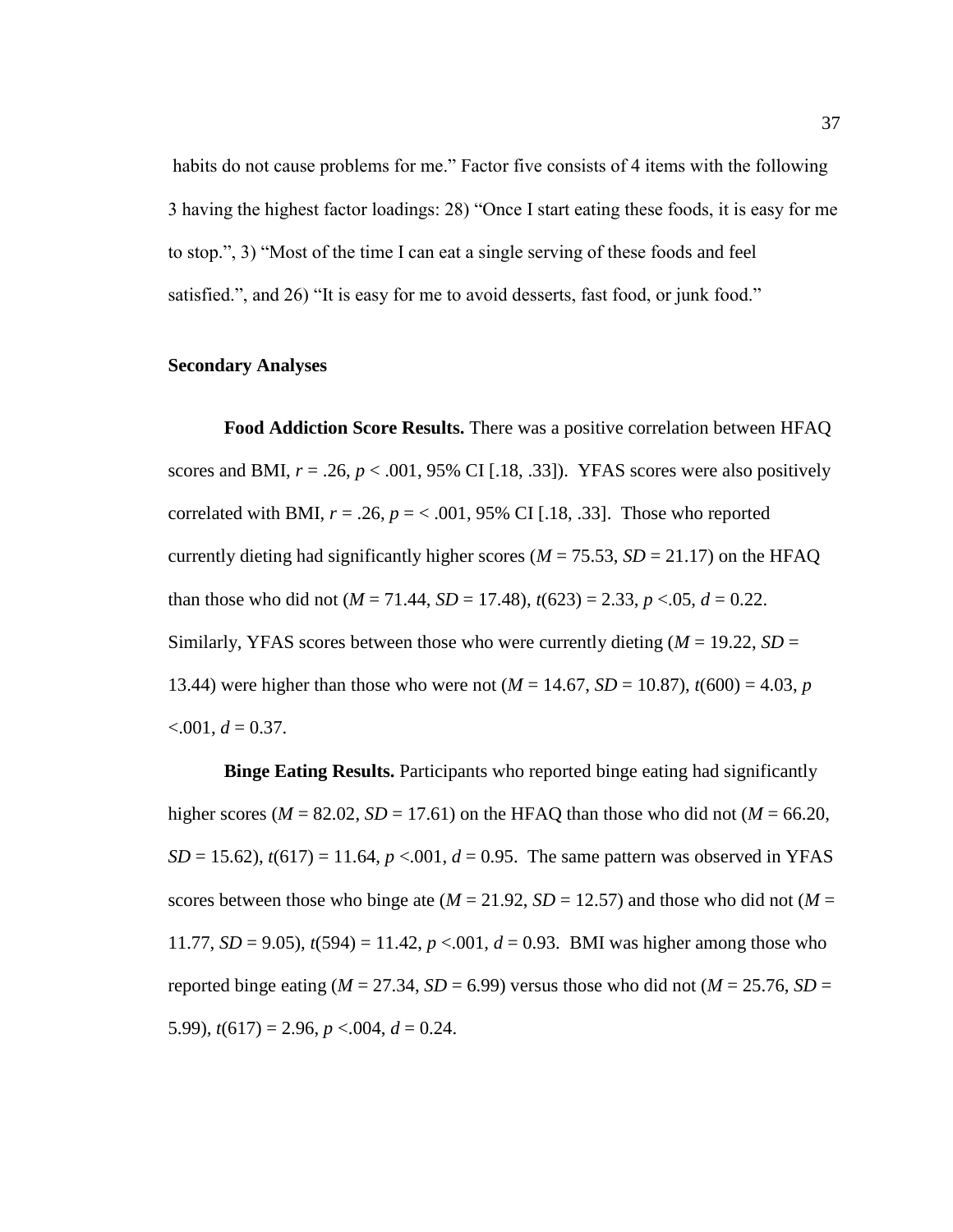habits do not cause problems for me." Factor five consists of 4 items with the following 3 having the highest factor loadings: 28) "Once I start eating these foods, it is easy for me to stop.", 3) "Most of the time I can eat a single serving of these foods and feel satisfied.", and 26) "It is easy for me to avoid desserts, fast food, or junk food."

### **Secondary Analyses**

**Food Addiction Score Results.** There was a positive correlation between HFAQ scores and BMI,  $r = .26$ ,  $p < .001$ , 95% CI [.18, .33]). YFAS scores were also positively correlated with BMI,  $r = .26$ ,  $p = < .001$ , 95% CI [.18, .33]. Those who reported currently dieting had significantly higher scores ( $M = 75.53$ ,  $SD = 21.17$ ) on the HFAQ than those who did not  $(M = 71.44, SD = 17.48)$ ,  $t(623) = 2.33, p < .05, d = 0.22$ . Similarly, YFAS scores between those who were currently dieting  $(M = 19.22, SD =$ 13.44) were higher than those who were not  $(M = 14.67, SD = 10.87)$ ,  $t(600) = 4.03, p$  $< 0.001, d = 0.37$ .

**Binge Eating Results.** Participants who reported binge eating had significantly higher scores ( $M = 82.02$ ,  $SD = 17.61$ ) on the HFAQ than those who did not ( $M = 66.20$ , *SD* = 15.62),  $t(617) = 11.64$ ,  $p < .001$ ,  $d = 0.95$ . The same pattern was observed in YFAS scores between those who binge ate ( $M = 21.92$ ,  $SD = 12.57$ ) and those who did not ( $M =$ 11.77,  $SD = 9.05$ ),  $t(594) = 11.42$ ,  $p < .001$ ,  $d = 0.93$ . BMI was higher among those who reported binge eating ( $M = 27.34$ ,  $SD = 6.99$ ) versus those who did not ( $M = 25.76$ ,  $SD =$ 5.99),  $t(617) = 2.96$ ,  $p < .004$ ,  $d = 0.24$ .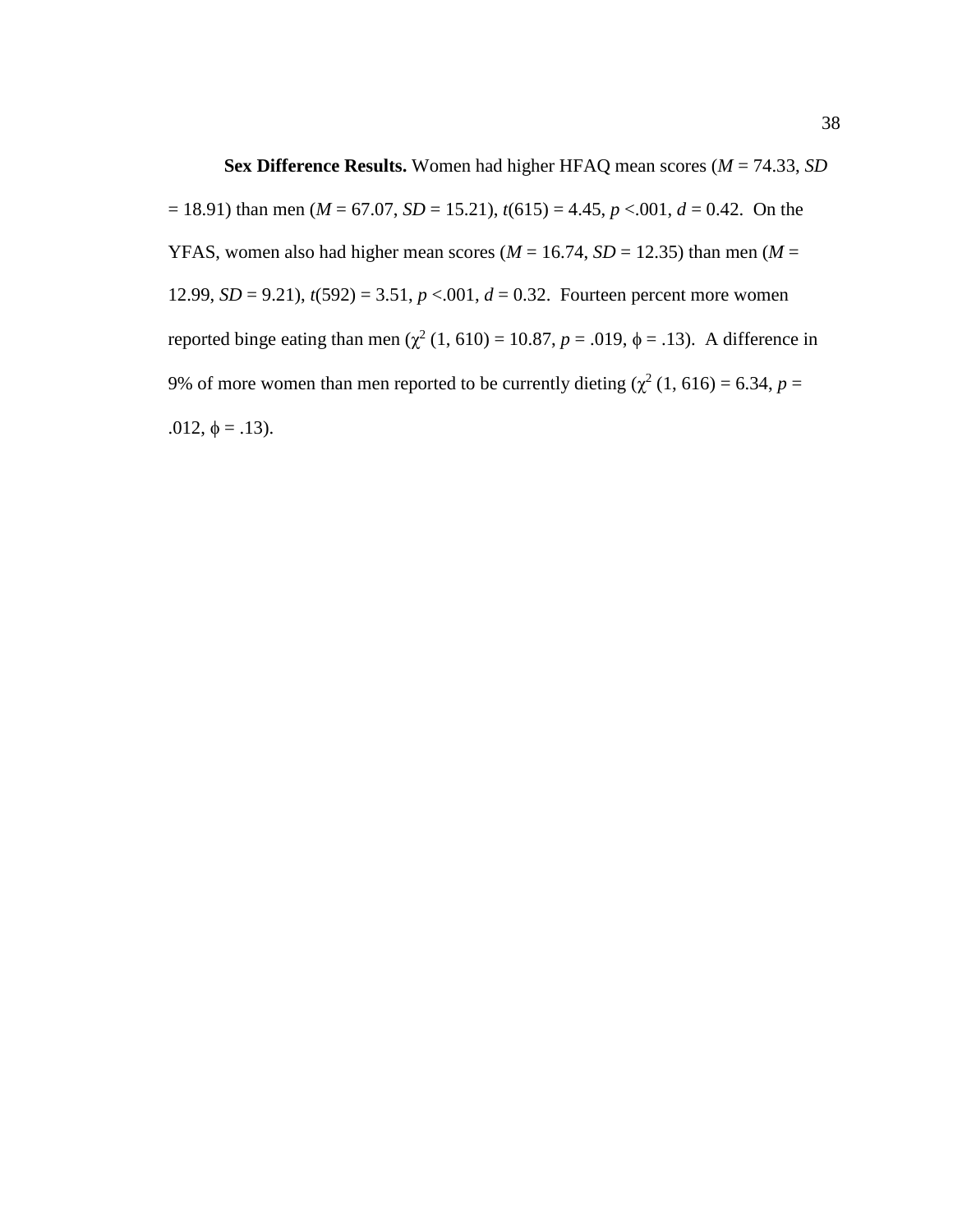**Sex Difference Results.** Women had higher HFAQ mean scores (*M* = 74.33, *SD*  $= 18.91$ ) than men (*M* = 67.07, *SD* = 15.21),  $t(615) = 4.45$ ,  $p < .001$ ,  $d = 0.42$ . On the YFAS, women also had higher mean scores ( $M = 16.74$ ,  $SD = 12.35$ ) than men ( $M =$ 12.99,  $SD = 9.21$ ),  $t(592) = 3.51$ ,  $p < .001$ ,  $d = 0.32$ . Fourteen percent more women reported binge eating than men ( $\chi^2$  (1, 610) = 10.87, *p* = .019,  $\phi$  = .13). A difference in 9% of more women than men reported to be currently dieting  $(\chi^2(1, 616) = 6.34, p =$ .012,  $\phi = .13$ ).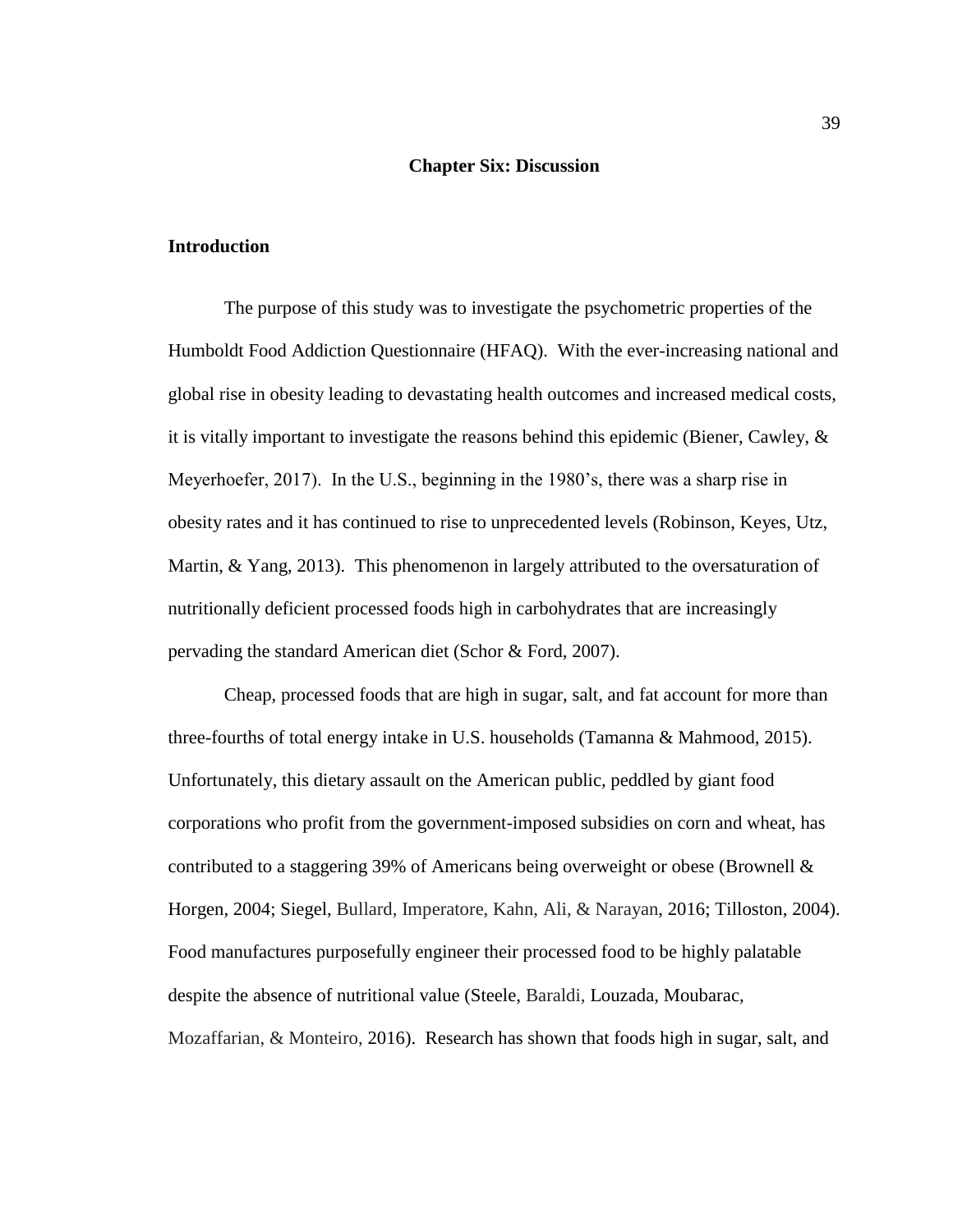#### **Chapter Six: Discussion**

### **Introduction**

The purpose of this study was to investigate the psychometric properties of the Humboldt Food Addiction Questionnaire (HFAQ). With the ever-increasing national and global rise in obesity leading to devastating health outcomes and increased medical costs, it is vitally important to investigate the reasons behind this epidemic (Biener, Cawley, & Meyerhoefer, 2017). In the U.S., beginning in the 1980's, there was a sharp rise in obesity rates and it has continued to rise to unprecedented levels (Robinson, Keyes, Utz, Martin, & Yang, 2013). This phenomenon in largely attributed to the oversaturation of nutritionally deficient processed foods high in carbohydrates that are increasingly pervading the standard American diet (Schor & Ford, 2007).

Cheap, processed foods that are high in sugar, salt, and fat account for more than three-fourths of total energy intake in U.S. households (Tamanna & Mahmood, 2015). Unfortunately, this dietary assault on the American public, peddled by giant food corporations who profit from the government-imposed subsidies on corn and wheat, has contributed to a staggering 39% of Americans being overweight or obese (Brownell & Horgen, 2004; Siegel, Bullard, Imperatore, Kahn, Ali, & Narayan, 2016; Tilloston, 2004). Food manufactures purposefully engineer their processed food to be highly palatable despite the absence of nutritional value (Steele, Baraldi, Louzada, Moubarac, Mozaffarian, & Monteiro, 2016). Research has shown that foods high in sugar, salt, and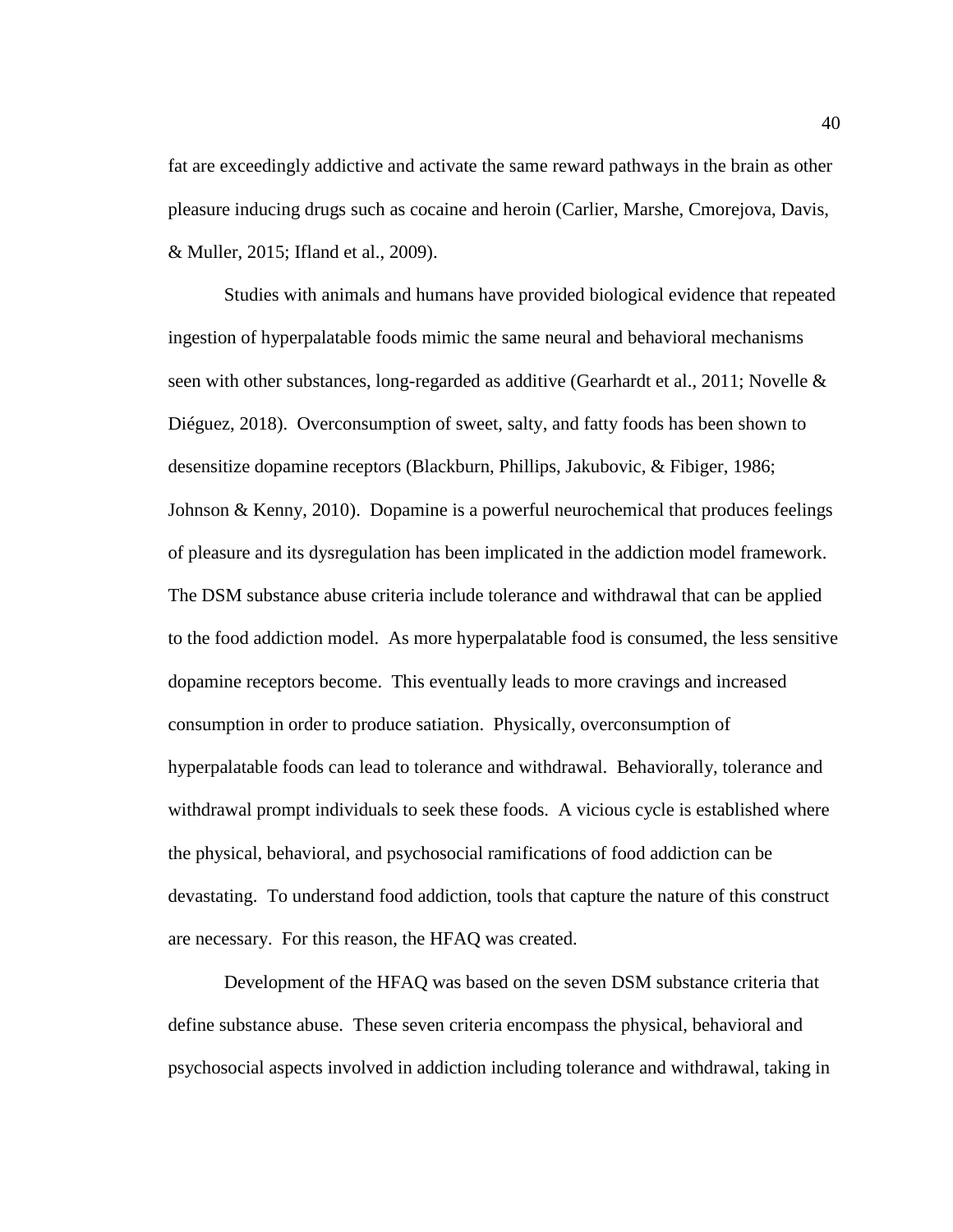fat are exceedingly addictive and activate the same reward pathways in the brain as other pleasure inducing drugs such as cocaine and heroin (Carlier, Marshe, Cmorejova, Davis, & Muller, 2015; Ifland et al., 2009).

Studies with animals and humans have provided biological evidence that repeated ingestion of hyperpalatable foods mimic the same neural and behavioral mechanisms seen with other substances, long-regarded as additive (Gearhardt et al., 2011; Novelle  $\&$ Diéguez, 2018). Overconsumption of sweet, salty, and fatty foods has been shown to desensitize dopamine receptors (Blackburn, Phillips, Jakubovic, & Fibiger, 1986; Johnson & Kenny, 2010). Dopamine is a powerful neurochemical that produces feelings of pleasure and its dysregulation has been implicated in the addiction model framework. The DSM substance abuse criteria include tolerance and withdrawal that can be applied to the food addiction model. As more hyperpalatable food is consumed, the less sensitive dopamine receptors become. This eventually leads to more cravings and increased consumption in order to produce satiation. Physically, overconsumption of hyperpalatable foods can lead to tolerance and withdrawal. Behaviorally, tolerance and withdrawal prompt individuals to seek these foods. A vicious cycle is established where the physical, behavioral, and psychosocial ramifications of food addiction can be devastating. To understand food addiction, tools that capture the nature of this construct are necessary. For this reason, the HFAQ was created.

Development of the HFAQ was based on the seven DSM substance criteria that define substance abuse. These seven criteria encompass the physical, behavioral and psychosocial aspects involved in addiction including tolerance and withdrawal, taking in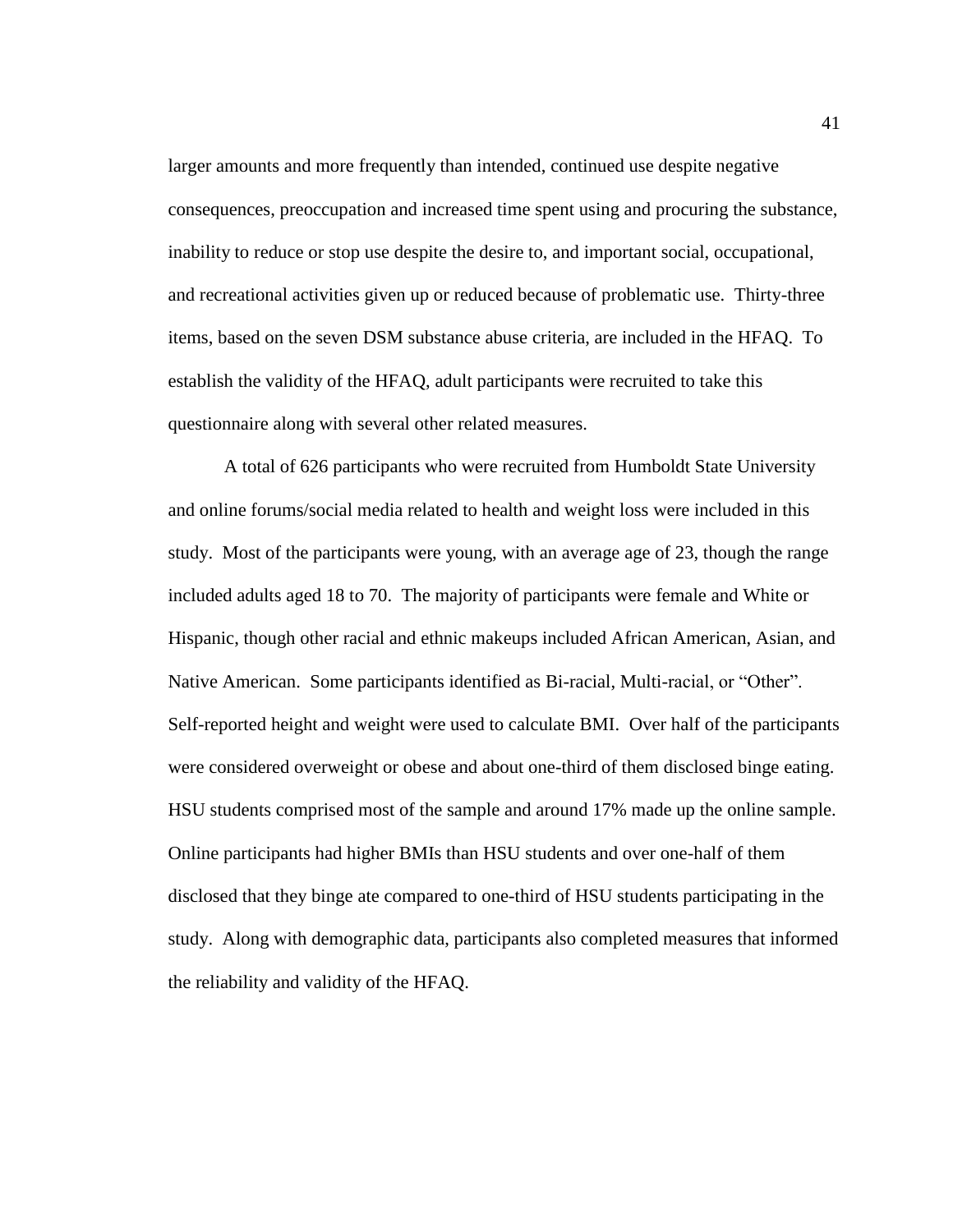larger amounts and more frequently than intended, continued use despite negative consequences, preoccupation and increased time spent using and procuring the substance, inability to reduce or stop use despite the desire to, and important social, occupational, and recreational activities given up or reduced because of problematic use. Thirty-three items, based on the seven DSM substance abuse criteria, are included in the HFAQ. To establish the validity of the HFAQ, adult participants were recruited to take this questionnaire along with several other related measures.

A total of 626 participants who were recruited from Humboldt State University and online forums/social media related to health and weight loss were included in this study. Most of the participants were young, with an average age of 23, though the range included adults aged 18 to 70. The majority of participants were female and White or Hispanic, though other racial and ethnic makeups included African American, Asian, and Native American. Some participants identified as Bi-racial, Multi-racial, or "Other". Self-reported height and weight were used to calculate BMI. Over half of the participants were considered overweight or obese and about one-third of them disclosed binge eating. HSU students comprised most of the sample and around 17% made up the online sample. Online participants had higher BMIs than HSU students and over one-half of them disclosed that they binge ate compared to one-third of HSU students participating in the study. Along with demographic data, participants also completed measures that informed the reliability and validity of the HFAQ.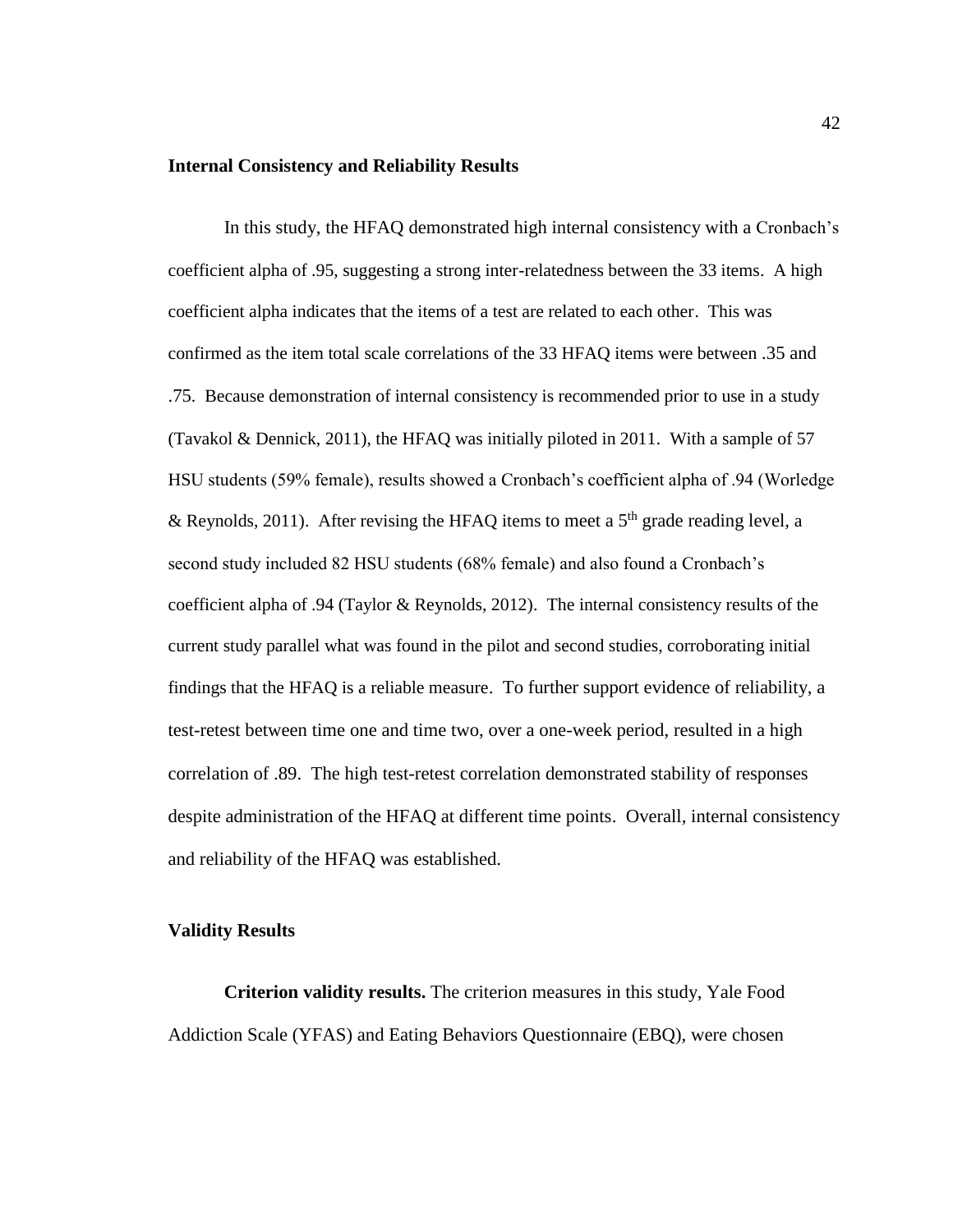#### **Internal Consistency and Reliability Results**

In this study, the HFAQ demonstrated high internal consistency with a Cronbach's coefficient alpha of .95, suggesting a strong inter-relatedness between the 33 items. A high coefficient alpha indicates that the items of a test are related to each other. This was confirmed as the item total scale correlations of the 33 HFAQ items were between .35 and .75. Because demonstration of internal consistency is recommended prior to use in a study (Tavakol & Dennick, 2011), the HFAQ was initially piloted in 2011. With a sample of 57 HSU students (59% female), results showed a Cronbach's coefficient alpha of .94 (Worledge & Reynolds, 2011). After revising the HFAQ items to meet a  $5<sup>th</sup>$  grade reading level, a second study included 82 HSU students (68% female) and also found a Cronbach's coefficient alpha of .94 (Taylor & Reynolds, 2012). The internal consistency results of the current study parallel what was found in the pilot and second studies, corroborating initial findings that the HFAQ is a reliable measure. To further support evidence of reliability, a test-retest between time one and time two, over a one-week period, resulted in a high correlation of .89. The high test-retest correlation demonstrated stability of responses despite administration of the HFAQ at different time points. Overall, internal consistency and reliability of the HFAQ was established.

#### **Validity Results**

**Criterion validity results.** The criterion measures in this study, Yale Food Addiction Scale (YFAS) and Eating Behaviors Questionnaire (EBQ), were chosen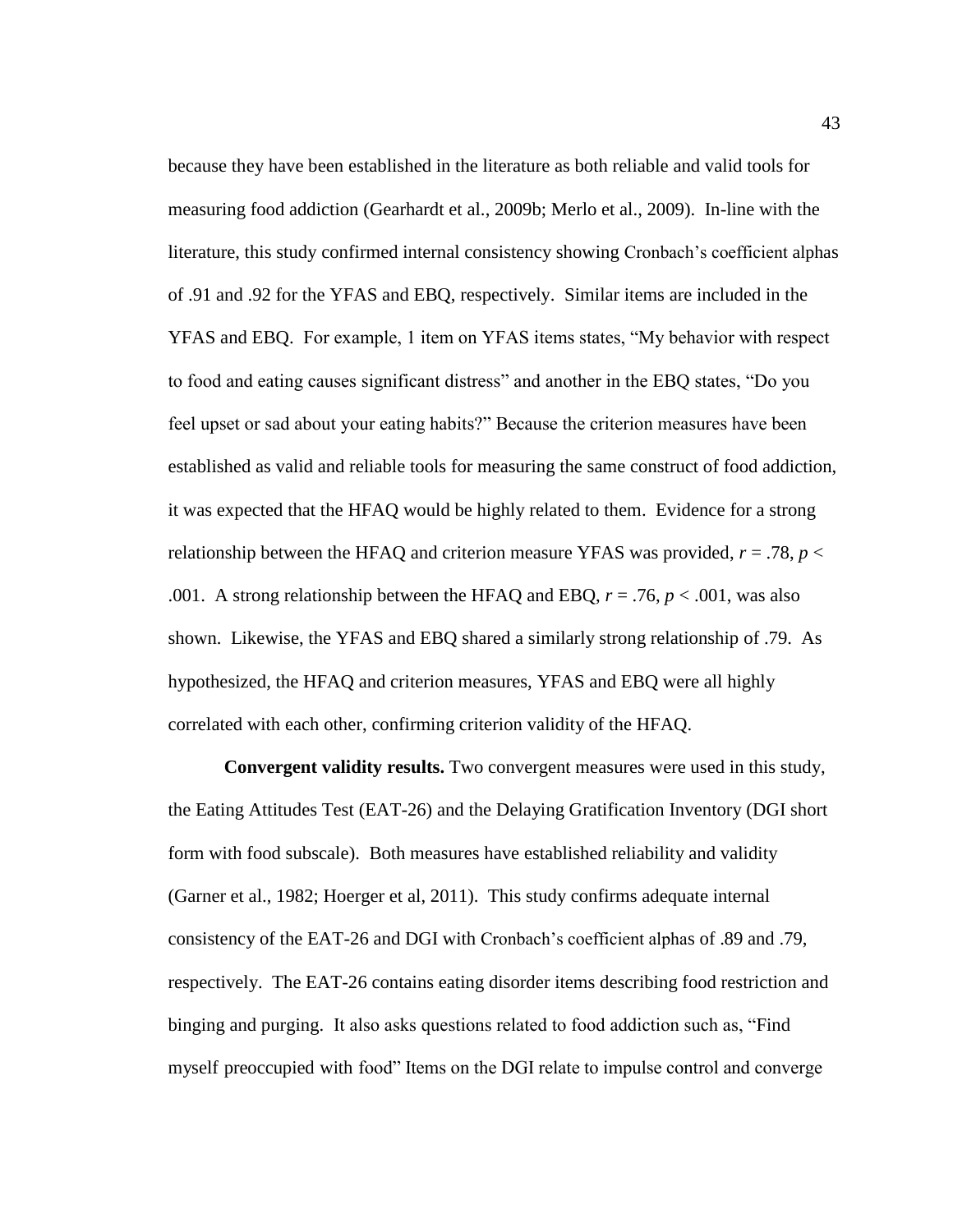because they have been established in the literature as both reliable and valid tools for measuring food addiction (Gearhardt et al., 2009b; Merlo et al., 2009). In-line with the literature, this study confirmed internal consistency showing Cronbach's coefficient alphas of .91 and .92 for the YFAS and EBQ, respectively. Similar items are included in the YFAS and EBQ. For example, 1 item on YFAS items states, "My behavior with respect to food and eating causes significant distress" and another in the EBQ states, "Do you feel upset or sad about your eating habits?" Because the criterion measures have been established as valid and reliable tools for measuring the same construct of food addiction, it was expected that the HFAQ would be highly related to them. Evidence for a strong relationship between the HFAQ and criterion measure YFAS was provided,  $r = .78$ ,  $p <$ .001. A strong relationship between the HFAQ and EBQ,  $r = .76$ ,  $p < .001$ , was also shown. Likewise, the YFAS and EBQ shared a similarly strong relationship of .79. As hypothesized, the HFAQ and criterion measures, YFAS and EBQ were all highly correlated with each other, confirming criterion validity of the HFAQ.

**Convergent validity results.** Two convergent measures were used in this study, the Eating Attitudes Test (EAT-26) and the Delaying Gratification Inventory (DGI short form with food subscale). Both measures have established reliability and validity (Garner et al., 1982; Hoerger et al, 2011). This study confirms adequate internal consistency of the EAT-26 and DGI with Cronbach's coefficient alphas of .89 and .79, respectively. The EAT-26 contains eating disorder items describing food restriction and binging and purging. It also asks questions related to food addiction such as, "Find myself preoccupied with food" Items on the DGI relate to impulse control and converge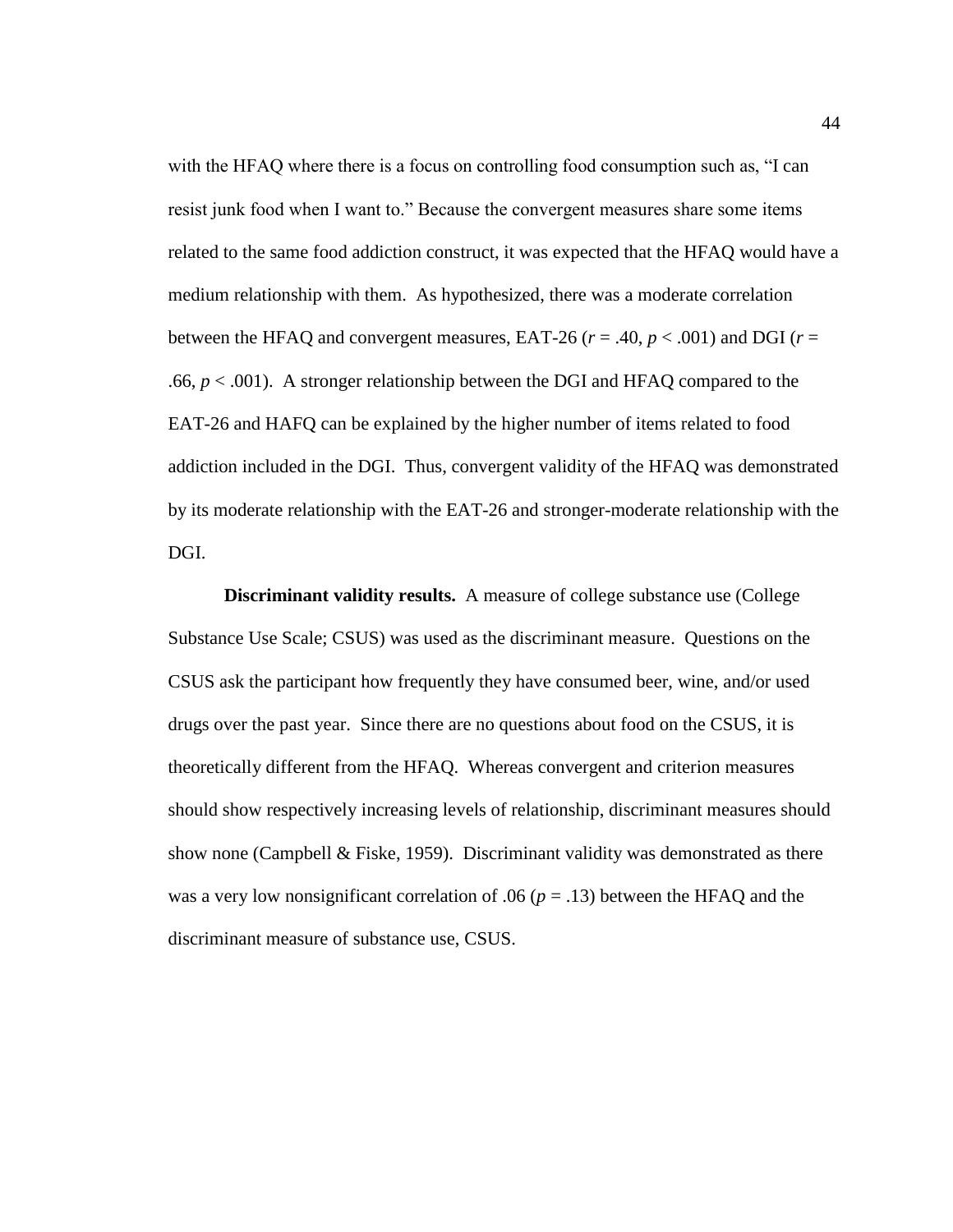with the HFAQ where there is a focus on controlling food consumption such as, "I can resist junk food when I want to." Because the convergent measures share some items related to the same food addiction construct, it was expected that the HFAQ would have a medium relationship with them. As hypothesized, there was a moderate correlation between the HFAQ and convergent measures, EAT-26 ( $r = .40$ ,  $p < .001$ ) and DGI ( $r =$ .66,  $p < .001$ ). A stronger relationship between the DGI and HFAQ compared to the EAT-26 and HAFQ can be explained by the higher number of items related to food addiction included in the DGI. Thus, convergent validity of the HFAQ was demonstrated by its moderate relationship with the EAT-26 and stronger-moderate relationship with the DGI.

**Discriminant validity results.** A measure of college substance use (College Substance Use Scale; CSUS) was used as the discriminant measure. Questions on the CSUS ask the participant how frequently they have consumed beer, wine, and/or used drugs over the past year. Since there are no questions about food on the CSUS, it is theoretically different from the HFAQ. Whereas convergent and criterion measures should show respectively increasing levels of relationship, discriminant measures should show none (Campbell & Fiske, 1959). Discriminant validity was demonstrated as there was a very low nonsignificant correlation of .06 ( $p = .13$ ) between the HFAQ and the discriminant measure of substance use, CSUS.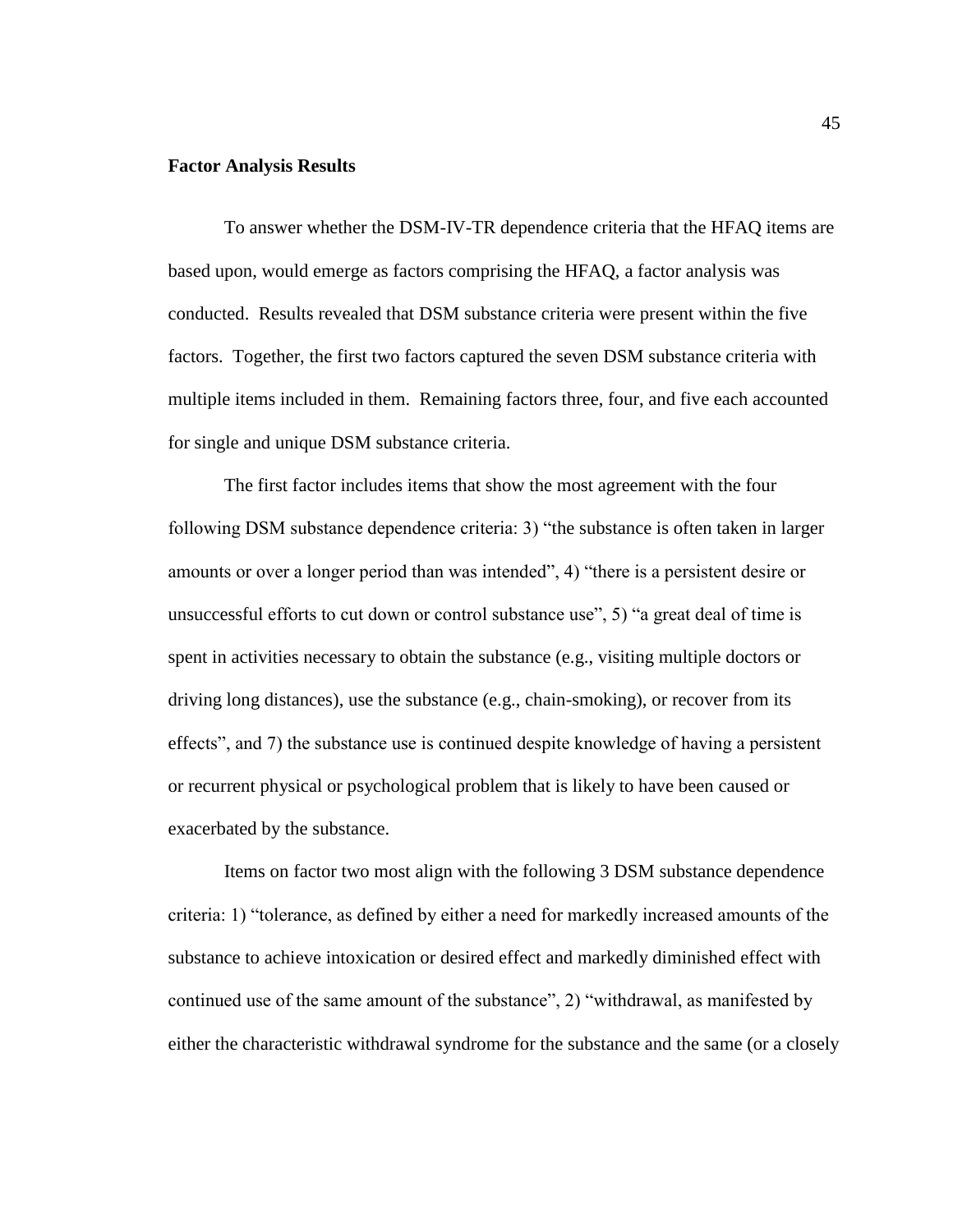## **Factor Analysis Results**

To answer whether the DSM-IV-TR dependence criteria that the HFAQ items are based upon, would emerge as factors comprising the HFAQ, a factor analysis was conducted. Results revealed that DSM substance criteria were present within the five factors. Together, the first two factors captured the seven DSM substance criteria with multiple items included in them. Remaining factors three, four, and five each accounted for single and unique DSM substance criteria.

The first factor includes items that show the most agreement with the four following DSM substance dependence criteria: 3) "the substance is often taken in larger amounts or over a longer period than was intended", 4) "there is a persistent desire or unsuccessful efforts to cut down or control substance use", 5) "a great deal of time is spent in activities necessary to obtain the substance (e.g., visiting multiple doctors or driving long distances), use the substance (e.g., chain-smoking), or recover from its effects", and 7) the substance use is continued despite knowledge of having a persistent or recurrent physical or psychological problem that is likely to have been caused or exacerbated by the substance.

Items on factor two most align with the following 3 DSM substance dependence criteria: 1) "tolerance, as defined by either a need for markedly increased amounts of the substance to achieve intoxication or desired effect and markedly diminished effect with continued use of the same amount of the substance", 2) "withdrawal, as manifested by either the characteristic withdrawal syndrome for the substance and the same (or a closely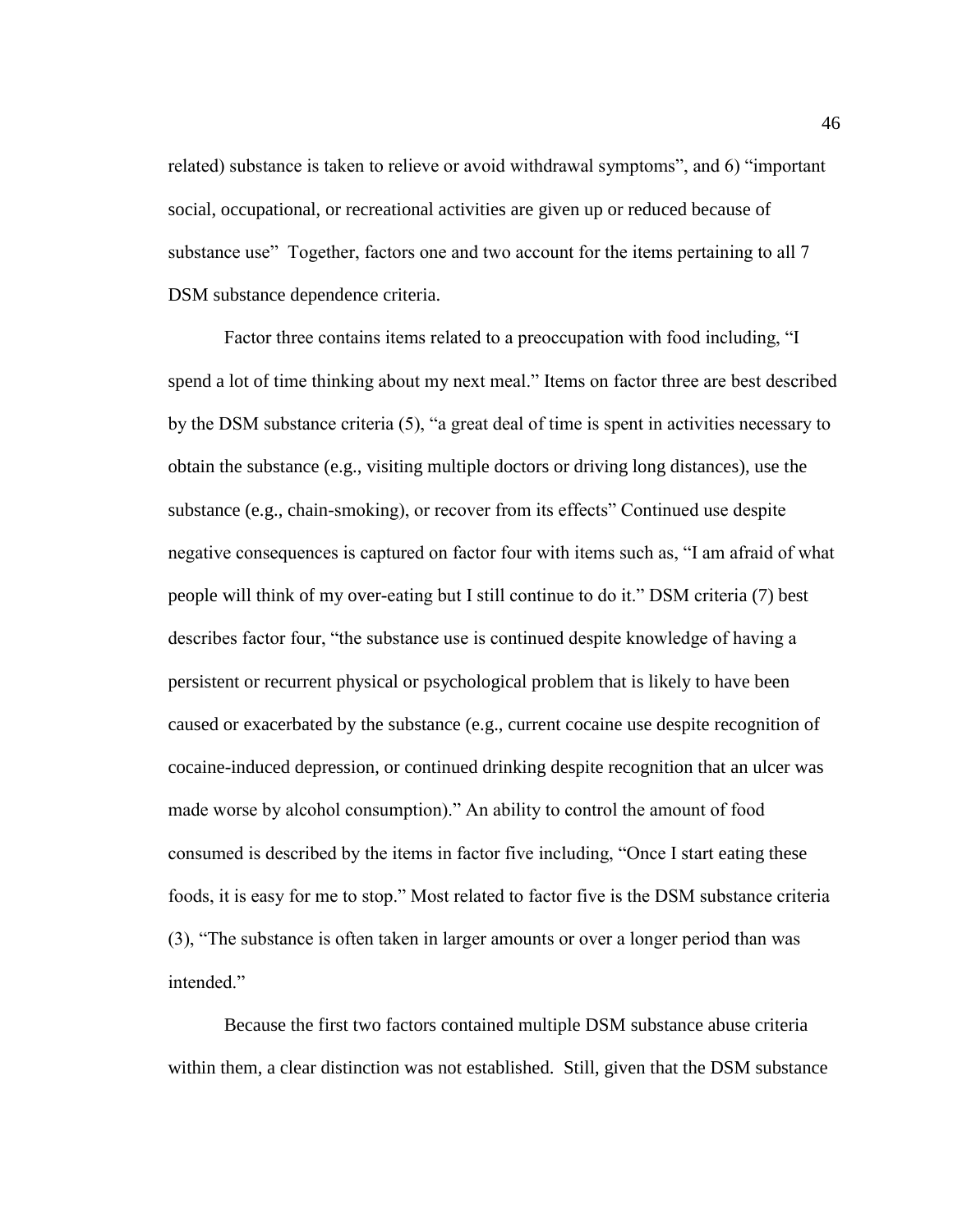related) substance is taken to relieve or avoid withdrawal symptoms", and 6) "important social, occupational, or recreational activities are given up or reduced because of substance use" Together, factors one and two account for the items pertaining to all 7 DSM substance dependence criteria.

Factor three contains items related to a preoccupation with food including, "I spend a lot of time thinking about my next meal." Items on factor three are best described by the DSM substance criteria (5), "a great deal of time is spent in activities necessary to obtain the substance (e.g., visiting multiple doctors or driving long distances), use the substance (e.g., chain-smoking), or recover from its effects" Continued use despite negative consequences is captured on factor four with items such as, "I am afraid of what people will think of my over-eating but I still continue to do it." DSM criteria (7) best describes factor four, "the substance use is continued despite knowledge of having a persistent or recurrent physical or psychological problem that is likely to have been caused or exacerbated by the substance (e.g., current cocaine use despite recognition of cocaine-induced depression, or continued drinking despite recognition that an ulcer was made worse by alcohol consumption)." An ability to control the amount of food consumed is described by the items in factor five including, "Once I start eating these foods, it is easy for me to stop." Most related to factor five is the DSM substance criteria (3), "The substance is often taken in larger amounts or over a longer period than was intended."

Because the first two factors contained multiple DSM substance abuse criteria within them, a clear distinction was not established. Still, given that the DSM substance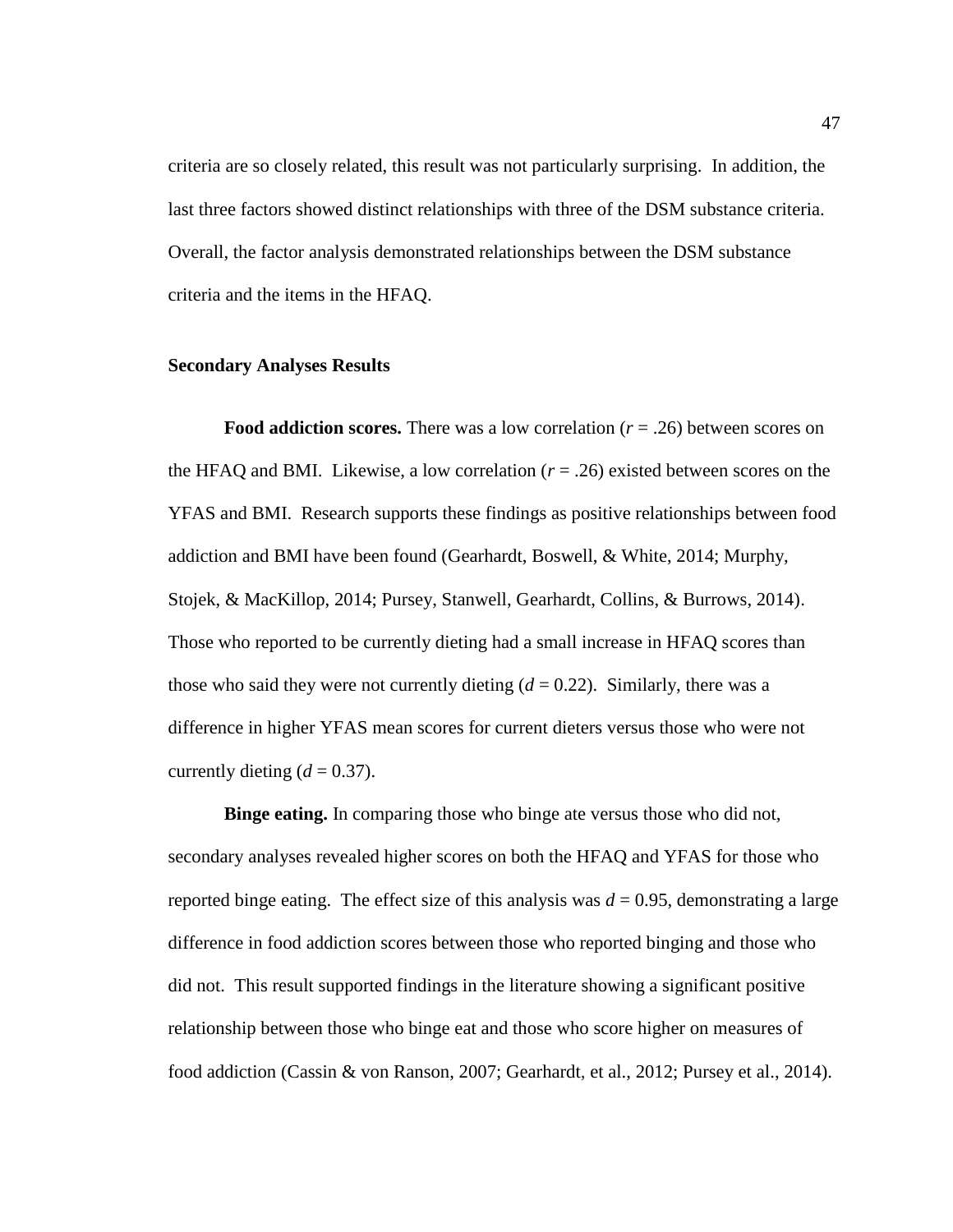criteria are so closely related, this result was not particularly surprising. In addition, the last three factors showed distinct relationships with three of the DSM substance criteria. Overall, the factor analysis demonstrated relationships between the DSM substance criteria and the items in the HFAQ.

#### **Secondary Analyses Results**

**Food addiction scores.** There was a low correlation (*r* = .26) between scores on the HFAQ and BMI. Likewise, a low correlation  $(r = .26)$  existed between scores on the YFAS and BMI. Research supports these findings as positive relationships between food addiction and BMI have been found (Gearhardt, Boswell, & White, 2014; Murphy, Stojek, & MacKillop, 2014; Pursey, Stanwell, Gearhardt, Collins, & Burrows, 2014). Those who reported to be currently dieting had a small increase in HFAQ scores than those who said they were not currently dieting  $(d = 0.22)$ . Similarly, there was a difference in higher YFAS mean scores for current dieters versus those who were not currently dieting  $(d = 0.37)$ .

**Binge eating.** In comparing those who binge ate versus those who did not, secondary analyses revealed higher scores on both the HFAQ and YFAS for those who reported binge eating. The effect size of this analysis was  $d = 0.95$ , demonstrating a large difference in food addiction scores between those who reported binging and those who did not. This result supported findings in the literature showing a significant positive relationship between those who binge eat and those who score higher on measures of food addiction (Cassin & von Ranson, 2007; Gearhardt, et al., 2012; Pursey et al., 2014).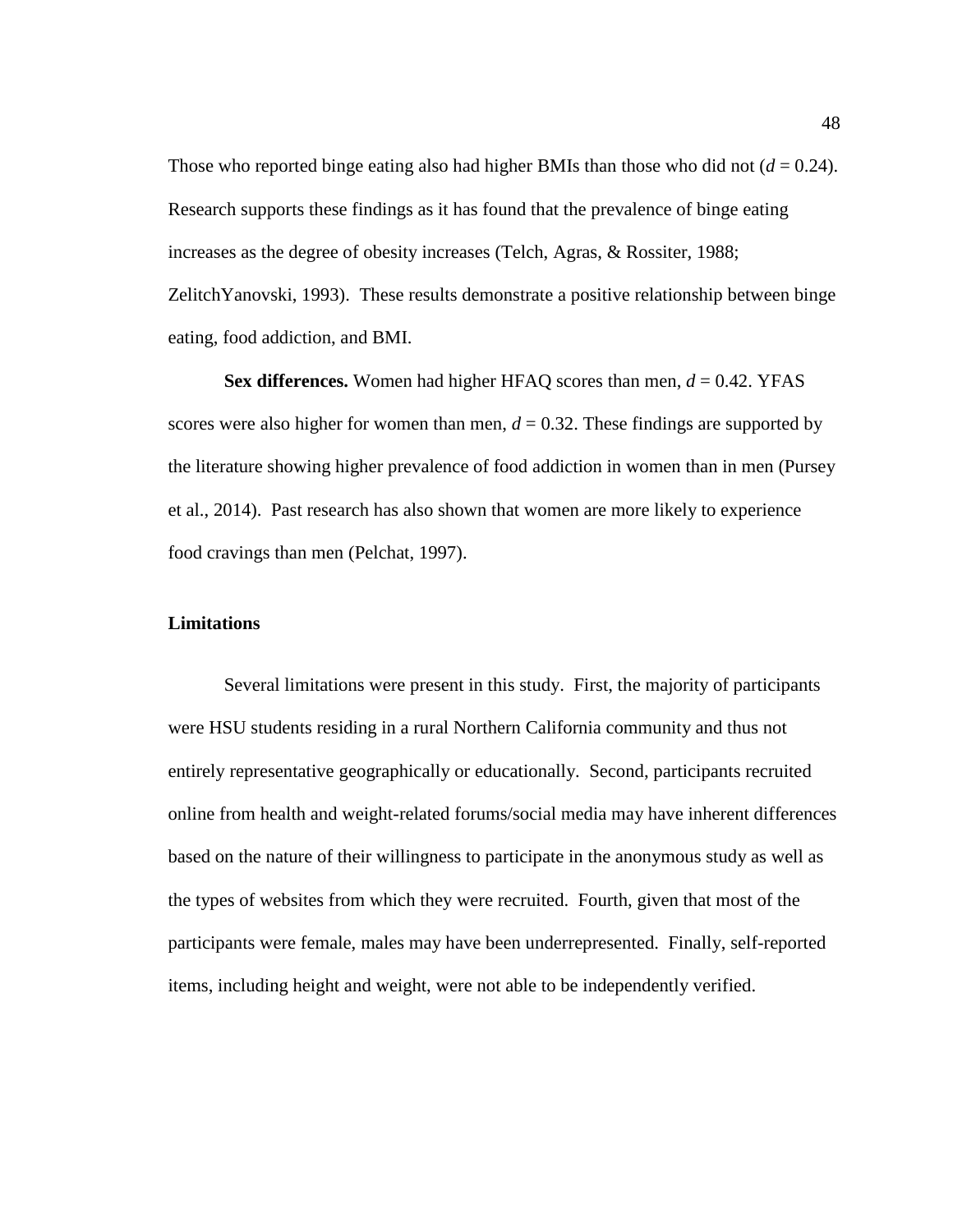Those who reported binge eating also had higher BMIs than those who did not  $(d = 0.24)$ . Research supports these findings as it has found that the prevalence of binge eating increases as the degree of obesity increases (Telch, Agras, & Rossiter, 1988; ZelitchYanovski, 1993). These results demonstrate a positive relationship between binge eating, food addiction, and BMI.

**Sex differences.** Women had higher HFAQ scores than men, *d* = 0.42. YFAS scores were also higher for women than men,  $d = 0.32$ . These findings are supported by the literature showing higher prevalence of food addiction in women than in men (Pursey et al., 2014). Past research has also shown that women are more likely to experience food cravings than men (Pelchat, 1997).

# **Limitations**

Several limitations were present in this study. First, the majority of participants were HSU students residing in a rural Northern California community and thus not entirely representative geographically or educationally. Second, participants recruited online from health and weight-related forums/social media may have inherent differences based on the nature of their willingness to participate in the anonymous study as well as the types of websites from which they were recruited. Fourth, given that most of the participants were female, males may have been underrepresented. Finally, self-reported items, including height and weight, were not able to be independently verified.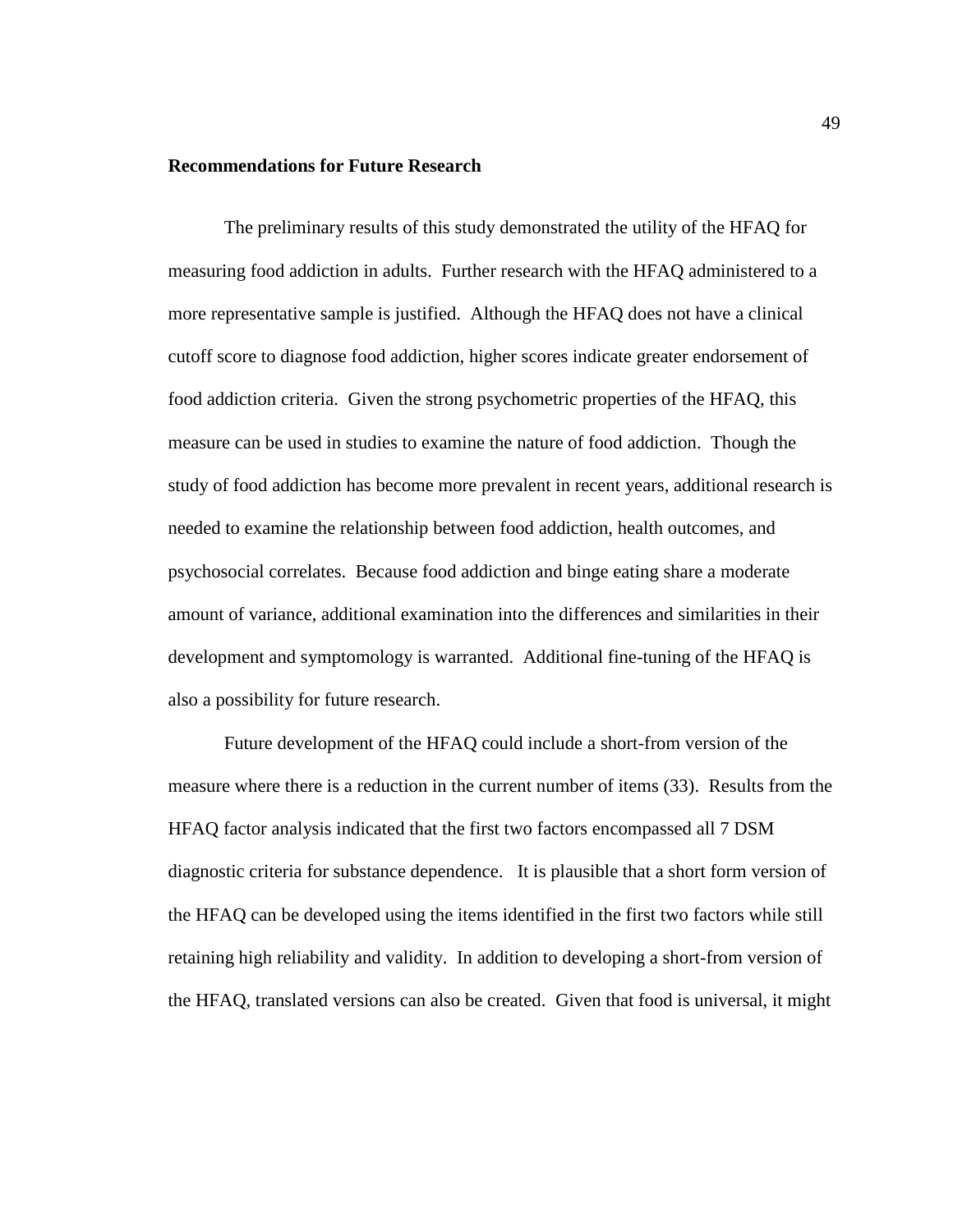#### **Recommendations for Future Research**

The preliminary results of this study demonstrated the utility of the HFAQ for measuring food addiction in adults. Further research with the HFAQ administered to a more representative sample is justified. Although the HFAQ does not have a clinical cutoff score to diagnose food addiction, higher scores indicate greater endorsement of food addiction criteria. Given the strong psychometric properties of the HFAQ, this measure can be used in studies to examine the nature of food addiction. Though the study of food addiction has become more prevalent in recent years, additional research is needed to examine the relationship between food addiction, health outcomes, and psychosocial correlates. Because food addiction and binge eating share a moderate amount of variance, additional examination into the differences and similarities in their development and symptomology is warranted. Additional fine-tuning of the HFAQ is also a possibility for future research.

Future development of the HFAQ could include a short-from version of the measure where there is a reduction in the current number of items (33). Results from the HFAQ factor analysis indicated that the first two factors encompassed all 7 DSM diagnostic criteria for substance dependence. It is plausible that a short form version of the HFAQ can be developed using the items identified in the first two factors while still retaining high reliability and validity. In addition to developing a short-from version of the HFAQ, translated versions can also be created. Given that food is universal, it might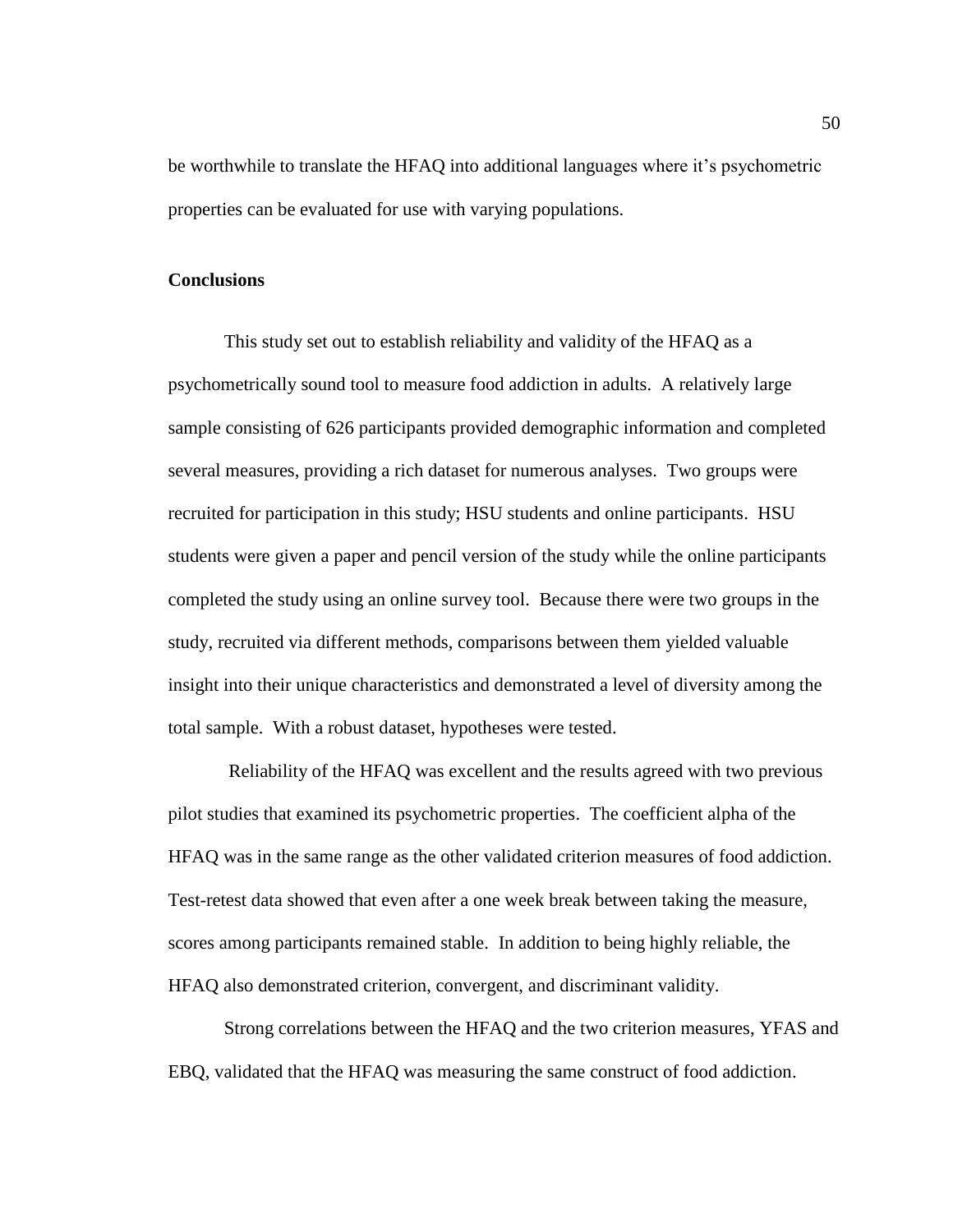be worthwhile to translate the HFAQ into additional languages where it's psychometric properties can be evaluated for use with varying populations.

#### **Conclusions**

This study set out to establish reliability and validity of the HFAQ as a psychometrically sound tool to measure food addiction in adults. A relatively large sample consisting of 626 participants provided demographic information and completed several measures, providing a rich dataset for numerous analyses. Two groups were recruited for participation in this study; HSU students and online participants. HSU students were given a paper and pencil version of the study while the online participants completed the study using an online survey tool. Because there were two groups in the study, recruited via different methods, comparisons between them yielded valuable insight into their unique characteristics and demonstrated a level of diversity among the total sample. With a robust dataset, hypotheses were tested.

Reliability of the HFAQ was excellent and the results agreed with two previous pilot studies that examined its psychometric properties. The coefficient alpha of the HFAQ was in the same range as the other validated criterion measures of food addiction. Test-retest data showed that even after a one week break between taking the measure, scores among participants remained stable. In addition to being highly reliable, the HFAQ also demonstrated criterion, convergent, and discriminant validity.

Strong correlations between the HFAQ and the two criterion measures, YFAS and EBQ, validated that the HFAQ was measuring the same construct of food addiction.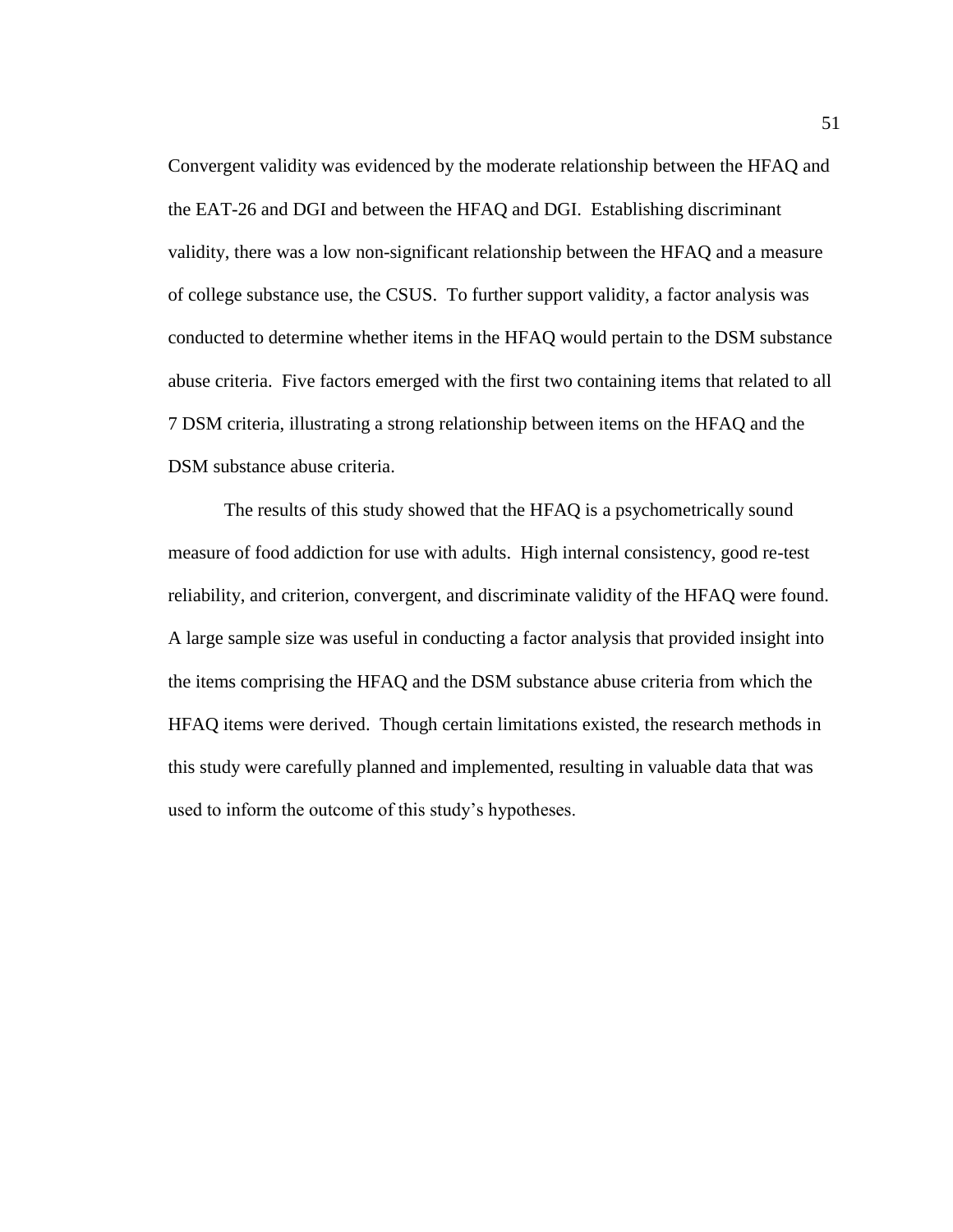Convergent validity was evidenced by the moderate relationship between the HFAQ and the EAT-26 and DGI and between the HFAQ and DGI. Establishing discriminant validity, there was a low non-significant relationship between the HFAQ and a measure of college substance use, the CSUS. To further support validity, a factor analysis was conducted to determine whether items in the HFAQ would pertain to the DSM substance abuse criteria. Five factors emerged with the first two containing items that related to all 7 DSM criteria, illustrating a strong relationship between items on the HFAQ and the DSM substance abuse criteria.

The results of this study showed that the HFAQ is a psychometrically sound measure of food addiction for use with adults. High internal consistency, good re-test reliability, and criterion, convergent, and discriminate validity of the HFAQ were found. A large sample size was useful in conducting a factor analysis that provided insight into the items comprising the HFAQ and the DSM substance abuse criteria from which the HFAQ items were derived. Though certain limitations existed, the research methods in this study were carefully planned and implemented, resulting in valuable data that was used to inform the outcome of this study's hypotheses.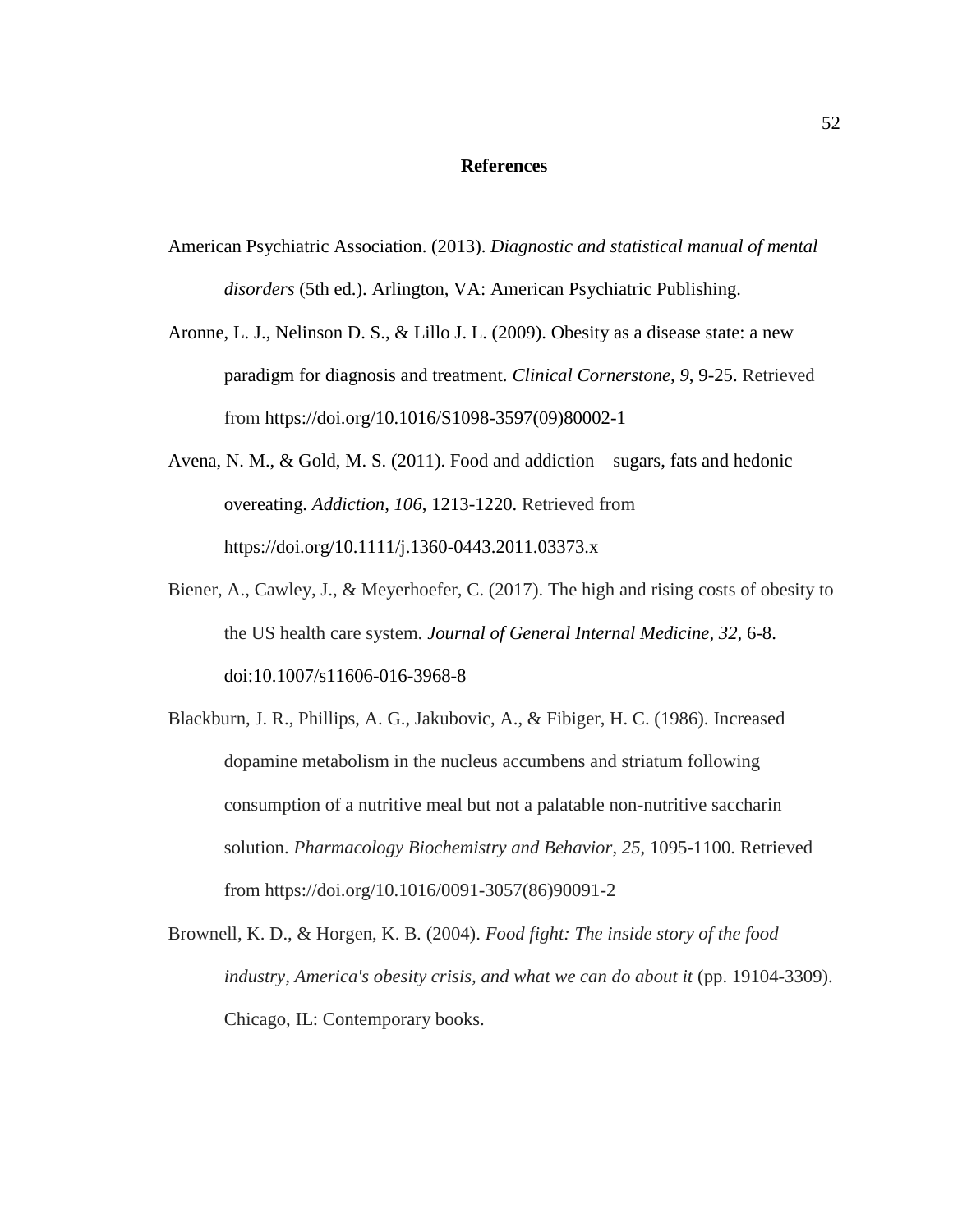# **References**

- American Psychiatric Association. (2013). *Diagnostic and statistical manual of mental disorders* (5th ed.). Arlington, VA: American Psychiatric Publishing.
- Aronne, L. J., Nelinson D. S., & Lillo J. L. (2009). Obesity as a disease state: a new paradigm for diagnosis and treatment. *Clinical Cornerstone, 9*, 9-25. Retrieved from https://doi.org/10.1016/S1098-3597(09)80002-1
- Avena, N. M., & Gold, M. S. (2011). Food and addiction sugars, fats and hedonic overeating. *Addiction, 106*, 1213-1220. Retrieved from https://doi.org/10.1111/j.1360-0443.2011.03373.x
- Biener, A., Cawley, J., & Meyerhoefer, C. (2017). The high and rising costs of obesity to the US health care system. *Journal of General Internal Medicine, 32,* 6-8. doi:10.1007/s11606-016-3968-8
- Blackburn, J. R., Phillips, A. G., Jakubovic, A., & Fibiger, H. C. (1986). Increased dopamine metabolism in the nucleus accumbens and striatum following consumption of a nutritive meal but not a palatable non-nutritive saccharin solution. *Pharmacology Biochemistry and Behavior*, *25*, 1095-1100. Retrieved from https://doi.org/10.1016/0091-3057(86)90091-2
- Brownell, K. D., & Horgen, K. B. (2004). *Food fight: The inside story of the food industry, America's obesity crisis, and what we can do about it* (pp. 19104-3309). Chicago, IL: Contemporary books.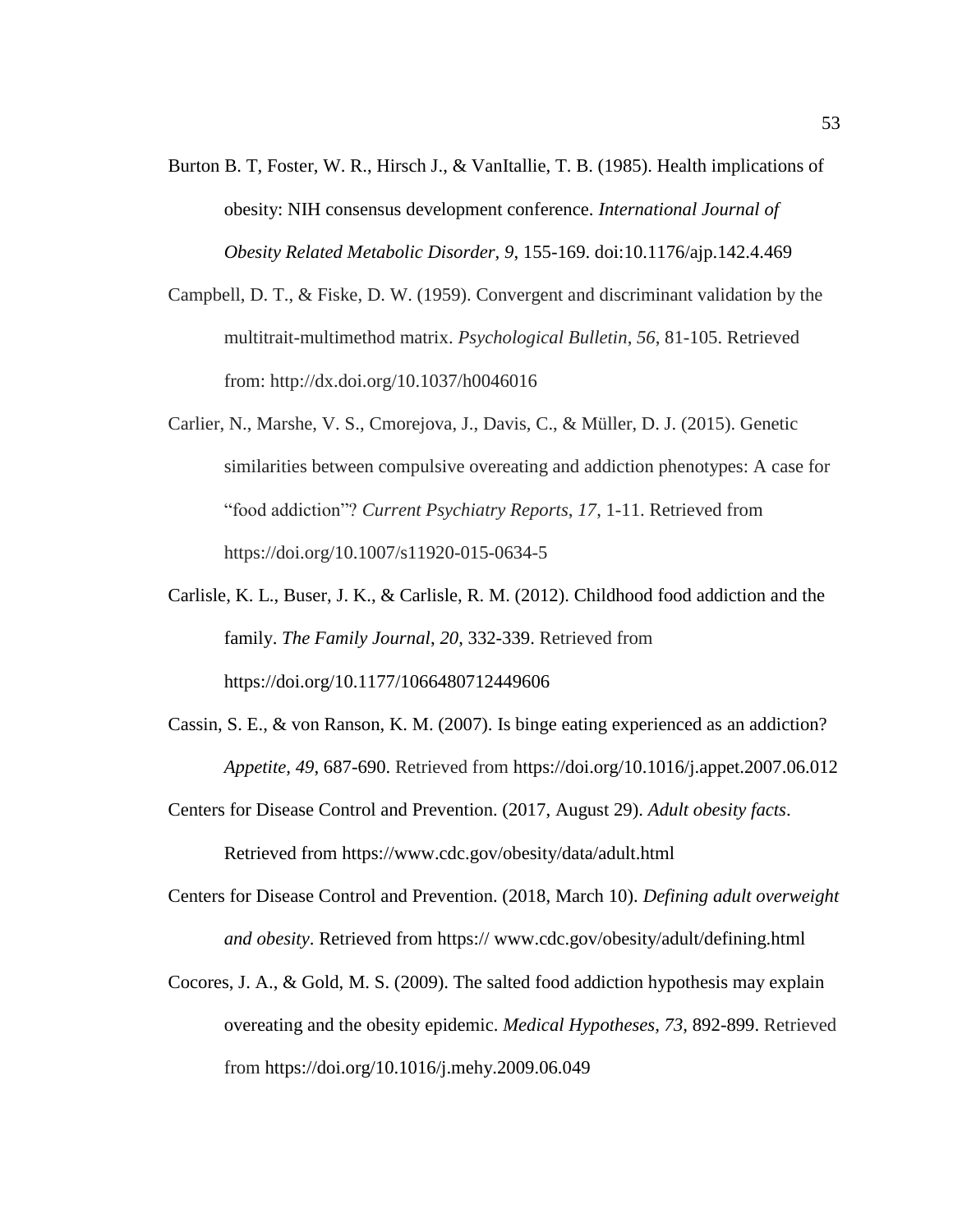- Burton B. T, Foster, W. R., Hirsch J., & VanItallie, T. B. (1985). Health implications of obesity: NIH consensus development conference. *International Journal of Obesity Related Metabolic Disorder, 9*, 155-169. doi:10.1176/ajp.142.4.469
- Campbell, D. T., & Fiske, D. W. (1959). Convergent and discriminant validation by the multitrait-multimethod matrix. *Psychological Bulletin*, *56*, 81-105. Retrieved from: http://dx.doi.org/10.1037/h0046016
- Carlier, N., Marshe, V. S., Cmorejova, J., Davis, C., & Müller, D. J. (2015). Genetic similarities between compulsive overeating and addiction phenotypes: A case for "food addiction"? *Current Psychiatry Reports*, *17*, 1-11. Retrieved from https://doi.org/10.1007/s11920-015-0634-5
- Carlisle, K. L., Buser, J. K., & Carlisle, R. M. (2012). Childhood food addiction and the family. *The Family Journal*, *20*, 332-339. Retrieved from https://doi.org/10.1177/1066480712449606
- Cassin, S. E., & von Ranson, K. M. (2007). Is binge eating experienced as an addiction? *Appetite, 49*, 687-690. Retrieved from https://doi.org/10.1016/j.appet.2007.06.012
- Centers for Disease Control and Prevention. (2017, August 29). *Adult obesity facts*. Retrieved from https:/[/www.cdc.gov/obesity/data/adult.html](http://www.cdc.gov/obesity/data/adult.html)
- Centers for Disease Control and Prevention. (2018, March 10). *Defining adult overweight and obesity*. Retrieved from https:// www.cdc.gov/obesity/adult/defining.html
- Cocores, J. A., & Gold, M. S. (2009). The salted food addiction hypothesis may explain overeating and the obesity epidemic. *Medical Hypotheses, 73,* 892-899. Retrieved from https://doi.org/10.1016/j.mehy.2009.06.049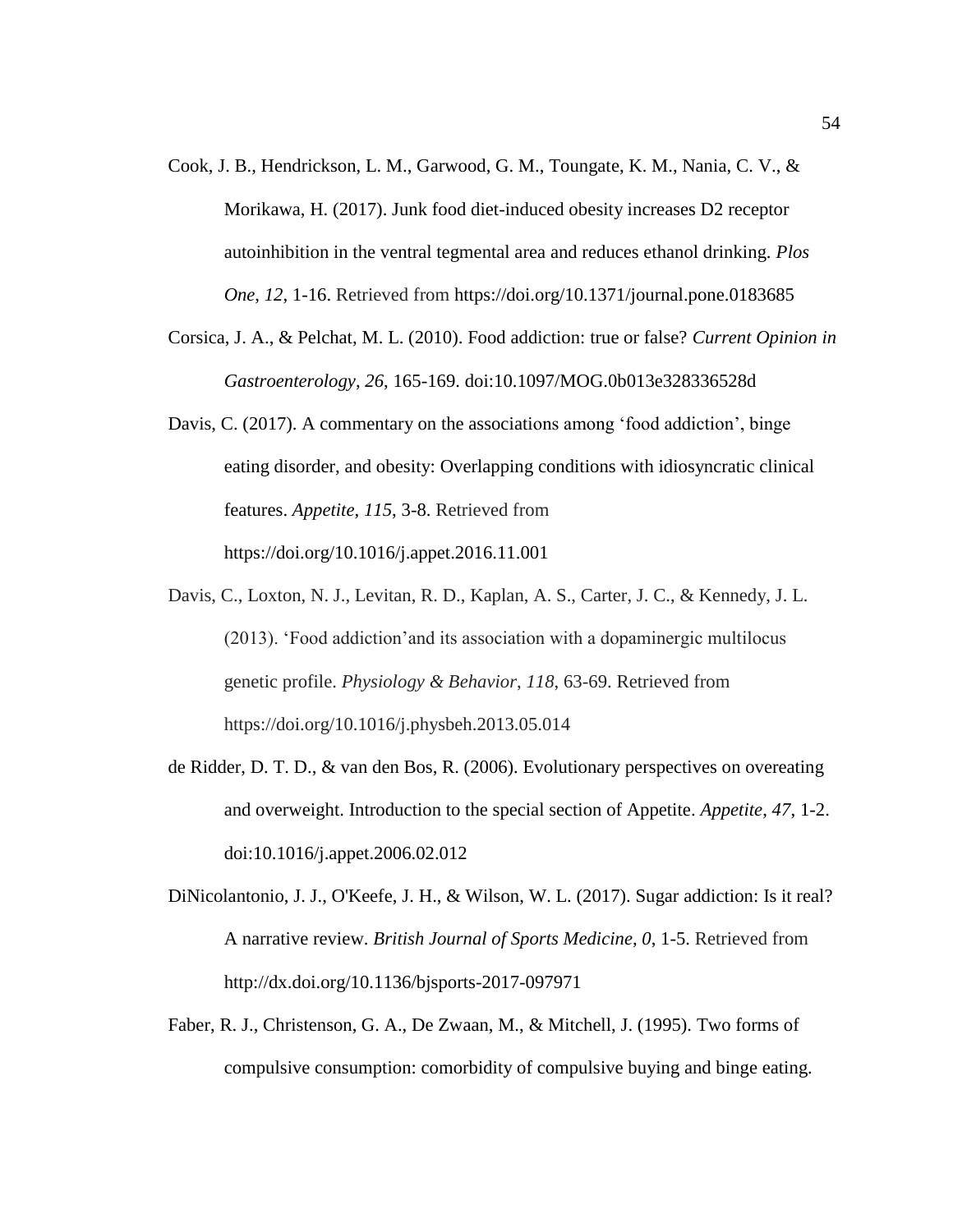- Cook, J. B., Hendrickson, L. M., Garwood, G. M., Toungate, K. M., Nania, C. V., & Morikawa, H. (2017). Junk food diet-induced obesity increases D2 receptor autoinhibition in the ventral tegmental area and reduces ethanol drinking. *Plos One*, *12*, 1-16. Retrieved from https://doi.org/10.1371/journal.pone.0183685
- Corsica, J. A., & Pelchat, M. L. (2010). Food addiction: true or false? *Current Opinion in Gastroenterology*, *26*, 165-169. doi:10.1097/MOG.0b013e328336528d
- Davis, C. (2017). A commentary on the associations among 'food addiction', binge eating disorder, and obesity: Overlapping conditions with idiosyncratic clinical features. *Appetite*, *115*, 3-8. Retrieved from https://doi.org/10.1016/j.appet.2016.11.001
- Davis, C., Loxton, N. J., Levitan, R. D., Kaplan, A. S., Carter, J. C., & Kennedy, J. L. (2013). 'Food addiction'and its association with a dopaminergic multilocus genetic profile. *Physiology & Behavior*, *118*, 63-69. Retrieved from https://doi.org/10.1016/j.physbeh.2013.05.014
- de Ridder, D. T. D., & van den Bos, R. (2006). Evolutionary perspectives on overeating and overweight. Introduction to the special section of Appetite. *Appetite*, *47*, 1-2. doi:10.1016/j.appet.2006.02.012
- DiNicolantonio, J. J., O'Keefe, J. H., & Wilson, W. L. (2017). Sugar addiction: Is it real? A narrative review. *British Journal of Sports Medicine, 0*, 1-5. Retrieved from http://dx.doi.org/10.1136/bjsports-2017-097971
- Faber, R. J., Christenson, G. A., De Zwaan, M., & Mitchell, J. (1995). Two forms of compulsive consumption: comorbidity of compulsive buying and binge eating.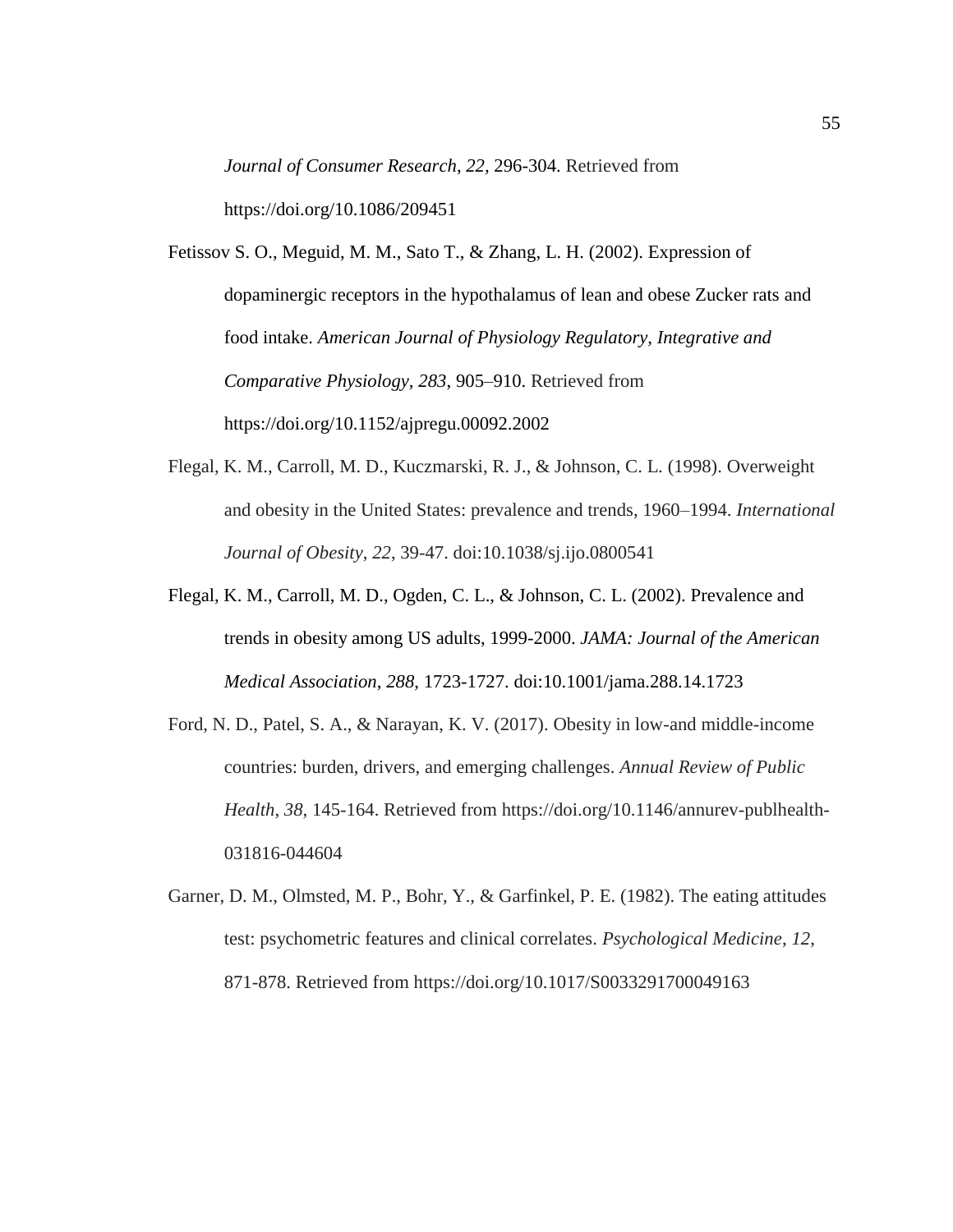*Journal of Consumer Research*, *22,* 296-304. Retrieved from https://doi.org/10.1086/209451

Fetissov S. O., Meguid, M. M., Sato T., & Zhang, L. H. (2002). Expression of dopaminergic receptors in the hypothalamus of lean and obese Zucker rats and food intake. *American Journal of Physiology Regulatory, Integrative and Comparative Physiology, 283*, 905–910. Retrieved from https://doi.org/10.1152/ajpregu.00092.2002

- Flegal, K. M., Carroll, M. D., Kuczmarski, R. J., & Johnson, C. L. (1998). Overweight and obesity in the United States: prevalence and trends, 1960–1994. *International Journal of Obesity*, *22*, 39-47. doi:10.1038/sj.ijo.0800541
- Flegal, K. M., Carroll, M. D., Ogden, C. L., & Johnson, C. L. (2002). Prevalence and trends in obesity among US adults, 1999-2000. *JAMA: Journal of the American Medical Association*, *288*, 1723-1727. doi:10.1001/jama.288.14.1723
- Ford, N. D., Patel, S. A., & Narayan, K. V. (2017). Obesity in low-and middle-income countries: burden, drivers, and emerging challenges. *Annual Review of Public Health*, *38*, 145-164. Retrieved from https://doi.org/10.1146/annurev-publhealth-031816-044604
- Garner, D. M., Olmsted, M. P., Bohr, Y., & Garfinkel, P. E. (1982). The eating attitudes test: psychometric features and clinical correlates. *Psychological Medicine*, *12*, 871-878. Retrieved from https://doi.org/10.1017/S0033291700049163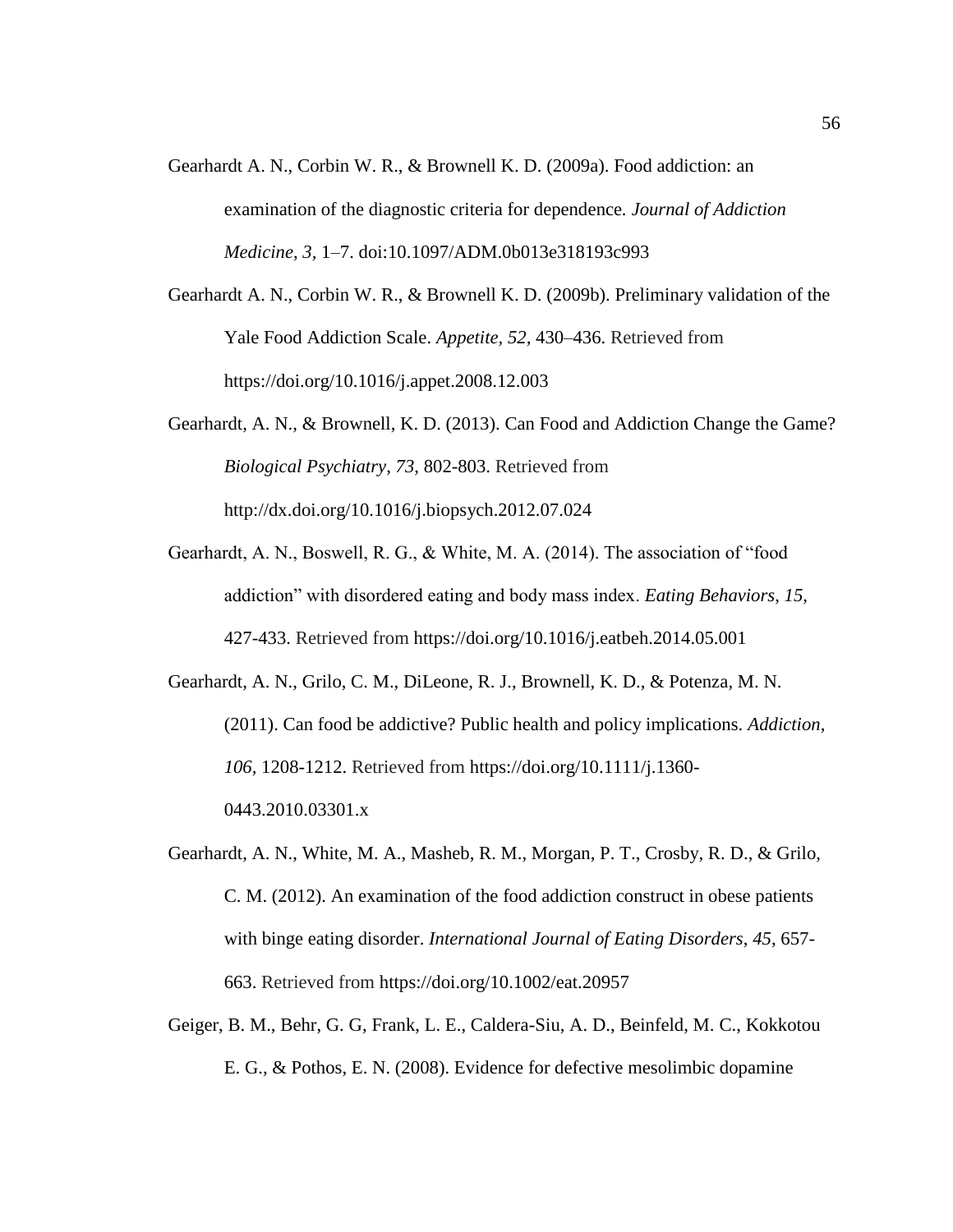- Gearhardt A. N., Corbin W. R., & Brownell K. D. (2009a). Food addiction: an examination of the diagnostic criteria for dependence*. Journal of Addiction Medicine, 3,* 1–7. doi:10.1097/ADM.0b013e318193c993
- Gearhardt A. N., Corbin W. R., & Brownell K. D. (2009b). Preliminary validation of the Yale Food Addiction Scale. *Appetite, 52,* 430–436. Retrieved from https://doi.org/10.1016/j.appet.2008.12.003
- Gearhardt, A. N., & Brownell, K. D. (2013). Can Food and Addiction Change the Game? *Biological Psychiatry*, *73*, 802-803. Retrieved from http://dx.doi.org/10.1016/j.biopsych.2012.07.024
- Gearhardt, A. N., Boswell, R. G., & White, M. A. (2014). The association of "food addiction" with disordered eating and body mass index. *Eating Behaviors*, *15*, 427-433. Retrieved from https://doi.org/10.1016/j.eatbeh.2014.05.001

Gearhardt, A. N., Grilo, C. M., DiLeone, R. J., Brownell, K. D., & Potenza, M. N. (2011). Can food be addictive? Public health and policy implications. *Addiction, 106,* 1208-1212. Retrieved from https://doi.org/10.1111/j.1360- 0443.2010.03301.x

- Gearhardt, A. N., White, M. A., Masheb, R. M., Morgan, P. T., Crosby, R. D., & Grilo, C. M. (2012). An examination of the food addiction construct in obese patients with binge eating disorder. *International Journal of Eating Disorders*, *45*, 657- 663. Retrieved from https://doi.org/10.1002/eat.20957
- Geiger, B. M., Behr, G. G, Frank, L. E., Caldera-Siu, A. D., Beinfeld, M. C., Kokkotou E. G., & Pothos, E. N. (2008). Evidence for defective mesolimbic dopamine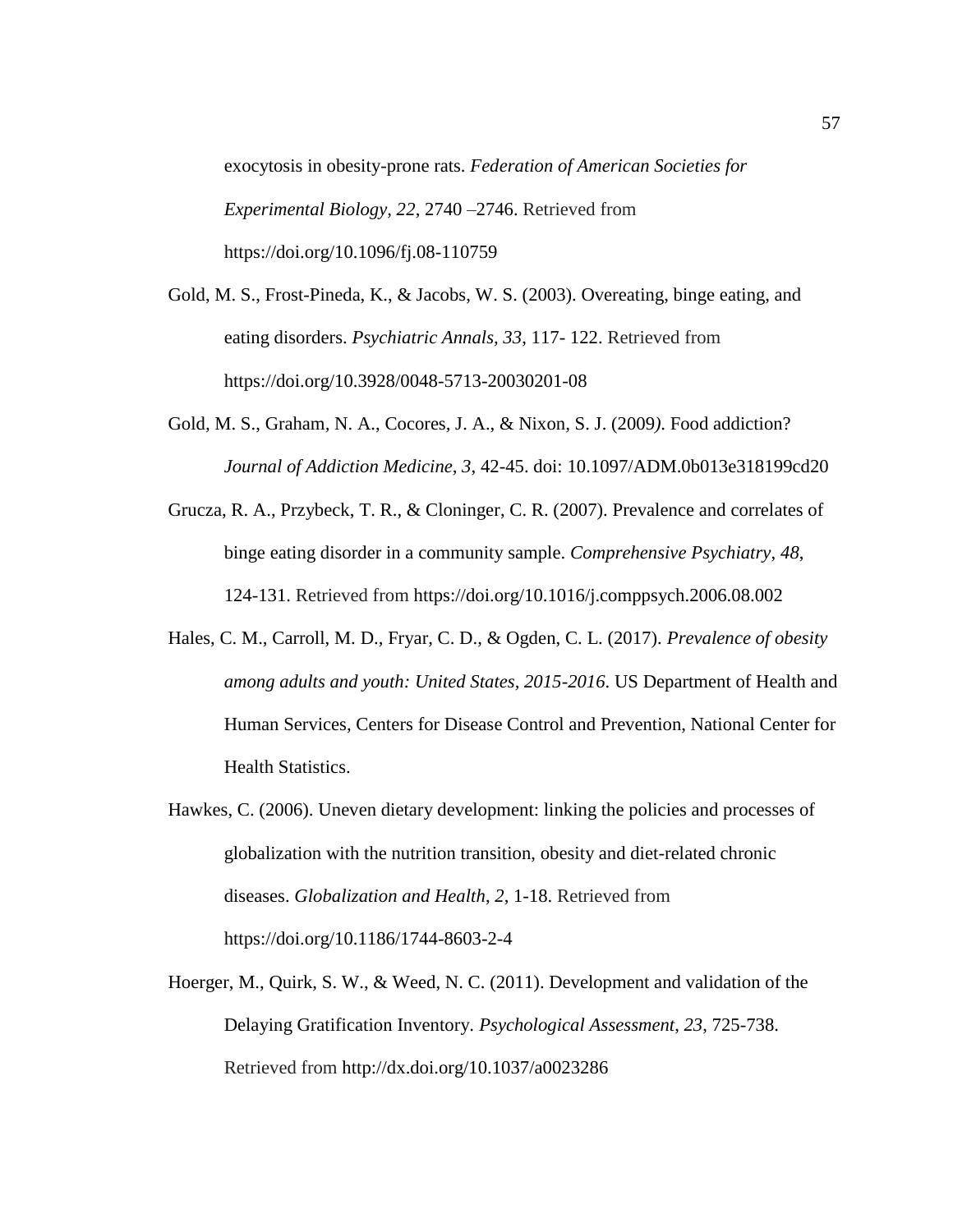exocytosis in obesity-prone rats. *Federation of American Societies for Experimental Biology, 22*, 2740 –2746. Retrieved from https://doi.org/10.1096/fj.08-110759

- Gold, M. S., Frost-Pineda, K., & Jacobs, W. S. (2003). Overeating, binge eating, and eating disorders. *Psychiatric Annals, 33*, 117- 122. Retrieved from https://doi.org/10.3928/0048-5713-20030201-08
- Gold*,* M. S., Graham*,* N. A., Cocores*,* J. A., & Nixon*,* S. J. (2009*)*. Food addiction? *Journal of Addiction Medicine, 3*, 42-45. doi: 10.1097/ADM.0b013e318199cd20
- Grucza, R. A., Przybeck, T. R., & Cloninger, C. R. (2007). Prevalence and correlates of binge eating disorder in a community sample. *Comprehensive Psychiatry*, *48*, 124-131. Retrieved from https://doi.org/10.1016/j.comppsych.2006.08.002
- Hales, C. M., Carroll, M. D., Fryar, C. D., & Ogden, C. L. (2017). *Prevalence of obesity among adults and youth: United States, 2015-2016*. US Department of Health and Human Services, Centers for Disease Control and Prevention, National Center for Health Statistics.
- Hawkes, C. (2006). Uneven dietary development: linking the policies and processes of globalization with the nutrition transition, obesity and diet-related chronic diseases. *Globalization and Health*, *2*, 1-18. Retrieved from https://doi.org/10.1186/1744-8603-2-4
- Hoerger, M., Quirk, S. W., & Weed, N. C. (2011). Development and validation of the Delaying Gratification Inventory. *Psychological Assessment*, *23*, 725-738. Retrieved from http://dx.doi.org/10.1037/a0023286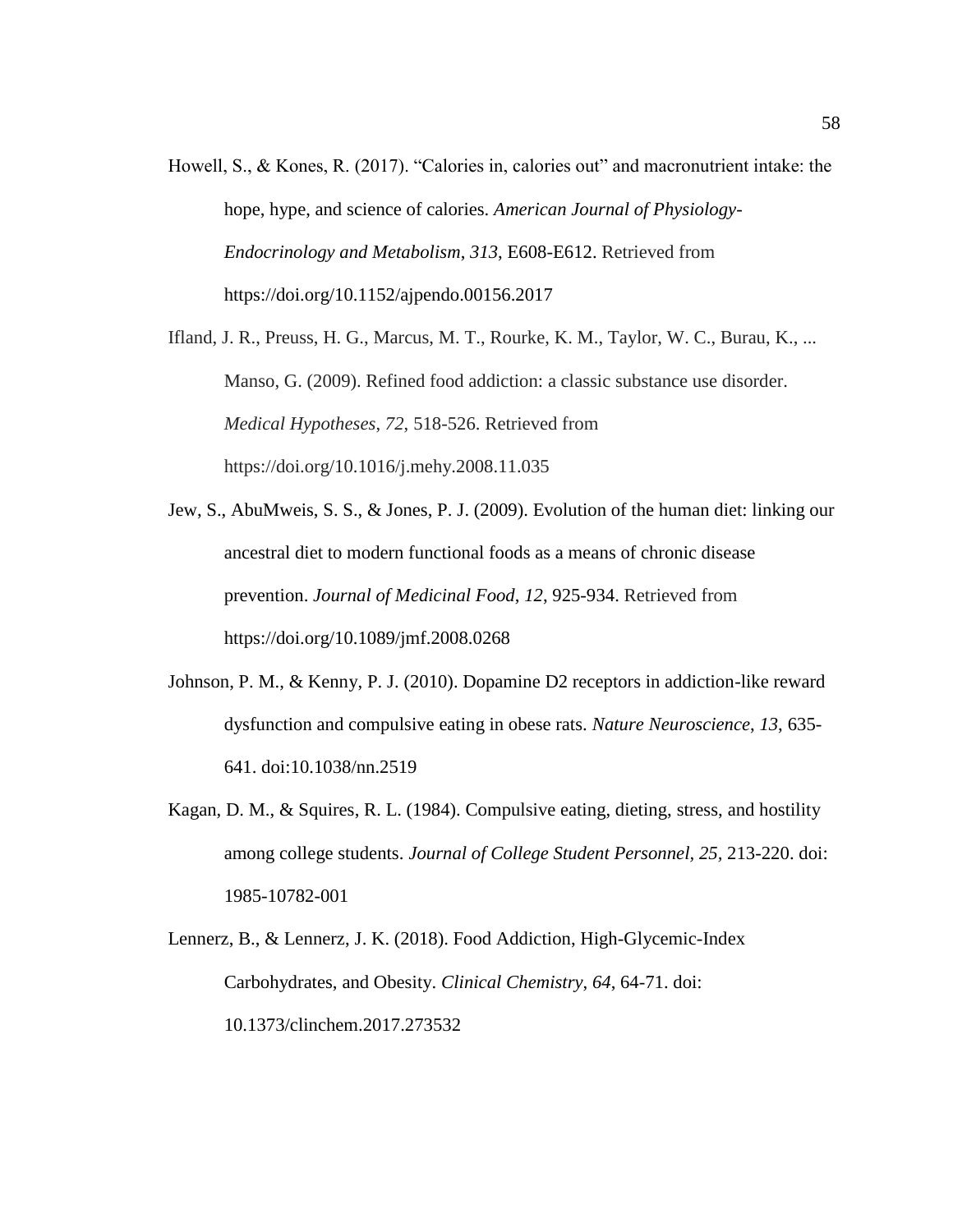Howell, S., & Kones, R. (2017). "Calories in, calories out" and macronutrient intake: the hope, hype, and science of calories. *American Journal of Physiology-Endocrinology and Metabolism*, *313*, E608-E612. Retrieved from https://doi.org/10.1152/ajpendo.00156.2017

Ifland, J. R., Preuss, H. G., Marcus, M. T., Rourke, K. M., Taylor, W. C., Burau, K., ... Manso, G. (2009). Refined food addiction: a classic substance use disorder. *Medical Hypotheses*, *72*, 518-526. Retrieved from https://doi.org/10.1016/j.mehy.2008.11.035

- Jew, S., AbuMweis, S. S., & Jones, P. J. (2009). Evolution of the human diet: linking our ancestral diet to modern functional foods as a means of chronic disease prevention. *Journal of Medicinal Food*, *12*, 925-934. Retrieved from https://doi.org/10.1089/jmf.2008.0268
- Johnson, P. M., & Kenny, P. J. (2010). Dopamine D2 receptors in addiction-like reward dysfunction and compulsive eating in obese rats. *Nature Neuroscience*, *13*, 635- 641. doi:10.1038/nn.2519
- Kagan, D. M., & Squires, R. L. (1984). Compulsive eating, dieting, stress, and hostility among college students. *Journal of College Student Personnel, 25,* 213-220. doi: 1985-10782-001
- Lennerz, B., & Lennerz, J. K. (2018). Food Addiction, High-Glycemic-Index Carbohydrates, and Obesity. *Clinical Chemistry*, *64*, 64-71. doi: 10.1373/clinchem.2017.273532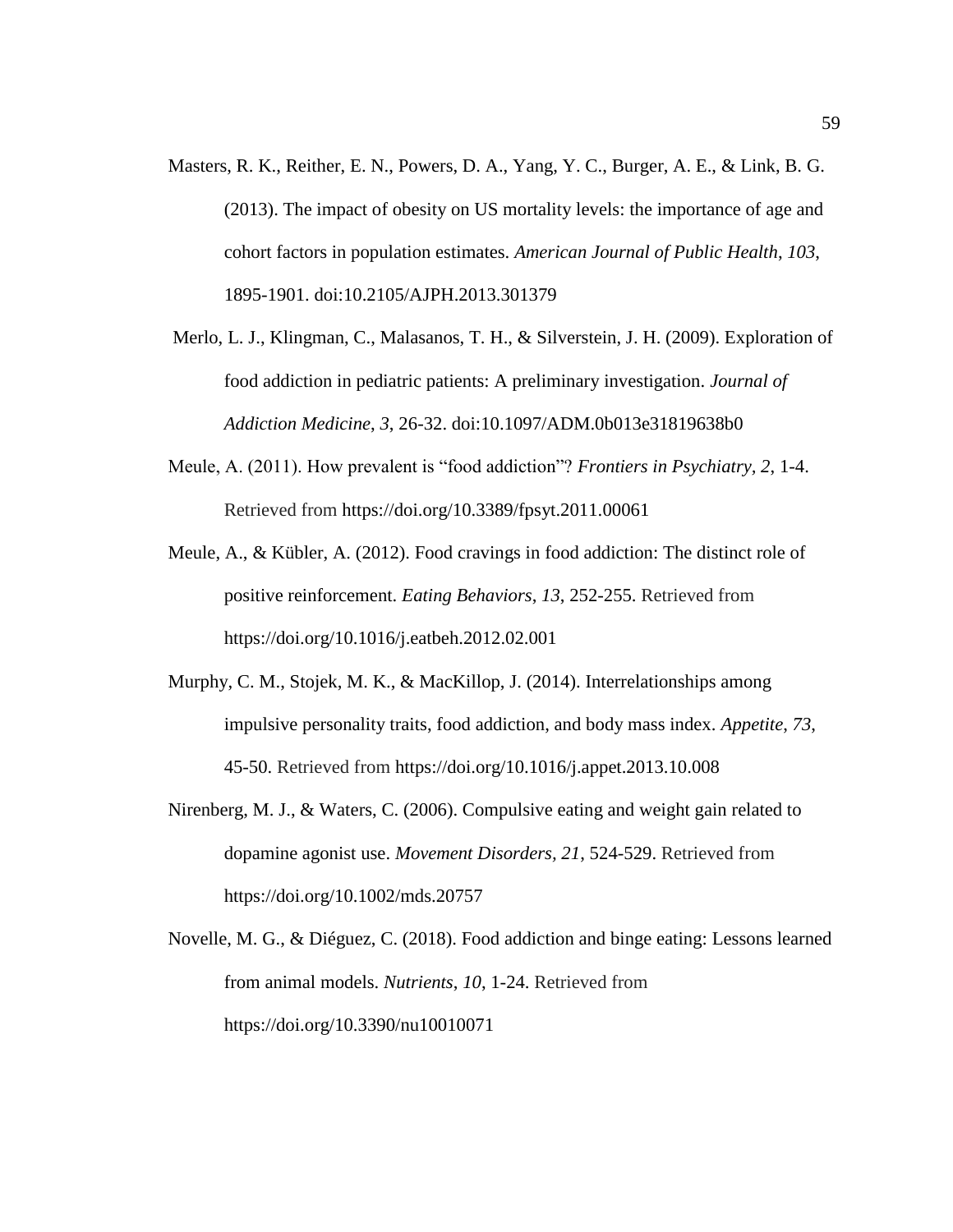- Masters, R. K., Reither, E. N., Powers, D. A., Yang, Y. C., Burger, A. E., & Link, B. G. (2013). The impact of obesity on US mortality levels: the importance of age and cohort factors in population estimates. *American Journal of Public Health*, *103*, 1895-1901. doi:10.2105/AJPH.2013.301379
- Merlo, L. J., Klingman, C., Malasanos, T. H., & Silverstein, J. H. (2009). Exploration of food addiction in pediatric patients: A preliminary investigation. *Journal of Addiction Medicine*, *3*, 26-32. doi:10.1097/ADM.0b013e31819638b0
- Meule, A. (2011). How prevalent is "food addiction"? *Frontiers in Psychiatry, 2*, 1-4. Retrieved from https://doi.org/10.3389/fpsyt.2011.00061
- Meule, A., & Kübler, A. (2012). Food cravings in food addiction: The distinct role of positive reinforcement. *Eating Behaviors*, *13*, 252-255. Retrieved from https://doi.org/10.1016/j.eatbeh.2012.02.001
- Murphy, C. M., Stojek, M. K., & MacKillop, J. (2014). Interrelationships among impulsive personality traits, food addiction, and body mass index. *Appetite*, *73*, 45-50. Retrieved from https://doi.org/10.1016/j.appet.2013.10.008
- Nirenberg, M. J., & Waters, C. (2006). Compulsive eating and weight gain related to dopamine agonist use. *Movement Disorders, 21*, 524-529. Retrieved from https://doi.org/10.1002/mds.20757
- Novelle, M. G., & Diéguez, C. (2018). Food addiction and binge eating: Lessons learned from animal models. *Nutrients*, *10*, 1-24. Retrieved from https://doi.org/10.3390/nu10010071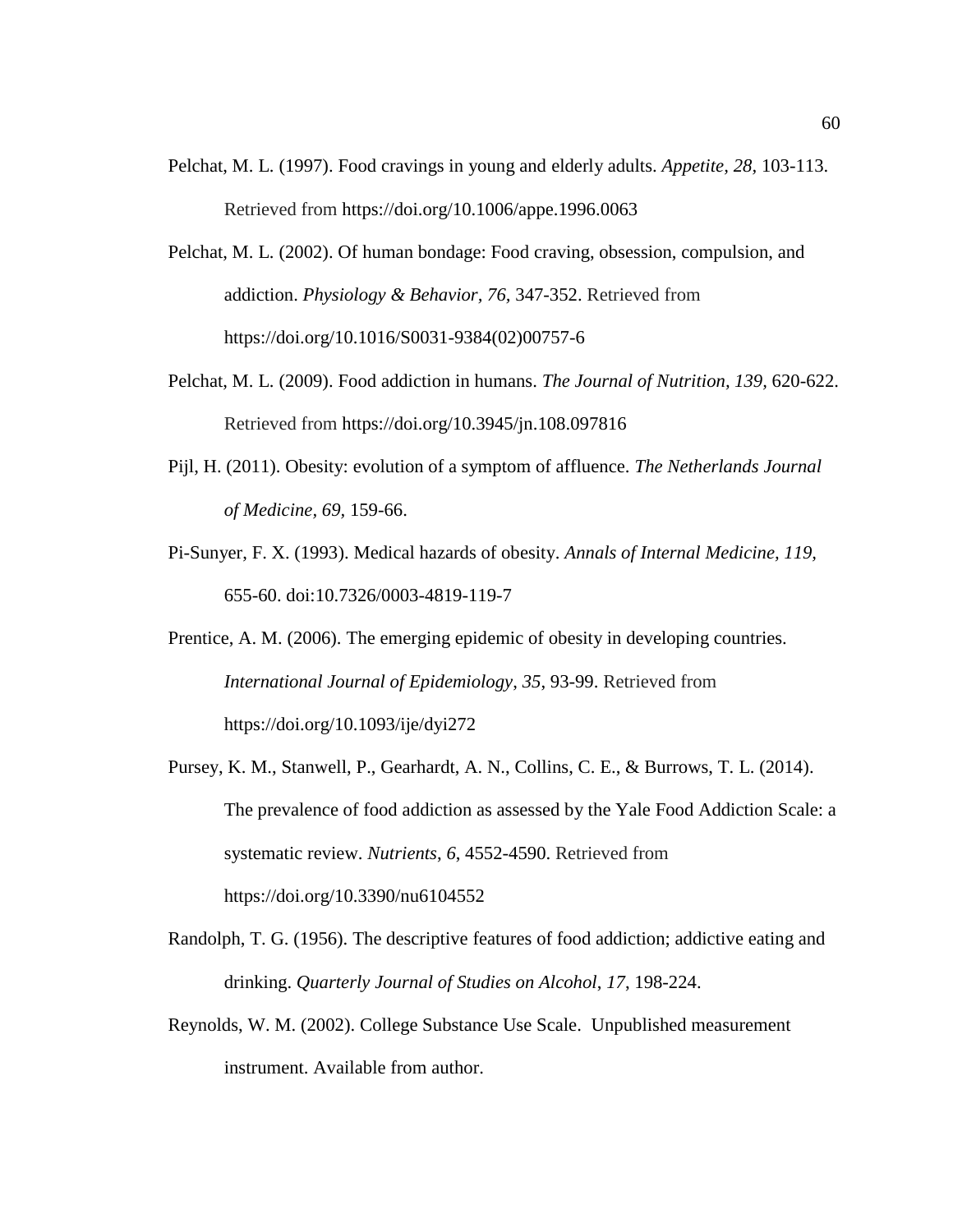- Pelchat, M. L. (1997). Food cravings in young and elderly adults. *Appetite, 28,* 103-113. Retrieved from https://doi.org/10.1006/appe.1996.0063
- Pelchat, M. L. (2002). Of human bondage: Food craving, obsession, compulsion, and addiction. *Physiology & Behavior, 76,* 347-352. Retrieved from https://doi.org/10.1016/S0031-9384(02)00757-6
- Pelchat, M. L. (2009). Food addiction in humans. *The Journal of Nutrition, 139,* 620-622. Retrieved from https://doi.org/10.3945/jn.108.097816
- Pijl, H. (2011). Obesity: evolution of a symptom of affluence. *The Netherlands Journal of Medicine, 69,* 159-66.
- Pi-Sunyer, F. X. (1993). Medical hazards of obesity. *Annals of Internal Medicine, 119,* 655-60. doi:10.7326/0003-4819-119-7
- Prentice, A. M. (2006). The emerging epidemic of obesity in developing countries. *International Journal of Epidemiology*, *35*, 93-99. Retrieved from https://doi.org/10.1093/ije/dyi272
- Pursey, K. M., Stanwell, P., Gearhardt, A. N., Collins, C. E., & Burrows, T. L. (2014). The prevalence of food addiction as assessed by the Yale Food Addiction Scale: a systematic review. *Nutrients*, *6*, 4552-4590. Retrieved from https://doi.org/10.3390/nu6104552
- Randolph, T. G. (1956). The descriptive features of food addiction; addictive eating and drinking. *Quarterly Journal of Studies on Alcohol*, *17*, 198-224.
- Reynolds, W. M. (2002). College Substance Use Scale. Unpublished measurement instrument. Available from author.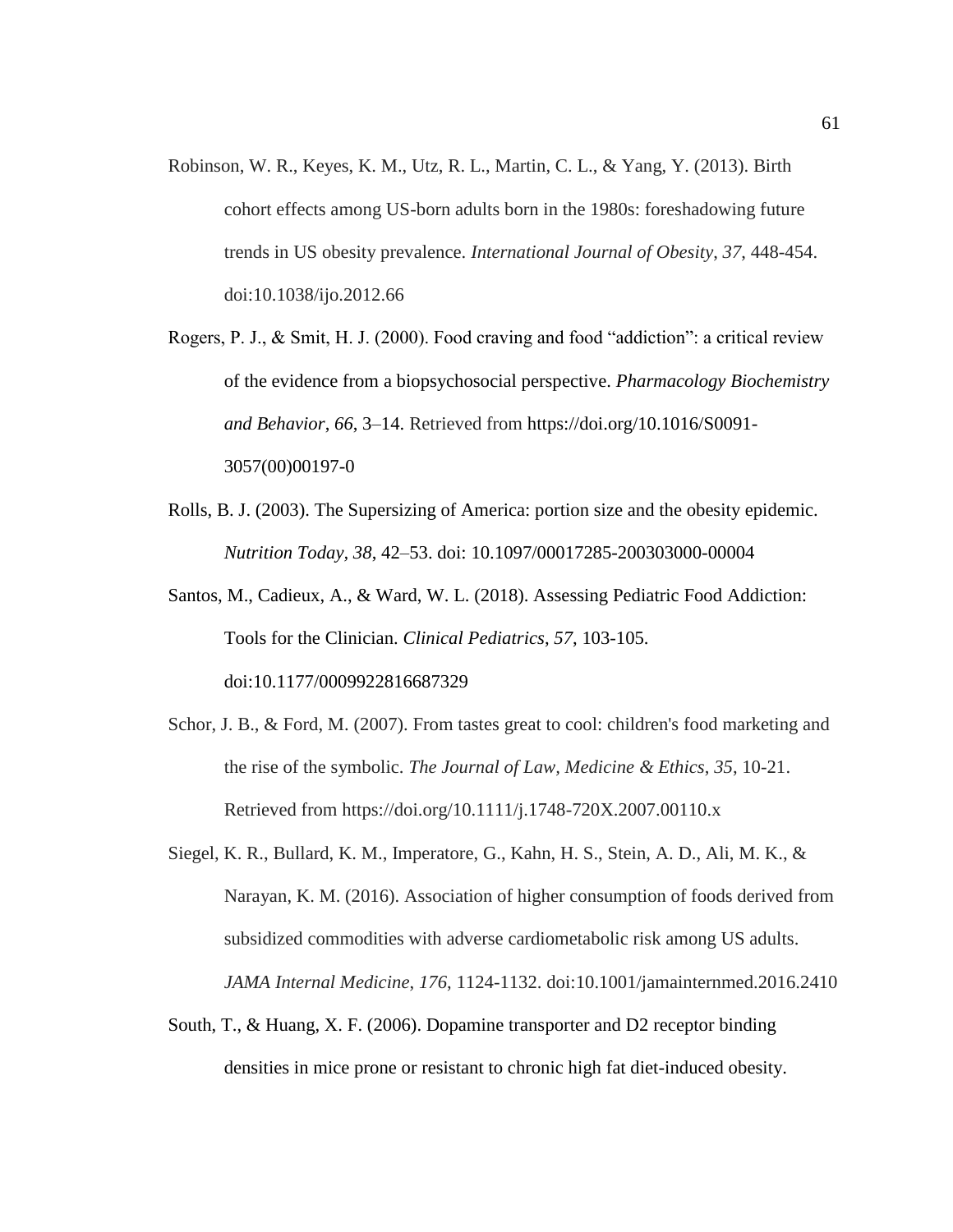- Robinson, W. R., Keyes, K. M., Utz, R. L., Martin, C. L., & Yang, Y. (2013). Birth cohort effects among US-born adults born in the 1980s: foreshadowing future trends in US obesity prevalence. *International Journal of Obesity*, *37*, 448-454. doi:10.1038/ijo.2012.66
- Rogers, P. J., & Smit, H. J. (2000). Food craving and food "addiction": a critical review of the evidence from a biopsychosocial perspective. *Pharmacology Biochemistry and Behavior*, *66*, 3–14. Retrieved from https://doi.org/10.1016/S0091- 3057(00)00197-0
- Rolls, B. J. (2003). The Supersizing of America: portion size and the obesity epidemic. *Nutrition Today, 38*, 42–53. doi: 10.1097/00017285-200303000-00004
- Santos, M., Cadieux, A., & Ward, W. L. (2018). Assessing Pediatric Food Addiction: Tools for the Clinician. *Clinical Pediatrics*, *57*, 103-105. doi:10.1177/0009922816687329
- Schor, J. B., & Ford, M. (2007). From tastes great to cool: children's food marketing and the rise of the symbolic. *The Journal of Law, Medicine & Ethics*, *35*, 10-21. Retrieved from https://doi.org/10.1111/j.1748-720X.2007.00110.x
- Siegel, K. R., Bullard, K. M., Imperatore, G., Kahn, H. S., Stein, A. D., Ali, M. K., & Narayan, K. M. (2016). Association of higher consumption of foods derived from subsidized commodities with adverse cardiometabolic risk among US adults. *JAMA Internal Medicine*, *176*, 1124-1132. doi:10.1001/jamainternmed.2016.2410
- South, T., & Huang, X. F. (2006). Dopamine transporter and D2 receptor binding densities in mice prone or resistant to chronic high fat diet-induced obesity.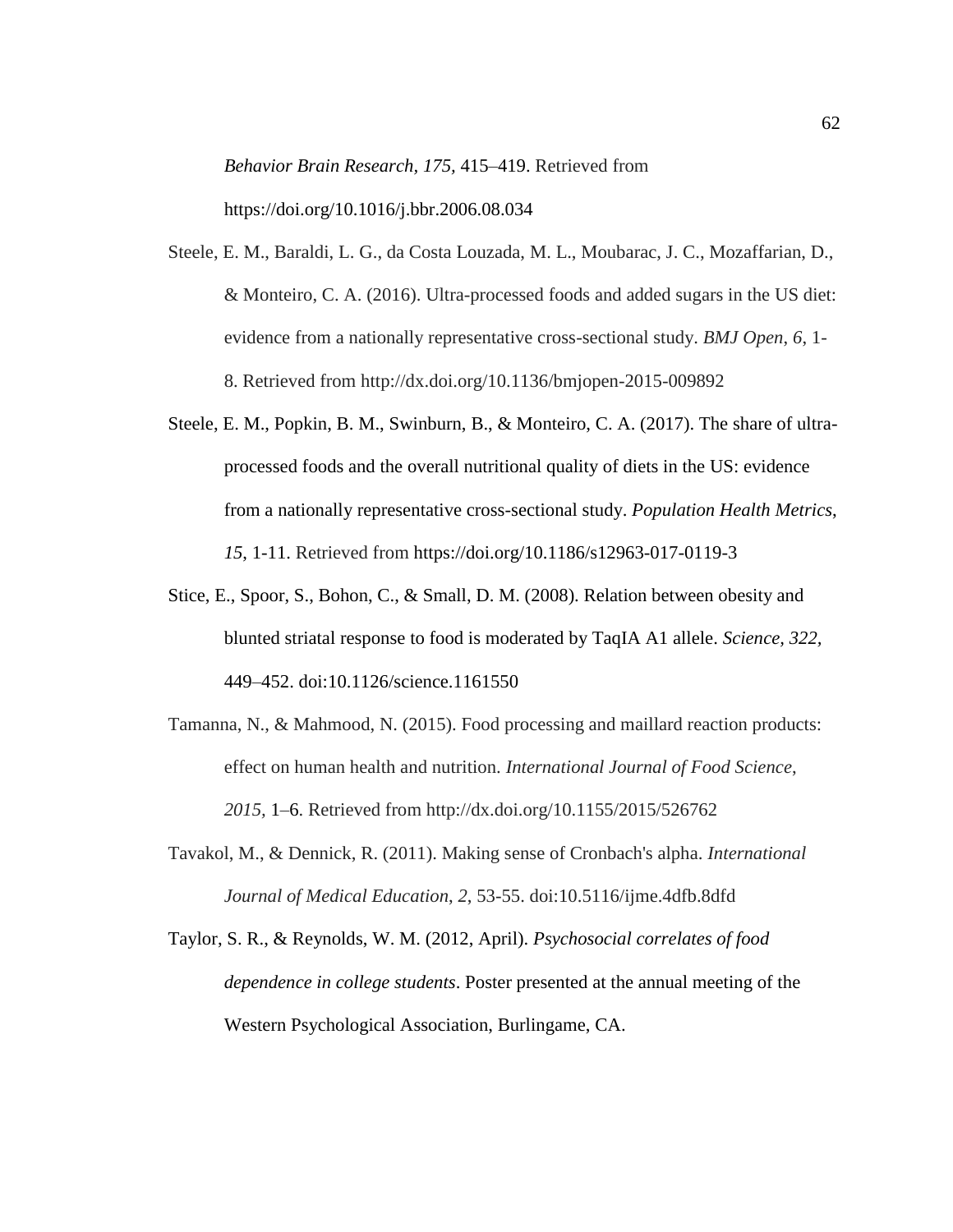*Behavior Brain Research, 175,* 415–419. Retrieved from https://doi.org/10.1016/j.bbr.2006.08.034

- Steele, E. M., Baraldi, L. G., da Costa Louzada, M. L., Moubarac, J. C., Mozaffarian, D., & Monteiro, C. A. (2016). Ultra-processed foods and added sugars in the US diet: evidence from a nationally representative cross-sectional study. *BMJ Open*, *6*, 1- 8. Retrieved from http://dx.doi.org/10.1136/bmjopen-2015-009892
- Steele, E. M., Popkin, B. M., Swinburn, B., & Monteiro, C. A. (2017). The share of ultraprocessed foods and the overall nutritional quality of diets in the US: evidence from a nationally representative cross-sectional study. *Population Health Metrics*, *15*, 1-11. Retrieved from https://doi.org/10.1186/s12963-017-0119-3
- Stice, E., Spoor, S., Bohon, C., & Small, D. M. (2008). Relation between obesity and blunted striatal response to food is moderated by TaqIA A1 allele. *Science, 322,* 449–452. doi:10.1126/science.1161550
- Tamanna, N., & Mahmood, N. (2015). Food processing and maillard reaction products: effect on human health and nutrition. *International Journal of Food Science*, *2015,* 1–6. Retrieved from http://dx.doi.org/10.1155/2015/526762
- Tavakol, M., & Dennick, R. (2011). Making sense of Cronbach's alpha. *International Journal of Medical Education*, *2*, 53-55. doi:10.5116/ijme.4dfb.8dfd
- Taylor, S. R., & Reynolds, W. M. (2012, April). *Psychosocial correlates of food dependence in college students*. Poster presented at the annual meeting of the Western Psychological Association, Burlingame, CA.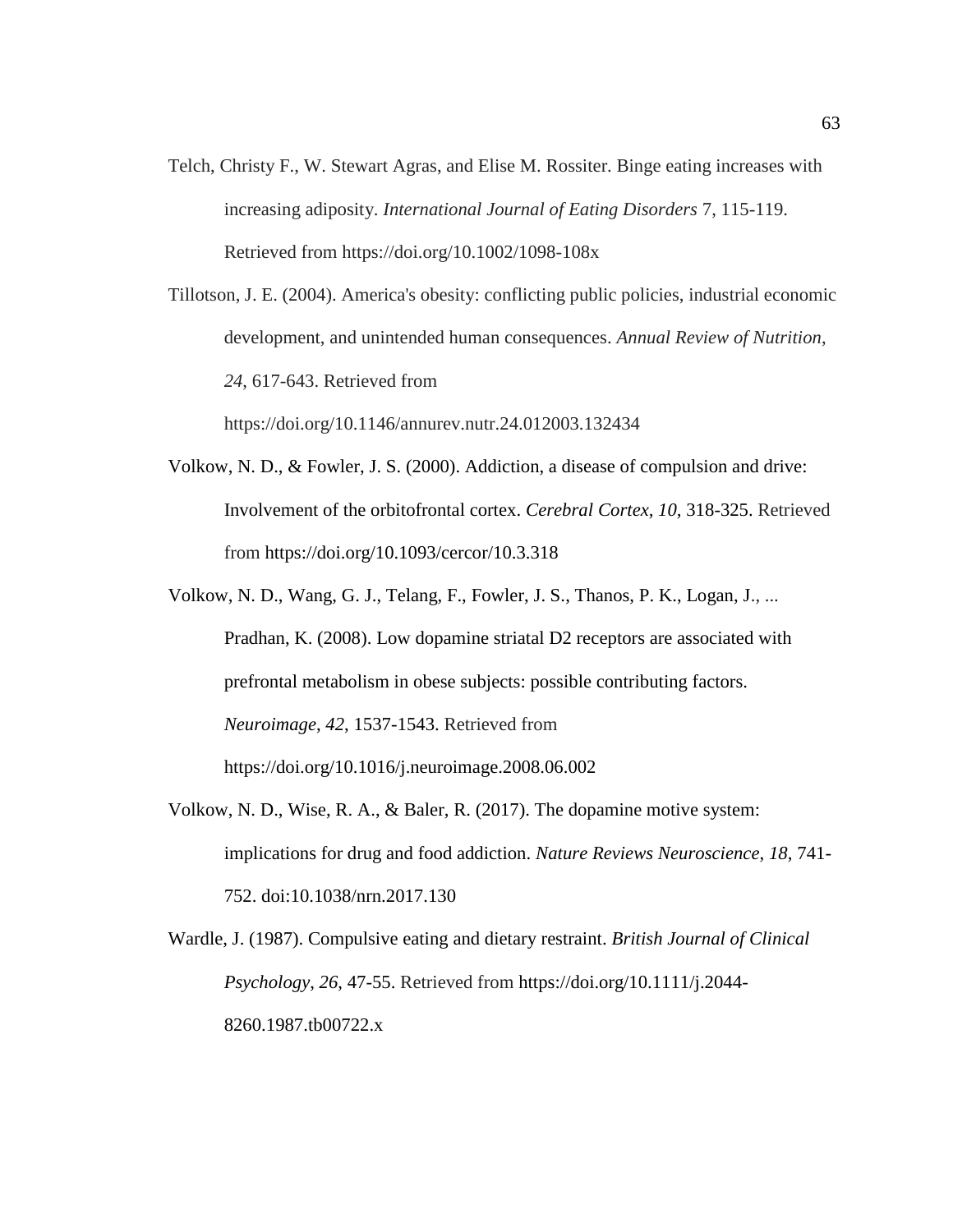Telch, Christy F., W. Stewart Agras, and Elise M. Rossiter. Binge eating increases with increasing adiposity. *International Journal of Eating Disorders* 7, 115-119. Retrieved from https://doi.org/10.1002/1098-108x

Tillotson, J. E. (2004). America's obesity: conflicting public policies, industrial economic development, and unintended human consequences. *Annual Review of Nutrition*, *24*, 617-643. Retrieved from

https://doi.org/10.1146/annurev.nutr.24.012003.132434

- Volkow, N. D., & Fowler, J. S. (2000). Addiction, a disease of compulsion and drive: Involvement of the orbitofrontal cortex. *Cerebral Cortex, 10,* 318-325. Retrieved from https://doi.org/10.1093/cercor/10.3.318
- Volkow, N. D., Wang, G. J., Telang, F., Fowler, J. S., Thanos, P. K., Logan, J., ... Pradhan, K. (2008). Low dopamine striatal D2 receptors are associated with prefrontal metabolism in obese subjects: possible contributing factors. *Neuroimage*, *42*, 1537-1543. Retrieved from https://doi.org/10.1016/j.neuroimage.2008.06.002
- Volkow, N. D., Wise, R. A., & Baler, R. (2017). The dopamine motive system: implications for drug and food addiction. *Nature Reviews Neuroscience*, *18*, 741- 752. doi:10.1038/nrn.2017.130
- Wardle, J. (1987). Compulsive eating and dietary restraint. *British Journal of Clinical Psychology*, *26*, 47-55. Retrieved from https://doi.org/10.1111/j.2044- 8260.1987.tb00722.x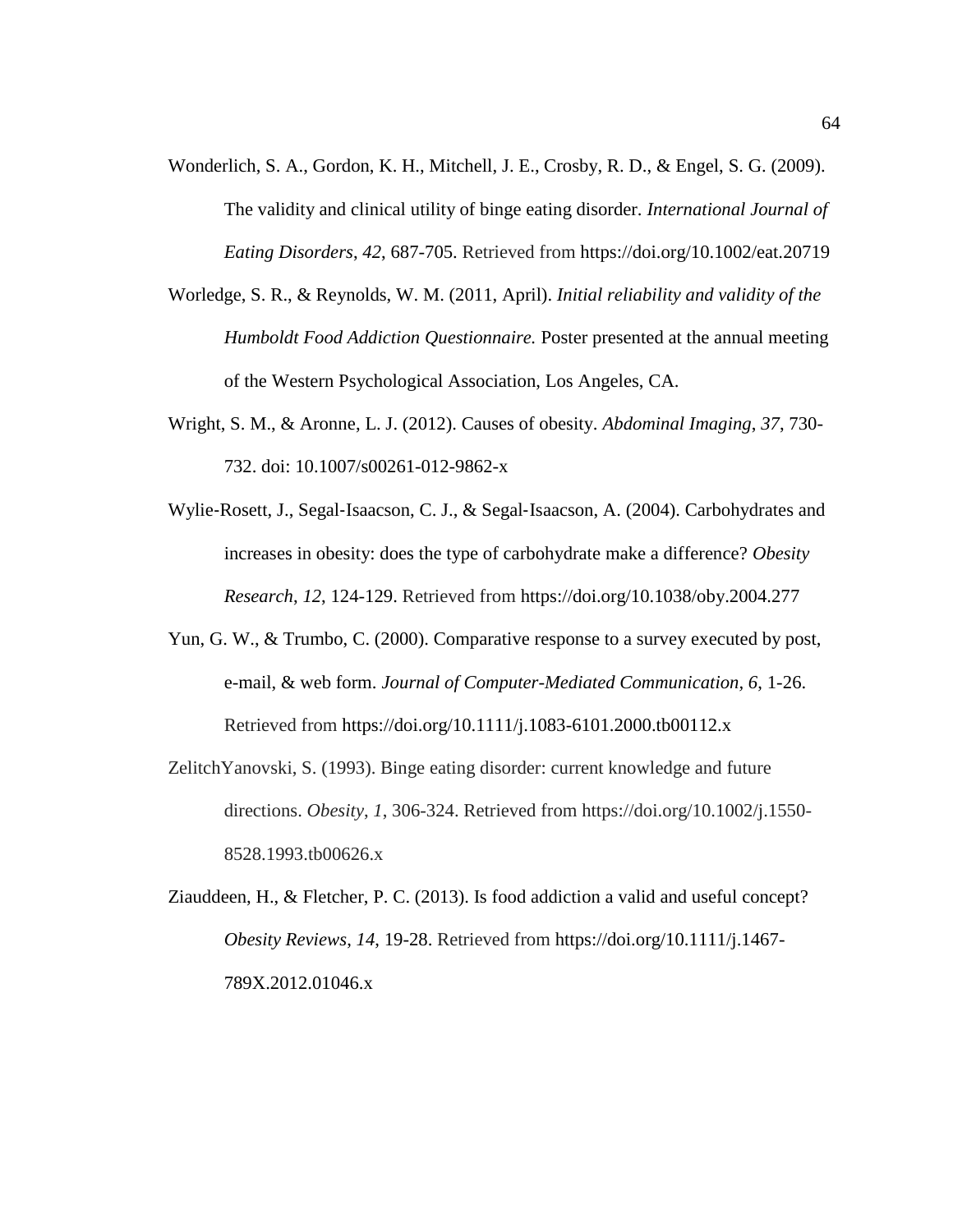- Wonderlich, S. A., Gordon, K. H., Mitchell, J. E., Crosby, R. D., & Engel, S. G. (2009). The validity and clinical utility of binge eating disorder. *International Journal of Eating Disorders*, *42*, 687-705. Retrieved from https://doi.org/10.1002/eat.20719
- Worledge, S. R., & Reynolds, W. M. (2011, April). *Initial reliability and validity of the Humboldt Food Addiction Questionnaire.* Poster presented at the annual meeting of the Western Psychological Association, Los Angeles, CA.
- Wright, S. M., & Aronne, L. J. (2012). Causes of obesity. *Abdominal Imaging*, *37*, 730- 732. doi: 10.1007/s00261-012-9862-x
- Wylie‐Rosett, J., Segal‐Isaacson, C. J., & Segal‐Isaacson, A. (2004). Carbohydrates and increases in obesity: does the type of carbohydrate make a difference? *Obesity Research*, *12*, 124-129. Retrieved from https://doi.org/10.1038/oby.2004.277
- Yun, G. W., & Trumbo, C. (2000). Comparative response to a survey executed by post, e-mail, & web form. *Journal of Computer-Mediated Communication, 6*, 1-26. Retrieved from https://doi.org/10.1111/j.1083-6101.2000.tb00112.x
- ZelitchYanovski, S. (1993). Binge eating disorder: current knowledge and future directions. *Obesity*, *1*, 306-324. Retrieved from https://doi.org/10.1002/j.1550- 8528.1993.tb00626.x
- Ziauddeen, H., & Fletcher, P. C. (2013). Is food addiction a valid and useful concept? *Obesity Reviews*, *14*, 19-28. Retrieved from https://doi.org/10.1111/j.1467- 789X.2012.01046.x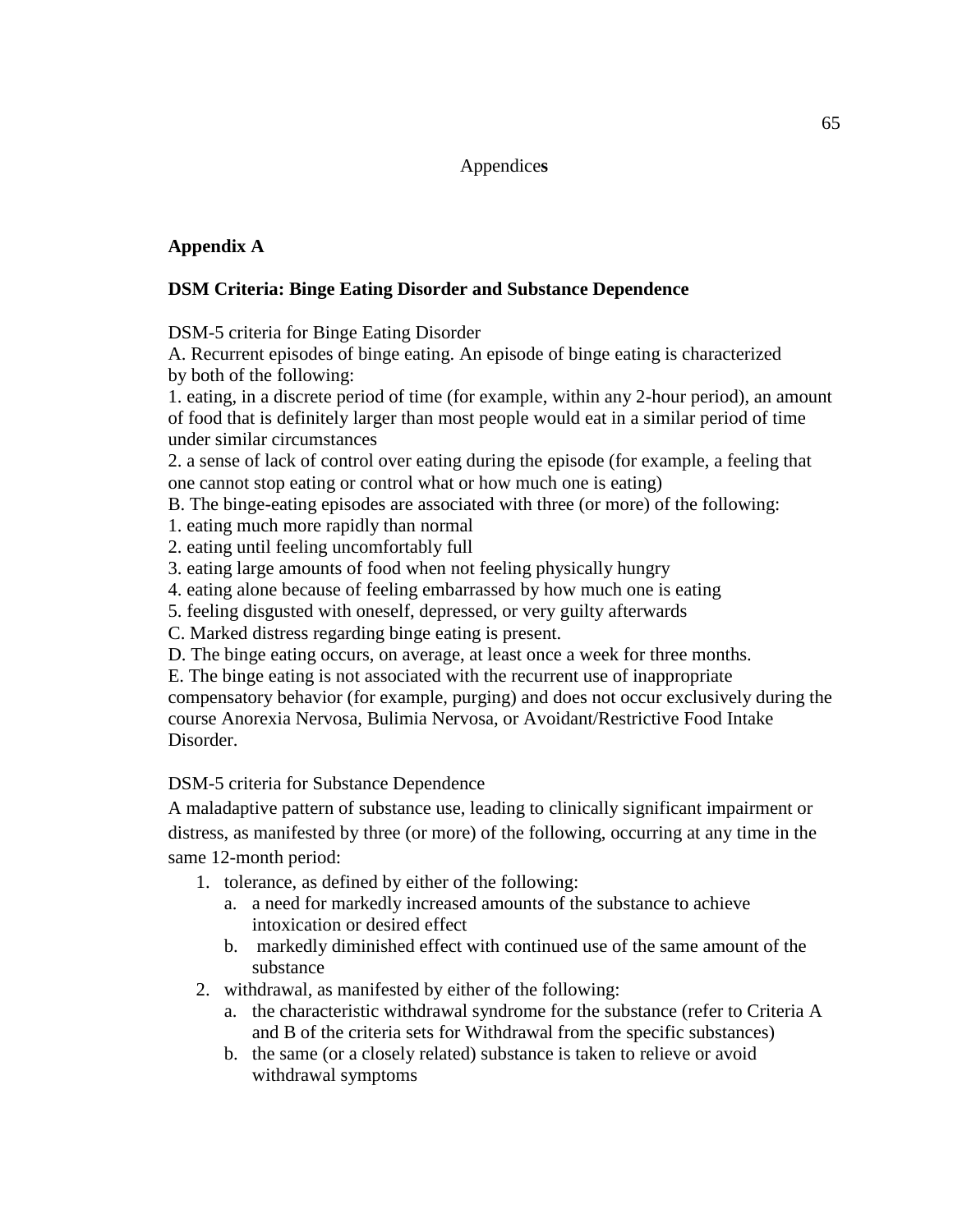### Appendice**s**

### **Appendix A**

### **DSM Criteria: Binge Eating Disorder and Substance Dependence**

DSM-5 criteria for Binge Eating Disorder

A. Recurrent episodes of binge eating. An episode of binge eating is characterized by both of the following:

1. eating, in a discrete period of time (for example, within any 2-hour period), an amount of food that is definitely larger than most people would eat in a similar period of time under similar circumstances

2. a sense of lack of control over eating during the episode (for example, a feeling that one cannot stop eating or control what or how much one is eating)

B. The binge-eating episodes are associated with three (or more) of the following:

1. eating much more rapidly than normal

2. eating until feeling uncomfortably full

3. eating large amounts of food when not feeling physically hungry

4. eating alone because of feeling embarrassed by how much one is eating

5. feeling disgusted with oneself, depressed, or very guilty afterwards

C. Marked distress regarding binge eating is present.

D. The binge eating occurs, on average, at least once a week for three months.

E. The binge eating is not associated with the recurrent use of inappropriate compensatory behavior (for example, purging) and does not occur exclusively during the course Anorexia Nervosa, Bulimia Nervosa, or Avoidant/Restrictive Food Intake Disorder.

### DSM-5 criteria for Substance Dependence

A maladaptive pattern of substance use, leading to clinically significant impairment or distress, as manifested by three (or more) of the following, occurring at any time in the same 12-month period:

- 1. tolerance, as defined by either of the following:
	- a. a need for markedly increased amounts of the substance to achieve intoxication or desired effect
	- b. markedly diminished effect with continued use of the same amount of the substance
- 2. withdrawal, as manifested by either of the following:
	- a. the characteristic withdrawal syndrome for the substance (refer to Criteria A and B of the criteria sets for Withdrawal from the specific substances)
	- b. the same (or a closely related) substance is taken to relieve or avoid withdrawal symptoms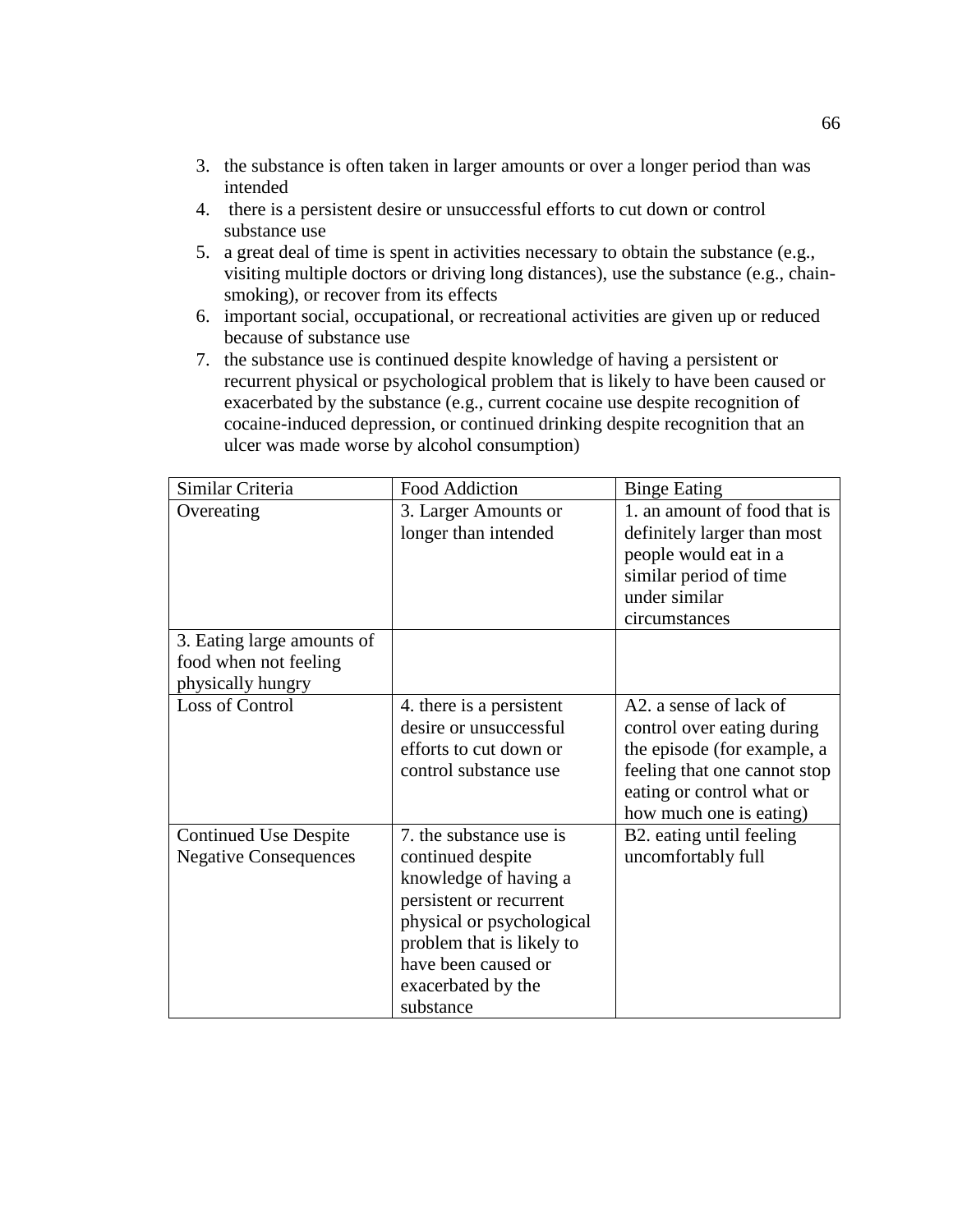- 3. the substance is often taken in larger amounts or over a longer period than was intended
- 4. there is a persistent desire or unsuccessful efforts to cut down or control substance use
- 5. a great deal of time is spent in activities necessary to obtain the substance (e.g., visiting multiple doctors or driving long distances), use the substance (e.g., chainsmoking), or recover from its effects
- 6. important social, occupational, or recreational activities are given up or reduced because of substance use
- 7. the substance use is continued despite knowledge of having a persistent or recurrent physical or psychological problem that is likely to have been caused or exacerbated by the substance (e.g., current cocaine use despite recognition of cocaine-induced depression, or continued drinking despite recognition that an ulcer was made worse by alcohol consumption)

| Similar Criteria             | <b>Food Addiction</b>     | <b>Binge Eating</b>          |
|------------------------------|---------------------------|------------------------------|
| Overeating                   | 3. Larger Amounts or      | 1. an amount of food that is |
|                              | longer than intended      | definitely larger than most  |
|                              |                           | people would eat in a        |
|                              |                           | similar period of time       |
|                              |                           | under similar                |
|                              |                           | circumstances                |
| 3. Eating large amounts of   |                           |                              |
| food when not feeling        |                           |                              |
| physically hungry            |                           |                              |
| Loss of Control              | 4. there is a persistent  | A2, a sense of lack of       |
|                              | desire or unsuccessful    | control over eating during   |
|                              | efforts to cut down or    | the episode (for example, a  |
|                              | control substance use     | feeling that one cannot stop |
|                              |                           | eating or control what or    |
|                              |                           | how much one is eating)      |
| <b>Continued Use Despite</b> | 7. the substance use is   | B2. eating until feeling     |
| <b>Negative Consequences</b> | continued despite         | uncomfortably full           |
|                              | knowledge of having a     |                              |
|                              | persistent or recurrent   |                              |
|                              | physical or psychological |                              |
|                              | problem that is likely to |                              |
|                              | have been caused or       |                              |
|                              | exacerbated by the        |                              |
|                              | substance                 |                              |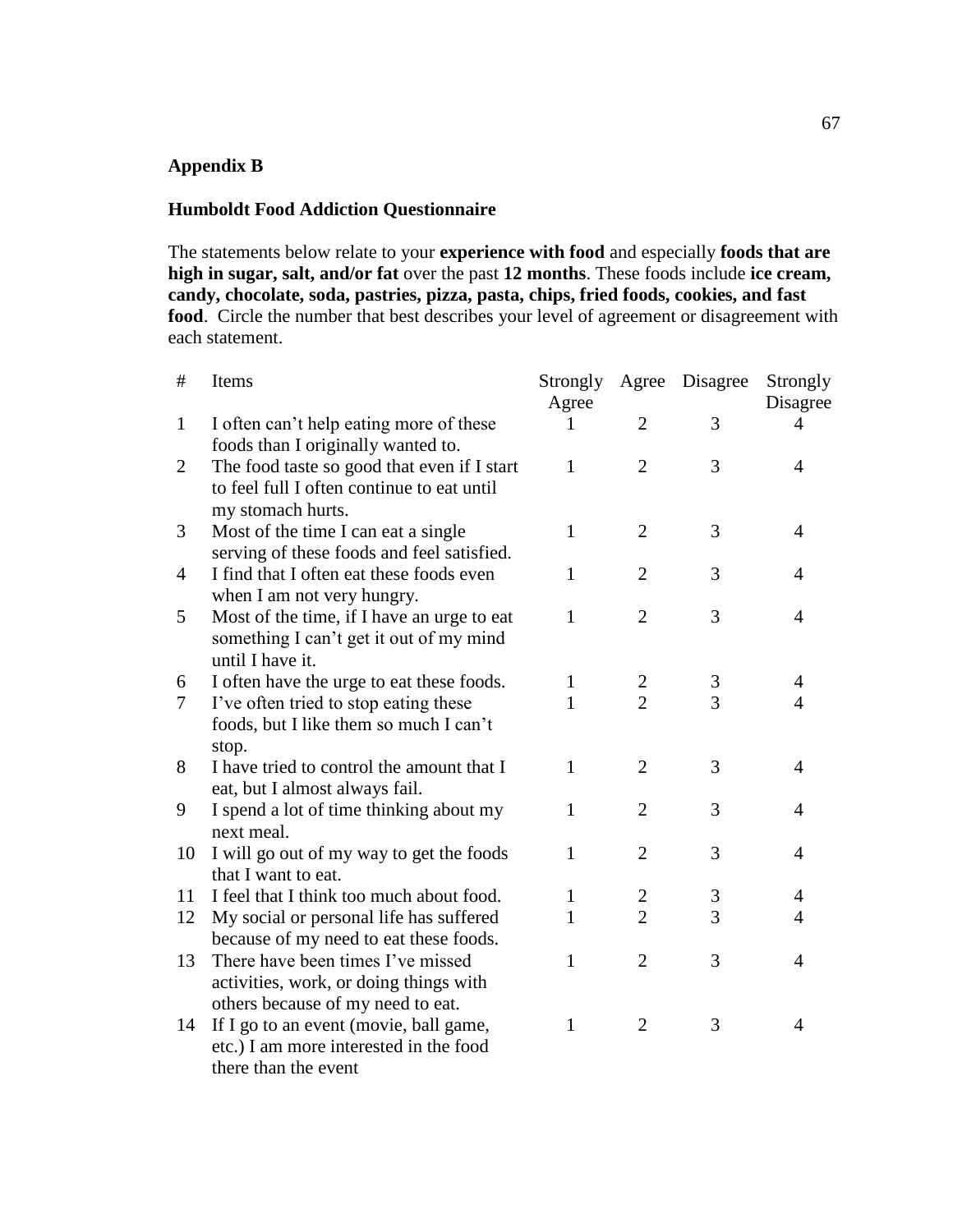### **Appendix B**

### **Humboldt Food Addiction Questionnaire**

there than the event

The statements below relate to your **experience with food** and especially **foods that are high in sugar, salt, and/or fat** over the past **12 months**. These foods include **ice cream, candy, chocolate, soda, pastries, pizza, pasta, chips, fried foods, cookies, and fast**  food. Circle the number that best describes your level of agreement or disagreement with each statement.

| $\#$         | Items                                       | Strongly | Agree          | Disagree       | Strongly       |
|--------------|---------------------------------------------|----------|----------------|----------------|----------------|
|              |                                             | Agree    |                |                | Disagree       |
| $\mathbf{1}$ | I often can't help eating more of these     | I        | 2              | 3              | $\overline{4}$ |
|              | foods than I originally wanted to.          |          |                |                |                |
| 2            | The food taste so good that even if I start | 1        | $\overline{2}$ | 3              | 4              |
|              | to feel full I often continue to eat until  |          |                |                |                |
|              | my stomach hurts.                           |          |                |                |                |
| 3            | Most of the time I can eat a single         | 1        | $\overline{2}$ | 3              | 4              |
|              | serving of these foods and feel satisfied.  |          |                |                |                |
| 4            | I find that I often eat these foods even    | 1        | $\overline{2}$ | 3              | $\overline{4}$ |
|              | when I am not very hungry.                  |          |                |                |                |
| 5            | Most of the time, if I have an urge to eat  | 1        | $\overline{2}$ | 3              | 4              |
|              | something I can't get it out of my mind     |          |                |                |                |
|              | until I have it.                            |          |                |                |                |
| 6            | I often have the urge to eat these foods.   | 1        | $\overline{2}$ | 3              | 4              |
| 7            | I've often tried to stop eating these       | 1        | $\overline{2}$ | $\overline{3}$ | $\overline{4}$ |
|              | foods, but I like them so much I can't      |          |                |                |                |
|              | stop.                                       |          |                |                |                |
| 8            | I have tried to control the amount that I   | 1        | $\overline{2}$ | 3              | 4              |
|              | eat, but I almost always fail.              |          |                |                |                |
| 9            | I spend a lot of time thinking about my     | 1        | $\overline{2}$ | 3              | 4              |
|              | next meal.                                  |          |                |                |                |
| 10           | I will go out of my way to get the foods    | 1        | $\overline{2}$ | 3              | $\overline{4}$ |
|              | that I want to eat.                         |          |                |                |                |
| 11           | I feel that I think too much about food.    | 1        | $\overline{2}$ | 3              | 4              |
| 12           | My social or personal life has suffered     | 1        | $\overline{2}$ | $\overline{3}$ | $\overline{4}$ |
|              | because of my need to eat these foods.      |          |                |                |                |
| 13           | There have been times I've missed           | 1        | $\overline{2}$ | 3              | $\overline{4}$ |
|              | activities, work, or doing things with      |          |                |                |                |
|              | others because of my need to eat.           |          |                |                |                |
| 14           | If I go to an event (movie, ball game,      | 1        | $\overline{2}$ | 3              | 4              |
|              | etc.) I am more interested in the food      |          |                |                |                |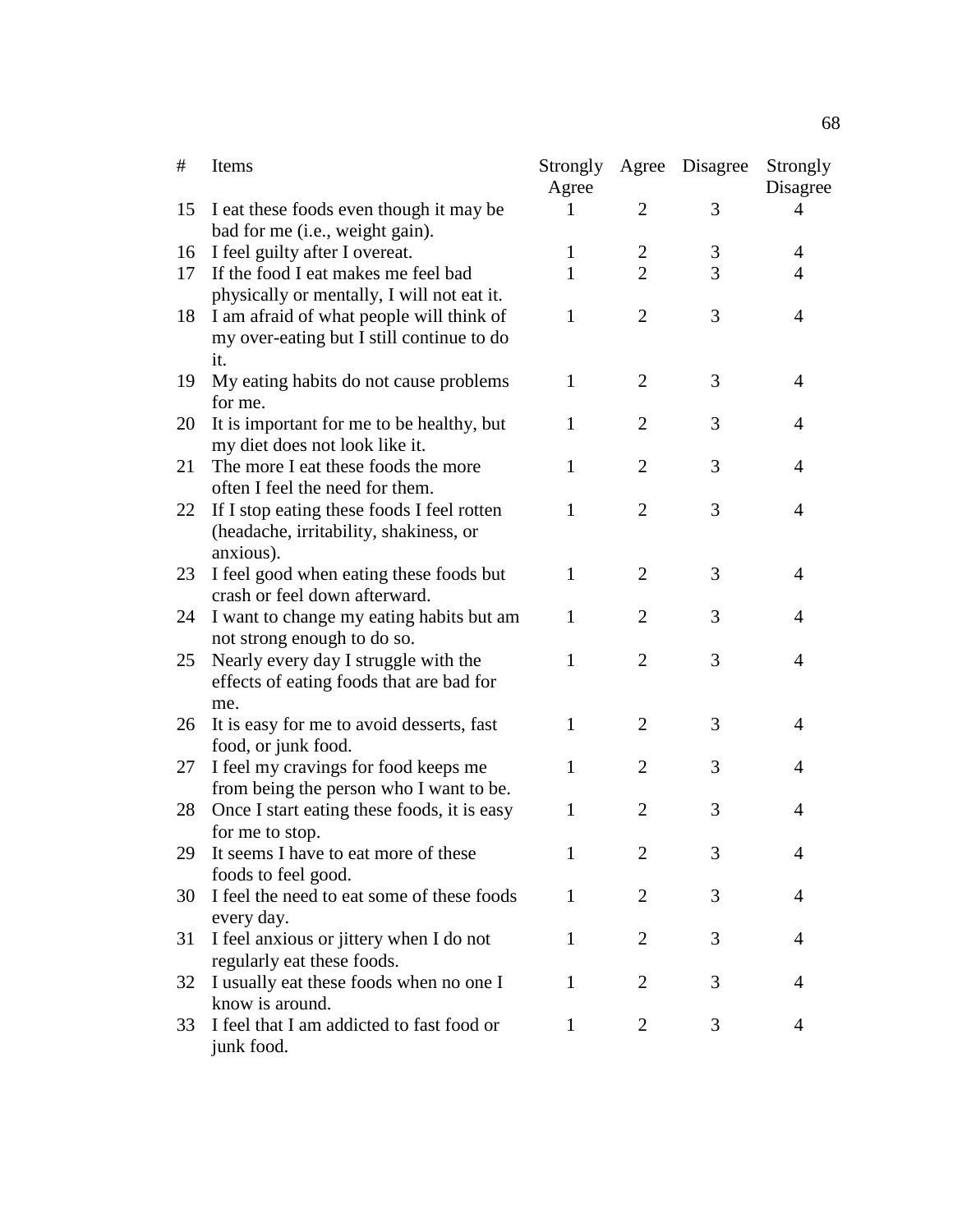| #  | Items                                                                                             | Strongly<br>Agree | Agree          | Disagree | Strongly<br>Disagree |
|----|---------------------------------------------------------------------------------------------------|-------------------|----------------|----------|----------------------|
| 15 | I eat these foods even though it may be<br>bad for me (i.e., weight gain).                        | I                 | 2              | 3        | 4                    |
| 16 | I feel guilty after I overeat.                                                                    | 1                 | 2              | 3        | 4                    |
| 17 | If the food I eat makes me feel bad<br>physically or mentally, I will not eat it.                 | 1                 | $\overline{2}$ | 3        | 4                    |
| 18 | I am afraid of what people will think of<br>my over-eating but I still continue to do<br>it.      | 1                 | $\overline{2}$ | 3        | $\overline{4}$       |
| 19 | My eating habits do not cause problems<br>for me.                                                 | $\mathbf{1}$      | $\overline{2}$ | 3        | 4                    |
| 20 | It is important for me to be healthy, but<br>my diet does not look like it.                       | 1                 | $\overline{2}$ | 3        | 4                    |
| 21 | The more I eat these foods the more<br>often I feel the need for them.                            | 1                 | $\overline{2}$ | 3        | $\overline{4}$       |
| 22 | If I stop eating these foods I feel rotten<br>(headache, irritability, shakiness, or<br>anxious). | 1                 | $\overline{2}$ | 3        | $\overline{4}$       |
| 23 | I feel good when eating these foods but<br>crash or feel down afterward.                          | 1                 | $\overline{2}$ | 3        | $\overline{4}$       |
| 24 | I want to change my eating habits but am<br>not strong enough to do so.                           | 1                 | $\overline{2}$ | 3        | $\overline{4}$       |
| 25 | Nearly every day I struggle with the<br>effects of eating foods that are bad for<br>me.           | 1                 | $\overline{2}$ | 3        | $\overline{4}$       |
| 26 | It is easy for me to avoid desserts, fast<br>food, or junk food.                                  | 1                 | $\overline{2}$ | 3        | $\overline{4}$       |
| 27 | I feel my cravings for food keeps me<br>from being the person who I want to be.                   | 1                 | $\overline{2}$ | 3        | 4                    |
| 28 | Once I start eating these foods, it is easy<br>for me to stop.                                    | 1                 | $\overline{2}$ | 3        | 4                    |
| 29 | It seems I have to eat more of these<br>foods to feel good.                                       | $\mathbf{1}$      | $\overline{2}$ | 3        |                      |
| 30 | I feel the need to eat some of these foods<br>every day.                                          | 1                 | 2              | 3        | 4                    |
| 31 | I feel anxious or jittery when I do not<br>regularly eat these foods.                             | 1                 | 2              | 3        | 4                    |
| 32 | I usually eat these foods when no one I<br>know is around.                                        | $\mathbf{1}$      | $\overline{2}$ | 3        | $\overline{4}$       |
| 33 | I feel that I am addicted to fast food or<br>junk food.                                           | 1                 | $\overline{2}$ | 3        | 4                    |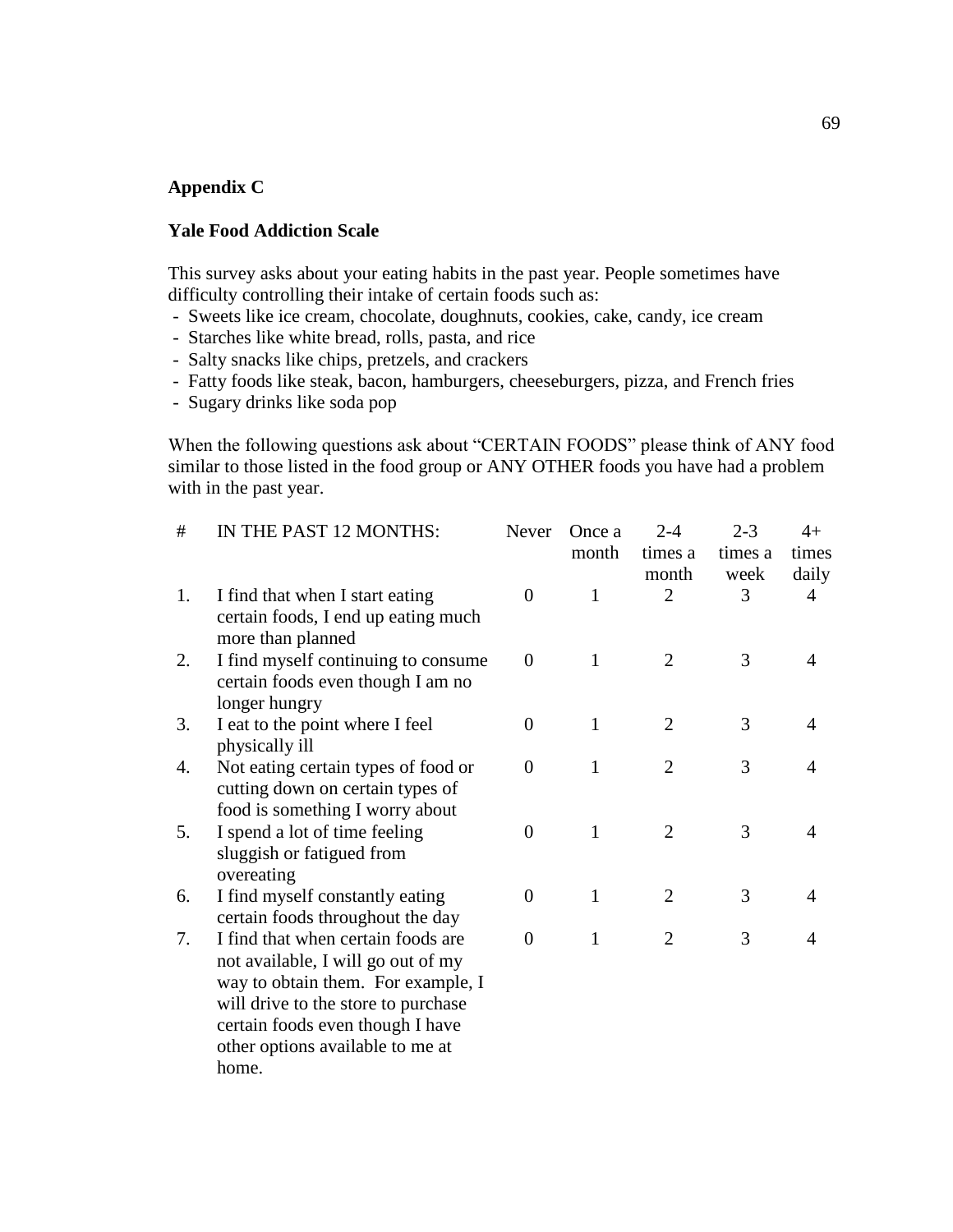#### **Appendix C**

### **Yale Food Addiction Scale**

This survey asks about your eating habits in the past year. People sometimes have difficulty controlling their intake of certain foods such as:

- Sweets like ice cream, chocolate, doughnuts, cookies, cake, candy, ice cream
- Starches like white bread, rolls, pasta, and rice
- Salty snacks like chips, pretzels, and crackers
- Fatty foods like steak, bacon, hamburgers, cheeseburgers, pizza, and French fries
- Sugary drinks like soda pop

When the following questions ask about "CERTAIN FOODS" please think of ANY food similar to those listed in the food group or ANY OTHER foods you have had a problem with in the past year.

| #  | IN THE PAST 12 MONTHS:                                                 | Never            | Once a       | $2 - 4$        | $2 - 3$ | $4+$           |
|----|------------------------------------------------------------------------|------------------|--------------|----------------|---------|----------------|
|    |                                                                        |                  | month        | times a        | times a | times          |
|    |                                                                        |                  |              | month          | week    | daily          |
| 1. | I find that when I start eating<br>certain foods, I end up eating much | $\theta$         | $\mathbf{1}$ | $\overline{2}$ | 3       | $\overline{4}$ |
|    | more than planned                                                      |                  |              |                |         |                |
| 2. | I find myself continuing to consume                                    | $\theta$         | 1            | $\overline{2}$ | 3       | $\overline{4}$ |
|    | certain foods even though I am no                                      |                  |              |                |         |                |
| 3. | longer hungry<br>I eat to the point where I feel                       | $\boldsymbol{0}$ | $\mathbf{1}$ | $\overline{2}$ | 3       | $\overline{4}$ |
|    | physically ill                                                         |                  |              |                |         |                |
| 4. | Not eating certain types of food or                                    | $\overline{0}$   | 1            | $\overline{2}$ | 3       | 4              |
|    | cutting down on certain types of                                       |                  |              |                |         |                |
|    | food is something I worry about                                        |                  |              |                |         |                |
| 5. | I spend a lot of time feeling                                          | $\overline{0}$   | 1            | $\overline{2}$ | 3       | 4              |
|    | sluggish or fatigued from                                              |                  |              |                |         |                |
|    | overeating                                                             |                  |              |                |         |                |
| 6. | I find myself constantly eating                                        | 0                | $\mathbf{1}$ | $\overline{2}$ | 3       | 4              |
|    | certain foods throughout the day                                       |                  |              |                |         |                |
| 7. | I find that when certain foods are                                     | $\overline{0}$   | 1            | $\overline{2}$ | 3       | 4              |
|    | not available, I will go out of my                                     |                  |              |                |         |                |
|    | way to obtain them. For example, I                                     |                  |              |                |         |                |
|    | will drive to the store to purchase                                    |                  |              |                |         |                |
|    | certain foods even though I have                                       |                  |              |                |         |                |
|    | other options available to me at                                       |                  |              |                |         |                |
|    | home.                                                                  |                  |              |                |         |                |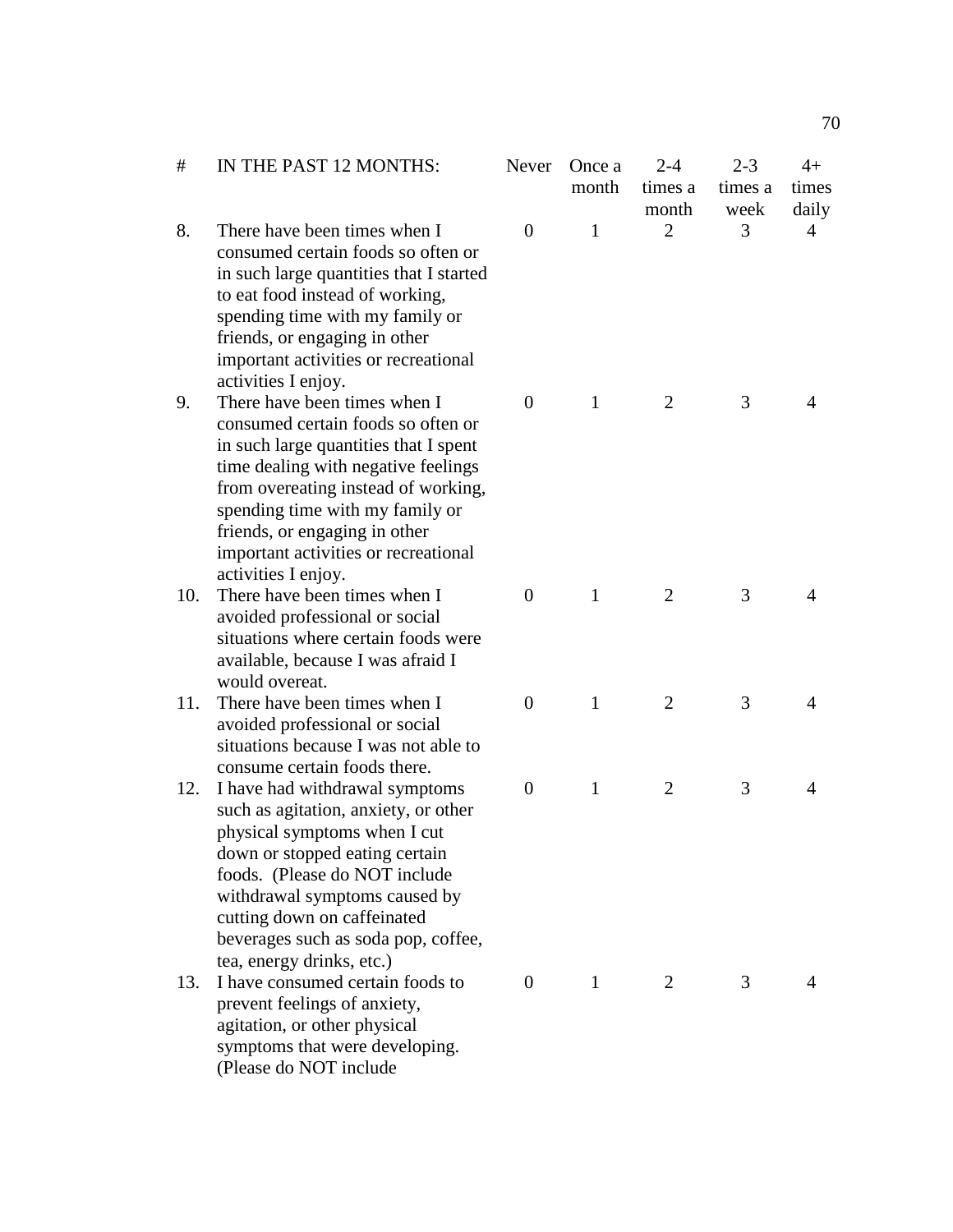| #   | IN THE PAST 12 MONTHS:                                                                                                                                                                                                                                                                                                       | <b>Never</b>   | Once a<br>month | $2 - 4$<br>times a<br>month | $2 - 3$<br>times a<br>week | $4+$<br>times<br>daily |
|-----|------------------------------------------------------------------------------------------------------------------------------------------------------------------------------------------------------------------------------------------------------------------------------------------------------------------------------|----------------|-----------------|-----------------------------|----------------------------|------------------------|
| 8.  | There have been times when I<br>consumed certain foods so often or<br>in such large quantities that I started<br>to eat food instead of working,<br>spending time with my family or<br>friends, or engaging in other<br>important activities or recreational<br>activities I enjoy.                                          | $\overline{0}$ | $\mathbf{1}$    | $\overline{2}$              | 3                          | 4                      |
| 9.  | There have been times when I<br>consumed certain foods so often or<br>in such large quantities that I spent<br>time dealing with negative feelings<br>from overeating instead of working,<br>spending time with my family or<br>friends, or engaging in other<br>important activities or recreational<br>activities I enjoy. | $\theta$       | $\mathbf{1}$    | 2                           | 3                          | 4                      |
| 10. | There have been times when I<br>avoided professional or social<br>situations where certain foods were<br>available, because I was afraid I<br>would overeat.                                                                                                                                                                 | $\theta$       | $\mathbf{1}$    | 2                           | 3                          | 4                      |
| 11. | There have been times when I<br>avoided professional or social<br>situations because I was not able to<br>consume certain foods there.                                                                                                                                                                                       | $\overline{0}$ | $\mathbf{1}$    | $\overline{2}$              | 3                          | 4                      |
| 12. | I have had withdrawal symptoms<br>such as agitation, anxiety, or other<br>physical symptoms when I cut<br>down or stopped eating certain<br>foods. (Please do NOT include<br>withdrawal symptoms caused by<br>cutting down on caffeinated<br>beverages such as soda pop, coffee,<br>tea, energy drinks, etc.)                | $\theta$       | $\mathbf{1}$    | $\overline{2}$              | 3                          | 4                      |
| 13. | I have consumed certain foods to<br>prevent feelings of anxiety,<br>agitation, or other physical<br>symptoms that were developing.<br>(Please do NOT include                                                                                                                                                                 | $\Omega$       | $\mathbf{1}$    | 2                           | 3                          | 4                      |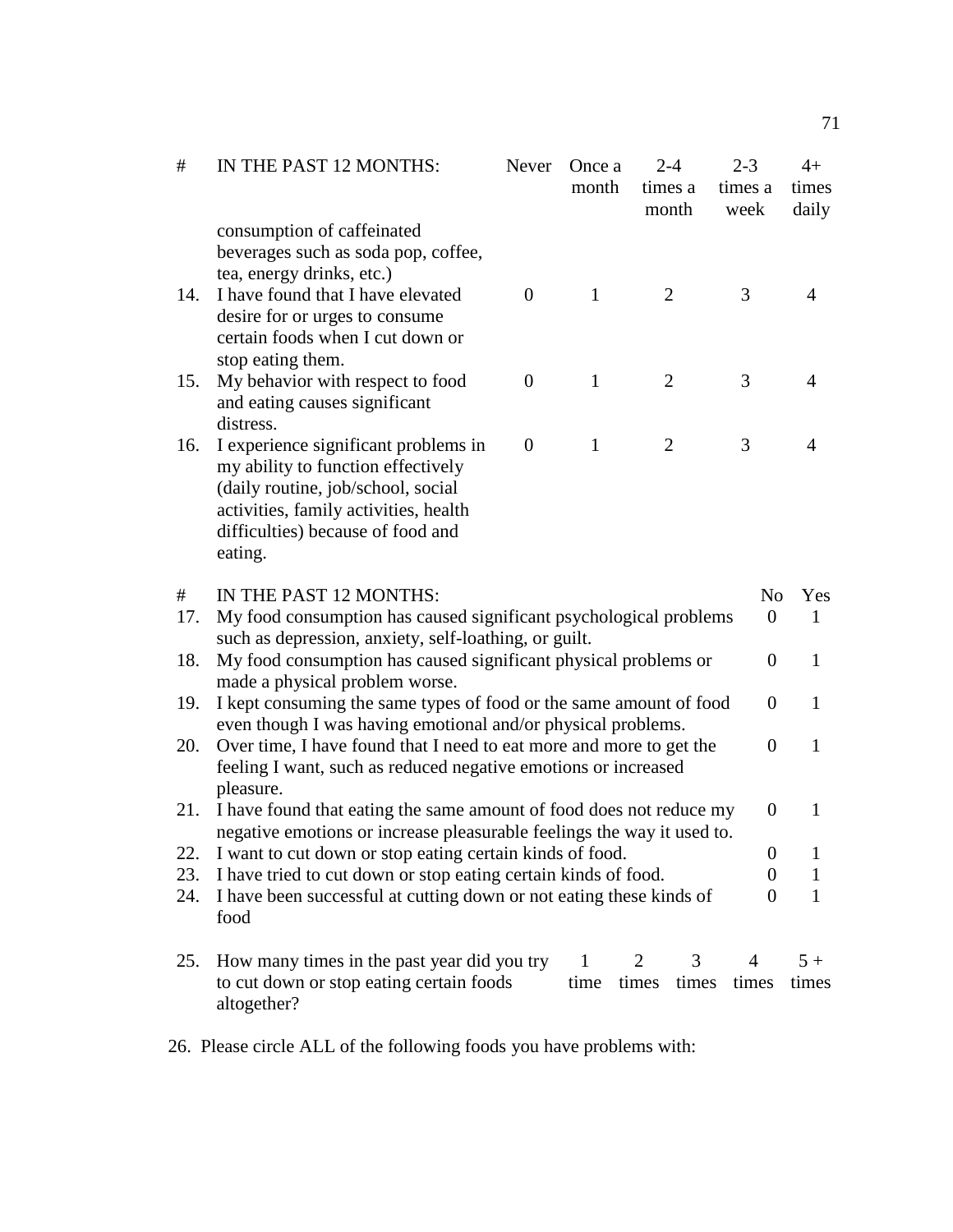| #   | IN THE PAST 12 MONTHS:<br>consumption of caffeinated                                                                                                                                                      | Never          | Once a<br>month | $2 - 4$<br>times a<br>month |       | $2 - 3$<br>times a<br>week | $4+$<br>times<br>daily |
|-----|-----------------------------------------------------------------------------------------------------------------------------------------------------------------------------------------------------------|----------------|-----------------|-----------------------------|-------|----------------------------|------------------------|
|     | beverages such as soda pop, coffee,                                                                                                                                                                       |                |                 |                             |       |                            |                        |
| 14. | tea, energy drinks, etc.)<br>I have found that I have elevated<br>desire for or urges to consume<br>certain foods when I cut down or                                                                      | $\theta$       | $\mathbf{1}$    | $\overline{2}$              |       | 3                          | $\overline{4}$         |
|     | stop eating them.                                                                                                                                                                                         |                |                 |                             |       |                            |                        |
| 15. | My behavior with respect to food<br>and eating causes significant<br>distress.                                                                                                                            | $\overline{0}$ | 1               | $\overline{2}$              |       | 3                          | 4                      |
| 16. | I experience significant problems in<br>my ability to function effectively<br>(daily routine, job/school, social<br>activities, family activities, health<br>difficulties) because of food and<br>eating. | $\theta$       | 1               | $\overline{2}$              |       | 3                          | 4                      |
| #   | IN THE PAST 12 MONTHS:                                                                                                                                                                                    |                |                 |                             |       | N <sub>o</sub>             | Yes                    |
| 17. | My food consumption has caused significant psychological problems                                                                                                                                         |                |                 |                             |       | $\overline{0}$             | 1                      |
|     | such as depression, anxiety, self-loathing, or guilt.                                                                                                                                                     |                |                 |                             |       |                            |                        |
| 18. | My food consumption has caused significant physical problems or<br>made a physical problem worse.                                                                                                         |                |                 |                             |       | $\boldsymbol{0}$           | $\mathbf{1}$           |
| 19. | I kept consuming the same types of food or the same amount of food<br>even though I was having emotional and/or physical problems.                                                                        |                |                 |                             |       | $\theta$                   | $\mathbf{1}$           |
| 20. | Over time, I have found that I need to eat more and more to get the<br>feeling I want, such as reduced negative emotions or increased<br>pleasure.                                                        |                |                 |                             |       | $\overline{0}$             | $\mathbf{1}$           |
| 21. | I have found that eating the same amount of food does not reduce my<br>negative emotions or increase pleasurable feelings the way it used to.                                                             |                |                 |                             |       | $\theta$                   | 1                      |
| 22. | I want to cut down or stop eating certain kinds of food.                                                                                                                                                  |                |                 |                             |       | $\boldsymbol{0}$           | $\mathbf{I}$           |
| 23. | I have tried to cut down or stop eating certain kinds of food.                                                                                                                                            |                |                 |                             |       | 0                          | 1                      |
| 24. | I have been successful at cutting down or not eating these kinds of<br>food                                                                                                                               |                |                 |                             |       | $\Omega$                   | $\mathbf{1}$           |
| 25. | How many times in the past year did you try                                                                                                                                                               |                | 1               | 2                           | 3     | $\overline{4}$             | $5+$                   |
|     | to cut down or stop eating certain foods<br>altogether?                                                                                                                                                   |                | time            | times                       | times | times                      | times                  |

26. Please circle ALL of the following foods you have problems with: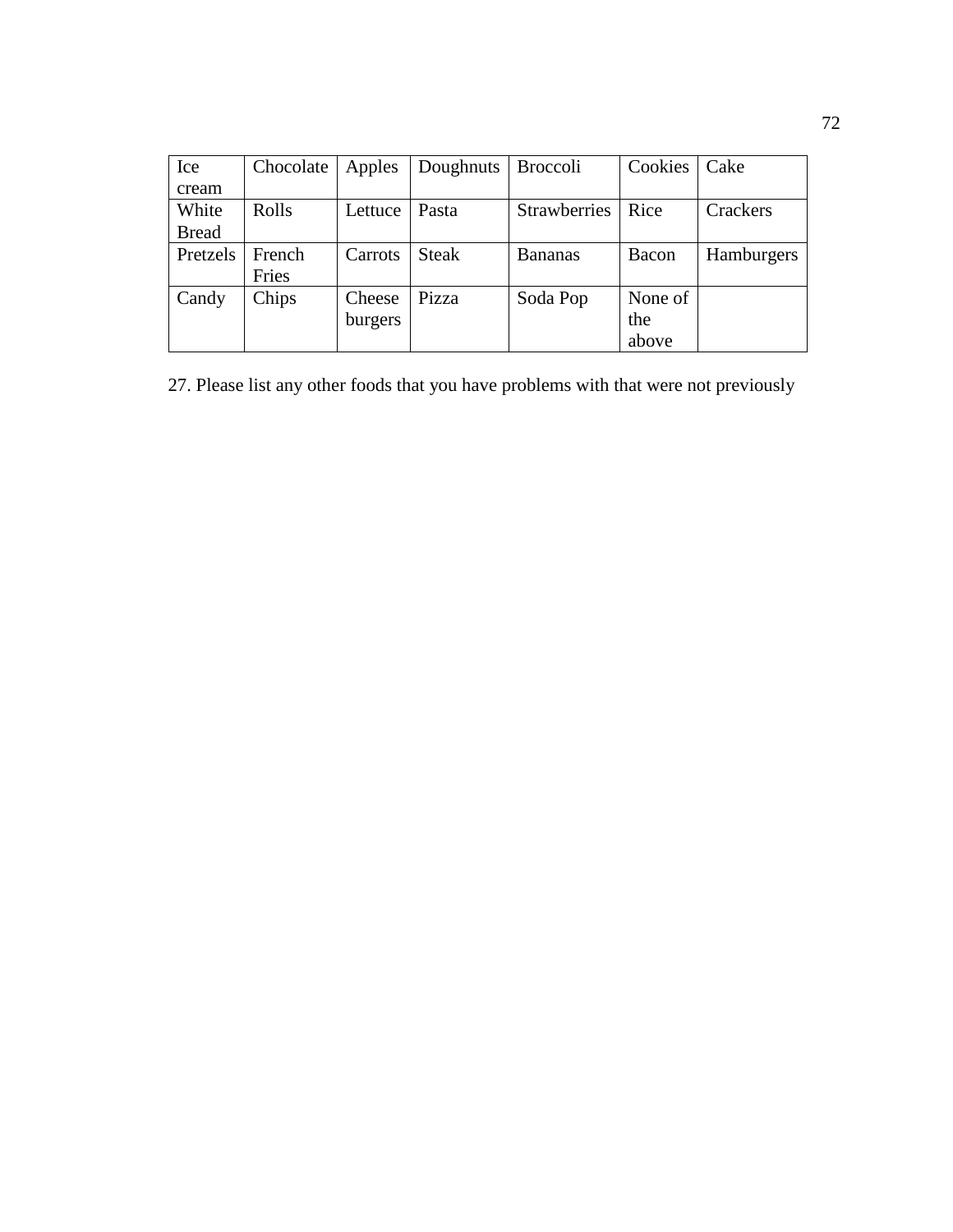| Ice          | Chocolate | Apples  | Doughnuts    | Broccoli            | Cookies | Cake       |
|--------------|-----------|---------|--------------|---------------------|---------|------------|
| cream        |           |         |              |                     |         |            |
| White        | Rolls     | Lettuce | Pasta        | <b>Strawberries</b> | Rice    | Crackers   |
| <b>Bread</b> |           |         |              |                     |         |            |
| Pretzels     | French    | Carrots | <b>Steak</b> | <b>Bananas</b>      | Bacon   | Hamburgers |
|              | Fries     |         |              |                     |         |            |
| Candy        | Chips     | Cheese  | Pizza        | Soda Pop            | None of |            |
|              |           | burgers |              |                     | the     |            |
|              |           |         |              |                     | above   |            |

27. Please list any other foods that you have problems with that were not previously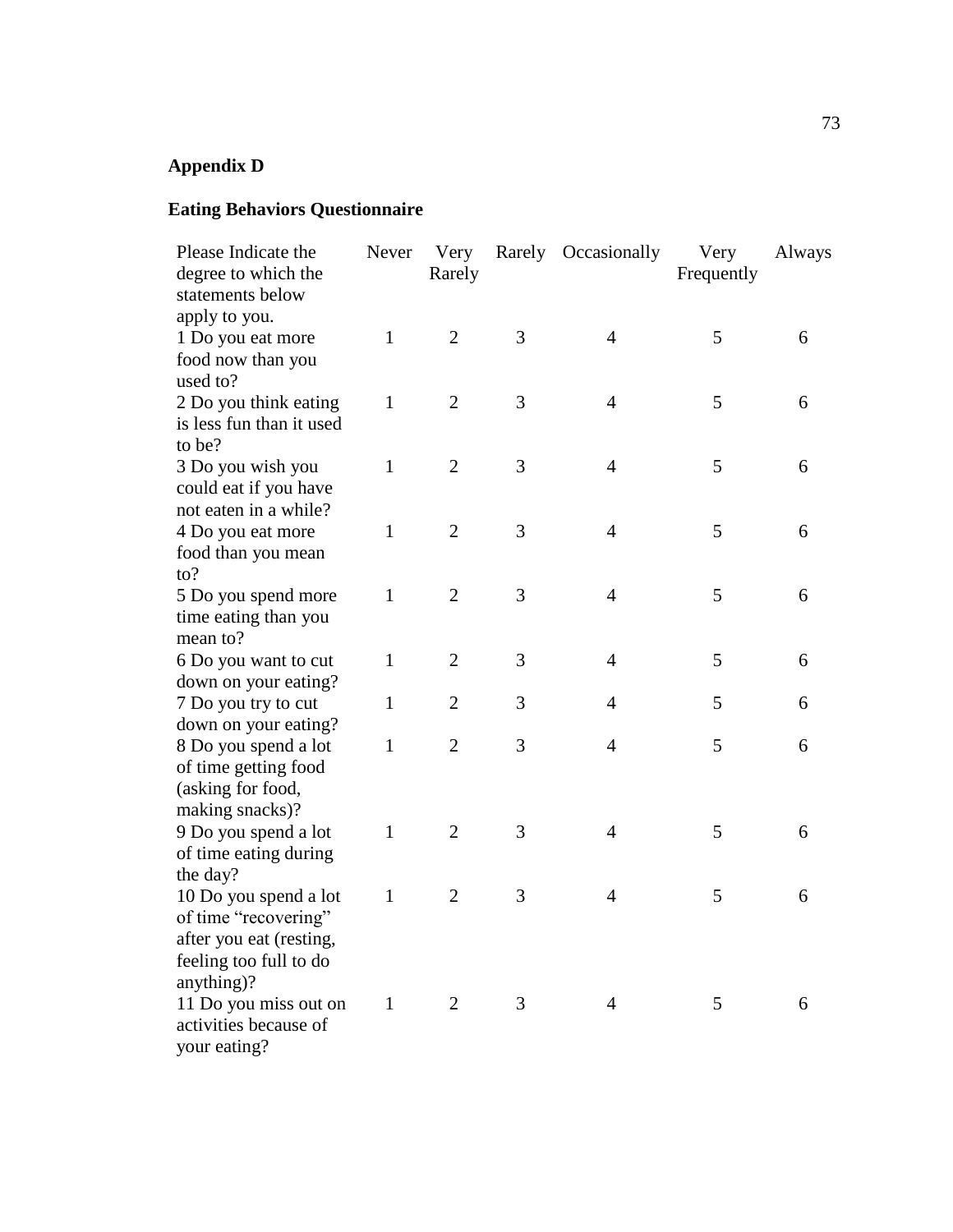# **Appendix D**

# **Eating Behaviors Questionnaire**

| Please Indicate the<br>degree to which the<br>statements below                                                   | Never        | Very<br>Rarely |   | Rarely Occasionally | Very<br>Frequently | Always |
|------------------------------------------------------------------------------------------------------------------|--------------|----------------|---|---------------------|--------------------|--------|
| apply to you.<br>1 Do you eat more<br>food now than you<br>used to?                                              | $\mathbf{1}$ | $\overline{2}$ | 3 | $\overline{4}$      | 5                  | 6      |
| 2 Do you think eating<br>is less fun than it used<br>to be?                                                      | $\mathbf{1}$ | $\overline{2}$ | 3 | $\overline{4}$      | 5                  | 6      |
| 3 Do you wish you<br>could eat if you have<br>not eaten in a while?                                              | $\mathbf{1}$ | $\overline{2}$ | 3 | $\overline{4}$      | 5                  | 6      |
| 4 Do you eat more<br>food than you mean<br>$\mathfrak{to}?$                                                      | $\mathbf{1}$ | $\overline{2}$ | 3 | $\overline{4}$      | 5                  | 6      |
| 5 Do you spend more<br>time eating than you<br>mean to?                                                          | 1            | $\overline{2}$ | 3 | $\overline{4}$      | 5                  | 6      |
| 6 Do you want to cut<br>down on your eating?                                                                     | $\mathbf{1}$ | $\overline{2}$ | 3 | $\overline{4}$      | 5                  | 6      |
| 7 Do you try to cut<br>down on your eating?                                                                      | $\mathbf{1}$ | $\overline{2}$ | 3 | $\overline{4}$      | 5                  | 6      |
| 8 Do you spend a lot<br>of time getting food<br>(asking for food,<br>making snacks)?                             | 1            | $\overline{2}$ | 3 | 4                   | 5                  | 6      |
| 9 Do you spend a lot<br>of time eating during<br>the day?                                                        | $\mathbf{1}$ | $\overline{2}$ | 3 | $\overline{4}$      | 5                  | 6      |
| 10 Do you spend a lot<br>of time "recovering"<br>after you eat (resting,<br>feeling too full to do<br>anything)? | 1            | $\overline{2}$ | 3 | $\overline{4}$      | 5                  | 6      |
| 11 Do you miss out on<br>activities because of<br>your eating?                                                   | $\mathbf{1}$ | 2              | 3 | 4                   | 5                  | 6      |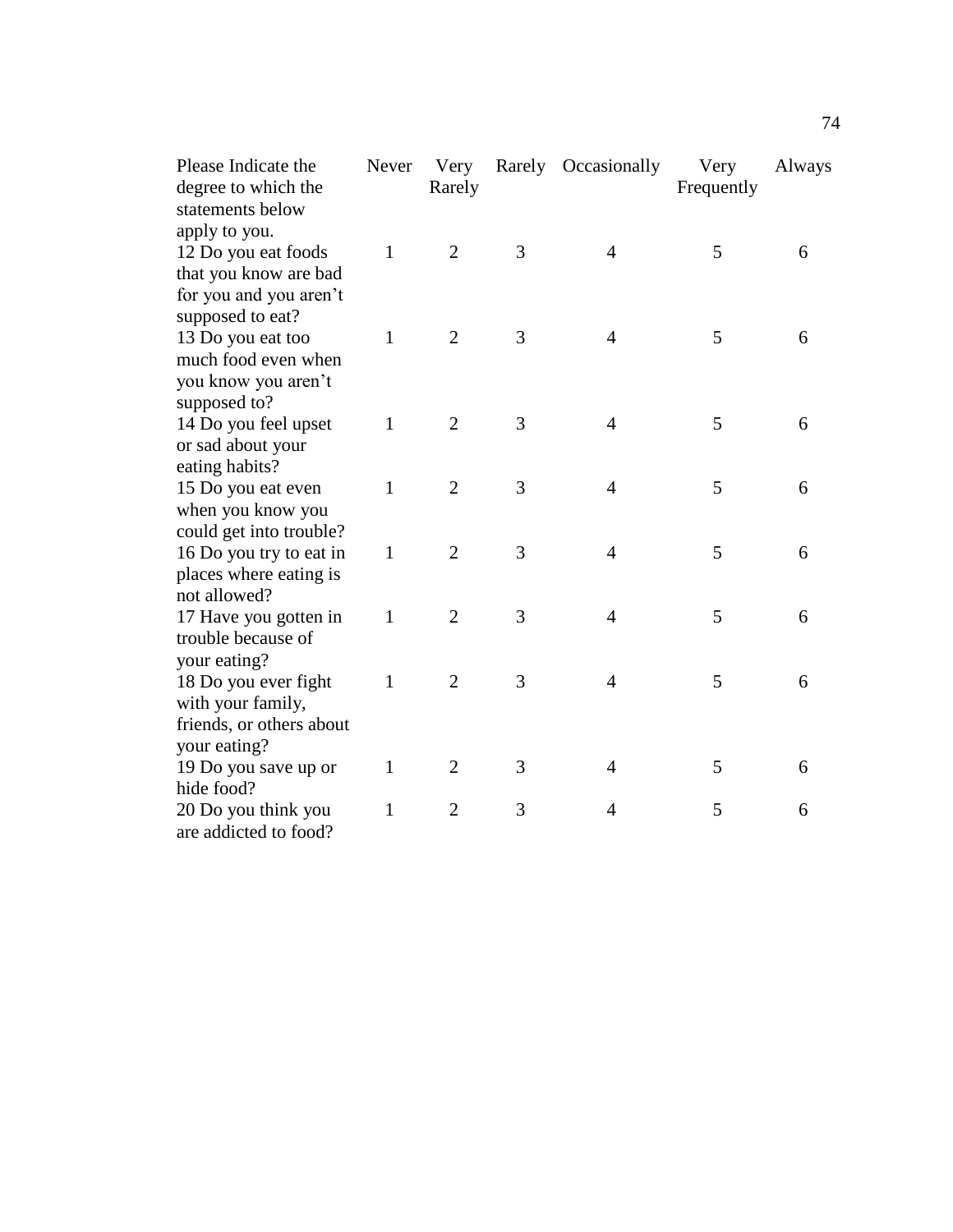| Please Indicate the<br>degree to which the<br>statements below | Never        | Very<br>Rarely | Rarely | Occasionally   | Very<br>Frequently | Always |
|----------------------------------------------------------------|--------------|----------------|--------|----------------|--------------------|--------|
| apply to you.                                                  |              |                |        |                |                    |        |
| 12 Do you eat foods                                            | 1            | $\overline{2}$ | 3      | $\overline{4}$ | 5                  | 6      |
| that you know are bad                                          |              |                |        |                |                    |        |
| for you and you aren't                                         |              |                |        |                |                    |        |
| supposed to eat?                                               |              |                |        |                |                    |        |
| 13 Do you eat too                                              | $\mathbf{1}$ | $\overline{2}$ | 3      | $\overline{4}$ | 5                  | 6      |
| much food even when                                            |              |                |        |                |                    |        |
| you know you aren't                                            |              |                |        |                |                    |        |
| supposed to?                                                   |              |                |        |                |                    |        |
| 14 Do you feel upset                                           | $\mathbf{1}$ | $\overline{2}$ | 3      | $\overline{4}$ | 5                  | 6      |
| or sad about your                                              |              |                |        |                |                    |        |
| eating habits?                                                 |              |                |        |                |                    |        |
| 15 Do you eat even                                             | $\mathbf{1}$ | $\overline{2}$ | 3      | $\overline{4}$ | 5                  | 6      |
| when you know you                                              |              |                |        |                |                    |        |
| could get into trouble?                                        |              |                |        |                |                    |        |
| 16 Do you try to eat in                                        | $\mathbf{1}$ | $\overline{2}$ | 3      | $\overline{4}$ | 5                  | 6      |
| places where eating is                                         |              |                |        |                |                    |        |
| not allowed?                                                   |              |                |        |                |                    |        |
| 17 Have you gotten in                                          | $\mathbf{1}$ | $\overline{2}$ | 3      | $\overline{4}$ | 5                  | 6      |
| trouble because of                                             |              |                |        |                |                    |        |
| your eating?                                                   |              |                |        |                |                    |        |
| 18 Do you ever fight                                           | $\mathbf{1}$ | $\overline{2}$ | 3      | $\overline{4}$ | 5                  | 6      |
| with your family,                                              |              |                |        |                |                    |        |
| friends, or others about                                       |              |                |        |                |                    |        |
| your eating?                                                   |              |                |        |                |                    |        |
| 19 Do you save up or                                           | 1            | $\overline{2}$ | 3      | $\overline{4}$ | 5                  | 6      |
| hide food?                                                     |              |                |        |                |                    |        |
| 20 Do you think you                                            | 1            | $\overline{2}$ | 3      | 4              | 5                  | 6      |
| are addicted to food?                                          |              |                |        |                |                    |        |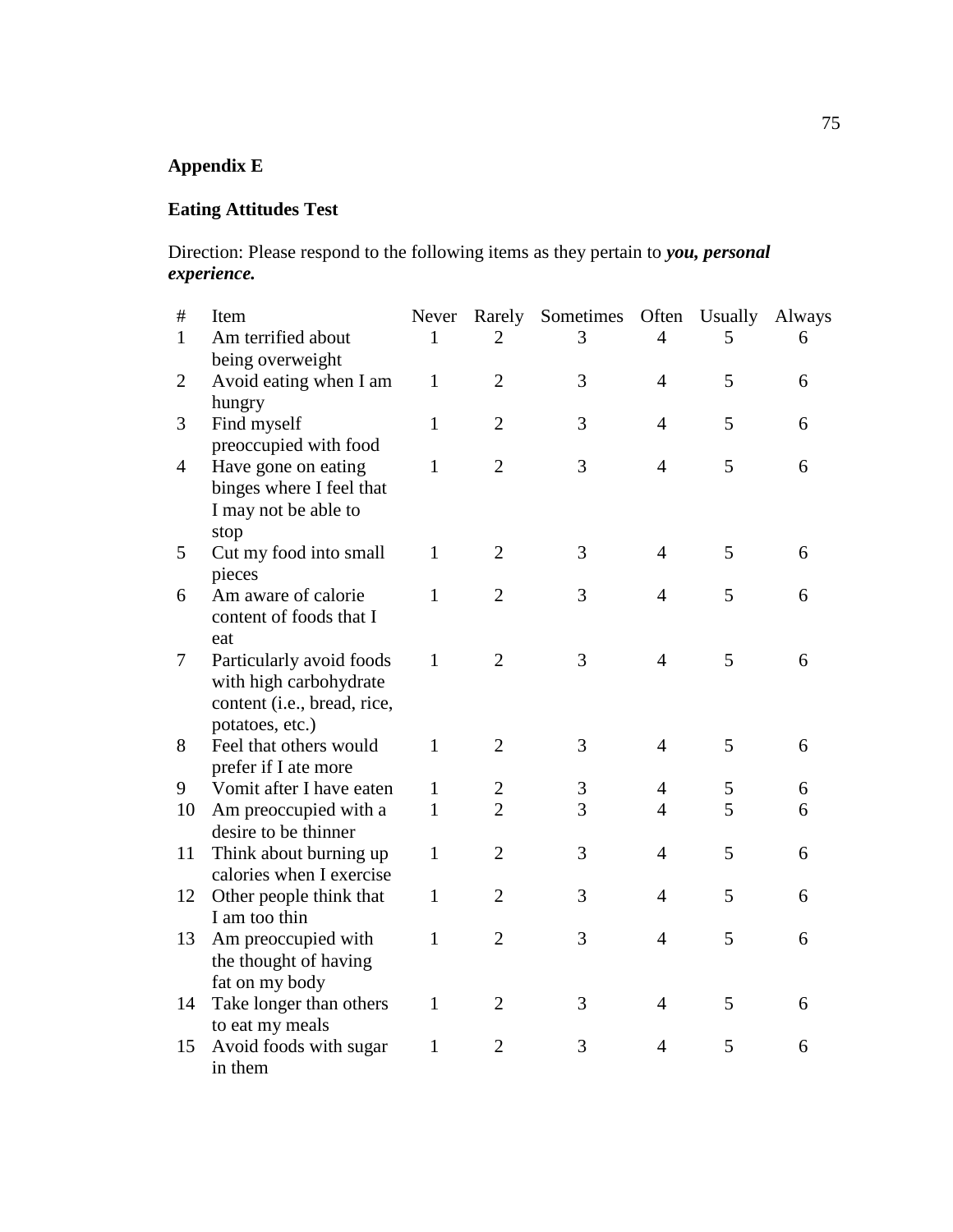# **Appendix E**

## **Eating Attitudes Test**

Direction: Please respond to the following items as they pertain to *you, personal experience.*

| $\#$           | Item                                         | Never        | Rarely         | Sometimes | Often          | Usually | Always |
|----------------|----------------------------------------------|--------------|----------------|-----------|----------------|---------|--------|
| $\mathbf{1}$   | Am terrified about                           | 1            | 2              | 3         | $\overline{4}$ | 5       | 6      |
|                | being overweight                             |              |                |           |                |         |        |
| $\overline{2}$ | Avoid eating when I am                       | $\mathbf{1}$ | $\overline{2}$ | 3         | $\overline{4}$ | 5       | 6      |
|                | hungry                                       |              |                |           |                |         |        |
| 3              | Find myself                                  | $\mathbf{1}$ | $\overline{2}$ | 3         | $\overline{4}$ | 5       | 6      |
| $\overline{4}$ | preoccupied with food<br>Have gone on eating | $\mathbf{1}$ | $\overline{2}$ | 3         | $\overline{4}$ | 5       | 6      |
|                | binges where I feel that                     |              |                |           |                |         |        |
|                | I may not be able to                         |              |                |           |                |         |        |
|                | stop                                         |              |                |           |                |         |        |
| 5              | Cut my food into small                       | $\mathbf{1}$ | $\overline{2}$ | 3         | $\overline{4}$ | 5       | 6      |
|                | pieces                                       |              |                |           |                |         |        |
| 6              | Am aware of calorie                          | $\mathbf{1}$ | $\overline{2}$ | 3         | $\overline{4}$ | 5       | 6      |
|                | content of foods that I                      |              |                |           |                |         |        |
|                | eat                                          |              |                |           |                |         |        |
| 7              | Particularly avoid foods                     | $\mathbf{1}$ | $\overline{2}$ | 3         | $\overline{4}$ | 5       | 6      |
|                | with high carbohydrate                       |              |                |           |                |         |        |
|                | content (i.e., bread, rice,                  |              |                |           |                |         |        |
|                | potatoes, etc.)                              |              |                |           |                |         |        |
| 8              | Feel that others would                       | $\mathbf{1}$ | $\overline{2}$ | 3         | $\overline{4}$ | 5       | 6      |
|                | prefer if I ate more                         |              |                |           |                |         |        |
| 9              | Vomit after I have eaten                     | $\mathbf{1}$ | $\overline{2}$ | 3         | $\overline{4}$ | 5       | 6      |
| 10             | Am preoccupied with a                        | $\mathbf{1}$ | $\overline{2}$ | 3         | $\overline{4}$ | 5       | 6      |
|                | desire to be thinner                         |              |                |           |                |         |        |
| 11             | Think about burning up                       | $\mathbf{1}$ | $\overline{2}$ | 3         | $\overline{4}$ | 5       | 6      |
|                | calories when I exercise                     |              |                |           |                |         |        |
| 12             | Other people think that                      | $\mathbf{1}$ | $\overline{2}$ | 3         | $\overline{4}$ | 5       | 6      |
|                | I am too thin                                |              |                |           |                |         |        |
| 13             | Am preoccupied with                          | $\mathbf{1}$ | $\overline{2}$ | 3         | $\overline{4}$ | 5       | 6      |
|                | the thought of having                        |              |                |           |                |         |        |
|                | fat on my body                               | $\mathbf{1}$ |                | 3         | $\overline{4}$ | 5       |        |
| 14             | Take longer than others                      |              | $\overline{2}$ |           |                |         | 6      |
|                | to eat my meals                              | $\mathbf{1}$ | $\overline{2}$ | 3         | $\overline{4}$ | 5       | 6      |
| 15             | Avoid foods with sugar<br>in them            |              |                |           |                |         |        |
|                |                                              |              |                |           |                |         |        |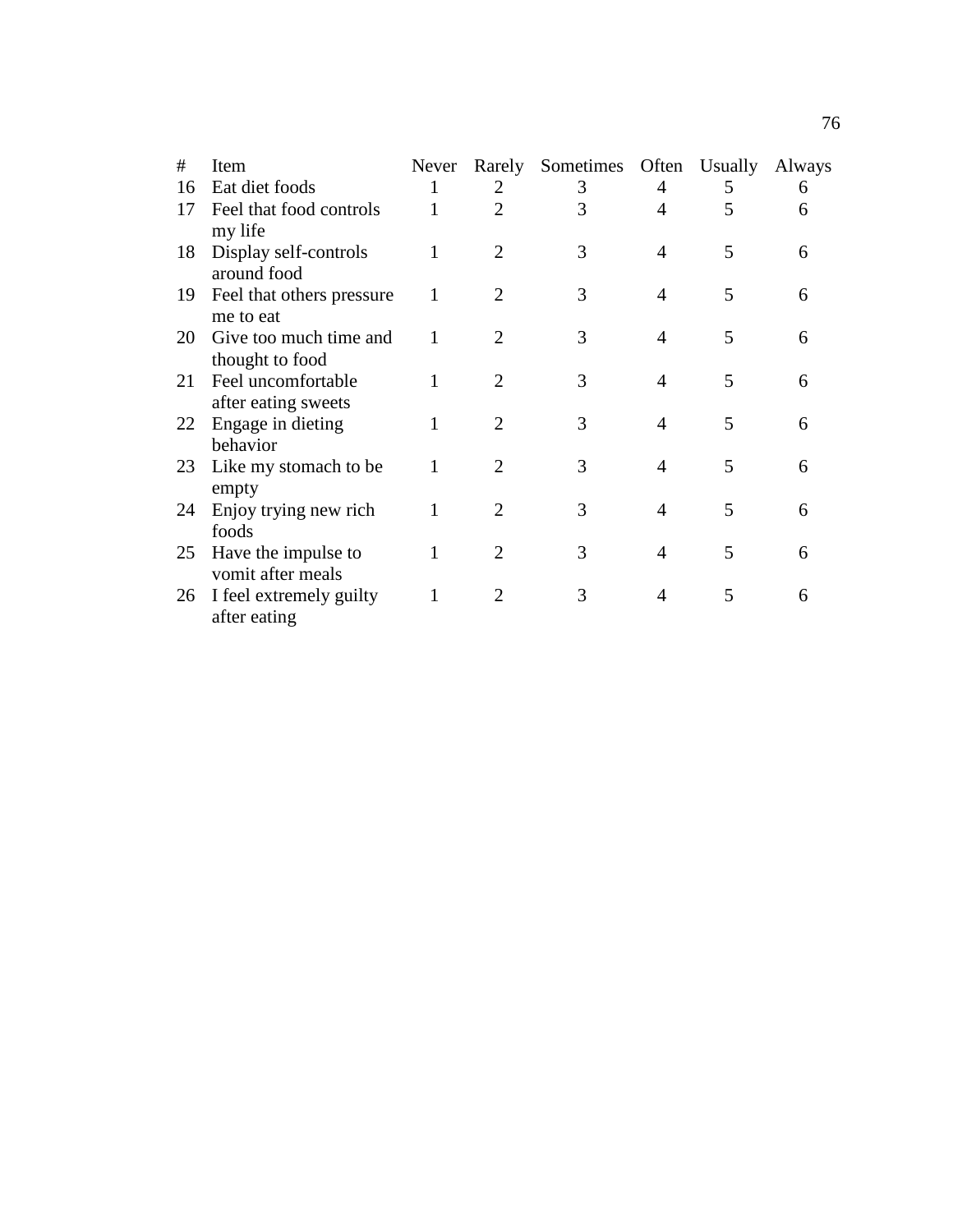| Item                                      | Never |                       |   |   | Usually | Always                 |
|-------------------------------------------|-------|-----------------------|---|---|---------|------------------------|
| Eat diet foods                            | 1     | 2                     | 3 | 4 | 5       | 6                      |
| Feel that food controls<br>my life        |       | $\overline{2}$        | 3 | 4 | 5       | 6                      |
| Display self-controls<br>around food      | 1     | 2                     | 3 | 4 | 5       | 6                      |
| Feel that others pressure<br>me to eat    | 1     | 2                     | 3 | 4 | 5       | 6                      |
| Give too much time and<br>thought to food | 1     | $\mathcal{D}_{\cdot}$ | 3 | 4 | 5       | 6                      |
| Feel uncomfortable<br>after eating sweets |       | 2                     | 3 | 4 | 5       | 6                      |
| Engage in dieting<br>behavior             | 1     | 2                     | 3 | 4 | 5       | 6                      |
| Like my stomach to be<br>empty            |       |                       | 3 | 4 | 5       | 6                      |
| Enjoy trying new rich<br>foods            | 1     | 2                     | 3 | 4 | 5       | 6                      |
| Have the impulse to<br>vomit after meals  | 1     | 2                     | 3 | 4 | 5       | 6                      |
| I feel extremely guilty<br>after eating   |       |                       | 3 | 4 | 5       | 6                      |
|                                           |       |                       |   |   |         | Rarely Sometimes Often |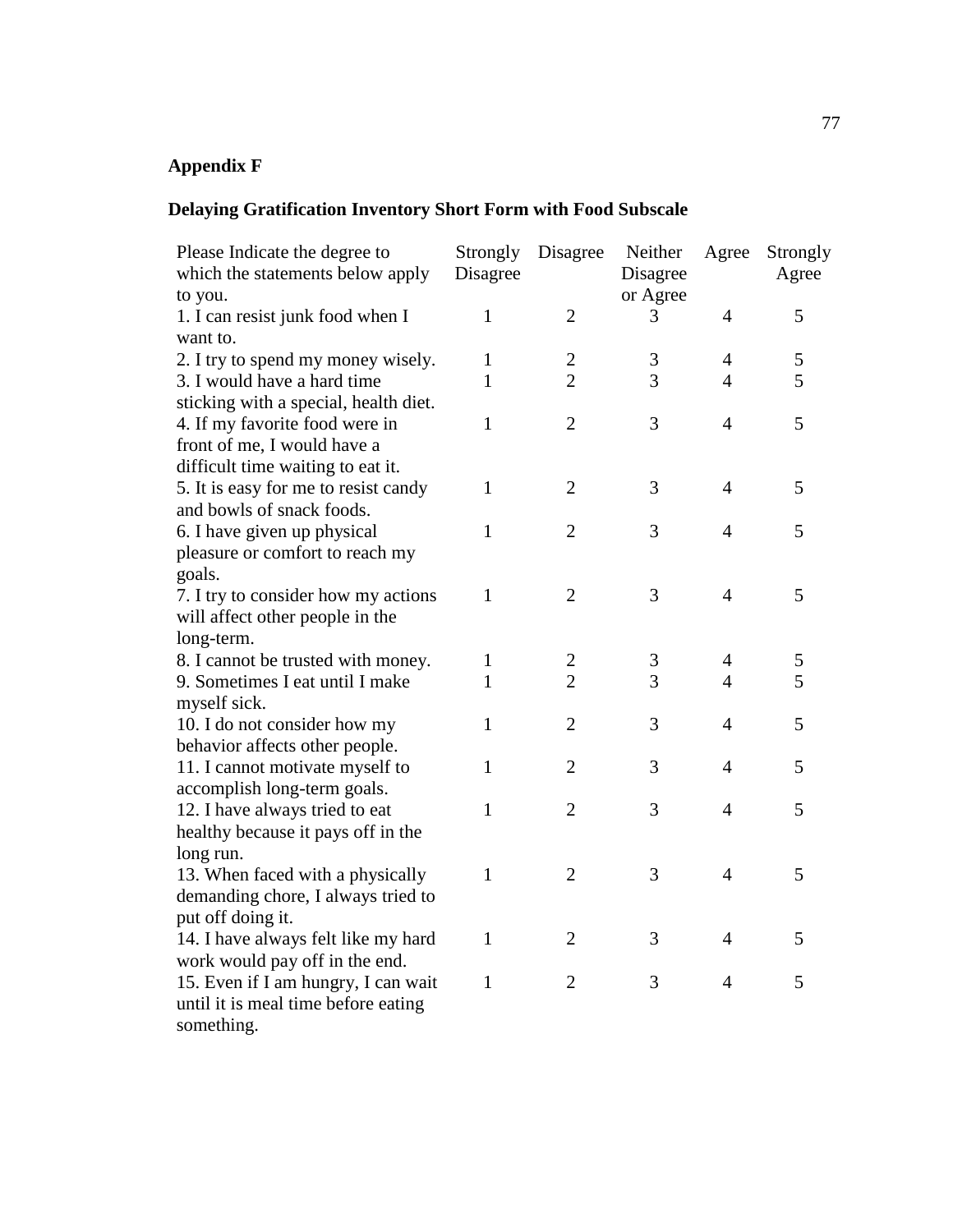# **Appendix F**

# **Delaying Gratification Inventory Short Form with Food Subscale**

| Please Indicate the degree to<br>which the statements below apply<br>to you. | Strongly<br>Disagree | Disagree       | Neither<br>Disagree<br>or Agree | Agree          | Strongly<br>Agree |
|------------------------------------------------------------------------------|----------------------|----------------|---------------------------------|----------------|-------------------|
| 1. I can resist junk food when I<br>want to.                                 | $\mathbf{1}$         | $\overline{2}$ | 3                               | $\overline{4}$ | 5                 |
| 2. I try to spend my money wisely.                                           | $\mathbf{1}$         | $\overline{c}$ | $\mathfrak{Z}$                  | $\overline{4}$ | 5                 |
| 3. I would have a hard time                                                  | 1                    | $\overline{2}$ | 3                               | $\overline{4}$ | 5                 |
| sticking with a special, health diet.                                        |                      |                |                                 |                |                   |
| 4. If my favorite food were in                                               | $\mathbf{1}$         | $\overline{2}$ | 3                               | $\overline{4}$ | 5                 |
| front of me, I would have a                                                  |                      |                |                                 |                |                   |
| difficult time waiting to eat it.                                            |                      |                |                                 |                |                   |
| 5. It is easy for me to resist candy                                         | $\mathbf{1}$         | $\overline{2}$ | 3                               | 4              | 5                 |
| and bowls of snack foods.                                                    |                      |                |                                 |                |                   |
| 6. I have given up physical                                                  | $\mathbf{1}$         | $\overline{2}$ | 3                               | $\overline{4}$ | 5                 |
| pleasure or comfort to reach my                                              |                      |                |                                 |                |                   |
| goals.                                                                       |                      |                |                                 |                |                   |
| 7. I try to consider how my actions                                          | $\mathbf{1}$         | $\overline{2}$ | 3                               | $\overline{4}$ | 5                 |
| will affect other people in the                                              |                      |                |                                 |                |                   |
| long-term.                                                                   |                      |                |                                 |                |                   |
| 8. I cannot be trusted with money.                                           | $\mathbf{1}$         | $\overline{c}$ | $\mathfrak{Z}$                  | $\overline{4}$ | 5                 |
| 9. Sometimes I eat until I make                                              | $\mathbf{1}$         | $\overline{2}$ | 3                               | $\overline{4}$ | 5                 |
| myself sick.                                                                 |                      |                |                                 |                |                   |
| 10. I do not consider how my                                                 | $\mathbf{1}$         | $\overline{2}$ | 3                               | $\overline{4}$ | 5                 |
| behavior affects other people.                                               |                      |                |                                 |                |                   |
| 11. I cannot motivate myself to                                              | $\mathbf{1}$         | $\overline{2}$ | 3                               | $\overline{4}$ | 5                 |
| accomplish long-term goals.                                                  |                      |                |                                 |                |                   |
| 12. I have always tried to eat                                               | $\mathbf{1}$         | $\overline{2}$ | 3                               | $\overline{4}$ | 5                 |
| healthy because it pays off in the                                           |                      |                |                                 |                |                   |
| long run.                                                                    |                      |                |                                 |                |                   |
| 13. When faced with a physically                                             | $\mathbf{1}$         | $\overline{2}$ | 3                               | $\overline{4}$ | 5                 |
| demanding chore, I always tried to                                           |                      |                |                                 |                |                   |
| put off doing it.                                                            |                      |                |                                 |                |                   |
| 14. I have always felt like my hard                                          | $\mathbf{1}$         | $\overline{2}$ | 3                               | 4              | 5                 |
| work would pay off in the end.                                               |                      |                |                                 |                |                   |
| 15. Even if I am hungry, I can wait                                          | $\mathbf{1}$         | $\overline{2}$ | 3                               | $\overline{4}$ | 5                 |
| until it is meal time before eating                                          |                      |                |                                 |                |                   |
| something.                                                                   |                      |                |                                 |                |                   |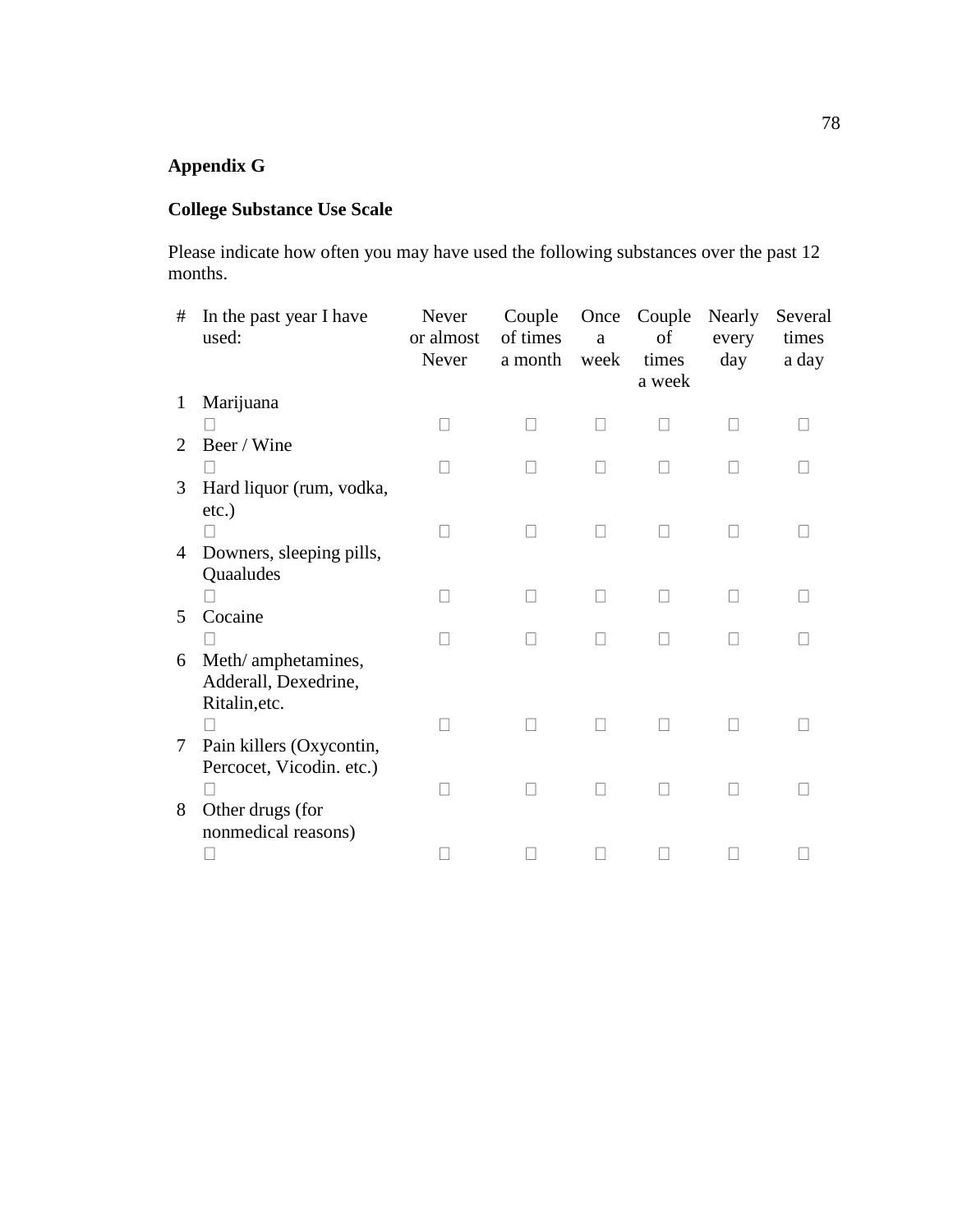## **Appendix G**

## **College Substance Use Scale**

Please indicate how often you may have used the following substances over the past 12 months.

| #            | In the past year I have<br>used: | Never<br>or almost<br>Never | Couple<br>of times<br>a month | Once<br>a<br>week | Couple<br>of<br>times<br>a week | Nearly<br>every<br>day | Several<br>times<br>a day |
|--------------|----------------------------------|-----------------------------|-------------------------------|-------------------|---------------------------------|------------------------|---------------------------|
| $\mathbf{1}$ | Marijuana                        |                             |                               |                   |                                 |                        |                           |
|              |                                  |                             |                               |                   |                                 |                        |                           |
| 2            | Beer / Wine                      |                             |                               |                   |                                 |                        |                           |
|              |                                  |                             |                               |                   |                                 |                        |                           |
| 3            | Hard liquor (rum, vodka,         |                             |                               |                   |                                 |                        |                           |
|              | etc.)                            |                             |                               |                   |                                 |                        |                           |
|              |                                  |                             |                               |                   |                                 |                        |                           |
| 4            | Downers, sleeping pills,         |                             |                               |                   |                                 |                        |                           |
|              | Quaaludes                        |                             |                               |                   |                                 |                        |                           |
|              |                                  |                             |                               |                   | $\mathbf{L}$                    | $\Box$                 |                           |
| 5            | Cocaine                          |                             |                               |                   |                                 |                        |                           |
|              |                                  |                             |                               |                   |                                 |                        |                           |
| 6            | Meth/ amphetamines,              |                             |                               |                   |                                 |                        |                           |
|              | Adderall, Dexedrine,             |                             |                               |                   |                                 |                        |                           |
|              | Ritalin, etc.                    |                             |                               |                   |                                 |                        |                           |
|              |                                  |                             |                               |                   |                                 |                        |                           |
| $\tau$       | Pain killers (Oxycontin,         |                             |                               |                   |                                 |                        |                           |
|              | Percocet, Vicodin. etc.)         |                             |                               |                   |                                 |                        |                           |
|              |                                  |                             |                               |                   |                                 |                        |                           |
| 8            | Other drugs (for                 |                             |                               |                   |                                 |                        |                           |
|              | nonmedical reasons)              |                             |                               |                   |                                 |                        |                           |
|              |                                  |                             |                               |                   |                                 |                        |                           |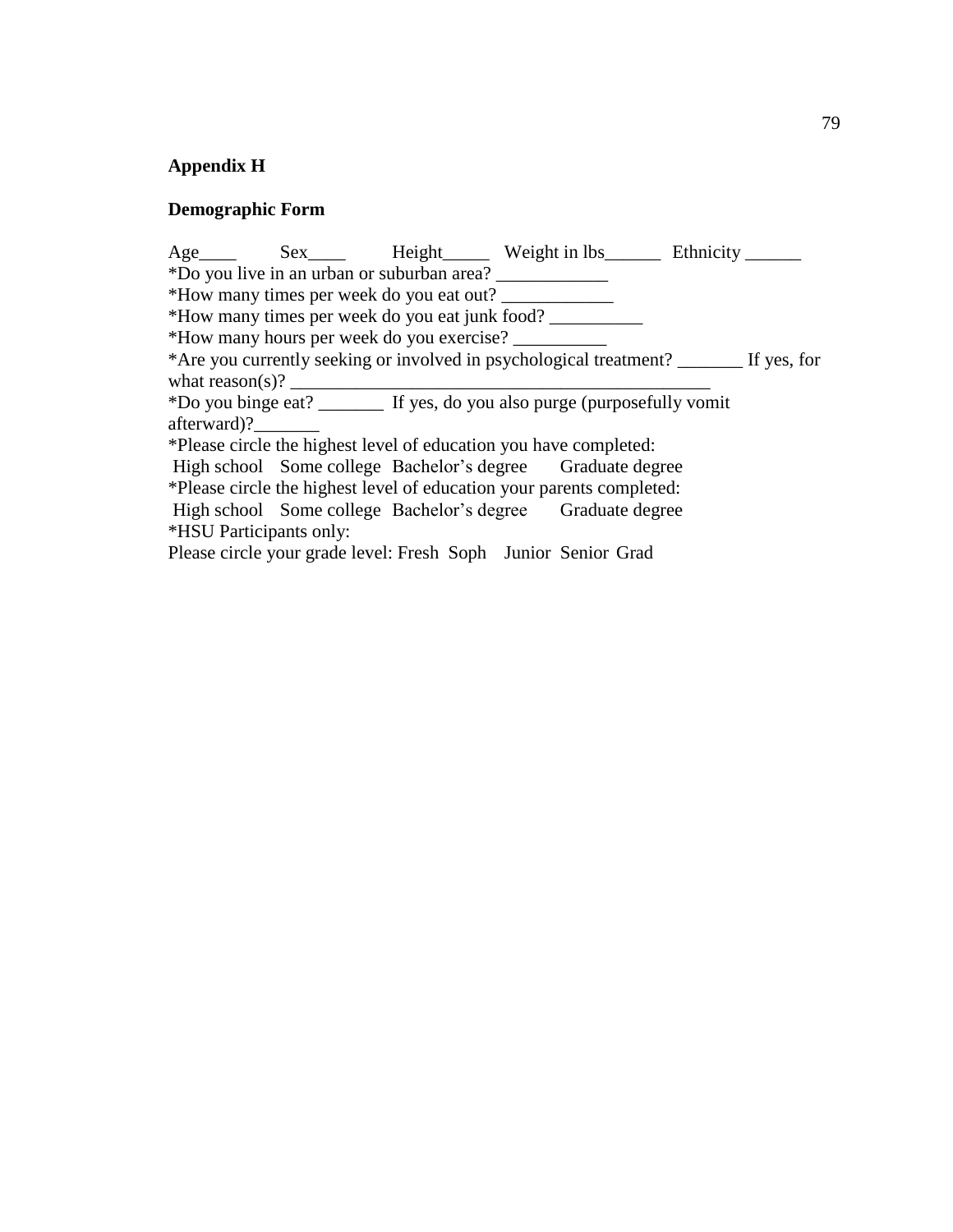# **Appendix H**

## **Demographic Form**

|                                                                                        |  |  |                                                            | Age Sex Height Weight in lbs Ethnicity |  |  |  |  |  |  |
|----------------------------------------------------------------------------------------|--|--|------------------------------------------------------------|----------------------------------------|--|--|--|--|--|--|
| *Do you live in an urban or suburban area?                                             |  |  |                                                            |                                        |  |  |  |  |  |  |
| *How many times per week do you eat out?                                               |  |  |                                                            |                                        |  |  |  |  |  |  |
| *How many times per week do you eat junk food?                                         |  |  |                                                            |                                        |  |  |  |  |  |  |
| *How many hours per week do you exercise?                                              |  |  |                                                            |                                        |  |  |  |  |  |  |
| *Are you currently seeking or involved in psychological treatment? _______ If yes, for |  |  |                                                            |                                        |  |  |  |  |  |  |
|                                                                                        |  |  |                                                            |                                        |  |  |  |  |  |  |
| *Do you binge eat? _________ If yes, do you also purge (purposefully vomit             |  |  |                                                            |                                        |  |  |  |  |  |  |
| afterward)?                                                                            |  |  |                                                            |                                        |  |  |  |  |  |  |
| *Please circle the highest level of education you have completed:                      |  |  |                                                            |                                        |  |  |  |  |  |  |
|                                                                                        |  |  | High school Some college Bachelor's degree Graduate degree |                                        |  |  |  |  |  |  |
| *Please circle the highest level of education your parents completed:                  |  |  |                                                            |                                        |  |  |  |  |  |  |
|                                                                                        |  |  | High school Some college Bachelor's degree Graduate degree |                                        |  |  |  |  |  |  |
| *HSU Participants only:                                                                |  |  |                                                            |                                        |  |  |  |  |  |  |
| Please circle your grade level: Fresh Soph Junior Senior Grad                          |  |  |                                                            |                                        |  |  |  |  |  |  |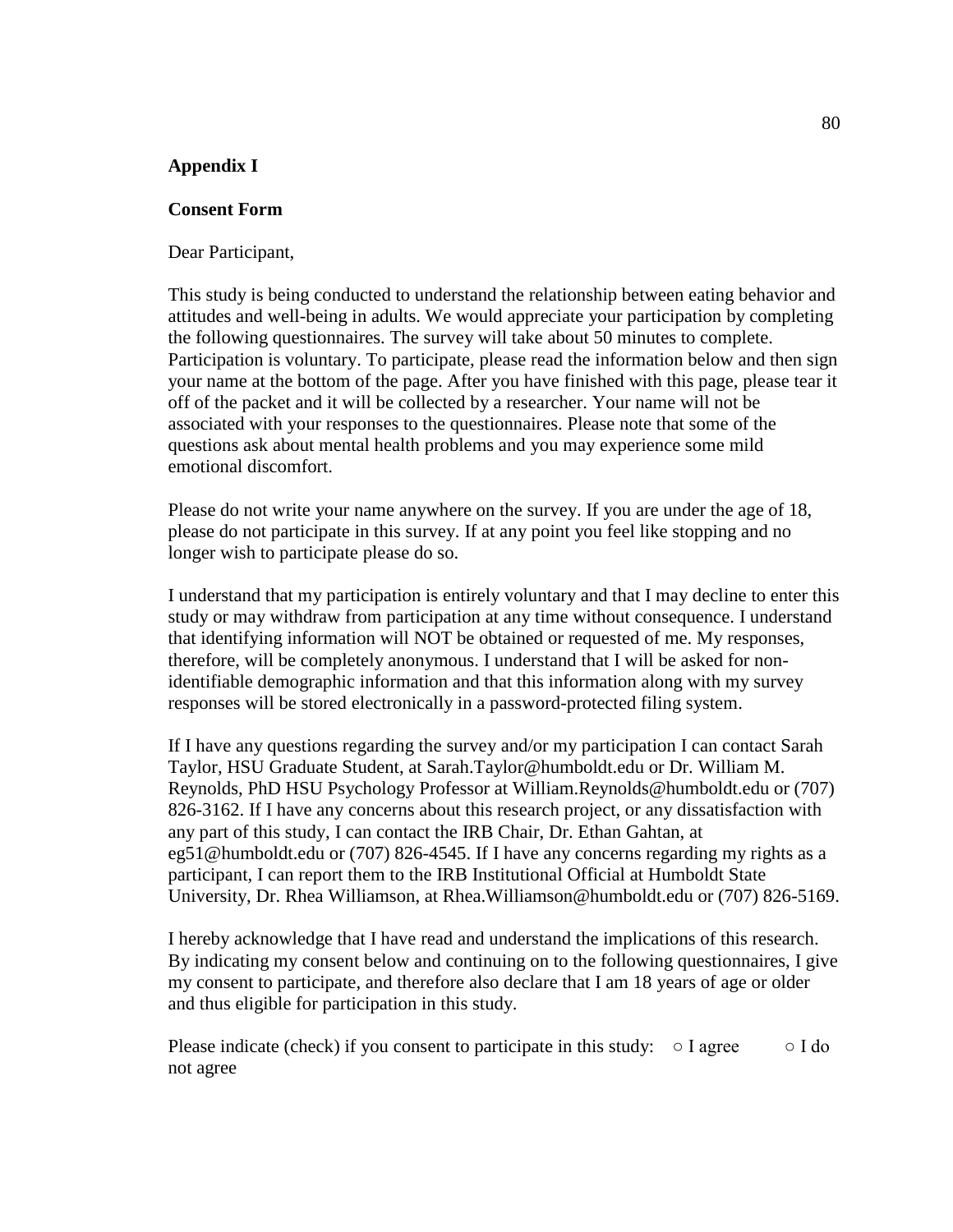#### **Appendix I**

#### **Consent Form**

Dear Participant,

This study is being conducted to understand the relationship between eating behavior and attitudes and well-being in adults. We would appreciate your participation by completing the following questionnaires. The survey will take about 50 minutes to complete. Participation is voluntary. To participate, please read the information below and then sign your name at the bottom of the page. After you have finished with this page, please tear it off of the packet and it will be collected by a researcher. Your name will not be associated with your responses to the questionnaires. Please note that some of the questions ask about mental health problems and you may experience some mild emotional discomfort.

Please do not write your name anywhere on the survey. If you are under the age of 18, please do not participate in this survey. If at any point you feel like stopping and no longer wish to participate please do so.

I understand that my participation is entirely voluntary and that I may decline to enter this study or may withdraw from participation at any time without consequence. I understand that identifying information will NOT be obtained or requested of me. My responses, therefore, will be completely anonymous. I understand that I will be asked for nonidentifiable demographic information and that this information along with my survey responses will be stored electronically in a password-protected filing system.

If I have any questions regarding the survey and/or my participation I can contact Sarah Taylor, HSU Graduate Student, at Sarah.Taylor@humboldt.edu or Dr. William M. Reynolds, PhD HSU Psychology Professor at William.Reynolds@humboldt.edu or (707) 826-3162. If I have any concerns about this research project, or any dissatisfaction with any part of this study, I can contact the IRB Chair, Dr. Ethan Gahtan, at eg51@humboldt.edu or (707) 826-4545. If I have any concerns regarding my rights as a participant, I can report them to the IRB Institutional Official at Humboldt State University, Dr. Rhea Williamson, at Rhea.Williamson@humboldt.edu or (707) 826-5169.

I hereby acknowledge that I have read and understand the implications of this research. By indicating my consent below and continuing on to the following questionnaires, I give my consent to participate, and therefore also declare that I am 18 years of age or older and thus eligible for participation in this study.

Please indicate (check) if you consent to participate in this study:  $\circ$  I agree  $\circ$  I do not agree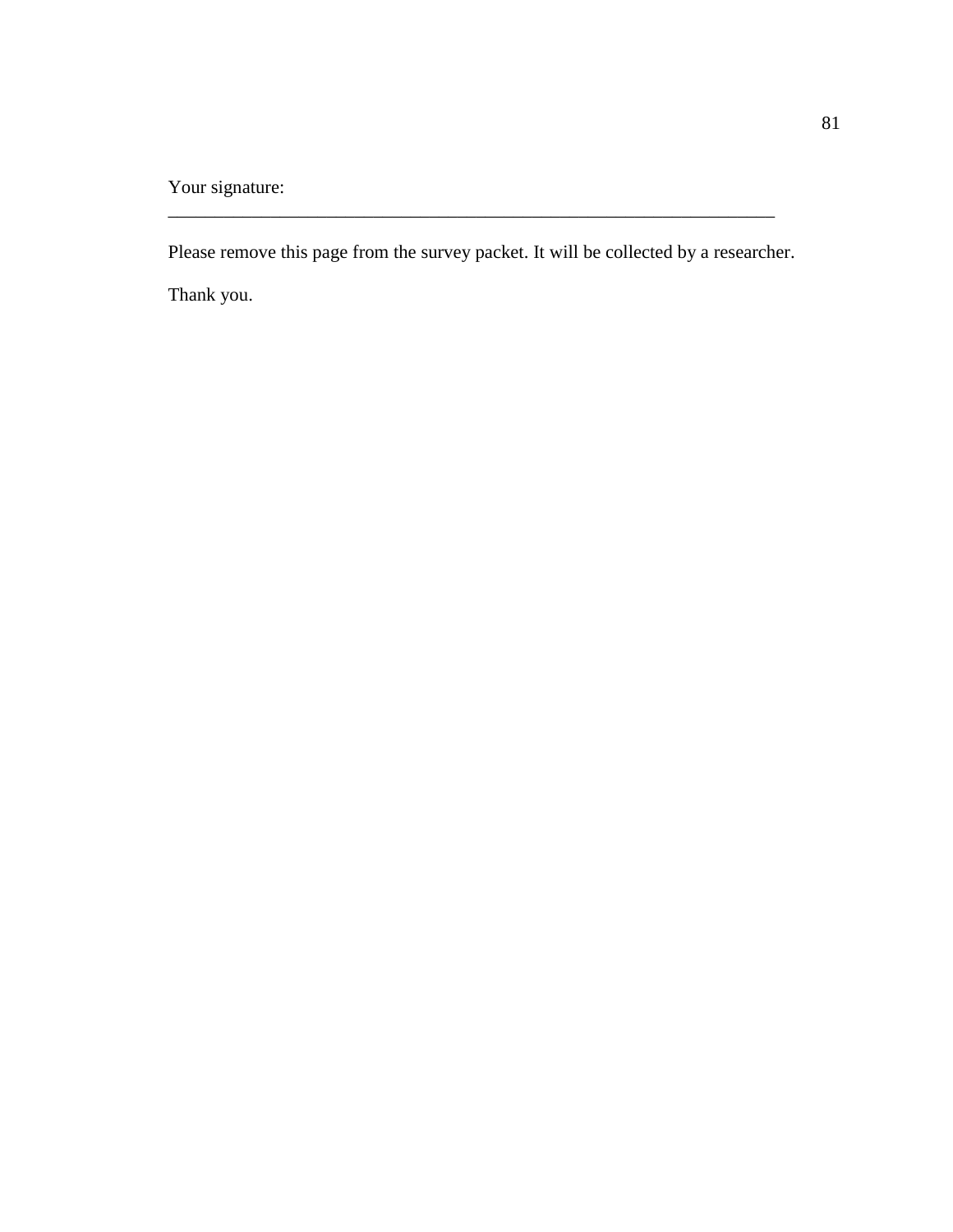Your signature:

Please remove this page from the survey packet. It will be collected by a researcher.

\_\_\_\_\_\_\_\_\_\_\_\_\_\_\_\_\_\_\_\_\_\_\_\_\_\_\_\_\_\_\_\_\_\_\_\_\_\_\_\_\_\_\_\_\_\_\_\_\_\_\_\_\_\_\_\_\_\_\_\_\_\_\_\_\_

Thank you.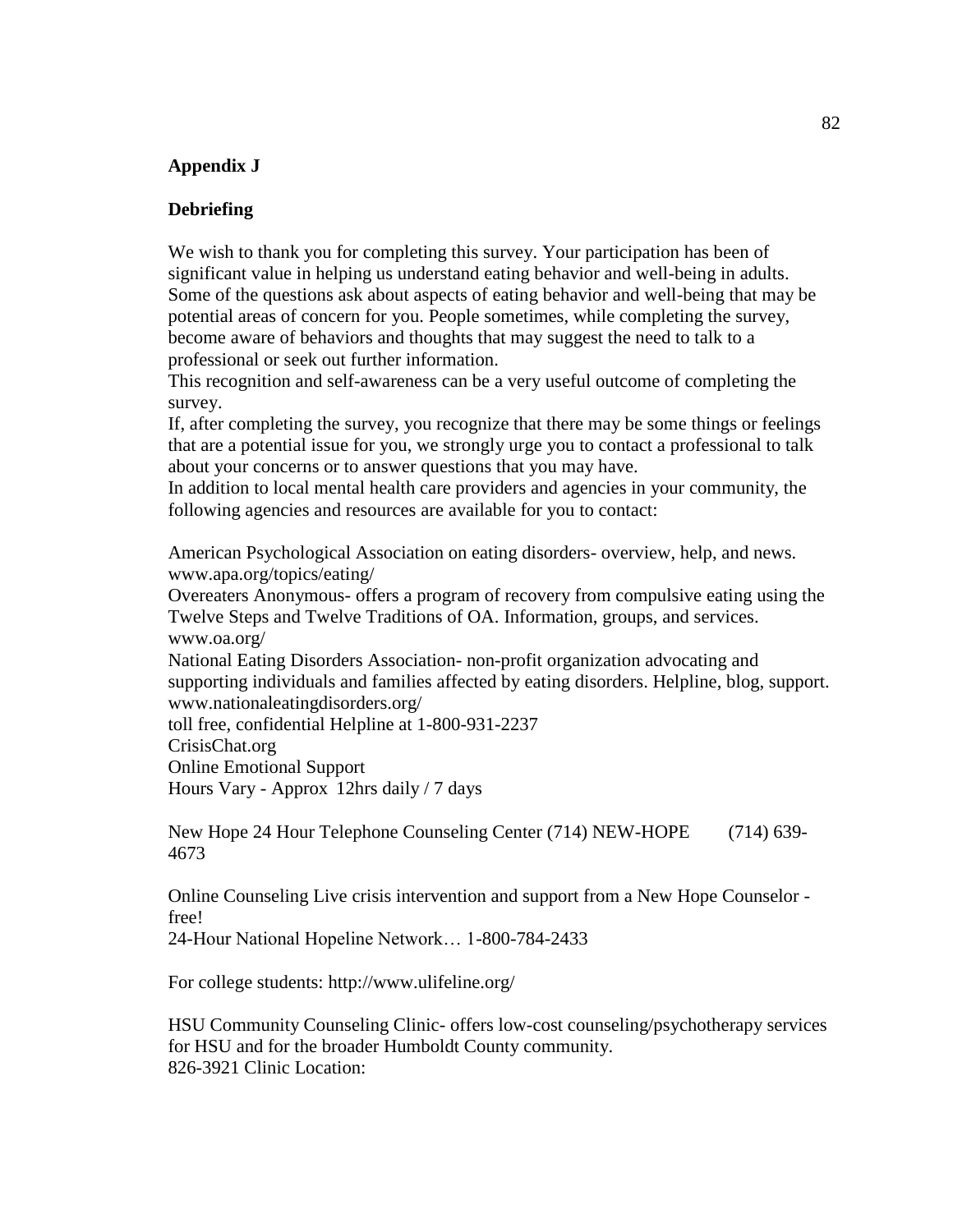### **Appendix J**

#### **Debriefing**

We wish to thank you for completing this survey. Your participation has been of significant value in helping us understand eating behavior and well-being in adults. Some of the questions ask about aspects of eating behavior and well-being that may be potential areas of concern for you. People sometimes, while completing the survey, become aware of behaviors and thoughts that may suggest the need to talk to a professional or seek out further information.

This recognition and self-awareness can be a very useful outcome of completing the survey.

If, after completing the survey, you recognize that there may be some things or feelings that are a potential issue for you, we strongly urge you to contact a professional to talk about your concerns or to answer questions that you may have.

In addition to local mental health care providers and agencies in your community, the following agencies and resources are available for you to contact:

American Psychological Association on eating disorders- overview, help, and news. www.apa.org/topics/eating/

Overeaters Anonymous- offers a program of recovery from compulsive eating using the Twelve Steps and Twelve Traditions of OA. Information, groups, and services. www.oa.org/

National Eating Disorders Association- non-profit organization advocating and supporting individuals and families affected by eating disorders. Helpline, blog, support. www.nationaleatingdisorders.org/

toll free, confidential Helpline at 1-800-931-2237

CrisisChat.org

Online Emotional Support

Hours Vary - Approx 12hrs daily / 7 days

New Hope 24 Hour Telephone Counseling Center (714) NEW-HOPE (714) 639- 4673

Online Counseling Live crisis intervention and support from a New Hope Counselor free!

24-Hour National Hopeline Network… 1-800-784-2433

For college students: http://www.ulifeline.org/

HSU Community Counseling Clinic- offers low-cost counseling/psychotherapy services for HSU and for the broader Humboldt County community. 826-3921 Clinic Location: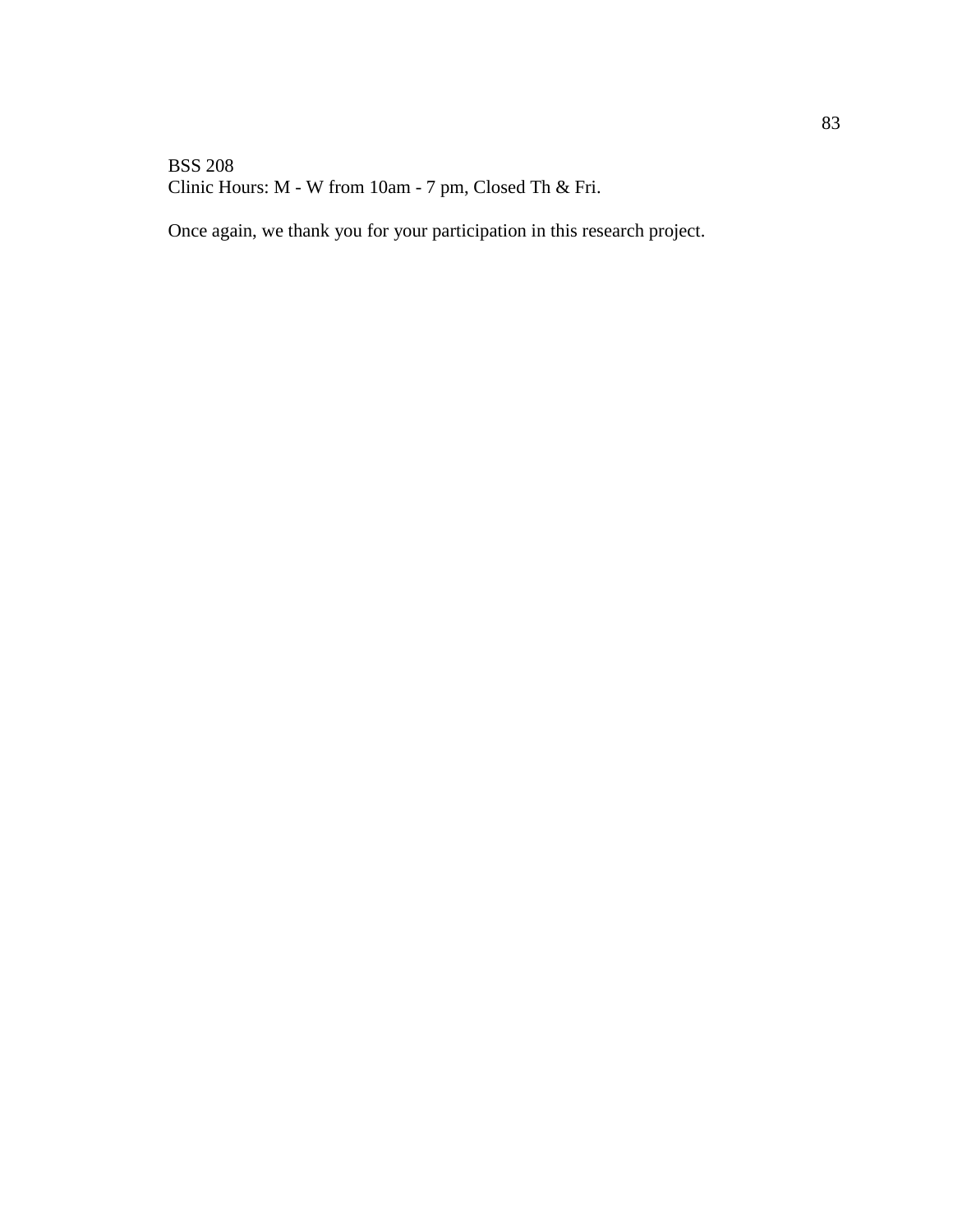### BSS 208 Clinic Hours: M - W from 10am - 7 pm, Closed Th & Fri.

Once again, we thank you for your participation in this research project.